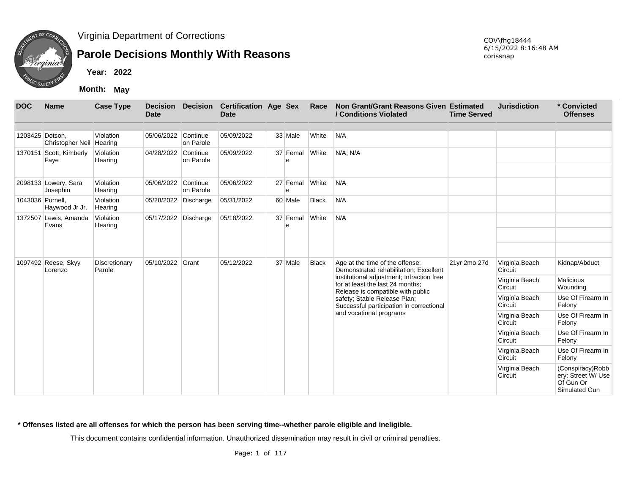

## **Parole Decisions Monthly With Reasons**

**Month: May**

| <b>DOC</b>       | <b>Name</b>                      | <b>Case Type</b>        | <b>Decision</b><br>Date |                       | Decision Certification Age Sex<br><b>Date</b> |                      | Race         | Non Grant/Grant Reasons Given Estimated<br>/ Conditions Violated                                                   | <b>Time Served</b> | <b>Jurisdiction</b>       | * Convicted<br><b>Offenses</b>                                        |
|------------------|----------------------------------|-------------------------|-------------------------|-----------------------|-----------------------------------------------|----------------------|--------------|--------------------------------------------------------------------------------------------------------------------|--------------------|---------------------------|-----------------------------------------------------------------------|
| 1203425 Dotson,  | <b>Christopher Neil</b>          | Violation<br>Hearing    | 05/06/2022 Continue     | on Parole             | 05/09/2022                                    | 33 Male              | White        | N/A                                                                                                                |                    |                           |                                                                       |
|                  | 1370151 Scott, Kimberly<br>Faye  | Violation<br>Hearing    | 04/28/2022 Continue     | on Parole             | 05/09/2022                                    | 37 Femal<br>$\theta$ | White        | N/A; N/A                                                                                                           |                    |                           |                                                                       |
|                  | 2098133 Lowery, Sara<br>Josephin | Violation<br>Hearing    | 05/06/2022              | Continue<br>on Parole | 05/06/2022                                    | 27 Femal<br>e        | White        | N/A                                                                                                                |                    |                           |                                                                       |
| 1043036 Purnell, | Haywood Jr Jr.                   | Violation<br>Hearing    | 05/28/2022 Discharge    |                       | 05/31/2022                                    | 60 Male              | <b>Black</b> | N/A                                                                                                                |                    |                           |                                                                       |
|                  | 1372507 Lewis, Amanda<br>Evans   | Violation<br>Hearing    | 05/17/2022 Discharge    |                       | 05/18/2022                                    | 37 Femal<br>e        | White        | N/A                                                                                                                |                    |                           |                                                                       |
|                  |                                  |                         | 05/10/2022 Grant        |                       | 05/12/2022                                    | 37 Male              | <b>Black</b> |                                                                                                                    |                    |                           |                                                                       |
|                  | 1097492 Reese, Skyy<br>Lorenzo   | Discretionary<br>Parole |                         |                       |                                               |                      |              | Age at the time of the offense;<br>Demonstrated rehabilitation; Excellent                                          | 21yr 2mo 27d       | Virginia Beach<br>Circuit | Kidnap/Abduct                                                         |
|                  |                                  |                         |                         |                       |                                               |                      |              | institutional adjustment; Infraction free<br>for at least the last 24 months;<br>Release is compatible with public |                    | Virginia Beach<br>Circuit | <b>Malicious</b><br>Wounding                                          |
|                  |                                  |                         |                         |                       |                                               |                      |              | safety; Stable Release Plan;<br>Successful participation in correctional                                           |                    | Virginia Beach<br>Circuit | Use Of Firearm In<br>Felony                                           |
|                  |                                  |                         |                         |                       |                                               |                      |              | and vocational programs                                                                                            |                    | Virginia Beach<br>Circuit | Use Of Firearm In<br>Felony                                           |
|                  |                                  |                         |                         |                       |                                               |                      |              |                                                                                                                    |                    | Virginia Beach<br>Circuit | Use Of Firearm In<br>Felony                                           |
|                  |                                  |                         |                         |                       |                                               |                      |              |                                                                                                                    |                    | Virginia Beach<br>Circuit | Use Of Firearm In<br>Felony                                           |
|                  |                                  |                         |                         |                       |                                               |                      |              |                                                                                                                    |                    | Virginia Beach<br>Circuit | (Conspiracy) Robb<br>ery: Street W/ Use<br>Of Gun Or<br>Simulated Gun |

#### **\* Offenses listed are all offenses for which the person has been serving time--whether parole eligible and ineligible.**

This document contains confidential information. Unauthorized dissemination may result in civil or criminal penalties.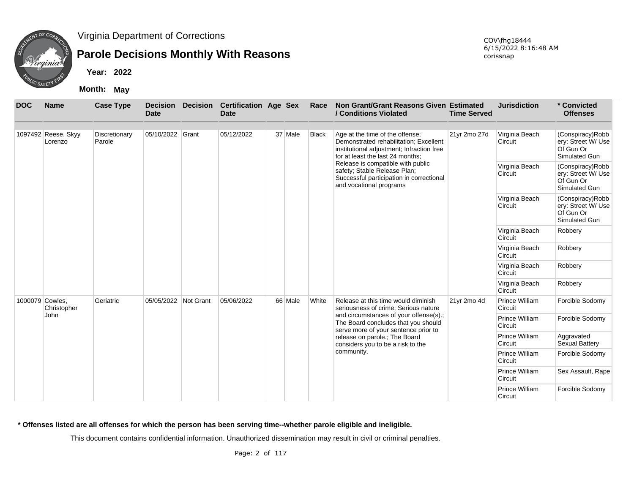

## **Parole Decisions Monthly With Reasons**

**Year: 2022**

**Month: May**

| <b>DOC</b> | <b>Name</b>                    | <b>Case Type</b>        | <b>Decision</b><br><b>Date</b> | <b>Decision</b> | <b>Certification Age Sex</b><br><b>Date</b> |         | Race         | Non Grant/Grant Reasons Given Estimated<br>/ Conditions Violated                                                                                           | <b>Time Served</b> | <b>Jurisdiction</b>       | * Convicted<br><b>Offenses</b>                                       |
|------------|--------------------------------|-------------------------|--------------------------------|-----------------|---------------------------------------------|---------|--------------|------------------------------------------------------------------------------------------------------------------------------------------------------------|--------------------|---------------------------|----------------------------------------------------------------------|
|            | 1097492 Reese, Skyy<br>Lorenzo | Discretionary<br>Parole | 05/10/2022 Grant               |                 | 05/12/2022                                  | 37 Male | <b>Black</b> | Age at the time of the offense;<br>Demonstrated rehabilitation; Excellent<br>institutional adjustment; Infraction free<br>for at least the last 24 months; | 21yr 2mo 27d       | Virginia Beach<br>Circuit | (Conspiracy)Robb<br>ery: Street W/ Use<br>Of Gun Or<br>Simulated Gun |
|            |                                |                         |                                |                 |                                             |         |              | Release is compatible with public<br>safety; Stable Release Plan;<br>Successful participation in correctional<br>and vocational programs                   |                    | Virginia Beach<br>Circuit | (Conspiracy)Robb<br>ery: Street W/ Use<br>Of Gun Or<br>Simulated Gun |
|            |                                |                         |                                |                 |                                             |         |              |                                                                                                                                                            |                    | Virginia Beach<br>Circuit | (Conspiracy)Robb<br>ery: Street W/ Use<br>Of Gun Or<br>Simulated Gun |
|            |                                |                         |                                |                 |                                             |         |              |                                                                                                                                                            |                    | Virginia Beach<br>Circuit | Robbery                                                              |
|            |                                |                         |                                |                 |                                             |         |              |                                                                                                                                                            |                    | Virginia Beach<br>Circuit | Robbery                                                              |
|            |                                |                         |                                |                 |                                             |         |              |                                                                                                                                                            |                    | Virginia Beach<br>Circuit | Robbery                                                              |
|            |                                |                         |                                |                 |                                             |         |              |                                                                                                                                                            |                    | Virginia Beach<br>Circuit | Robbery                                                              |
|            | 1000079 Cowles,<br>Christopher | Geriatric               | 05/05/2022                     | Not Grant       | 05/06/2022                                  | 66 Male | White        | Release at this time would diminish<br>seriousness of crime; Serious nature                                                                                | 21yr 2mo 4d        | Prince William<br>Circuit | Forcible Sodomy                                                      |
|            | <b>John</b>                    |                         |                                |                 |                                             |         |              | and circumstances of your offense(s).;<br>The Board concludes that you should<br>serve more of your sentence prior to                                      |                    | Prince William<br>Circuit | Forcible Sodomy                                                      |
|            |                                |                         |                                |                 |                                             |         |              | release on parole.; The Board<br>considers you to be a risk to the                                                                                         |                    | Prince William<br>Circuit | Aggravated<br>Sexual Battery                                         |
|            |                                |                         |                                |                 |                                             |         |              | community.                                                                                                                                                 |                    | Prince William<br>Circuit | Forcible Sodomy                                                      |
|            |                                |                         |                                |                 |                                             |         |              |                                                                                                                                                            |                    | Prince William<br>Circuit | Sex Assault, Rape                                                    |
|            |                                |                         |                                |                 |                                             |         |              |                                                                                                                                                            |                    | Prince William<br>Circuit | Forcible Sodomy                                                      |

**\* Offenses listed are all offenses for which the person has been serving time--whether parole eligible and ineligible.**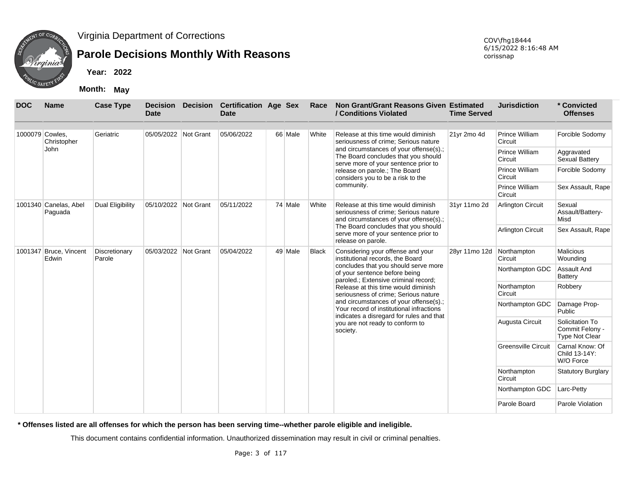

# **Parole Decisions Monthly With Reasons**

**Year: 2022**

**Month: May**

| <b>DOC</b>      | <b>Name</b>                      | <b>Case Type</b>        | <b>Decision</b><br><b>Date</b> | <b>Decision</b> | <b>Certification Age Sex</b><br><b>Date</b> |         | Race         | Non Grant/Grant Reasons Given Estimated<br>/ Conditions Violated                                                      | <b>Time Served</b>            | <b>Jurisdiction</b>        | * Convicted<br><b>Offenses</b>                              |
|-----------------|----------------------------------|-------------------------|--------------------------------|-----------------|---------------------------------------------|---------|--------------|-----------------------------------------------------------------------------------------------------------------------|-------------------------------|----------------------------|-------------------------------------------------------------|
| 1000079 Cowles. | Christopher                      | Geriatric               | 05/05/2022 Not Grant           |                 | 05/06/2022                                  | 66 Male | White        | Release at this time would diminish<br>seriousness of crime: Serious nature                                           | 21yr 2mo 4d                   | Prince William<br>Circuit  | Forcible Sodomy                                             |
|                 | John                             |                         |                                |                 |                                             |         |              | and circumstances of your offense(s).;<br>The Board concludes that you should<br>serve more of your sentence prior to |                               | Prince William<br>Circuit  | Aggravated<br>Sexual Battery                                |
|                 |                                  |                         |                                |                 |                                             |         |              | release on parole.; The Board<br>considers you to be a risk to the                                                    |                               | Prince William<br>Circuit  | Forcible Sodomy                                             |
|                 |                                  |                         |                                |                 |                                             |         |              | community.                                                                                                            |                               | Prince William<br>Circuit  | Sex Assault, Rape                                           |
|                 | 1001340 Canelas, Abel<br>Paguada | <b>Dual Eligibility</b> | 05/10/2022 Not Grant           |                 | 05/11/2022                                  | 74 Male | White        | Release at this time would diminish<br>seriousness of crime; Serious nature<br>and circumstances of your offense(s).; | 31yr 11mo 2d<br>28yr 11mo 12d | <b>Arlington Circuit</b>   | Sexual<br>Assault/Battery-<br>Misd                          |
|                 |                                  |                         |                                |                 |                                             |         |              | The Board concludes that you should<br>serve more of your sentence prior to<br>release on parole.                     |                               | <b>Arlington Circuit</b>   | Sex Assault, Rape                                           |
|                 | 1001347 Bruce, Vincent<br>Edwin  | Discretionary<br>Parole | 05/03/2022 Not Grant           |                 | 05/04/2022                                  | 49 Male | <b>Black</b> | Considering your offense and your<br>institutional records, the Board                                                 |                               | Northampton<br>Circuit     | <b>Malicious</b><br>Wounding                                |
|                 |                                  |                         |                                |                 |                                             |         |              | concludes that you should serve more<br>of your sentence before being<br>paroled.; Extensive criminal record;         |                               | Northampton GDC            | <b>Assault And</b><br>Battery                               |
|                 |                                  |                         |                                |                 |                                             |         |              | Release at this time would diminish<br>seriousness of crime; Serious nature                                           |                               | Northampton<br>Circuit     | Robbery                                                     |
|                 |                                  |                         |                                |                 |                                             |         |              | and circumstances of your offense(s).;<br>Your record of institutional infractions                                    |                               | Northampton GDC            | Damage Prop-<br>Public                                      |
|                 |                                  |                         |                                |                 |                                             |         |              | indicates a disregard for rules and that<br>you are not ready to conform to<br>society.                               |                               | Augusta Circuit            | Solicitation To<br>Commit Felony -<br><b>Type Not Clear</b> |
|                 |                                  |                         |                                |                 |                                             |         |              |                                                                                                                       |                               | <b>Greensville Circuit</b> | Carnal Know: Of<br>Child 13-14Y:<br>W/O Force               |
|                 |                                  |                         |                                |                 |                                             |         |              |                                                                                                                       |                               | Northampton<br>Circuit     | <b>Statutory Burglary</b>                                   |
|                 |                                  |                         |                                |                 |                                             |         |              |                                                                                                                       |                               | Northampton GDC            | Larc-Petty                                                  |
|                 |                                  |                         |                                |                 |                                             |         |              |                                                                                                                       |                               | Parole Board               | Parole Violation                                            |

**\* Offenses listed are all offenses for which the person has been serving time--whether parole eligible and ineligible.**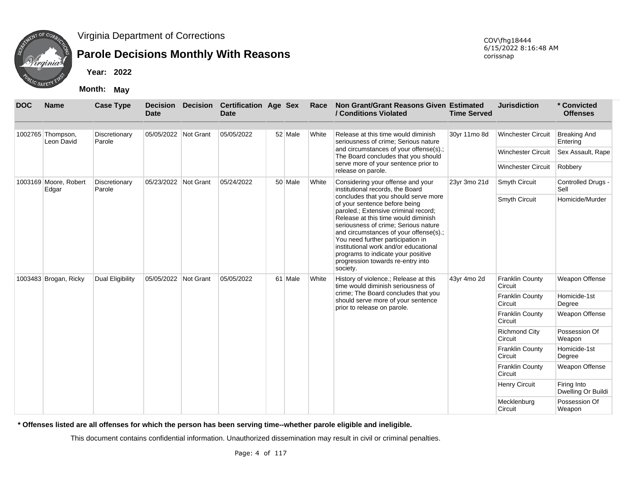

## **Parole Decisions Monthly With Reasons**

**Year: 2022**

**Month: May**

| <b>DOC</b> | <b>Name</b>                     | <b>Case Type</b>        | <b>Date</b>          | <b>Decision Decision</b> | <b>Certification Age Sex</b><br><b>Date</b> |         | Race  | Non Grant/Grant Reasons Given Estimated<br>/ Conditions Violated                                                                                                                                                                                                                                                                                                                                            | <b>Time Served</b> | <b>Jurisdiction</b>               | * Convicted<br><b>Offenses</b>    |
|------------|---------------------------------|-------------------------|----------------------|--------------------------|---------------------------------------------|---------|-------|-------------------------------------------------------------------------------------------------------------------------------------------------------------------------------------------------------------------------------------------------------------------------------------------------------------------------------------------------------------------------------------------------------------|--------------------|-----------------------------------|-----------------------------------|
|            | 1002765 Thompson,<br>Leon David | Discretionary<br>Parole | 05/05/2022 Not Grant |                          | 05/05/2022                                  | 52 Male | White | Release at this time would diminish<br>seriousness of crime; Serious nature                                                                                                                                                                                                                                                                                                                                 | 30yr 11mo 8d       | <b>Winchester Circuit</b>         | <b>Breaking And</b><br>Entering   |
|            |                                 |                         |                      |                          |                                             |         |       | and circumstances of your offense(s).;<br>The Board concludes that you should                                                                                                                                                                                                                                                                                                                               |                    | <b>Winchester Circuit</b>         | Sex Assault, Rape                 |
|            |                                 |                         |                      |                          |                                             |         |       | serve more of your sentence prior to<br>release on parole.                                                                                                                                                                                                                                                                                                                                                  |                    | <b>Winchester Circuit</b>         | Robbery                           |
|            | 1003169 Moore, Robert<br>Edgar  | Discretionary<br>Parole | 05/23/2022 Not Grant |                          | 05/24/2022                                  | 50 Male | White | Considering your offense and your<br>institutional records, the Board                                                                                                                                                                                                                                                                                                                                       | 23yr 3mo 21d       | Smyth Circuit                     | Controlled Drugs -<br>Sell        |
|            |                                 |                         |                      |                          |                                             |         |       | concludes that you should serve more<br>of your sentence before being<br>paroled.; Extensive criminal record;<br>Release at this time would diminish<br>seriousness of crime; Serious nature<br>and circumstances of your offense(s).;<br>You need further participation in<br>institutional work and/or educational<br>programs to indicate your positive<br>progression towards re-entry into<br>society. |                    | <b>Smyth Circuit</b>              | Homicide/Murder                   |
|            | 1003483 Brogan, Ricky           | Dual Eligibility        | 05/05/2022 Not Grant |                          | 05/05/2022                                  | 61 Male | White | History of violence.; Release at this<br>time would diminish seriousness of                                                                                                                                                                                                                                                                                                                                 | 43yr 4mo 2d        | <b>Franklin County</b><br>Circuit | Weapon Offense                    |
|            |                                 |                         |                      |                          |                                             |         |       | crime; The Board concludes that you<br>should serve more of your sentence                                                                                                                                                                                                                                                                                                                                   |                    | <b>Franklin County</b><br>Circuit | Homicide-1st<br>Degree            |
|            |                                 |                         |                      |                          |                                             |         |       | prior to release on parole.                                                                                                                                                                                                                                                                                                                                                                                 |                    | <b>Franklin County</b><br>Circuit | Weapon Offense                    |
|            |                                 |                         |                      |                          |                                             |         |       |                                                                                                                                                                                                                                                                                                                                                                                                             |                    | <b>Richmond City</b><br>Circuit   | Possession Of<br>Weapon           |
|            |                                 |                         |                      |                          |                                             |         |       |                                                                                                                                                                                                                                                                                                                                                                                                             |                    | <b>Franklin County</b><br>Circuit | Homicide-1st<br>Degree            |
|            |                                 |                         |                      |                          |                                             |         |       |                                                                                                                                                                                                                                                                                                                                                                                                             |                    | <b>Franklin County</b><br>Circuit | <b>Weapon Offense</b>             |
|            |                                 |                         |                      |                          |                                             |         |       |                                                                                                                                                                                                                                                                                                                                                                                                             |                    | <b>Henry Circuit</b>              | Firing Into<br>Dwelling Or Buildi |
|            |                                 |                         |                      |                          |                                             |         |       |                                                                                                                                                                                                                                                                                                                                                                                                             |                    | Mecklenburg<br>Circuit            | Possession Of<br>Weapon           |

**\* Offenses listed are all offenses for which the person has been serving time--whether parole eligible and ineligible.**

This document contains confidential information. Unauthorized dissemination may result in civil or criminal penalties.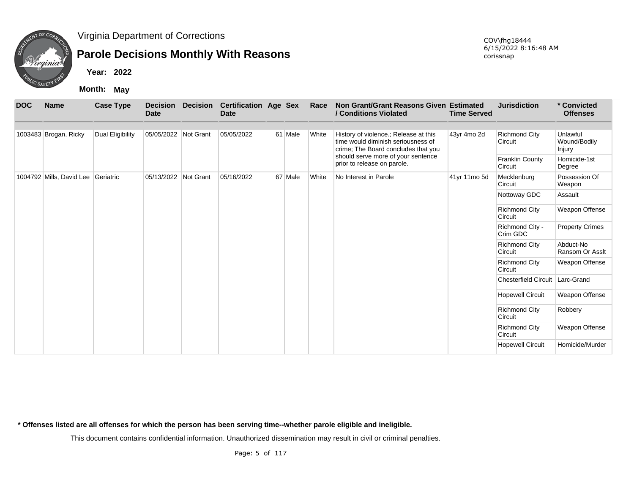

## **Parole Decisions Monthly With Reasons**

COV\fhg18444 6/15/2022 8:16:48 AM corissnap

**Year: 2022**

**Month: May**

| <b>DOC</b> | <b>Name</b>                        | <b>Case Type</b> | <b>Date</b>          | <b>Decision Decision</b> | <b>Certification Age Sex</b><br><b>Date</b> |         | Race  | Non Grant/Grant Reasons Given Estimated<br>/ Conditions Violated                                                   | <b>Time Served</b> | <b>Jurisdiction</b>               | * Convicted<br><b>Offenses</b>     |
|------------|------------------------------------|------------------|----------------------|--------------------------|---------------------------------------------|---------|-------|--------------------------------------------------------------------------------------------------------------------|--------------------|-----------------------------------|------------------------------------|
|            | 1003483 Brogan, Ricky              | Dual Eligibility | 05/05/2022 Not Grant |                          | 05/05/2022                                  | 61 Male | White | History of violence.; Release at this<br>time would diminish seriousness of<br>crime; The Board concludes that you | 43yr 4mo 2d        | <b>Richmond City</b><br>Circuit   | Unlawful<br>Wound/Bodily<br>Injury |
|            |                                    |                  |                      |                          |                                             |         |       | should serve more of your sentence<br>prior to release on parole.                                                  |                    | <b>Franklin County</b><br>Circuit | Homicide-1st<br>Degree             |
|            | 1004792 Mills, David Lee Geriatric |                  | 05/13/2022           | Not Grant                | 05/16/2022                                  | 67 Male | White | No Interest in Parole                                                                                              | 41yr 11mo 5d       | Mecklenburg<br>Circuit            | Possession Of<br>Weapon            |
|            |                                    |                  |                      |                          |                                             |         |       |                                                                                                                    |                    | Nottoway GDC                      | Assault                            |
|            |                                    |                  |                      |                          |                                             |         |       |                                                                                                                    |                    | <b>Richmond City</b><br>Circuit   | Weapon Offense                     |
|            |                                    |                  |                      |                          |                                             |         |       |                                                                                                                    |                    | Richmond City -<br>Crim GDC       | <b>Property Crimes</b>             |
|            |                                    |                  |                      |                          |                                             |         |       |                                                                                                                    |                    | <b>Richmond City</b><br>Circuit   | Abduct-No<br>Ransom Or Asslt       |
|            |                                    |                  |                      |                          |                                             |         |       |                                                                                                                    |                    | <b>Richmond City</b><br>Circuit   | Weapon Offense                     |
|            |                                    |                  |                      |                          |                                             |         |       |                                                                                                                    |                    | Chesterfield Circuit Larc-Grand   |                                    |
|            |                                    |                  |                      |                          |                                             |         |       |                                                                                                                    |                    | <b>Hopewell Circuit</b>           | Weapon Offense                     |
|            |                                    |                  |                      |                          |                                             |         |       |                                                                                                                    |                    | <b>Richmond City</b><br>Circuit   | Robbery                            |
|            |                                    |                  |                      |                          |                                             |         |       |                                                                                                                    |                    | <b>Richmond City</b><br>Circuit   | Weapon Offense                     |
|            |                                    |                  |                      |                          |                                             |         |       |                                                                                                                    |                    | <b>Hopewell Circuit</b>           | Homicide/Murder                    |

**\* Offenses listed are all offenses for which the person has been serving time--whether parole eligible and ineligible.**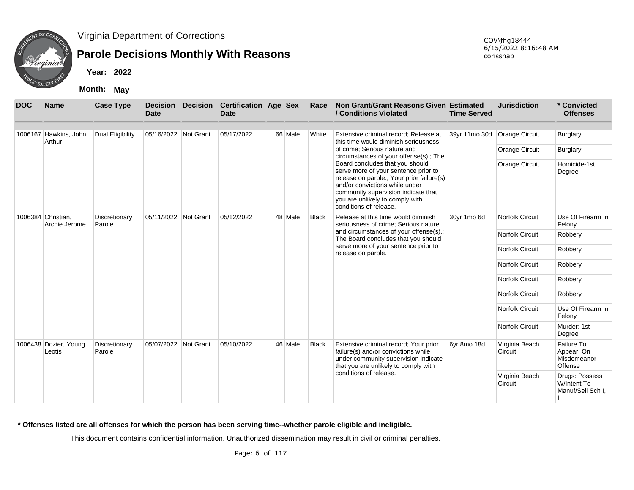

## **Parole Decisions Monthly With Reasons**

**Year: 2022**

**Month: May**

| <b>DOC</b> | <b>Name</b>                         | <b>Case Type</b>        | <b>Decision</b><br><b>Date</b> | <b>Decision</b> | <b>Certification Age Sex</b><br>Date |         | Race         | Non Grant/Grant Reasons Given Estimated<br>/ Conditions Violated                                                                                                                                                                                           | <b>Time Served</b>           | <b>Jurisdiction</b>       | * Convicted<br><b>Offenses</b>                           |
|------------|-------------------------------------|-------------------------|--------------------------------|-----------------|--------------------------------------|---------|--------------|------------------------------------------------------------------------------------------------------------------------------------------------------------------------------------------------------------------------------------------------------------|------------------------------|---------------------------|----------------------------------------------------------|
|            | 1006167 Hawkins, John<br>Arthur     | Dual Eligibility        | 05/16/2022 Not Grant           |                 | 05/17/2022                           | 66 Male | White        | Extensive criminal record: Release at<br>this time would diminish seriousness                                                                                                                                                                              | 39yr 11mo 30d Orange Circuit |                           | Burglary                                                 |
|            |                                     |                         |                                |                 |                                      |         |              | of crime; Serious nature and<br>circumstances of your offense(s).; The                                                                                                                                                                                     |                              | <b>Orange Circuit</b>     | Burglary                                                 |
|            |                                     |                         |                                |                 |                                      |         |              | Board concludes that you should<br>serve more of your sentence prior to<br>release on parole.; Your prior failure(s)<br>and/or convictions while under<br>community supervision indicate that<br>you are unlikely to comply with<br>conditions of release. |                              | <b>Orange Circuit</b>     | Homicide-1st<br>Degree                                   |
|            | 1006384 Christian.<br>Archie Jerome | Discretionary<br>Parole | 05/11/2022 Not Grant           |                 | 05/12/2022                           | 48 Male | <b>Black</b> | Release at this time would diminish<br>seriousness of crime; Serious nature                                                                                                                                                                                | 30yr 1mo 6d                  | <b>Norfolk Circuit</b>    | Use Of Firearm In<br>Felony                              |
|            |                                     |                         |                                |                 |                                      |         |              | and circumstances of your offense(s).;<br>The Board concludes that you should                                                                                                                                                                              |                              | <b>Norfolk Circuit</b>    | Robbery                                                  |
|            |                                     |                         |                                |                 |                                      |         |              | serve more of your sentence prior to<br>release on parole.                                                                                                                                                                                                 |                              | <b>Norfolk Circuit</b>    | Robbery                                                  |
|            |                                     |                         |                                |                 |                                      |         |              |                                                                                                                                                                                                                                                            |                              | <b>Norfolk Circuit</b>    | Robbery                                                  |
|            |                                     |                         |                                |                 |                                      |         |              |                                                                                                                                                                                                                                                            |                              | <b>Norfolk Circuit</b>    | Robbery                                                  |
|            |                                     |                         |                                |                 |                                      |         |              |                                                                                                                                                                                                                                                            |                              | <b>Norfolk Circuit</b>    | Robbery                                                  |
|            |                                     |                         |                                |                 |                                      |         |              |                                                                                                                                                                                                                                                            |                              | <b>Norfolk Circuit</b>    | Use Of Firearm In<br>Felony                              |
|            |                                     |                         |                                |                 |                                      |         |              |                                                                                                                                                                                                                                                            |                              | <b>Norfolk Circuit</b>    | Murder: 1st<br>Degree                                    |
|            | 1006438 Dozier, Young<br>Leotis     | Discretionary<br>Parole | 05/07/2022 Not Grant           |                 | 05/10/2022                           | 46 Male | <b>Black</b> | Extensive criminal record; Your prior<br>failure(s) and/or convictions while<br>under community supervision indicate<br>that you are unlikely to comply with                                                                                               | 6yr 8mo 18d                  | Virginia Beach<br>Circuit | Failure To<br>Appear: On<br>Misdemeanor<br>Offense       |
|            |                                     |                         |                                |                 |                                      |         |              | conditions of release.                                                                                                                                                                                                                                     |                              | Virginia Beach<br>Circuit | Drugs: Possess<br>W/Intent To<br>Manuf/Sell Sch I.<br>Ιi |

#### **\* Offenses listed are all offenses for which the person has been serving time--whether parole eligible and ineligible.**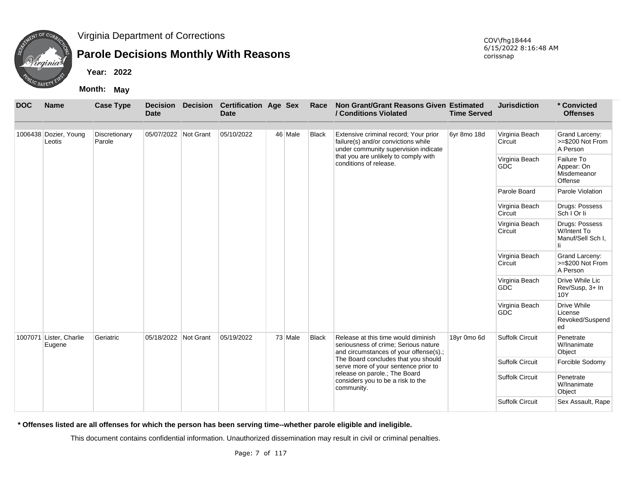

## **Parole Decisions Monthly With Reasons**

**Year: 2022**

**Month: May**

| <b>DOC</b> | <b>Name</b>                       | <b>Case Type</b>        | <b>Date</b>          | <b>Decision Decision</b> | <b>Certification Age Sex</b><br><b>Date</b> |         | Race         | Non Grant/Grant Reasons Given Estimated<br>/ Conditions Violated                                                      | <b>Time Served</b> | <b>Jurisdiction</b>          | * Convicted<br><b>Offenses</b>                           |
|------------|-----------------------------------|-------------------------|----------------------|--------------------------|---------------------------------------------|---------|--------------|-----------------------------------------------------------------------------------------------------------------------|--------------------|------------------------------|----------------------------------------------------------|
|            | 1006438 Dozier, Young<br>Leotis   | Discretionary<br>Parole | 05/07/2022 Not Grant |                          | 05/10/2022                                  | 46 Male | Black        | Extensive criminal record; Your prior<br>failure(s) and/or convictions while<br>under community supervision indicate  | 6yr 8mo 18d        | Virginia Beach<br>Circuit    | Grand Larceny:<br>>=\$200 Not From<br>A Person           |
|            |                                   |                         |                      |                          |                                             |         |              | that you are unlikely to comply with<br>conditions of release.                                                        |                    | Virginia Beach<br><b>GDC</b> | Failure To<br>Appear: On<br>Misdemeanor<br>Offense       |
|            |                                   |                         |                      |                          |                                             |         |              |                                                                                                                       |                    | Parole Board                 | Parole Violation                                         |
|            |                                   |                         |                      |                          |                                             |         |              |                                                                                                                       |                    | Virginia Beach<br>Circuit    | Drugs: Possess<br>Sch   Or li                            |
|            |                                   |                         |                      |                          |                                             |         |              |                                                                                                                       |                    | Virginia Beach<br>Circuit    | Drugs: Possess<br>W/Intent To<br>Manuf/Sell Sch I.<br>Ιi |
|            |                                   |                         |                      |                          |                                             |         |              |                                                                                                                       |                    | Virginia Beach<br>Circuit    | Grand Larceny:<br>>=\$200 Not From<br>A Person           |
|            |                                   |                         |                      |                          |                                             |         |              |                                                                                                                       |                    | Virginia Beach<br><b>GDC</b> | Drive While Lic<br>Rev/Susp, 3+ In<br>10Y                |
|            |                                   |                         |                      |                          |                                             |         |              |                                                                                                                       |                    | Virginia Beach<br><b>GDC</b> | Drive While<br>License<br>Revoked/Suspend<br>ed          |
|            | 1007071 Lister, Charlie<br>Eugene | Geriatric               | 05/18/2022 Not Grant |                          | 05/19/2022                                  | 73 Male | <b>Black</b> | Release at this time would diminish<br>seriousness of crime; Serious nature<br>and circumstances of your offense(s).; | 18yr 0mo 6d        | <b>Suffolk Circuit</b>       | Penetrate<br>W/Inanimate<br>Object                       |
|            |                                   |                         |                      |                          |                                             |         |              | The Board concludes that you should<br>serve more of your sentence prior to                                           |                    | <b>Suffolk Circuit</b>       | Forcible Sodomy                                          |
|            |                                   |                         |                      |                          |                                             |         |              | release on parole.; The Board<br>considers you to be a risk to the<br>community.                                      |                    | <b>Suffolk Circuit</b>       | Penetrate<br>W/Inanimate<br>Object                       |
|            |                                   |                         |                      |                          |                                             |         |              |                                                                                                                       |                    | <b>Suffolk Circuit</b>       | Sex Assault, Rape                                        |

**\* Offenses listed are all offenses for which the person has been serving time--whether parole eligible and ineligible.**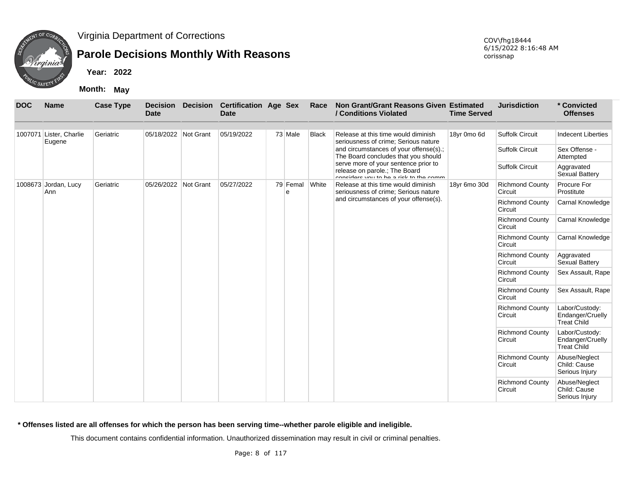

## **Parole Decisions Monthly With Reasons**

**Year: 2022**

**Month: May**

| <b>DOC</b> | <b>Name</b>                 | <b>Case Type</b> | <b>Decision</b><br><b>Date</b> | <b>Decision</b> | <b>Certification Age Sex</b><br><b>Date</b> |               | Race         | Non Grant/Grant Reasons Given Estimated<br>/ Conditions Violated                                                | <b>Time Served</b> | <b>Jurisdiction</b>               | * Convicted<br><b>Offenses</b>                           |
|------------|-----------------------------|------------------|--------------------------------|-----------------|---------------------------------------------|---------------|--------------|-----------------------------------------------------------------------------------------------------------------|--------------------|-----------------------------------|----------------------------------------------------------|
| 1007071    | Lister, Charlie             | Geriatric        | 05/18/2022 Not Grant           |                 | 05/19/2022                                  | 73 Male       | <b>Black</b> | Release at this time would diminish                                                                             | 18yr 0mo 6d        | <b>Suffolk Circuit</b>            | <b>Indecent Liberties</b>                                |
|            | Eugene                      |                  |                                |                 |                                             |               |              | seriousness of crime: Serious nature                                                                            |                    |                                   |                                                          |
|            |                             |                  |                                |                 |                                             |               |              | and circumstances of your offense(s).;<br>The Board concludes that you should                                   |                    | <b>Suffolk Circuit</b>            | Sex Offense -<br>Attempted                               |
|            |                             |                  |                                |                 |                                             |               |              | serve more of your sentence prior to<br>release on parole.; The Board<br>concidere vou to he a rick to the comm |                    | <b>Suffolk Circuit</b>            | Aggravated<br><b>Sexual Battery</b>                      |
|            | 1008673 Jordan, Lucy<br>Ann | Geriatric        | 05/26/2022 Not Grant           |                 | 05/27/2022                                  | 79 Femal<br>e | <b>White</b> | Release at this time would diminish<br>seriousness of crime; Serious nature                                     | 18yr 6mo 30d       | <b>Richmond County</b><br>Circuit | Procure For<br>Prostitute                                |
|            |                             |                  |                                |                 |                                             |               |              | and circumstances of your offense(s).                                                                           |                    | <b>Richmond County</b><br>Circuit | Carnal Knowledge                                         |
|            |                             |                  |                                |                 |                                             |               |              |                                                                                                                 |                    | <b>Richmond County</b><br>Circuit | Carnal Knowledge                                         |
|            |                             |                  |                                |                 |                                             |               |              |                                                                                                                 |                    | <b>Richmond County</b><br>Circuit | Carnal Knowledge                                         |
|            |                             |                  |                                |                 |                                             |               |              |                                                                                                                 |                    | <b>Richmond County</b><br>Circuit | Aggravated<br>Sexual Battery                             |
|            |                             |                  |                                |                 |                                             |               |              |                                                                                                                 |                    | <b>Richmond County</b><br>Circuit | Sex Assault, Rape                                        |
|            |                             |                  |                                |                 |                                             |               |              |                                                                                                                 |                    | <b>Richmond County</b><br>Circuit | Sex Assault, Rape                                        |
|            |                             |                  |                                |                 |                                             |               |              |                                                                                                                 |                    | <b>Richmond County</b><br>Circuit | Labor/Custody:<br>Endanger/Cruelly<br><b>Treat Child</b> |
|            |                             |                  |                                |                 |                                             |               |              |                                                                                                                 |                    | <b>Richmond County</b><br>Circuit | Labor/Custody:<br>Endanger/Cruelly<br><b>Treat Child</b> |
|            |                             |                  |                                |                 |                                             |               |              |                                                                                                                 |                    | <b>Richmond County</b><br>Circuit | Abuse/Neglect<br>Child: Cause<br>Serious Injury          |
|            |                             |                  |                                |                 |                                             |               |              |                                                                                                                 |                    | <b>Richmond County</b><br>Circuit | Abuse/Neglect<br>Child: Cause<br>Serious Injury          |

**\* Offenses listed are all offenses for which the person has been serving time--whether parole eligible and ineligible.**

This document contains confidential information. Unauthorized dissemination may result in civil or criminal penalties.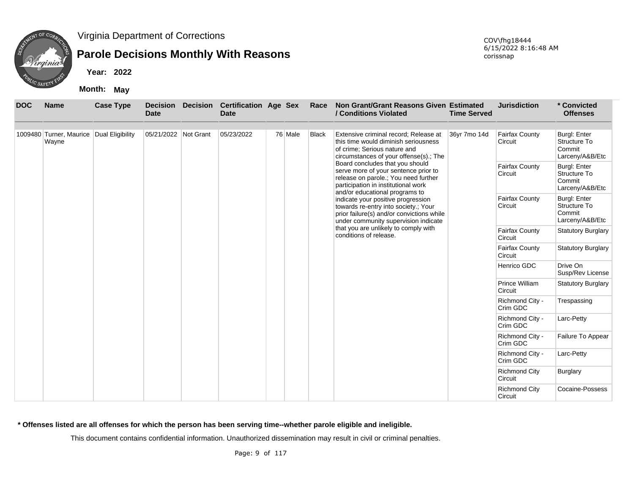

## **Parole Decisions Monthly With Reasons**

**Year: 2022**

**Month: May**

| <b>DOC</b> | <b>Name</b>                                       | <b>Case Type</b> | <b>Decision</b><br><b>Date</b> | <b>Decision</b> | <b>Certification Age Sex</b><br><b>Date</b> |         | Race         | Non Grant/Grant Reasons Given Estimated<br>/ Conditions Violated                                                                                                                         | <b>Time Served</b> | <b>Jurisdiction</b>             | * Convicted<br><b>Offenses</b>                                   |
|------------|---------------------------------------------------|------------------|--------------------------------|-----------------|---------------------------------------------|---------|--------------|------------------------------------------------------------------------------------------------------------------------------------------------------------------------------------------|--------------------|---------------------------------|------------------------------------------------------------------|
|            | 1009480 Turner, Maurice Dual Eligibility<br>Wayne |                  | 05/21/2022 Not Grant           |                 | 05/23/2022                                  | 76 Male | <b>Black</b> | Extensive criminal record; Release at<br>this time would diminish seriousness<br>of crime; Serious nature and<br>circumstances of your offense(s).; The                                  | 36yr 7mo 14d       | Fairfax County<br>Circuit       | <b>Burgl: Enter</b><br>Structure To<br>Commit<br>Larceny/A&B/Etc |
|            |                                                   |                  |                                |                 |                                             |         |              | Board concludes that you should<br>serve more of your sentence prior to<br>release on parole.; You need further<br>participation in institutional work<br>and/or educational programs to |                    | Fairfax County<br>Circuit       | <b>Burgl: Enter</b><br>Structure To<br>Commit<br>Larceny/A&B/Etc |
|            |                                                   |                  |                                |                 |                                             |         |              | indicate your positive progression<br>towards re-entry into society.; Your<br>prior failure(s) and/or convictions while<br>under community supervision indicate                          |                    | Fairfax County<br>Circuit       | <b>Burgl: Enter</b><br>Structure To<br>Commit<br>Larceny/A&B/Etc |
|            |                                                   |                  |                                |                 |                                             |         |              | that you are unlikely to comply with<br>conditions of release.                                                                                                                           |                    | Fairfax County<br>Circuit       | <b>Statutory Burglary</b>                                        |
|            |                                                   |                  |                                |                 |                                             |         |              |                                                                                                                                                                                          |                    | Fairfax County<br>Circuit       | <b>Statutory Burglary</b>                                        |
|            |                                                   |                  |                                |                 |                                             |         |              |                                                                                                                                                                                          |                    | Henrico GDC                     | Drive On<br>Susp/Rev License                                     |
|            |                                                   |                  |                                |                 |                                             |         |              |                                                                                                                                                                                          |                    | Prince William<br>Circuit       | <b>Statutory Burglary</b>                                        |
|            |                                                   |                  |                                |                 |                                             |         |              |                                                                                                                                                                                          |                    | Richmond City -<br>Crim GDC     | Trespassing                                                      |
|            |                                                   |                  |                                |                 |                                             |         |              |                                                                                                                                                                                          |                    | Richmond City -<br>Crim GDC     | Larc-Petty                                                       |
|            |                                                   |                  |                                |                 |                                             |         |              |                                                                                                                                                                                          |                    | Richmond City -<br>Crim GDC     | Failure To Appear                                                |
|            |                                                   |                  |                                |                 |                                             |         |              |                                                                                                                                                                                          |                    | Richmond City -<br>Crim GDC     | Larc-Petty                                                       |
|            |                                                   |                  |                                |                 |                                             |         |              |                                                                                                                                                                                          |                    | <b>Richmond City</b><br>Circuit | Burglary                                                         |
|            |                                                   |                  |                                |                 |                                             |         |              |                                                                                                                                                                                          |                    | <b>Richmond City</b><br>Circuit | Cocaine-Possess                                                  |

**\* Offenses listed are all offenses for which the person has been serving time--whether parole eligible and ineligible.**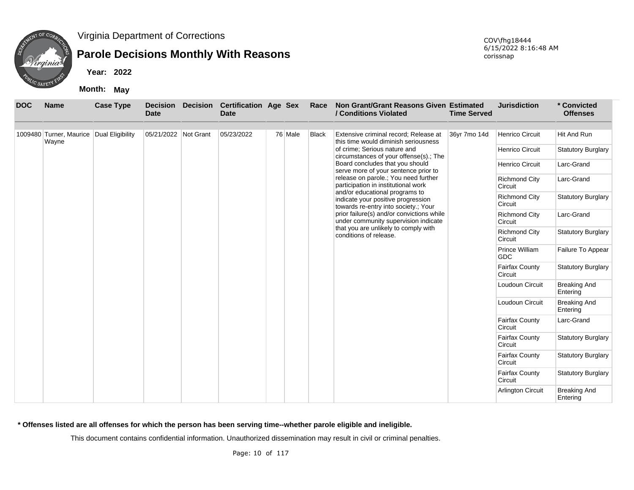

## **Parole Decisions Monthly With Reasons**

**Year: 2022**

**Month: May**

| <b>DOC</b> | <b>Name</b>                                       | <b>Case Type</b> | <b>Decision</b><br><b>Date</b> | <b>Decision</b> | <b>Certification Age Sex</b><br><b>Date</b> |         | Race         | Non Grant/Grant Reasons Given Estimated<br>/ Conditions Violated                                             | <b>Time Served</b> | <b>Jurisdiction</b>              | * Convicted<br><b>Offenses</b>  |
|------------|---------------------------------------------------|------------------|--------------------------------|-----------------|---------------------------------------------|---------|--------------|--------------------------------------------------------------------------------------------------------------|--------------------|----------------------------------|---------------------------------|
|            | 1009480 Turner, Maurice Dual Eligibility<br>Wayne |                  | 05/21/2022 Not Grant           |                 | 05/23/2022                                  | 76 Male | <b>Black</b> | Extensive criminal record; Release at<br>this time would diminish seriousness                                | 36yr 7mo 14d       | <b>Henrico Circuit</b>           | Hit And Run                     |
|            |                                                   |                  |                                |                 |                                             |         |              | of crime; Serious nature and<br>circumstances of your offense(s).; The                                       |                    | Henrico Circuit                  | <b>Statutory Burglary</b>       |
|            |                                                   |                  |                                |                 |                                             |         |              | Board concludes that you should<br>serve more of your sentence prior to                                      |                    | Henrico Circuit                  | Larc-Grand                      |
|            |                                                   |                  |                                |                 |                                             |         |              | release on parole.; You need further<br>participation in institutional work                                  |                    | <b>Richmond City</b><br>Circuit  | Larc-Grand                      |
|            |                                                   |                  |                                |                 |                                             |         |              | and/or educational programs to<br>indicate your positive progression<br>towards re-entry into society.; Your |                    | <b>Richmond City</b><br>Circuit  | <b>Statutory Burglary</b>       |
|            |                                                   |                  |                                |                 |                                             |         |              | prior failure(s) and/or convictions while<br>under community supervision indicate                            |                    | <b>Richmond City</b><br>Circuit  | Larc-Grand                      |
|            |                                                   |                  |                                |                 |                                             |         |              | that you are unlikely to comply with<br>conditions of release.                                               |                    | <b>Richmond City</b><br>Circuit  | <b>Statutory Burglary</b>       |
|            |                                                   |                  |                                |                 |                                             |         |              |                                                                                                              |                    | Prince William<br><b>GDC</b>     | Failure To Appear               |
|            |                                                   |                  |                                |                 |                                             |         |              |                                                                                                              |                    | Fairfax County<br>Circuit        | <b>Statutory Burglary</b>       |
|            |                                                   |                  |                                |                 |                                             |         |              |                                                                                                              |                    | Loudoun Circuit                  | <b>Breaking And</b><br>Entering |
|            |                                                   |                  |                                |                 |                                             |         |              |                                                                                                              |                    | Loudoun Circuit                  | <b>Breaking And</b><br>Entering |
|            |                                                   |                  |                                |                 |                                             |         |              |                                                                                                              |                    | Fairfax County<br>Circuit        | Larc-Grand                      |
|            |                                                   |                  |                                |                 |                                             |         |              |                                                                                                              |                    | <b>Fairfax County</b><br>Circuit | <b>Statutory Burglary</b>       |
|            |                                                   |                  |                                |                 |                                             |         |              |                                                                                                              |                    | Fairfax County<br>Circuit        | <b>Statutory Burglary</b>       |
|            |                                                   |                  |                                |                 |                                             |         |              |                                                                                                              |                    | Fairfax County<br>Circuit        | <b>Statutory Burglary</b>       |
|            |                                                   |                  |                                |                 |                                             |         |              |                                                                                                              |                    | <b>Arlington Circuit</b>         | <b>Breaking And</b><br>Entering |

**\* Offenses listed are all offenses for which the person has been serving time--whether parole eligible and ineligible.**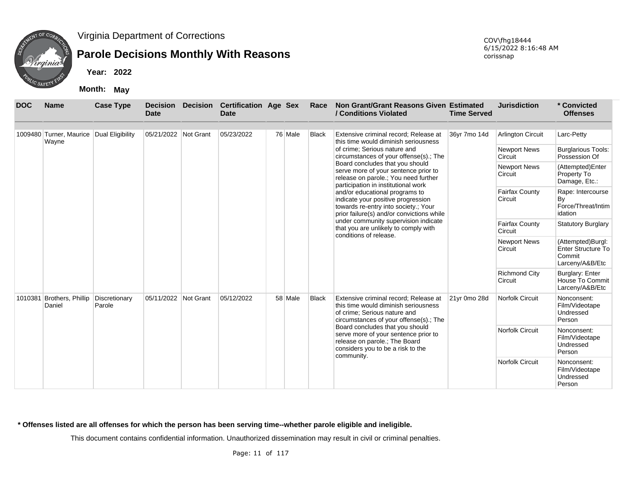

## **Parole Decisions Monthly With Reasons**

**Year: 2022**

**Month: May**

| <b>DOC</b> | <b>Name</b>                                       | <b>Case Type</b>        | <b>Decision</b><br>Date | <b>Decision</b> | <b>Certification Age Sex</b><br><b>Date</b> |         | Race         | Non Grant/Grant Reasons Given Estimated<br>/ Conditions Violated                                                                                            | <b>Time Served</b> | <b>Jurisdiction</b>              | * Convicted<br><b>Offenses</b>                                              |
|------------|---------------------------------------------------|-------------------------|-------------------------|-----------------|---------------------------------------------|---------|--------------|-------------------------------------------------------------------------------------------------------------------------------------------------------------|--------------------|----------------------------------|-----------------------------------------------------------------------------|
|            | 1009480 Turner, Maurice Dual Eligibility<br>Wayne |                         | 05/21/2022 Not Grant    |                 | 05/23/2022                                  | 76 Male | <b>Black</b> | Extensive criminal record; Release at<br>this time would diminish seriousness                                                                               | 36yr 7mo 14d       | <b>Arlington Circuit</b>         | Larc-Petty                                                                  |
|            |                                                   |                         |                         |                 |                                             |         |              | of crime: Serious nature and<br>circumstances of your offense(s).; The                                                                                      |                    | <b>Newport News</b><br>Circuit   | <b>Burglarious Tools:</b><br>Possession Of                                  |
|            |                                                   |                         |                         |                 |                                             |         |              | Board concludes that you should<br>serve more of your sentence prior to<br>release on parole.; You need further<br>participation in institutional work      |                    | <b>Newport News</b><br>Circuit   | (Attempted)Enter<br>Property To<br>Damage, Etc.:                            |
|            |                                                   |                         |                         |                 |                                             |         |              | and/or educational programs to<br>indicate your positive progression<br>towards re-entry into society.; Your<br>prior failure(s) and/or convictions while   |                    | <b>Fairfax County</b><br>Circuit | Rape: Intercourse<br>By<br>Force/Threat/Intim<br>idation                    |
|            |                                                   |                         |                         |                 |                                             |         |              | under community supervision indicate<br>that you are unlikely to comply with<br>conditions of release.                                                      |                    | <b>Fairfax County</b><br>Circuit | <b>Statutory Burglary</b>                                                   |
|            |                                                   |                         |                         |                 |                                             |         |              |                                                                                                                                                             |                    | <b>Newport News</b><br>Circuit   | (Attempted)Burgl:<br><b>Enter Structure To</b><br>Commit<br>Larceny/A&B/Etc |
|            |                                                   |                         |                         |                 |                                             |         |              |                                                                                                                                                             |                    | <b>Richmond City</b><br>Circuit  | Burglary: Enter<br>House To Commit<br>Larceny/A&B/Etc                       |
|            | 1010381 Brothers, Phillip<br>Daniel               | Discretionary<br>Parole | 05/11/2022 Not Grant    |                 | 05/12/2022                                  | 58 Male | <b>Black</b> | Extensive criminal record; Release at<br>this time would diminish seriousness<br>of crime; Serious nature and<br>circumstances of your offense(s).; The     | 21yr 0mo 28d       | Norfolk Circuit                  | Nonconsent:<br>Film/Videotape<br>Undressed<br>Person                        |
|            |                                                   |                         |                         |                 |                                             |         |              | Board concludes that you should<br>serve more of your sentence prior to<br>release on parole.; The Board<br>considers you to be a risk to the<br>community. |                    | <b>Norfolk Circuit</b>           | Nonconsent:<br>Film/Videotape<br>Undressed<br>Person                        |
|            |                                                   |                         |                         |                 |                                             |         |              |                                                                                                                                                             |                    | <b>Norfolk Circuit</b>           | Nonconsent:<br>Film/Videotape<br>Undressed<br>Person                        |

#### **\* Offenses listed are all offenses for which the person has been serving time--whether parole eligible and ineligible.**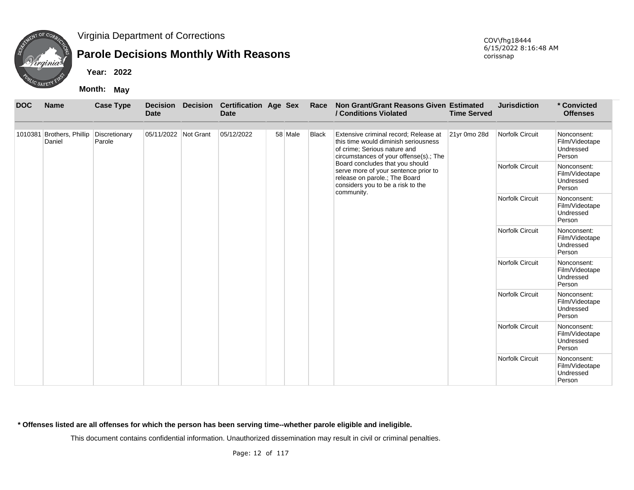

## **Parole Decisions Monthly With Reasons**

**Year: 2022**

**Month: May**

| <b>DOC</b> | <b>Name</b>                                       | <b>Case Type</b> | <b>Date</b>          | <b>Decision Decision</b> | <b>Certification Age Sex</b><br><b>Date</b> |  |                        | Race                                                 | Non Grant/Grant Reasons Given Estimated<br>/ Conditions Violated                                                                                            | <b>Time Served</b> | <b>Jurisdiction</b>                                  | * Convicted<br><b>Offenses</b>                       |
|------------|---------------------------------------------------|------------------|----------------------|--------------------------|---------------------------------------------|--|------------------------|------------------------------------------------------|-------------------------------------------------------------------------------------------------------------------------------------------------------------|--------------------|------------------------------------------------------|------------------------------------------------------|
|            | 1010381 Brothers, Phillip Discretionary<br>Daniel | Parole           | 05/11/2022 Not Grant |                          | 05/12/2022                                  |  | 58 Male                | <b>Black</b>                                         | Extensive criminal record; Release at<br>this time would diminish seriousness<br>of crime; Serious nature and<br>circumstances of your offense(s).; The     | 21yr 0mo 28d       | <b>Norfolk Circuit</b>                               | Nonconsent:<br>Film/Videotape<br>Undressed<br>Person |
|            |                                                   |                  |                      |                          |                                             |  |                        |                                                      | Board concludes that you should<br>serve more of your sentence prior to<br>release on parole.; The Board<br>considers you to be a risk to the<br>community. |                    | <b>Norfolk Circuit</b>                               | Nonconsent:<br>Film/Videotape<br>Undressed<br>Person |
|            |                                                   |                  |                      |                          |                                             |  | <b>Norfolk Circuit</b> | Nonconsent:<br>Film/Videotape<br>Undressed<br>Person |                                                                                                                                                             |                    |                                                      |                                                      |
|            |                                                   |                  |                      |                          |                                             |  |                        |                                                      |                                                                                                                                                             |                    | <b>Norfolk Circuit</b>                               | Nonconsent:<br>Film/Videotape<br>Undressed<br>Person |
|            |                                                   |                  |                      |                          |                                             |  |                        |                                                      |                                                                                                                                                             | Norfolk Circuit    | Nonconsent:<br>Film/Videotape<br>Undressed<br>Person |                                                      |
|            |                                                   |                  |                      |                          |                                             |  |                        |                                                      |                                                                                                                                                             |                    | <b>Norfolk Circuit</b>                               | Nonconsent:<br>Film/Videotape<br>Undressed<br>Person |
|            |                                                   |                  |                      |                          |                                             |  |                        |                                                      |                                                                                                                                                             |                    | Norfolk Circuit                                      | Nonconsent:<br>Film/Videotape<br>Undressed<br>Person |
|            |                                                   |                  |                      |                          |                                             |  |                        |                                                      |                                                                                                                                                             |                    | Norfolk Circuit                                      | Nonconsent:<br>Film/Videotape<br>Undressed<br>Person |

**\* Offenses listed are all offenses for which the person has been serving time--whether parole eligible and ineligible.**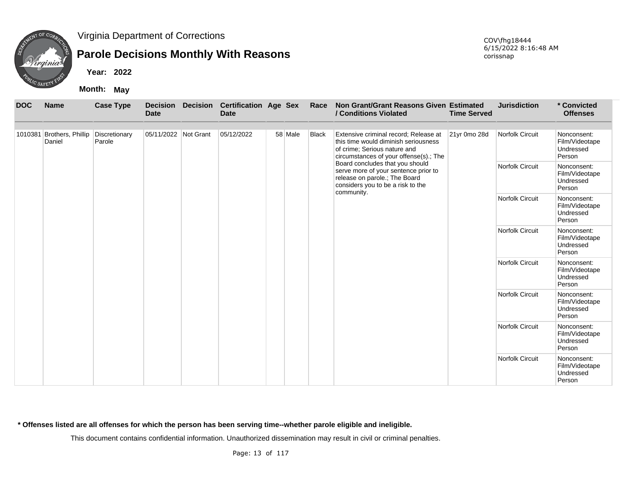

## **Parole Decisions Monthly With Reasons**

**Year: 2022**

**Month: May**

| <b>DOC</b> | <b>Name</b>                                       | <b>Case Type</b> | <b>Decision</b><br><b>Date</b> | <b>Decision</b> | <b>Certification Age Sex</b><br><b>Date</b> |         | Race  | Non Grant/Grant Reasons Given Estimated<br>/ Conditions Violated                                                                                            | <b>Time Served</b> | <b>Jurisdiction</b>    | * Convicted<br><b>Offenses</b>                       |
|------------|---------------------------------------------------|------------------|--------------------------------|-----------------|---------------------------------------------|---------|-------|-------------------------------------------------------------------------------------------------------------------------------------------------------------|--------------------|------------------------|------------------------------------------------------|
|            | 1010381 Brothers, Phillip Discretionary<br>Daniel | Parole           | 05/11/2022 Not Grant           |                 | 05/12/2022                                  | 58 Male | Black | Extensive criminal record; Release at<br>this time would diminish seriousness<br>of crime; Serious nature and<br>circumstances of your offense(s).; The     | 21yr 0mo 28d       | <b>Norfolk Circuit</b> | Nonconsent:<br>Film/Videotape<br>Undressed<br>Person |
|            |                                                   |                  |                                |                 |                                             |         |       | Board concludes that you should<br>serve more of your sentence prior to<br>release on parole.; The Board<br>considers you to be a risk to the<br>community. |                    | <b>Norfolk Circuit</b> | Nonconsent:<br>Film/Videotape<br>Undressed<br>Person |
|            |                                                   |                  |                                |                 |                                             |         |       |                                                                                                                                                             |                    | <b>Norfolk Circuit</b> | Nonconsent:<br>Film/Videotape<br>Undressed<br>Person |
|            |                                                   |                  |                                |                 |                                             |         |       |                                                                                                                                                             |                    | Norfolk Circuit        | Nonconsent:<br>Film/Videotape<br>Undressed<br>Person |
|            |                                                   |                  |                                |                 |                                             |         |       |                                                                                                                                                             |                    | Norfolk Circuit        | Nonconsent:<br>Film/Videotape<br>Undressed<br>Person |
|            |                                                   |                  |                                |                 |                                             |         |       |                                                                                                                                                             |                    | <b>Norfolk Circuit</b> | Nonconsent:<br>Film/Videotape<br>Undressed<br>Person |
|            |                                                   |                  |                                |                 |                                             |         |       |                                                                                                                                                             |                    | Norfolk Circuit        | Nonconsent:<br>Film/Videotape<br>Undressed<br>Person |
|            |                                                   |                  |                                |                 |                                             |         |       |                                                                                                                                                             |                    | Norfolk Circuit        | Nonconsent:<br>Film/Videotape<br>Undressed<br>Person |

**\* Offenses listed are all offenses for which the person has been serving time--whether parole eligible and ineligible.**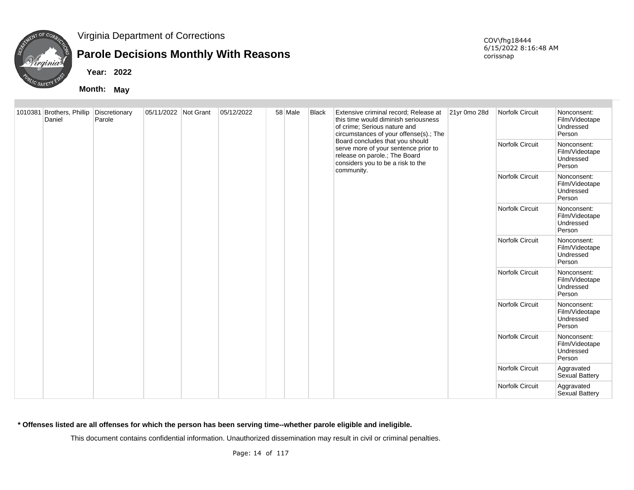

## **Parole Decisions Monthly With Reasons**

**Year: 2022**

**Month: May**

COV\fhg18444 6/15/2022 8:16:48 AM corissnap

| 1010381 Brothers, Phillip Discretionary<br>Daniel | Parole | 05/11/2022 Not Grant | 05/12/2022 | 58 Male | <b>Black</b> | Extensive criminal record; Release at<br>this time would diminish seriousness<br>of crime; Serious nature and<br>circumstances of your offense(s).; The<br>Board concludes that you should<br>serve more of your sentence prior to<br>release on parole.; The Board<br>considers you to be a risk to the | 21yr 0mo 28d | Norfolk Circuit<br>Norfolk Circuit | Nonconsent:<br>Film/Videotape<br>Undressed<br>Person<br>Nonconsent:<br>Film/Videotape<br>Undressed<br>Person |
|---------------------------------------------------|--------|----------------------|------------|---------|--------------|----------------------------------------------------------------------------------------------------------------------------------------------------------------------------------------------------------------------------------------------------------------------------------------------------------|--------------|------------------------------------|--------------------------------------------------------------------------------------------------------------|
|                                                   |        |                      |            |         |              | community.                                                                                                                                                                                                                                                                                               |              | Norfolk Circuit                    | Nonconsent:<br>Film/Videotape<br>Undressed<br>Person                                                         |
|                                                   |        |                      |            |         |              |                                                                                                                                                                                                                                                                                                          |              | Norfolk Circuit                    | Nonconsent:<br>Film/Videotape<br>Undressed<br>Person                                                         |
|                                                   |        |                      |            |         |              |                                                                                                                                                                                                                                                                                                          |              | Norfolk Circuit                    | Nonconsent:<br>Film/Videotape<br>Undressed<br>Person                                                         |
|                                                   |        |                      |            |         |              |                                                                                                                                                                                                                                                                                                          |              | Norfolk Circuit                    | Nonconsent:<br>Film/Videotape<br>Undressed<br>Person                                                         |
|                                                   |        |                      |            |         |              |                                                                                                                                                                                                                                                                                                          |              | Norfolk Circuit                    | Nonconsent:<br>Film/Videotape<br>Undressed<br>Person                                                         |
|                                                   |        |                      |            |         |              |                                                                                                                                                                                                                                                                                                          |              | Norfolk Circuit                    | Nonconsent:<br>Film/Videotape<br>Undressed<br>Person                                                         |
|                                                   |        |                      |            |         |              |                                                                                                                                                                                                                                                                                                          |              | Norfolk Circuit                    | Aggravated<br>Sexual Battery                                                                                 |
|                                                   |        |                      |            |         |              |                                                                                                                                                                                                                                                                                                          |              | Norfolk Circuit                    | Aggravated<br>Sexual Battery                                                                                 |

**\* Offenses listed are all offenses for which the person has been serving time--whether parole eligible and ineligible.**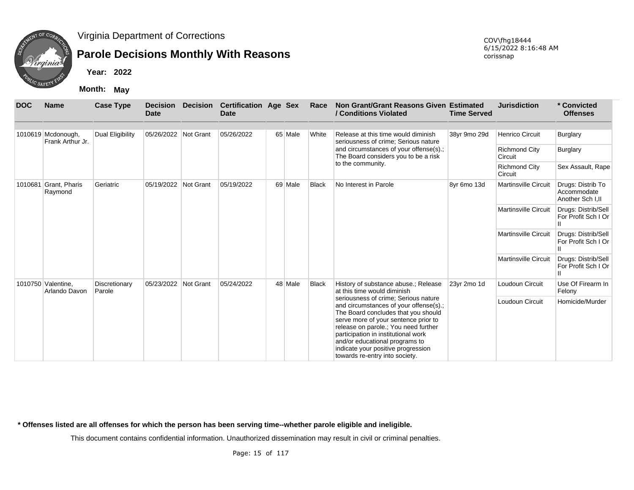

## **Parole Decisions Monthly With Reasons**

COV\fhg18444 6/15/2022 8:16:48 AM corissnap

**Year: 2022**

**Month: May**

| <b>DOC</b> | <b>Name</b>                            | <b>Case Type</b>        | <b>Date</b>          | <b>Decision Decision</b> | <b>Certification Age Sex</b><br>Date |         | Race         | Non Grant/Grant Reasons Given Estimated<br>/ Conditions Violated                                                                                                                                                                                                                                                                                       | <b>Time Served</b> | <b>Jurisdiction</b>             | * Convicted<br><b>Offenses</b>                        |
|------------|----------------------------------------|-------------------------|----------------------|--------------------------|--------------------------------------|---------|--------------|--------------------------------------------------------------------------------------------------------------------------------------------------------------------------------------------------------------------------------------------------------------------------------------------------------------------------------------------------------|--------------------|---------------------------------|-------------------------------------------------------|
|            | 1010619 Mcdonough,<br>Frank Arthur Jr. | <b>Dual Eligibility</b> | 05/26/2022 Not Grant |                          | 05/26/2022                           | 65 Male | White        | Release at this time would diminish<br>seriousness of crime; Serious nature                                                                                                                                                                                                                                                                            | 38yr 9mo 29d       | <b>Henrico Circuit</b>          | <b>Burglary</b>                                       |
|            |                                        |                         |                      |                          |                                      |         |              | and circumstances of your offense(s).;<br>The Board considers you to be a risk                                                                                                                                                                                                                                                                         |                    | <b>Richmond City</b><br>Circuit | Burglary                                              |
|            |                                        |                         |                      |                          |                                      |         |              | to the community.                                                                                                                                                                                                                                                                                                                                      |                    | <b>Richmond City</b><br>Circuit | Sex Assault, Rape                                     |
|            | 1010681 Grant, Pharis<br>Raymond       | Geriatric               | 05/19/2022           | Not Grant                | 05/19/2022                           | 69 Male | <b>Black</b> | No Interest in Parole                                                                                                                                                                                                                                                                                                                                  | 8yr 6mo 13d        | <b>Martinsville Circuit</b>     | Drugs: Distrib To<br>Accommodate<br>Another Sch I, II |
|            |                                        |                         |                      |                          |                                      |         |              |                                                                                                                                                                                                                                                                                                                                                        |                    | <b>Martinsville Circuit</b>     | Drugs: Distrib/Sell<br>For Profit Sch I Or            |
|            |                                        |                         |                      |                          |                                      |         |              |                                                                                                                                                                                                                                                                                                                                                        |                    | <b>Martinsville Circuit</b>     | Drugs: Distrib/Sell<br>For Profit Sch I Or            |
|            |                                        |                         |                      |                          |                                      |         |              |                                                                                                                                                                                                                                                                                                                                                        |                    | <b>Martinsville Circuit</b>     | Drugs: Distrib/Sell<br>For Profit Sch I Or            |
|            | 1010750 Valentine,<br>Arlando Davon    | Discretionary<br>Parole | 05/23/2022           | Not Grant                | 05/24/2022                           | 48 Male | <b>Black</b> | History of substance abuse.; Release<br>at this time would diminish                                                                                                                                                                                                                                                                                    | 23yr 2mo 1d        | Loudoun Circuit                 | Use Of Firearm In<br>Felony                           |
|            |                                        |                         |                      |                          |                                      |         |              | seriousness of crime; Serious nature<br>and circumstances of your offense(s).;<br>The Board concludes that you should<br>serve more of your sentence prior to<br>release on parole.; You need further<br>participation in institutional work<br>and/or educational programs to<br>indicate your positive progression<br>towards re-entry into society. |                    | Loudoun Circuit                 | Homicide/Murder                                       |

**\* Offenses listed are all offenses for which the person has been serving time--whether parole eligible and ineligible.**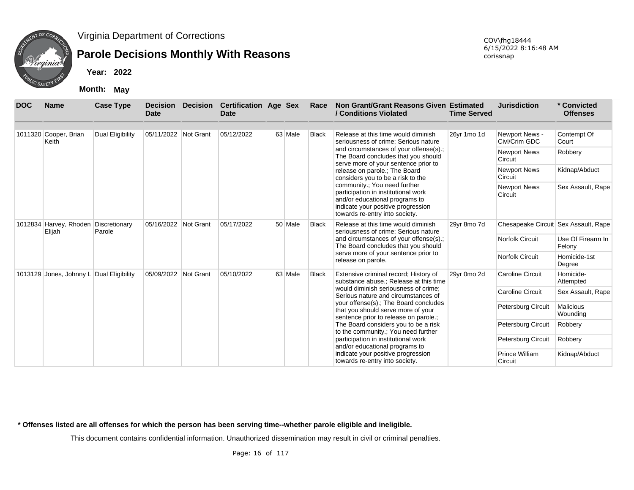

## **Parole Decisions Monthly With Reasons**

**Year: 2022**

**Month: May**

| <b>DOC</b> | <b>Name</b>                                    | <b>Case Type</b>        | <b>Decision</b><br><b>Date</b> | <b>Decision</b> | <b>Certification Age Sex</b><br><b>Date</b> |         | Race                                                                 | Non Grant/Grant Reasons Given Estimated<br>/ Conditions Violated                                                                                                              | <b>Time Served</b>        | <b>Jurisdiction</b>                  | * Convicted<br><b>Offenses</b> |
|------------|------------------------------------------------|-------------------------|--------------------------------|-----------------|---------------------------------------------|---------|----------------------------------------------------------------------|-------------------------------------------------------------------------------------------------------------------------------------------------------------------------------|---------------------------|--------------------------------------|--------------------------------|
|            | 1011320 Cooper, Brian<br>Keith                 | <b>Dual Eligibility</b> | 05/11/2022 Not Grant           |                 | 05/12/2022                                  | 63 Male | Black                                                                | Release at this time would diminish<br>seriousness of crime; Serious nature                                                                                                   | 26yr 1mo 1d               | Newport News -<br>Civl/Crim GDC      | Contempt Of<br>Court           |
|            |                                                |                         |                                |                 |                                             |         |                                                                      | and circumstances of your offense(s).;<br>The Board concludes that you should<br>serve more of your sentence prior to                                                         |                           | <b>Newport News</b><br>Circuit       | Robbery                        |
|            |                                                |                         |                                |                 |                                             |         |                                                                      | release on parole.; The Board<br>considers you to be a risk to the                                                                                                            |                           | <b>Newport News</b><br>Circuit       | Kidnap/Abduct                  |
|            |                                                |                         |                                |                 |                                             |         |                                                                      | community.; You need further<br>participation in institutional work<br>and/or educational programs to<br>indicate your positive progression<br>towards re-entry into society. |                           | Newport News<br>Circuit              | Sex Assault, Rape              |
|            | 1012834 Harvey, Rhoden Discretionary<br>Elijah | Parole                  | 05/16/2022 Not Grant           |                 | 05/17/2022                                  | 50 Male | <b>Black</b>                                                         | Release at this time would diminish<br>seriousness of crime: Serious nature                                                                                                   | 29yr 8mo 7d               | Chesapeake Circuit Sex Assault, Rape |                                |
|            |                                                |                         |                                |                 |                                             |         |                                                                      | and circumstances of your offense(s).;<br>The Board concludes that you should                                                                                                 |                           | <b>Norfolk Circuit</b>               | Use Of Firearm In<br>Felony    |
|            |                                                |                         |                                |                 |                                             |         |                                                                      | serve more of your sentence prior to<br>release on parole.                                                                                                                    |                           | Norfolk Circuit                      | Homicide-1st<br>Degree         |
|            | 1013129 Jones, Johnny L Dual Eligibility       |                         | 05/09/2022 Not Grant           |                 | 05/10/2022                                  | 63 Male | <b>Black</b>                                                         | Extensive criminal record; History of<br>substance abuse.; Release at this time                                                                                               | 29yr 0mo 2d               | <b>Caroline Circuit</b>              | Homicide-<br>Attempted         |
|            |                                                |                         |                                |                 |                                             |         |                                                                      | would diminish seriousness of crime;<br>Serious nature and circumstances of                                                                                                   |                           | <b>Caroline Circuit</b>              | Sex Assault, Rape              |
|            |                                                |                         |                                |                 |                                             |         |                                                                      | your offense(s).; The Board concludes<br>that you should serve more of your<br>sentence prior to release on parole.;                                                          |                           | Petersburg Circuit                   | <b>Malicious</b><br>Wounding   |
|            |                                                |                         |                                |                 |                                             |         |                                                                      | The Board considers you to be a risk<br>to the community.; You need further                                                                                                   |                           | Petersburg Circuit                   | Robbery                        |
|            |                                                |                         |                                |                 |                                             |         |                                                                      | participation in institutional work<br>and/or educational programs to                                                                                                         |                           | Petersburg Circuit                   | Robbery                        |
|            |                                                |                         |                                |                 |                                             |         | indicate your positive progression<br>towards re-entry into society. |                                                                                                                                                                               | Prince William<br>Circuit | Kidnap/Abduct                        |                                |

**\* Offenses listed are all offenses for which the person has been serving time--whether parole eligible and ineligible.**

This document contains confidential information. Unauthorized dissemination may result in civil or criminal penalties.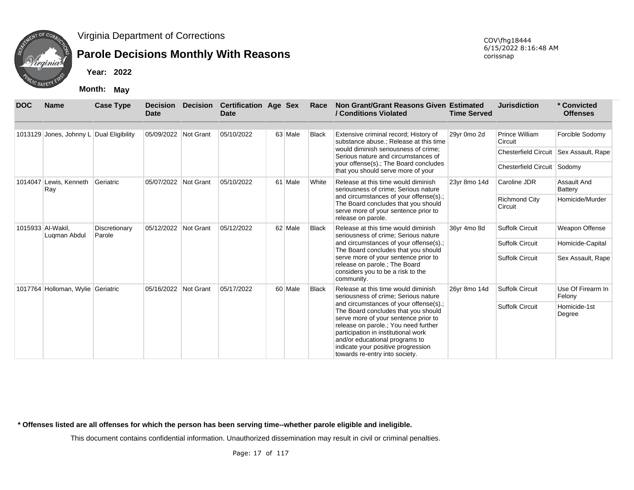

# **Parole Decisions Monthly With Reasons**

**Year: 2022**

**Month: May**

| <b>DOC</b> | <b>Name</b>                              | <b>Case Type</b>        | <b>Decision</b><br>Date | Decision Certification Age Sex<br><b>Date</b> |         | Race                                                                                                                                                                                                                                                                                                           | Non Grant/Grant Reasons Given Estimated<br>/ Conditions Violated                                                                                           | <b>Time Served</b>     | <b>Jurisdiction</b>                                        | * Convicted<br><b>Offenses</b> |
|------------|------------------------------------------|-------------------------|-------------------------|-----------------------------------------------|---------|----------------------------------------------------------------------------------------------------------------------------------------------------------------------------------------------------------------------------------------------------------------------------------------------------------------|------------------------------------------------------------------------------------------------------------------------------------------------------------|------------------------|------------------------------------------------------------|--------------------------------|
|            | 1013129 Jones, Johnny L Dual Eligibility |                         | 05/09/2022 Not Grant    | 05/10/2022                                    | 63 Male | <b>Black</b>                                                                                                                                                                                                                                                                                                   | Extensive criminal record; History of<br>substance abuse.; Release at this time                                                                            | 29yr 0mo 2d            | Prince William<br>Circuit                                  | Forcible Sodomy                |
|            |                                          |                         |                         |                                               |         |                                                                                                                                                                                                                                                                                                                | would diminish seriousness of crime:<br>Serious nature and circumstances of<br>your offense(s).; The Board concludes<br>that you should serve more of your |                        | <b>Chesterfield Circuit</b><br>Chesterfield Circuit Sodomy | Sex Assault, Rape              |
|            | 1014047 Lewis, Kenneth<br>Ray            | Geriatric               | 05/07/2022 Not Grant    | 05/10/2022                                    | 61 Male | White                                                                                                                                                                                                                                                                                                          | Release at this time would diminish<br>seriousness of crime; Serious nature                                                                                | 23yr 8mo 14d           | Caroline JDR                                               | Assault And<br><b>Battery</b>  |
|            |                                          |                         |                         |                                               |         |                                                                                                                                                                                                                                                                                                                | and circumstances of your offense(s).;<br>The Board concludes that you should<br>serve more of your sentence prior to<br>release on parole.                |                        | <b>Richmond City</b><br>Circuit                            | Homicide/Murder                |
|            | 1015933 Al-Wakil.<br>Lugman Abdul        | Discretionary<br>Parole | 05/12/2022 Not Grant    | 05/12/2022                                    | 62 Male | <b>Black</b>                                                                                                                                                                                                                                                                                                   | Release at this time would diminish<br>seriousness of crime; Serious nature                                                                                | 36yr 4mo 8d            | <b>Suffolk Circuit</b>                                     | Weapon Offense                 |
|            |                                          |                         |                         |                                               |         |                                                                                                                                                                                                                                                                                                                | and circumstances of your offense(s).;<br>The Board concludes that you should                                                                              |                        | Suffolk Circuit                                            | Homicide-Capital               |
|            |                                          |                         |                         |                                               |         |                                                                                                                                                                                                                                                                                                                | serve more of your sentence prior to<br>release on parole.; The Board<br>considers you to be a risk to the<br>community.                                   |                        | <b>Suffolk Circuit</b>                                     | Sex Assault, Rape              |
|            | 1017764 Holloman, Wylie Geriatric        |                         | 05/16/2022 Not Grant    | 05/17/2022                                    | 60 Male | <b>Black</b>                                                                                                                                                                                                                                                                                                   | Release at this time would diminish<br>seriousness of crime; Serious nature                                                                                | 26yr 8mo 14d           | <b>Suffolk Circuit</b>                                     | Use Of Firearm In<br>Felony    |
|            |                                          |                         |                         |                                               |         | and circumstances of your offense(s).;<br>The Board concludes that you should<br>serve more of your sentence prior to<br>release on parole.; You need further<br>participation in institutional work<br>and/or educational programs to<br>indicate your positive progression<br>towards re-entry into society. |                                                                                                                                                            | <b>Suffolk Circuit</b> | Homicide-1st<br>Degree                                     |                                |

**\* Offenses listed are all offenses for which the person has been serving time--whether parole eligible and ineligible.**

This document contains confidential information. Unauthorized dissemination may result in civil or criminal penalties.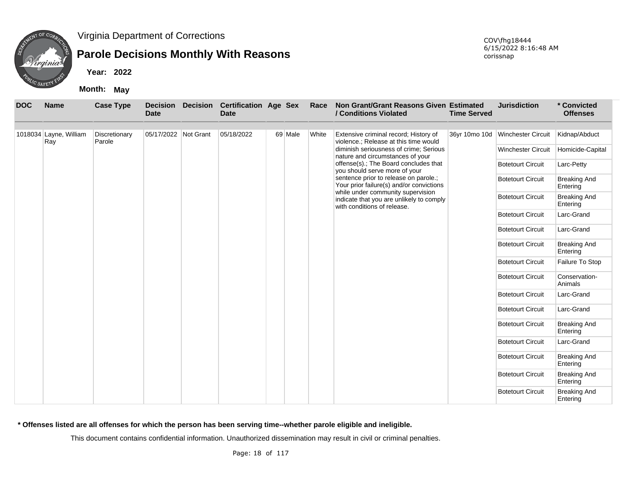

## **Parole Decisions Monthly With Reasons**

**Year: 2022**

**Month: May**

| <b>DOC</b> | <b>Name</b>            | <b>Case Type</b> | <b>Decision</b><br><b>Date</b> | <b>Decision</b> | <b>Certification Age Sex</b><br><b>Date</b> |         | Race  | Non Grant/Grant Reasons Given Estimated<br>/ Conditions Violated                                                    | <b>Time Served</b> | <b>Jurisdiction</b>       | * Convicted<br><b>Offenses</b>  |
|------------|------------------------|------------------|--------------------------------|-----------------|---------------------------------------------|---------|-------|---------------------------------------------------------------------------------------------------------------------|--------------------|---------------------------|---------------------------------|
|            | 1018034 Layne, William | Discretionary    | 05/17/2022 Not Grant           |                 | 05/18/2022                                  | 69 Male | White | Extensive criminal record; History of                                                                               | 36yr 10mo 10d      | <b>Winchester Circuit</b> | Kidnap/Abduct                   |
|            | Ray                    | Parole           |                                |                 |                                             |         |       | violence.; Release at this time would<br>diminish seriousness of crime; Serious<br>nature and circumstances of your |                    | <b>Winchester Circuit</b> | Homicide-Capital                |
|            |                        |                  |                                |                 |                                             |         |       | offense(s).; The Board concludes that<br>you should serve more of your                                              |                    | <b>Botetourt Circuit</b>  | Larc-Petty                      |
|            |                        |                  |                                |                 |                                             |         |       | sentence prior to release on parole.;<br>Your prior failure(s) and/or convictions                                   |                    | <b>Botetourt Circuit</b>  | <b>Breaking And</b><br>Entering |
|            |                        |                  |                                |                 |                                             |         |       | while under community supervision<br>indicate that you are unlikely to comply<br>with conditions of release.        |                    | <b>Botetourt Circuit</b>  | <b>Breaking And</b><br>Entering |
|            |                        |                  |                                |                 |                                             |         |       |                                                                                                                     |                    | <b>Botetourt Circuit</b>  | Larc-Grand                      |
|            |                        |                  |                                |                 |                                             |         |       |                                                                                                                     |                    | <b>Botetourt Circuit</b>  | Larc-Grand                      |
|            |                        |                  |                                |                 |                                             |         |       |                                                                                                                     |                    | <b>Botetourt Circuit</b>  | <b>Breaking And</b><br>Entering |
|            |                        |                  |                                |                 |                                             |         |       |                                                                                                                     |                    | <b>Botetourt Circuit</b>  | Failure To Stop                 |
|            |                        |                  |                                |                 |                                             |         |       |                                                                                                                     |                    | <b>Botetourt Circuit</b>  | Conservation-<br>Animals        |
|            |                        |                  |                                |                 |                                             |         |       |                                                                                                                     |                    | <b>Botetourt Circuit</b>  | Larc-Grand                      |
|            |                        |                  |                                |                 |                                             |         |       |                                                                                                                     |                    | <b>Botetourt Circuit</b>  | Larc-Grand                      |
|            |                        |                  |                                |                 |                                             |         |       |                                                                                                                     |                    | <b>Botetourt Circuit</b>  | <b>Breaking And</b><br>Entering |
|            |                        |                  |                                |                 |                                             |         |       |                                                                                                                     |                    | <b>Botetourt Circuit</b>  | Larc-Grand                      |
|            |                        |                  |                                |                 |                                             |         |       |                                                                                                                     |                    | <b>Botetourt Circuit</b>  | <b>Breaking And</b><br>Entering |
|            |                        |                  |                                |                 |                                             |         |       |                                                                                                                     |                    | <b>Botetourt Circuit</b>  | <b>Breaking And</b><br>Entering |
|            |                        |                  |                                |                 |                                             |         |       |                                                                                                                     |                    | <b>Botetourt Circuit</b>  | <b>Breaking And</b><br>Entering |

**\* Offenses listed are all offenses for which the person has been serving time--whether parole eligible and ineligible.**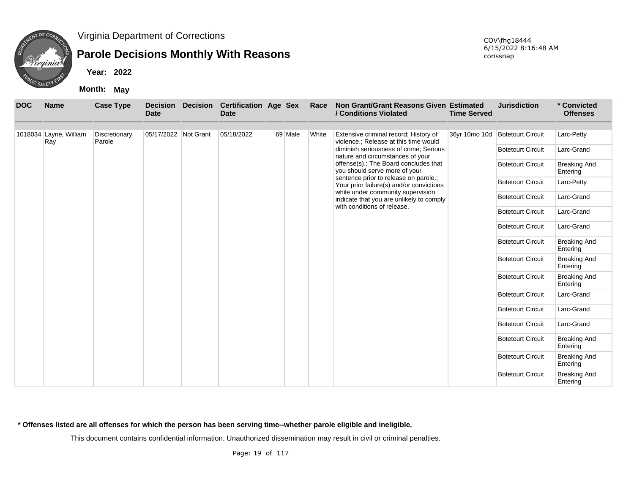

## **Parole Decisions Monthly With Reasons**

**Year: 2022**

**Month: May**

| <b>DOC</b> | <b>Name</b>                   | <b>Case Type</b>        | <b>Decision</b><br><b>Date</b> | <b>Decision</b> | <b>Certification Age Sex</b><br><b>Date</b> |         | Race  | Non Grant/Grant Reasons Given Estimated<br>/ Conditions Violated                  | <b>Time Served</b> | <b>Jurisdiction</b>             | * Convicted<br><b>Offenses</b>  |
|------------|-------------------------------|-------------------------|--------------------------------|-----------------|---------------------------------------------|---------|-------|-----------------------------------------------------------------------------------|--------------------|---------------------------------|---------------------------------|
|            | 1018034 Layne, William<br>Ray | Discretionary<br>Parole | 05/17/2022 Not Grant           |                 | 05/18/2022                                  | 69 Male | White | Extensive criminal record; History of<br>violence.; Release at this time would    |                    | 36yr 10mo 10d Botetourt Circuit | Larc-Petty                      |
|            |                               |                         |                                |                 |                                             |         |       | diminish seriousness of crime; Serious<br>nature and circumstances of your        |                    | <b>Botetourt Circuit</b>        | Larc-Grand                      |
|            |                               |                         |                                |                 |                                             |         |       | offense(s).; The Board concludes that<br>you should serve more of your            |                    | <b>Botetourt Circuit</b>        | <b>Breaking And</b><br>Entering |
|            |                               |                         |                                |                 |                                             |         |       | sentence prior to release on parole.;<br>Your prior failure(s) and/or convictions |                    | <b>Botetourt Circuit</b>        | Larc-Petty                      |
|            |                               |                         |                                |                 |                                             |         |       | while under community supervision<br>indicate that you are unlikely to comply     |                    | <b>Botetourt Circuit</b>        | Larc-Grand                      |
|            |                               |                         |                                |                 |                                             |         |       | with conditions of release.                                                       |                    | <b>Botetourt Circuit</b>        | Larc-Grand                      |
|            |                               |                         |                                |                 |                                             |         |       |                                                                                   |                    | <b>Botetourt Circuit</b>        | Larc-Grand                      |
|            |                               |                         |                                |                 |                                             |         |       |                                                                                   |                    | <b>Botetourt Circuit</b>        | <b>Breaking And</b><br>Entering |
|            |                               |                         |                                |                 |                                             |         |       |                                                                                   |                    | <b>Botetourt Circuit</b>        | <b>Breaking And</b><br>Entering |
|            |                               |                         |                                |                 |                                             |         |       |                                                                                   |                    | <b>Botetourt Circuit</b>        | <b>Breaking And</b><br>Entering |
|            |                               |                         |                                |                 |                                             |         |       |                                                                                   |                    | <b>Botetourt Circuit</b>        | Larc-Grand                      |
|            |                               |                         |                                |                 |                                             |         |       |                                                                                   |                    | <b>Botetourt Circuit</b>        | Larc-Grand                      |
|            |                               |                         |                                |                 |                                             |         |       |                                                                                   |                    | <b>Botetourt Circuit</b>        | Larc-Grand                      |
|            |                               |                         |                                |                 |                                             |         |       |                                                                                   |                    | <b>Botetourt Circuit</b>        | <b>Breaking And</b><br>Entering |
|            |                               |                         |                                |                 |                                             |         |       |                                                                                   |                    | <b>Botetourt Circuit</b>        | <b>Breaking And</b><br>Entering |
|            |                               |                         |                                |                 |                                             |         |       |                                                                                   |                    | <b>Botetourt Circuit</b>        | <b>Breaking And</b><br>Entering |

**\* Offenses listed are all offenses for which the person has been serving time--whether parole eligible and ineligible.**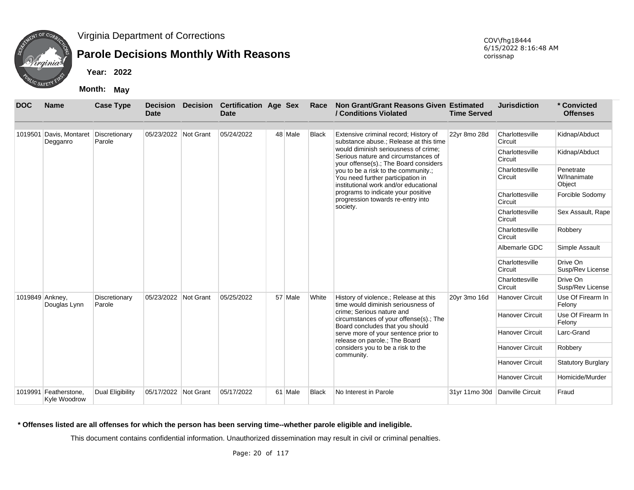

## **Parole Decisions Monthly With Reasons**

**Year: 2022**

**Month: May**

| <b>DOC</b>      | <b>Name</b>                           | <b>Case Type</b>        | <b>Decision</b><br><b>Date</b> | <b>Decision</b> | <b>Certification Age Sex</b><br><b>Date</b> |         | Race         | Non Grant/Grant Reasons Given Estimated<br>/ Conditions Violated                                                     | <b>Time Served</b> | <b>Jurisdiction</b>        | * Convicted<br><b>Offenses</b>     |
|-----------------|---------------------------------------|-------------------------|--------------------------------|-----------------|---------------------------------------------|---------|--------------|----------------------------------------------------------------------------------------------------------------------|--------------------|----------------------------|------------------------------------|
|                 | 1019501 Davis, Montaret<br>Degganro   | Discretionary<br>Parole | 05/23/2022 Not Grant           |                 | 05/24/2022                                  | 48 Male | <b>Black</b> | Extensive criminal record; History of<br>substance abuse.; Release at this time                                      | 22yr 8mo 28d       | Charlottesville<br>Circuit | Kidnap/Abduct                      |
|                 |                                       |                         |                                |                 |                                             |         |              | would diminish seriousness of crime:<br>Serious nature and circumstances of<br>your offense(s).; The Board considers |                    | Charlottesville<br>Circuit | Kidnap/Abduct                      |
|                 |                                       |                         |                                |                 |                                             |         |              | you to be a risk to the community.;<br>You need further participation in<br>institutional work and/or educational    |                    | Charlottesville<br>Circuit | Penetrate<br>W/Inanimate<br>Object |
|                 |                                       |                         |                                |                 |                                             |         |              | programs to indicate your positive<br>progression towards re-entry into                                              |                    | Charlottesville<br>Circuit | Forcible Sodomy                    |
|                 |                                       |                         |                                |                 |                                             |         |              | society.                                                                                                             |                    | Charlottesville<br>Circuit | Sex Assault, Rape                  |
|                 |                                       |                         |                                |                 |                                             |         |              |                                                                                                                      |                    | Charlottesville<br>Circuit | Robbery                            |
|                 |                                       |                         |                                |                 |                                             |         |              |                                                                                                                      |                    | Albemarle GDC              | Simple Assault                     |
|                 |                                       |                         |                                |                 |                                             |         |              |                                                                                                                      |                    | Charlottesville<br>Circuit | Drive On<br>Susp/Rev License       |
|                 |                                       |                         |                                |                 |                                             |         |              |                                                                                                                      |                    | Charlottesville<br>Circuit | Drive On<br>Susp/Rev License       |
| 1019849 Ankney, | Douglas Lynn                          | Discretionary<br>Parole | 05/23/2022 Not Grant           |                 | 05/25/2022                                  | 57 Male | White        | History of violence.; Release at this<br>time would diminish seriousness of                                          | 20yr 3mo 16d       | <b>Hanover Circuit</b>     | Use Of Firearm In<br>Felony        |
|                 |                                       |                         |                                |                 |                                             |         |              | crime; Serious nature and<br>circumstances of your offense(s).; The<br>Board concludes that you should               |                    | <b>Hanover Circuit</b>     | Use Of Firearm In<br>Felony        |
|                 |                                       |                         |                                |                 |                                             |         |              | serve more of your sentence prior to<br>release on parole.; The Board                                                |                    | <b>Hanover Circuit</b>     | Larc-Grand                         |
|                 |                                       |                         |                                |                 |                                             |         |              | considers you to be a risk to the<br>community.                                                                      |                    | <b>Hanover Circuit</b>     | Robbery                            |
|                 |                                       |                         |                                |                 |                                             |         |              |                                                                                                                      |                    | <b>Hanover Circuit</b>     | <b>Statutory Burglary</b>          |
|                 |                                       |                         |                                |                 |                                             |         |              |                                                                                                                      |                    | Hanover Circuit            | Homicide/Murder                    |
|                 | 1019991 Featherstone.<br>Kvle Woodrow | <b>Dual Eligibility</b> | 05/17/2022                     | Not Grant       | 05/17/2022                                  | 61 Male | Black        | No Interest in Parole                                                                                                | 31yr 11mo 30d      | Danville Circuit           | Fraud                              |

#### **\* Offenses listed are all offenses for which the person has been serving time--whether parole eligible and ineligible.**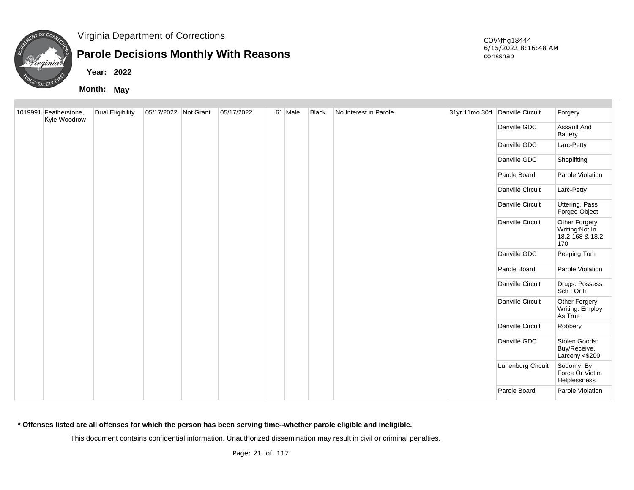

## **Parole Decisions Monthly With Reasons**

**Year: 2022**

**Month: May**

| 1019991 Featherstone,<br>Kyle Woodrow | Dual Eligibility | 05/17/2022 Not Grant | 05/17/2022 | 61 Male | Black | No Interest in Parole | 31yr 11mo 30d Danville Circuit |                   | Forgery                                                    |
|---------------------------------------|------------------|----------------------|------------|---------|-------|-----------------------|--------------------------------|-------------------|------------------------------------------------------------|
|                                       |                  |                      |            |         |       |                       |                                | Danville GDC      | Assault And<br><b>Battery</b>                              |
|                                       |                  |                      |            |         |       |                       |                                | Danville GDC      | Larc-Petty                                                 |
|                                       |                  |                      |            |         |       |                       |                                | Danville GDC      | Shoplifting                                                |
|                                       |                  |                      |            |         |       |                       |                                | Parole Board      | Parole Violation                                           |
|                                       |                  |                      |            |         |       |                       |                                | Danville Circuit  | Larc-Petty                                                 |
|                                       |                  |                      |            |         |       |                       |                                | Danville Circuit  | Uttering, Pass<br>Forged Object                            |
|                                       |                  |                      |            |         |       |                       |                                | Danville Circuit  | Other Forgery<br>Writing:Not In<br>18.2-168 & 18.2-<br>170 |
|                                       |                  |                      |            |         |       |                       |                                | Danville GDC      | Peeping Tom                                                |
|                                       |                  |                      |            |         |       |                       |                                | Parole Board      | Parole Violation                                           |
|                                       |                  |                      |            |         |       |                       |                                | Danville Circuit  | Drugs: Possess<br>Sch I Or li                              |
|                                       |                  |                      |            |         |       |                       |                                | Danville Circuit  | Other Forgery<br>Writing: Employ<br>As True                |
|                                       |                  |                      |            |         |       |                       |                                | Danville Circuit  | Robbery                                                    |
|                                       |                  |                      |            |         |       |                       |                                | Danville GDC      | Stolen Goods:<br>Buy/Receive,<br>Larceny <\$200            |
|                                       |                  |                      |            |         |       |                       |                                | Lunenburg Circuit | Sodomy: By<br>Force Or Victim<br>Helplessness              |
|                                       |                  |                      |            |         |       |                       |                                | Parole Board      | Parole Violation                                           |

**\* Offenses listed are all offenses for which the person has been serving time--whether parole eligible and ineligible.**

This document contains confidential information. Unauthorized dissemination may result in civil or criminal penalties.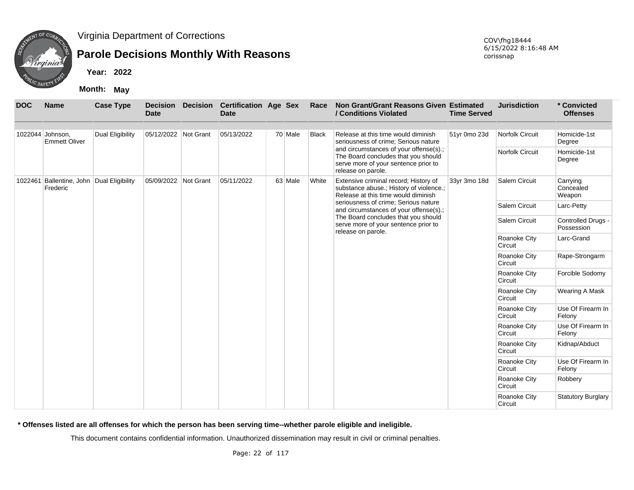

## **Parole Decisions Monthly With Reasons**

**Year: 2022**

**Month: May**

| <b>DOC</b> | <b>Name</b>                                           | <b>Case Type</b>        | <b>Date</b>          | <b>Decision Decision</b> | <b>Certification Age Sex</b><br><b>Date</b> |         | Race         | Non Grant/Grant Reasons Given Estimated<br>/ Conditions Violated                                                                            | <b>Time Served</b> | <b>Jurisdiction</b>            | * Convicted<br><b>Offenses</b>   |
|------------|-------------------------------------------------------|-------------------------|----------------------|--------------------------|---------------------------------------------|---------|--------------|---------------------------------------------------------------------------------------------------------------------------------------------|--------------------|--------------------------------|----------------------------------|
|            | 1022044 Johnson,<br><b>Emmett Oliver</b>              | <b>Dual Eligibility</b> | 05/12/2022 Not Grant |                          | 05/13/2022                                  | 70 Male | <b>Black</b> | Release at this time would diminish<br>seriousness of crime; Serious nature                                                                 | 51yr 0mo 23d       | <b>Norfolk Circuit</b>         | Homicide-1st<br>Degree           |
|            |                                                       |                         |                      |                          |                                             |         |              | and circumstances of your offense(s).;<br>The Board concludes that you should<br>serve more of your sentence prior to<br>release on parole. |                    | Norfolk Circuit                | Homicide-1st<br>Degree           |
|            | 1022461 Ballentine, John Dual Eligibility<br>Frederic |                         | 05/09/2022 Not Grant |                          | 05/11/2022                                  | 63 Male | White        | Extensive criminal record; History of<br>substance abuse.; History of violence.;<br>Release at this time would diminish                     | 33yr 3mo 18d       | <b>Salem Circuit</b>           | Carrying<br>Concealed<br>Weapon  |
|            |                                                       |                         |                      |                          |                                             |         |              | seriousness of crime; Serious nature<br>and circumstances of your offense(s).;                                                              |                    | Salem Circuit                  | Larc-Petty                       |
|            |                                                       |                         |                      |                          |                                             |         |              | The Board concludes that you should<br>serve more of your sentence prior to<br>release on parole.                                           |                    | Salem Circuit                  | Controlled Drugs -<br>Possession |
|            |                                                       |                         |                      |                          |                                             |         |              |                                                                                                                                             |                    | Roanoke City<br>Circuit        | Larc-Grand                       |
|            |                                                       |                         |                      |                          |                                             |         |              |                                                                                                                                             |                    | Roanoke City<br>Circuit        | Rape-Strongarm                   |
|            |                                                       |                         |                      |                          |                                             |         |              |                                                                                                                                             |                    | Roanoke City<br>Circuit        | Forcible Sodomy                  |
|            |                                                       |                         |                      |                          |                                             |         |              |                                                                                                                                             |                    | Roanoke City<br>Circuit        | Wearing A Mask                   |
|            |                                                       |                         |                      |                          |                                             |         |              |                                                                                                                                             |                    | Roanoke City<br>Circuit        | Use Of Firearm In<br>Felony      |
|            |                                                       |                         |                      |                          |                                             |         |              |                                                                                                                                             |                    | <b>Roanoke City</b><br>Circuit | Use Of Firearm In<br>Felony      |
|            |                                                       |                         |                      |                          |                                             |         |              |                                                                                                                                             |                    | Roanoke City<br>Circuit        | Kidnap/Abduct                    |
|            |                                                       |                         |                      |                          |                                             |         |              |                                                                                                                                             |                    | Roanoke City<br>Circuit        | Use Of Firearm In<br>Felony      |
|            |                                                       |                         |                      |                          |                                             |         |              |                                                                                                                                             |                    | Roanoke City<br>Circuit        | Robbery                          |
|            |                                                       |                         |                      |                          |                                             |         |              |                                                                                                                                             |                    | Roanoke City<br>Circuit        | <b>Statutory Burglary</b>        |

**\* Offenses listed are all offenses for which the person has been serving time--whether parole eligible and ineligible.**

This document contains confidential information. Unauthorized dissemination may result in civil or criminal penalties.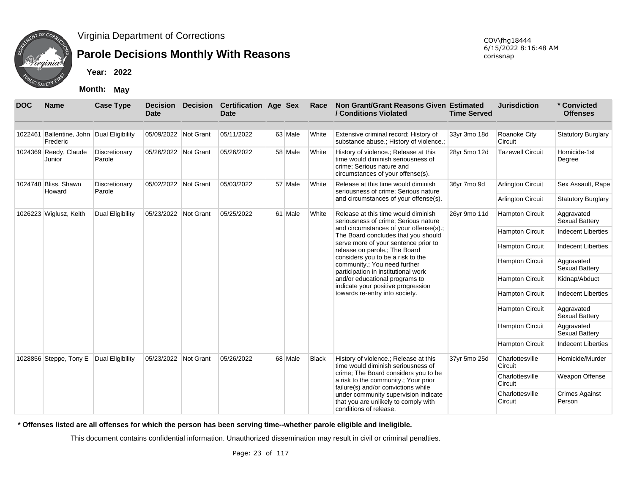

## **Parole Decisions Monthly With Reasons**

**Month: May**

| <b>DOC</b> | <b>Name</b>                                           | <b>Case Type</b>        | <b>Date</b>          | Decision Decision Certification Age Sex<br>Date |         | Race         | Non Grant/Grant Reasons Given Estimated<br>/ Conditions Violated                                                                              | <b>Time Served</b> | <b>Jurisdiction</b>        | * Convicted<br><b>Offenses</b>  |
|------------|-------------------------------------------------------|-------------------------|----------------------|-------------------------------------------------|---------|--------------|-----------------------------------------------------------------------------------------------------------------------------------------------|--------------------|----------------------------|---------------------------------|
|            | 1022461 Ballentine, John Dual Eligibility<br>Frederic |                         | 05/09/2022 Not Grant | 05/11/2022                                      | 63 Male | White        | Extensive criminal record; History of<br>substance abuse.; History of violence.;                                                              | 33yr 3mo 18d       | Roanoke City<br>Circuit    | <b>Statutory Burglary</b>       |
|            | 1024369 Reedy, Claude<br>Junior                       | Discretionary<br>Parole | 05/26/2022 Not Grant | 05/26/2022                                      | 58 Male | White        | History of violence.; Release at this<br>time would diminish seriousness of<br>crime; Serious nature and<br>circumstances of your offense(s). | 28yr 5mo 12d       | <b>Tazewell Circuit</b>    | Homicide-1st<br>Degree          |
|            | 1024748 Bliss, Shawn<br>Howard                        | Discretionary<br>Parole | 05/02/2022 Not Grant | 05/03/2022                                      | 57 Male | White        | Release at this time would diminish<br>seriousness of crime; Serious nature                                                                   | 36yr 7mo 9d        | <b>Arlington Circuit</b>   | Sex Assault, Rape               |
|            |                                                       |                         |                      |                                                 |         |              | and circumstances of your offense(s).                                                                                                         |                    | <b>Arlington Circuit</b>   | <b>Statutory Burglary</b>       |
|            | 1026223 Wiglusz, Keith                                | <b>Dual Eligibility</b> | 05/23/2022 Not Grant | 05/25/2022                                      | 61 Male | White        | Release at this time would diminish<br>seriousness of crime; Serious nature                                                                   | 26yr 9mo 11d       | <b>Hampton Circuit</b>     | Aggravated<br>Sexual Battery    |
|            |                                                       |                         |                      |                                                 |         |              | and circumstances of your offense(s).;<br>The Board concludes that you should                                                                 |                    | <b>Hampton Circuit</b>     | <b>Indecent Liberties</b>       |
|            |                                                       |                         |                      |                                                 |         |              | serve more of your sentence prior to<br>release on parole.; The Board                                                                         |                    | <b>Hampton Circuit</b>     | <b>Indecent Liberties</b>       |
|            |                                                       |                         |                      |                                                 |         |              | considers you to be a risk to the<br>community.; You need further<br>participation in institutional work                                      |                    | <b>Hampton Circuit</b>     | Aggravated<br>Sexual Battery    |
|            |                                                       |                         |                      |                                                 |         |              | and/or educational programs to<br>indicate your positive progression                                                                          |                    | <b>Hampton Circuit</b>     | Kidnap/Abduct                   |
|            |                                                       |                         |                      |                                                 |         |              | towards re-entry into society.                                                                                                                |                    | <b>Hampton Circuit</b>     | <b>Indecent Liberties</b>       |
|            |                                                       |                         |                      |                                                 |         |              |                                                                                                                                               |                    | <b>Hampton Circuit</b>     | Aggravated<br>Sexual Battery    |
|            |                                                       |                         |                      |                                                 |         |              |                                                                                                                                               |                    | <b>Hampton Circuit</b>     | Aggravated<br>Sexual Battery    |
|            |                                                       |                         |                      |                                                 |         |              |                                                                                                                                               |                    | <b>Hampton Circuit</b>     | <b>Indecent Liberties</b>       |
|            | 1028856 Steppe, Tony E                                | Dual Eligibility        | 05/23/2022 Not Grant | 05/26/2022                                      | 68 Male | <b>Black</b> | History of violence.; Release at this<br>time would diminish seriousness of                                                                   | 37yr 5mo 25d       | Charlottesville<br>Circuit | Homicide/Murder                 |
|            |                                                       |                         |                      |                                                 |         |              | crime; The Board considers you to be<br>a risk to the community.; Your prior<br>failure(s) and/or convictions while                           |                    | Charlottesville<br>Circuit | Weapon Offense                  |
|            |                                                       |                         |                      |                                                 |         |              | under community supervision indicate<br>that you are unlikely to comply with<br>conditions of release.                                        |                    | Charlottesville<br>Circuit | <b>Crimes Against</b><br>Person |

**\* Offenses listed are all offenses for which the person has been serving time--whether parole eligible and ineligible.**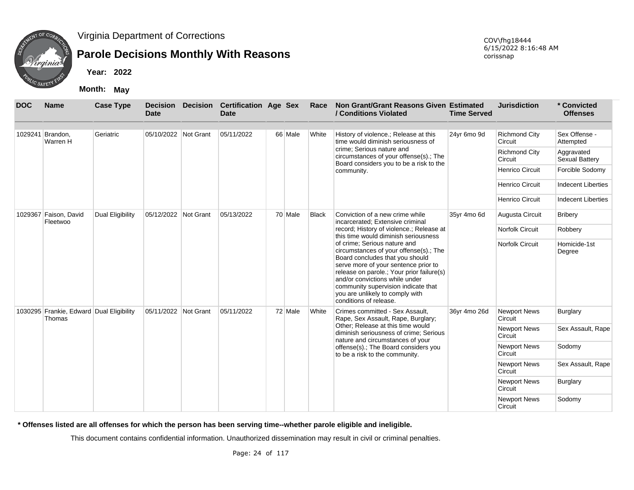

# **Parole Decisions Monthly With Reasons**

**Year: 2022**

**Month: May**

| <b>DOC</b> | <b>Name</b>                                        | <b>Case Type</b>        | <b>Decision</b><br><b>Date</b> | <b>Decision</b> | <b>Certification Age Sex</b><br><b>Date</b> |         | Race         | Non Grant/Grant Reasons Given Estimated<br>/ Conditions Violated                                                                                                                                                                                                                                                                     | <b>Time Served</b> | <b>Jurisdiction</b>             | * Convicted<br><b>Offenses</b>      |
|------------|----------------------------------------------------|-------------------------|--------------------------------|-----------------|---------------------------------------------|---------|--------------|--------------------------------------------------------------------------------------------------------------------------------------------------------------------------------------------------------------------------------------------------------------------------------------------------------------------------------------|--------------------|---------------------------------|-------------------------------------|
|            | 1029241 Brandon,<br>Warren H                       | Geriatric               | 05/10/2022 Not Grant           |                 | 05/11/2022                                  | 66 Male | White        | History of violence.; Release at this<br>time would diminish seriousness of                                                                                                                                                                                                                                                          | 24yr 6mo 9d        | <b>Richmond City</b><br>Circuit | Sex Offense -<br>Attempted          |
|            |                                                    |                         |                                |                 |                                             |         |              | crime; Serious nature and<br>circumstances of your offense(s).; The<br>Board considers you to be a risk to the                                                                                                                                                                                                                       |                    | <b>Richmond City</b><br>Circuit | Aggravated<br><b>Sexual Battery</b> |
|            |                                                    |                         |                                |                 |                                             |         |              | community.                                                                                                                                                                                                                                                                                                                           |                    | <b>Henrico Circuit</b>          | Forcible Sodomy                     |
|            |                                                    |                         |                                |                 |                                             |         |              |                                                                                                                                                                                                                                                                                                                                      |                    | <b>Henrico Circuit</b>          | <b>Indecent Liberties</b>           |
|            |                                                    |                         |                                |                 |                                             |         |              |                                                                                                                                                                                                                                                                                                                                      |                    | Henrico Circuit                 | <b>Indecent Liberties</b>           |
|            | 1029367 Faison, David<br>Fleetwoo                  | <b>Dual Eligibility</b> | 05/12/2022 Not Grant           |                 | 05/13/2022                                  | 70 Male | <b>Black</b> | Conviction of a new crime while<br>incarcerated; Extensive criminal                                                                                                                                                                                                                                                                  | 35yr 4mo 6d        | Augusta Circuit                 | <b>Bribery</b>                      |
|            |                                                    |                         |                                |                 |                                             |         |              | record; History of violence.; Release at<br>this time would diminish seriousness                                                                                                                                                                                                                                                     |                    | <b>Norfolk Circuit</b>          | Robbery                             |
|            |                                                    |                         |                                |                 |                                             |         |              | of crime; Serious nature and<br>circumstances of your offense(s).; The<br>Board concludes that you should<br>serve more of your sentence prior to<br>release on parole.; Your prior failure(s)<br>and/or convictions while under<br>community supervision indicate that<br>you are unlikely to comply with<br>conditions of release. |                    | <b>Norfolk Circuit</b>          | Homicide-1st<br>Degree              |
|            | 1030295 Frankie, Edward Dual Eligibility<br>Thomas |                         | 05/11/2022 Not Grant           |                 | 05/11/2022                                  | 72 Male | White        | Crimes committed - Sex Assault,<br>Rape, Sex Assault, Rape, Burglary;                                                                                                                                                                                                                                                                | 36yr 4mo 26d       | Newport News<br>Circuit         | Burglary                            |
|            |                                                    |                         |                                |                 |                                             |         |              | Other: Release at this time would<br>diminish seriousness of crime; Serious<br>nature and circumstances of your                                                                                                                                                                                                                      |                    | <b>Newport News</b><br>Circuit  | Sex Assault, Rape                   |
|            |                                                    |                         |                                |                 |                                             |         |              | offense(s).; The Board considers you<br>to be a risk to the community.                                                                                                                                                                                                                                                               |                    | <b>Newport News</b><br>Circuit  | Sodomy                              |
|            |                                                    |                         |                                |                 |                                             |         |              |                                                                                                                                                                                                                                                                                                                                      |                    | <b>Newport News</b><br>Circuit  | Sex Assault, Rape                   |
|            |                                                    |                         |                                |                 |                                             |         |              |                                                                                                                                                                                                                                                                                                                                      |                    | <b>Newport News</b><br>Circuit  | Burglary                            |
|            |                                                    |                         |                                |                 |                                             |         |              |                                                                                                                                                                                                                                                                                                                                      |                    | <b>Newport News</b><br>Circuit  | Sodomy                              |

**\* Offenses listed are all offenses for which the person has been serving time--whether parole eligible and ineligible.**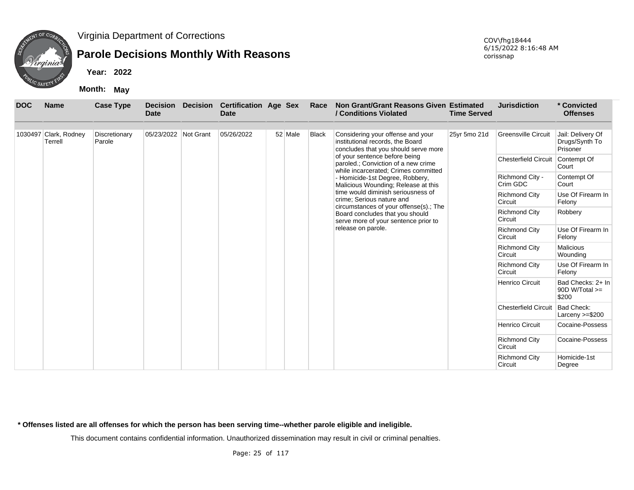

## **Parole Decisions Monthly With Reasons**

**Year: 2022**

**Month: May**

| <b>DOC</b> | <b>Name</b>                      | <b>Case Type</b>        | <b>Decision</b><br><b>Date</b> | <b>Decision</b> | <b>Certification Age Sex</b><br><b>Date</b> |         | Race                                                                    | Non Grant/Grant Reasons Given Estimated<br>/ Conditions Violated                                              | <b>Time Served</b>              | <b>Jurisdiction</b>             | * Convicted<br><b>Offenses</b>                  |
|------------|----------------------------------|-------------------------|--------------------------------|-----------------|---------------------------------------------|---------|-------------------------------------------------------------------------|---------------------------------------------------------------------------------------------------------------|---------------------------------|---------------------------------|-------------------------------------------------|
|            |                                  |                         |                                |                 |                                             |         |                                                                         |                                                                                                               |                                 |                                 |                                                 |
|            | 1030497 Clark, Rodney<br>Terrell | Discretionary<br>Parole | 05/23/2022 Not Grant           |                 | 05/26/2022                                  | 52 Male | <b>Black</b>                                                            | Considering your offense and your<br>institutional records, the Board<br>concludes that you should serve more | 25yr 5mo 21d                    | <b>Greensville Circuit</b>      | Jail: Delivery Of<br>Drugs/Synth To<br>Prisoner |
|            |                                  |                         |                                |                 |                                             |         |                                                                         | of your sentence before being<br>paroled.; Conviction of a new crime<br>while incarcerated; Crimes committed  |                                 | <b>Chesterfield Circuit</b>     | Contempt Of<br>Court                            |
|            |                                  |                         |                                |                 |                                             |         |                                                                         | - Homicide-1st Degree, Robbery,<br>Malicious Wounding; Release at this                                        |                                 | Richmond City -<br>Crim GDC     | Contempt Of<br>Court                            |
|            |                                  |                         |                                |                 |                                             |         |                                                                         | time would diminish seriousness of<br>crime; Serious nature and<br>circumstances of your offense(s).; The     |                                 | <b>Richmond City</b><br>Circuit | Use Of Firearm In<br>Felony                     |
|            |                                  |                         |                                |                 |                                             |         | Board concludes that you should<br>serve more of your sentence prior to |                                                                                                               | <b>Richmond City</b><br>Circuit | Robbery                         |                                                 |
|            |                                  |                         |                                |                 |                                             |         |                                                                         | release on parole.                                                                                            |                                 | <b>Richmond City</b><br>Circuit | Use Of Firearm In<br>Felony                     |
|            |                                  |                         |                                |                 |                                             |         |                                                                         |                                                                                                               |                                 | <b>Richmond City</b><br>Circuit | <b>Malicious</b><br>Wounding                    |
|            |                                  |                         |                                |                 |                                             |         |                                                                         |                                                                                                               |                                 | <b>Richmond City</b><br>Circuit | Use Of Firearm In<br>Felony                     |
|            |                                  |                         |                                |                 |                                             |         |                                                                         |                                                                                                               |                                 | <b>Henrico Circuit</b>          | Bad Checks: 2+ In<br>$90D W/Total >=$<br>\$200  |
|            |                                  |                         |                                |                 |                                             |         |                                                                         |                                                                                                               |                                 | <b>Chesterfield Circuit</b>     | <b>Bad Check:</b><br>Larceny $>= $200$          |
|            |                                  |                         |                                |                 |                                             |         |                                                                         |                                                                                                               |                                 | Henrico Circuit                 | Cocaine-Possess                                 |
|            |                                  |                         |                                |                 |                                             |         |                                                                         |                                                                                                               |                                 | <b>Richmond City</b><br>Circuit | Cocaine-Possess                                 |
|            |                                  |                         |                                |                 |                                             |         |                                                                         |                                                                                                               |                                 | <b>Richmond City</b><br>Circuit | Homicide-1st<br>Degree                          |

**\* Offenses listed are all offenses for which the person has been serving time--whether parole eligible and ineligible.**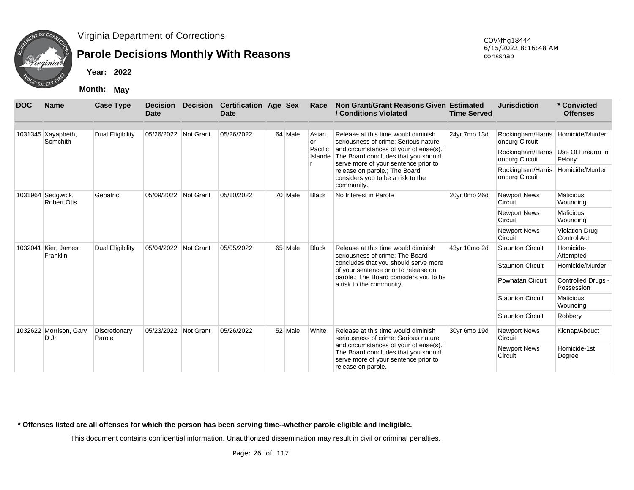

## **Parole Decisions Monthly With Reasons**

**Year: 2022**

**Month: May**

| <b>DOC</b> | <b>Name</b>                             | <b>Case Type</b>        | <b>Decision</b><br>Date | <b>Decision</b>  | <b>Certification Age Sex</b><br><b>Date</b> |         | Race               | Non Grant/Grant Reasons Given Estimated<br>/ Conditions Violated                                                                                                                                                           | <b>Time Served</b> | <b>Jurisdiction</b>                 | * Convicted<br><b>Offenses</b>              |
|------------|-----------------------------------------|-------------------------|-------------------------|------------------|---------------------------------------------|---------|--------------------|----------------------------------------------------------------------------------------------------------------------------------------------------------------------------------------------------------------------------|--------------------|-------------------------------------|---------------------------------------------|
|            | 1031345 Xayapheth,<br>Somchith          | Dual Eligibility        | 05/26/2022              | Not Grant        | 05/26/2022                                  | 64 Male | Asian<br>or        | Release at this time would diminish<br>seriousness of crime: Serious nature                                                                                                                                                | 24yr 7mo 13d       | Rockingham/Harris<br>onburg Circuit | Homicide/Murder                             |
|            |                                         |                         |                         |                  |                                             |         | Pacific<br>Islande | and circumstances of your offense(s).;<br>The Board concludes that you should<br>serve more of your sentence prior to                                                                                                      |                    | Rockingham/Harris<br>onburg Circuit | Use Of Firearm In<br>Felony                 |
|            |                                         |                         |                         |                  |                                             |         |                    | release on parole.; The Board<br>considers you to be a risk to the<br>community.                                                                                                                                           |                    | Rockingham/Harris<br>onburg Circuit | Homicide/Murder                             |
|            | 1031964 Sedgwick,<br><b>Robert Otis</b> | Geriatric               | 05/09/2022              | Not Grant        | 05/10/2022                                  | 70 Male | <b>Black</b>       | No Interest in Parole                                                                                                                                                                                                      | 20yr 0mo 26d       | <b>Newport News</b><br>Circuit      | <b>Malicious</b><br>Wounding                |
|            |                                         |                         |                         |                  |                                             |         |                    |                                                                                                                                                                                                                            |                    | <b>Newport News</b><br>Circuit      | <b>Malicious</b><br>Wounding                |
|            |                                         |                         |                         |                  |                                             |         |                    |                                                                                                                                                                                                                            |                    | <b>Newport News</b><br>Circuit      | <b>Violation Drug</b><br><b>Control Act</b> |
| 1032041    | Kier, James<br>Franklin                 | Dual Eligibility        | 05/04/2022              | Not Grant        | 05/05/2022                                  | 65 Male | <b>Black</b>       | Release at this time would diminish<br>seriousness of crime; The Board                                                                                                                                                     | 43yr 10mo 2d       | <b>Staunton Circuit</b>             | Homicide-<br>Attempted                      |
|            |                                         |                         |                         |                  |                                             |         |                    | concludes that you should serve more<br>of your sentence prior to release on                                                                                                                                               |                    | <b>Staunton Circuit</b>             | Homicide/Murder                             |
|            |                                         |                         |                         |                  |                                             |         |                    | parole.; The Board considers you to be<br>a risk to the community.                                                                                                                                                         |                    | Powhatan Circuit                    | Controlled Drugs -<br>Possession            |
|            |                                         |                         |                         |                  |                                             |         |                    |                                                                                                                                                                                                                            |                    | <b>Staunton Circuit</b>             | <b>Malicious</b><br>Wounding                |
|            |                                         |                         |                         |                  |                                             |         |                    |                                                                                                                                                                                                                            |                    | <b>Staunton Circuit</b>             | Robbery                                     |
|            | 1032622 Morrison, Gary<br>D Jr.         | Discretionary<br>Parole | 05/23/2022              | <b>Not Grant</b> | 05/26/2022                                  | 52 Male | White              | Release at this time would diminish<br>seriousness of crime; Serious nature<br>and circumstances of your offense(s).;<br>The Board concludes that you should<br>serve more of your sentence prior to<br>release on parole. | 30yr 6mo 19d       | <b>Newport News</b><br>Circuit      | Kidnap/Abduct                               |
|            |                                         |                         |                         |                  |                                             |         |                    |                                                                                                                                                                                                                            |                    | <b>Newport News</b><br>Circuit      | Homicide-1st<br>Degree                      |

**\* Offenses listed are all offenses for which the person has been serving time--whether parole eligible and ineligible.**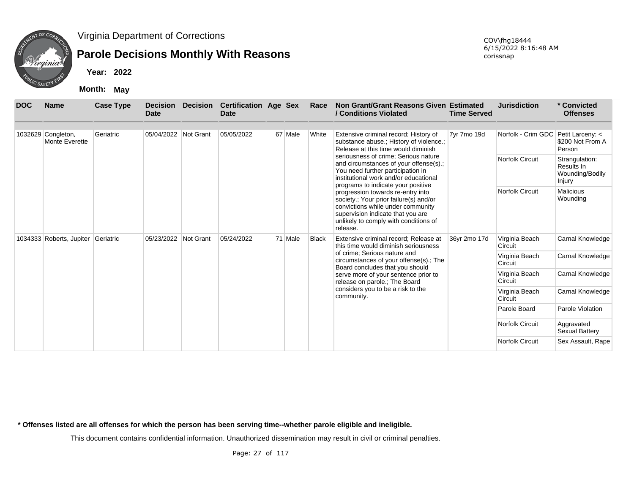

## **Parole Decisions Monthly With Reasons**

**Year: 2022**

**Month: May**

| <b>DOC</b> | <b>Name</b>                         | <b>Case Type</b> | <b>Decision</b><br><b>Date</b> | Decision  | <b>Certification Age Sex</b><br>Date |         | Race         | Non Grant/Grant Reasons Given Estimated<br>/ Conditions Violated                                                                                                                                           | <b>Time Served</b> | <b>Jurisdiction</b>                 | * Convicted<br><b>Offenses</b>                            |
|------------|-------------------------------------|------------------|--------------------------------|-----------|--------------------------------------|---------|--------------|------------------------------------------------------------------------------------------------------------------------------------------------------------------------------------------------------------|--------------------|-------------------------------------|-----------------------------------------------------------|
|            |                                     |                  |                                |           |                                      |         |              |                                                                                                                                                                                                            |                    |                                     |                                                           |
| 1032629    | Congleton,<br><b>Monte Everette</b> | Geriatric        | 05/04/2022 Not Grant           |           | 05/05/2022                           | 67 Male | White        | Extensive criminal record; History of<br>substance abuse.; History of violence.;<br>Release at this time would diminish                                                                                    | 7yr 7mo 19d        | Norfolk - Crim GDC Petit Larceny: < | \$200 Not From A<br>Person                                |
|            |                                     |                  |                                |           |                                      |         |              | seriousness of crime; Serious nature<br>and circumstances of your offense(s).;<br>You need further participation in<br>institutional work and/or educational<br>programs to indicate your positive         |                    | Norfolk Circuit                     | Strangulation:<br>Results In<br>Wounding/Bodily<br>Injury |
|            |                                     |                  |                                |           |                                      |         |              | progression towards re-entry into<br>society.; Your prior failure(s) and/or<br>convictions while under community<br>supervision indicate that you are<br>unlikely to comply with conditions of<br>release. |                    | Norfolk Circuit                     | <b>Malicious</b><br>Wounding                              |
|            | 1034333 Roberts, Jupiter Geriatric  |                  | 05/23/2022                     | Not Grant | 05/24/2022                           | 71 Male | <b>Black</b> | Extensive criminal record; Release at<br>this time would diminish seriousness                                                                                                                              | 36yr 2mo 17d       | Virginia Beach<br>Circuit           | Carnal Knowledge                                          |
|            |                                     |                  |                                |           |                                      |         |              | of crime; Serious nature and<br>circumstances of your offense(s).; The<br>Board concludes that you should                                                                                                  |                    | Virginia Beach<br>Circuit           | Carnal Knowledge                                          |
|            |                                     |                  |                                |           |                                      |         |              | serve more of your sentence prior to<br>release on parole.; The Board                                                                                                                                      |                    | Virginia Beach<br>Circuit           | Carnal Knowledge                                          |
|            |                                     |                  |                                |           |                                      |         |              | considers you to be a risk to the<br>community.                                                                                                                                                            |                    | Virginia Beach<br>Circuit           | Carnal Knowledge                                          |
|            |                                     |                  |                                |           |                                      |         |              |                                                                                                                                                                                                            |                    | Parole Board                        | Parole Violation                                          |
|            |                                     |                  |                                |           |                                      |         |              |                                                                                                                                                                                                            |                    | Norfolk Circuit                     | Aggravated<br>Sexual Battery                              |
|            |                                     |                  |                                |           |                                      |         |              |                                                                                                                                                                                                            |                    | <b>Norfolk Circuit</b>              | Sex Assault, Rape                                         |

**\* Offenses listed are all offenses for which the person has been serving time--whether parole eligible and ineligible.**

This document contains confidential information. Unauthorized dissemination may result in civil or criminal penalties.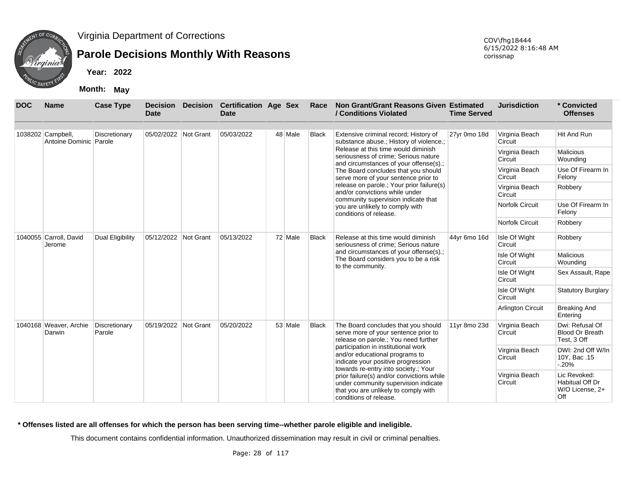

## **Parole Decisions Monthly With Reasons**

**Year: 2022**

**Month: May**

| <b>DOC</b>                       | <b>Name</b>                                 | <b>Case Type</b>        | <b>Decision</b><br><b>Date</b> | <b>Decision</b> | <b>Certification Age Sex</b><br>Date |              | Race                                                                        | Non Grant/Grant Reasons Given Estimated<br>/ Conditions Violated                                                                                    | <b>Time Served</b>       | <b>Jurisdiction</b>       | * Convicted<br><b>Offenses</b>                            |
|----------------------------------|---------------------------------------------|-------------------------|--------------------------------|-----------------|--------------------------------------|--------------|-----------------------------------------------------------------------------|-----------------------------------------------------------------------------------------------------------------------------------------------------|--------------------------|---------------------------|-----------------------------------------------------------|
|                                  |                                             |                         |                                |                 |                                      |              |                                                                             |                                                                                                                                                     |                          |                           |                                                           |
|                                  | 1038202 Campbell,<br>Antoine Dominic Parole | Discretionary           | 05/02/2022 Not Grant           |                 | 05/03/2022                           | 48 Male      | <b>Black</b>                                                                | Extensive criminal record; History of<br>substance abuse.; History of violence.;                                                                    | 27yr 0mo 18d             | Virginia Beach<br>Circuit | <b>Hit And Run</b>                                        |
|                                  |                                             |                         |                                |                 |                                      |              |                                                                             | Release at this time would diminish<br>seriousness of crime: Serious nature<br>and circumstances of your offense(s).;                               |                          | Virginia Beach<br>Circuit | <b>Malicious</b><br>Wounding                              |
|                                  |                                             |                         |                                |                 |                                      |              |                                                                             | The Board concludes that you should<br>serve more of your sentence prior to                                                                         |                          | Virginia Beach<br>Circuit | Use Of Firearm In<br>Felony                               |
|                                  |                                             |                         |                                |                 |                                      |              |                                                                             | release on parole.; Your prior failure(s)<br>and/or convictions while under<br>community supervision indicate that                                  |                          | Virginia Beach<br>Circuit | Robbery                                                   |
|                                  |                                             |                         |                                |                 |                                      |              |                                                                             | you are unlikely to comply with<br>conditions of release.                                                                                           |                          | <b>Norfolk Circuit</b>    | Use Of Firearm In<br>Felony                               |
|                                  |                                             |                         |                                |                 |                                      |              |                                                                             |                                                                                                                                                     |                          | <b>Norfolk Circuit</b>    | Robbery                                                   |
| 1040055 Carroll, David<br>Jerome | <b>Dual Eligibility</b>                     | 05/12/2022              | Not Grant                      | 05/13/2022      | 72 Male                              | <b>Black</b> | Release at this time would diminish<br>seriousness of crime: Serious nature | 44yr 6mo 16d                                                                                                                                        | Isle Of Wight<br>Circuit | Robbery                   |                                                           |
|                                  |                                             |                         |                                |                 |                                      |              |                                                                             | and circumstances of your offense(s).;<br>The Board considers you to be a risk<br>to the community.                                                 |                          | Isle Of Wight<br>Circuit  | <b>Malicious</b><br>Wounding                              |
|                                  |                                             |                         |                                |                 |                                      |              |                                                                             |                                                                                                                                                     |                          | Isle Of Wight<br>Circuit  | Sex Assault, Rape                                         |
|                                  |                                             |                         |                                |                 |                                      |              |                                                                             |                                                                                                                                                     |                          | Isle Of Wight<br>Circuit  | <b>Statutory Burglary</b>                                 |
|                                  |                                             |                         |                                |                 |                                      |              |                                                                             |                                                                                                                                                     |                          | <b>Arlington Circuit</b>  | <b>Breaking And</b><br>Entering                           |
|                                  | 1040168 Weaver, Archie<br>Darwin            | Discretionary<br>Parole | 05/19/2022                     | Not Grant       | 05/20/2022                           | 53 Male      | <b>Black</b>                                                                | The Board concludes that you should<br>serve more of your sentence prior to<br>release on parole.; You need further                                 | 11yr 8mo 23d             | Virginia Beach<br>Circuit | Dwi: Refusal Of<br><b>Blood Or Breath</b><br>Test, 3 Off  |
|                                  |                                             |                         |                                |                 |                                      |              |                                                                             | participation in institutional work<br>and/or educational programs to<br>indicate your positive progression<br>towards re-entry into society.; Your |                          | Virginia Beach<br>Circuit | DWI: 2nd Off W/In<br>10Y, Bac. 15<br>$-20%$               |
|                                  |                                             |                         |                                |                 |                                      |              |                                                                             | prior failure(s) and/or convictions while<br>under community supervision indicate<br>that you are unlikely to comply with<br>conditions of release. |                          | Virginia Beach<br>Circuit | Lic Revoked:<br>Habitual Off Dr<br>W/O License, 2+<br>Off |

**\* Offenses listed are all offenses for which the person has been serving time--whether parole eligible and ineligible.**

This document contains confidential information. Unauthorized dissemination may result in civil or criminal penalties.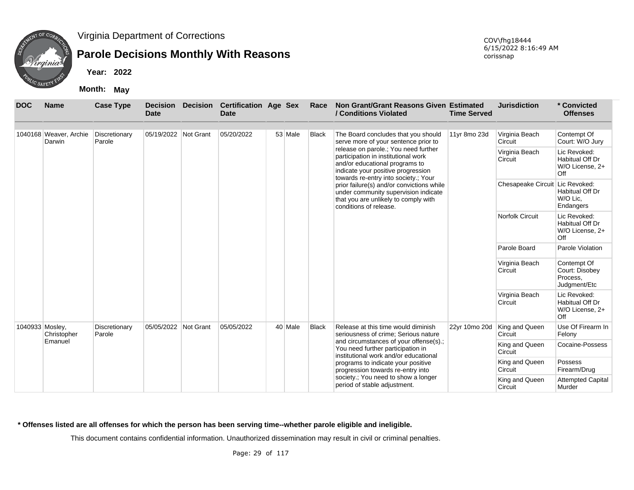

## **Parole Decisions Monthly With Reasons**

**Year: 2022**

**Month: May**

| <b>DOC</b>      | <b>Name</b>                      | <b>Case Type</b>        | <b>Decision</b><br><b>Date</b> | <b>Decision</b> | <b>Certification Age Sex</b><br><b>Date</b> |                           | Race                                                                | Non Grant/Grant Reasons Given Estimated<br>/ Conditions Violated                                                                                                                            | <b>Time Served</b>        | <b>Jurisdiction</b>                | * Convicted<br><b>Offenses</b>                            |
|-----------------|----------------------------------|-------------------------|--------------------------------|-----------------|---------------------------------------------|---------------------------|---------------------------------------------------------------------|---------------------------------------------------------------------------------------------------------------------------------------------------------------------------------------------|---------------------------|------------------------------------|-----------------------------------------------------------|
|                 | 1040168 Weaver, Archie<br>Darwin | Discretionary<br>Parole | 05/19/2022 Not Grant           |                 | 05/20/2022                                  | 53 Male                   | <b>Black</b>                                                        | The Board concludes that you should<br>serve more of your sentence prior to                                                                                                                 | 11yr 8mo 23d              | Virginia Beach<br>Circuit          | Contempt Of<br>Court: W/O Jury                            |
|                 |                                  |                         |                                |                 |                                             |                           |                                                                     | release on parole.; You need further<br>participation in institutional work<br>and/or educational programs to<br>indicate your positive progression<br>towards re-entry into society.; Your |                           | Virginia Beach<br>Circuit          | Lic Revoked:<br>Habitual Off Dr<br>W/O License, 2+<br>Off |
|                 |                                  |                         |                                |                 |                                             |                           |                                                                     | prior failure(s) and/or convictions while<br>under community supervision indicate<br>that you are unlikely to comply with<br>conditions of release.                                         |                           | <b>Chesapeake Circuit</b>          | Lic Revoked:<br>Habitual Off Dr<br>W/O Lic,<br>Endangers  |
|                 |                                  |                         |                                |                 |                                             |                           |                                                                     |                                                                                                                                                                                             |                           | <b>Norfolk Circuit</b>             | Lic Revoked:<br>Habitual Off Dr<br>W/O License, 2+<br>Off |
|                 |                                  |                         |                                |                 |                                             |                           |                                                                     |                                                                                                                                                                                             |                           | Parole Board                       | Parole Violation                                          |
|                 |                                  |                         |                                |                 |                                             | Virginia Beach<br>Circuit | Contempt Of<br>Court: Disobey<br>Process,<br>Judgment/Etc           |                                                                                                                                                                                             |                           |                                    |                                                           |
|                 |                                  |                         |                                |                 |                                             |                           |                                                                     |                                                                                                                                                                                             |                           | Virginia Beach<br>Circuit          | Lic Revoked:<br>Habitual Off Dr<br>W/O License, 2+<br>Off |
| 1040933 Mosley, | Christopher                      | Discretionary<br>Parole | 05/05/2022                     | Not Grant       | 05/05/2022                                  | 40 Male                   | <b>Black</b>                                                        | Release at this time would diminish<br>seriousness of crime; Serious nature                                                                                                                 | 22yr 10mo 20d             | King and Queen<br>Circuit          | Use Of Firearm In<br>Felony                               |
|                 | Emanuel                          |                         |                                |                 |                                             |                           |                                                                     | and circumstances of your offense(s).;<br>You need further participation in<br>institutional work and/or educational                                                                        |                           | King and Queen<br>Circuit          | Cocaine-Possess                                           |
|                 |                                  |                         |                                |                 |                                             |                           |                                                                     | programs to indicate your positive<br>progression towards re-entry into                                                                                                                     |                           | King and Queen<br>Circuit          | Possess<br>Firearm/Drug                                   |
|                 |                                  |                         |                                |                 |                                             |                           | society.; You need to show a longer<br>period of stable adjustment. |                                                                                                                                                                                             | King and Queen<br>Circuit | <b>Attempted Capital</b><br>Murder |                                                           |

#### **\* Offenses listed are all offenses for which the person has been serving time--whether parole eligible and ineligible.**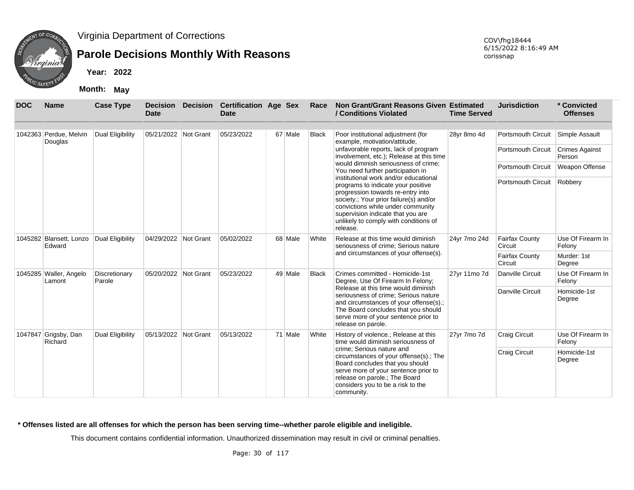

## **Parole Decisions Monthly With Reasons**

**Year: 2022**

**Month: May**

| <b>DOC</b>                        | <b>Name</b>                       | <b>Case Type</b>        | <b>Decision</b><br><b>Date</b> | Decision Certification Age Sex<br><b>Date</b> |         | Race                                                                        | Non Grant/Grant Reasons Given Estimated<br>/ Conditions Violated                                                                                                                                                                                                                          | <b>Time Served</b>               | <b>Jurisdiction</b>              | * Convicted<br><b>Offenses</b>  |
|-----------------------------------|-----------------------------------|-------------------------|--------------------------------|-----------------------------------------------|---------|-----------------------------------------------------------------------------|-------------------------------------------------------------------------------------------------------------------------------------------------------------------------------------------------------------------------------------------------------------------------------------------|----------------------------------|----------------------------------|---------------------------------|
|                                   | 1042363 Perdue, Melvin<br>Douglas | Dual Eligibility        | 05/21/2022 Not Grant           | 05/23/2022                                    | 67 Male | <b>Black</b>                                                                | Poor institutional adjustment (for<br>example, motivation/attitude,                                                                                                                                                                                                                       | 28yr 8mo 4d                      | <b>Portsmouth Circuit</b>        | Simple Assault                  |
|                                   |                                   |                         |                                |                                               |         |                                                                             | unfavorable reports, lack of program<br>involvement, etc.); Release at this time                                                                                                                                                                                                          |                                  | <b>Portsmouth Circuit</b>        | <b>Crimes Against</b><br>Person |
|                                   |                                   |                         |                                |                                               |         |                                                                             | would diminish seriousness of crime:<br>You need further participation in                                                                                                                                                                                                                 |                                  | <b>Portsmouth Circuit</b>        | Weapon Offense                  |
|                                   |                                   |                         |                                |                                               |         |                                                                             | institutional work and/or educational<br>programs to indicate your positive<br>progression towards re-entry into<br>society.; Your prior failure(s) and/or<br>convictions while under community<br>supervision indicate that you are<br>unlikely to comply with conditions of<br>release. |                                  | Portsmouth Circuit Robbery       |                                 |
| 1045282 Blansett, Lonzo<br>Edward | <b>Dual Eligibility</b>           | 04/29/2022 Not Grant    | 05/02/2022                     | 68 Male                                       | White   | Release at this time would diminish<br>seriousness of crime; Serious nature | 24yr 7mo 24d                                                                                                                                                                                                                                                                              | <b>Fairfax County</b><br>Circuit | Use Of Firearm In<br>Felony      |                                 |
|                                   |                                   |                         |                                |                                               |         |                                                                             | and circumstances of your offense(s).                                                                                                                                                                                                                                                     |                                  | <b>Fairfax County</b><br>Circuit | Murder: 1st<br>Degree           |
|                                   | 1045285 Waller, Angelo<br>Lamont  | Discretionary<br>Parole | 05/20/2022 Not Grant           | 05/23/2022                                    | 49 Male | <b>Black</b>                                                                | Crimes committed - Homicide-1st<br>Degree, Use Of Firearm In Felony;                                                                                                                                                                                                                      | 27yr 11mo 7d                     | Danville Circuit                 | Use Of Firearm In<br>Felony     |
|                                   |                                   |                         |                                |                                               |         |                                                                             | Release at this time would diminish<br>seriousness of crime; Serious nature<br>and circumstances of your offense(s).;<br>The Board concludes that you should<br>serve more of your sentence prior to<br>release on parole.                                                                |                                  | Danville Circuit                 | Homicide-1st<br>Degree          |
| 1047847                           | Grigsby, Dan<br>Richard           | Dual Eligibility        | 05/13/2022 Not Grant           | 05/13/2022                                    | 71 Male | White                                                                       | History of violence.; Release at this<br>time would diminish seriousness of                                                                                                                                                                                                               | 27yr 7mo 7d                      | <b>Craig Circuit</b>             | Use Of Firearm In<br>Felony     |
|                                   |                                   |                         |                                |                                               |         |                                                                             | crime; Serious nature and<br>circumstances of your offense(s).; The<br>Board concludes that you should<br>serve more of your sentence prior to<br>release on parole.; The Board<br>considers you to be a risk to the<br>community.                                                        |                                  | <b>Craig Circuit</b>             | Homicide-1st<br>Degree          |

#### **\* Offenses listed are all offenses for which the person has been serving time--whether parole eligible and ineligible.**

This document contains confidential information. Unauthorized dissemination may result in civil or criminal penalties.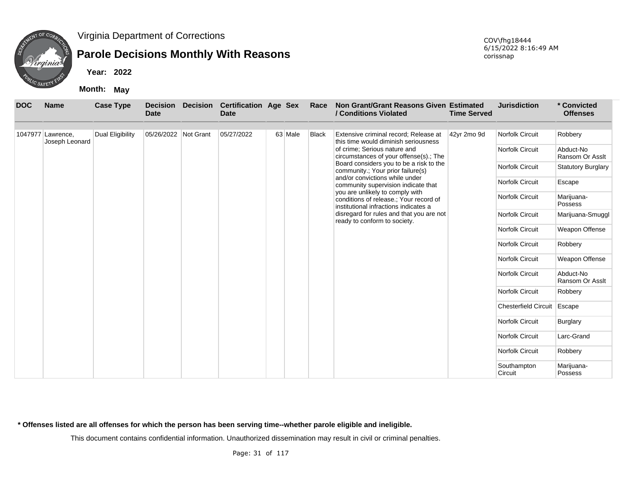

## **Parole Decisions Monthly With Reasons**

**Year: 2022**

**Month: May**

| <b>DOC</b> | <b>Name</b>       | <b>Case Type</b> | <b>Decision</b><br><b>Date</b> | <b>Decision</b> | <b>Certification Age Sex</b><br><b>Date</b> |         | Race         | Non Grant/Grant Reasons Given Estimated<br>/ Conditions Violated                                                   | <b>Time Served</b> | <b>Jurisdiction</b>         | * Convicted<br><b>Offenses</b> |
|------------|-------------------|------------------|--------------------------------|-----------------|---------------------------------------------|---------|--------------|--------------------------------------------------------------------------------------------------------------------|--------------------|-----------------------------|--------------------------------|
|            | 1047977 Lawrence, | Dual Eligibility | 05/26/2022 Not Grant           |                 | 05/27/2022                                  | 63 Male | <b>Black</b> | Extensive criminal record; Release at                                                                              | 42yr 2mo 9d        | Norfolk Circuit             | Robbery                        |
|            | Joseph Leonard    |                  |                                |                 |                                             |         |              | this time would diminish seriousness                                                                               |                    |                             |                                |
|            |                   |                  |                                |                 |                                             |         |              | of crime; Serious nature and<br>circumstances of your offense(s).; The                                             |                    | Norfolk Circuit             | Abduct-No<br>Ransom Or Asslt   |
|            |                   |                  |                                |                 |                                             |         |              | Board considers you to be a risk to the<br>community.; Your prior failure(s)                                       |                    | Norfolk Circuit             | <b>Statutory Burglary</b>      |
|            |                   |                  |                                |                 |                                             |         |              | and/or convictions while under<br>community supervision indicate that                                              |                    | Norfolk Circuit             | Escape                         |
|            |                   |                  |                                |                 |                                             |         |              | you are unlikely to comply with<br>conditions of release.; Your record of<br>institutional infractions indicates a |                    | Norfolk Circuit             | Marijuana-<br>Possess          |
|            |                   |                  |                                |                 |                                             |         |              | disregard for rules and that you are not<br>ready to conform to society.                                           |                    | Norfolk Circuit             | Marijuana-Smuggl               |
|            |                   |                  |                                |                 |                                             |         |              |                                                                                                                    |                    | Norfolk Circuit             | Weapon Offense                 |
|            |                   |                  |                                |                 |                                             |         |              |                                                                                                                    |                    | Norfolk Circuit             | Robbery                        |
|            |                   |                  |                                |                 |                                             |         |              |                                                                                                                    |                    | Norfolk Circuit             | Weapon Offense                 |
|            |                   |                  |                                |                 |                                             |         |              |                                                                                                                    |                    | Norfolk Circuit             | Abduct-No<br>Ransom Or Asslt   |
|            |                   |                  |                                |                 |                                             |         |              |                                                                                                                    |                    | Norfolk Circuit             | Robbery                        |
|            |                   |                  |                                |                 |                                             |         |              |                                                                                                                    |                    | <b>Chesterfield Circuit</b> | Escape                         |
|            |                   |                  |                                |                 |                                             |         |              |                                                                                                                    |                    | Norfolk Circuit             | <b>Burglary</b>                |
|            |                   |                  |                                |                 |                                             |         |              |                                                                                                                    |                    | Norfolk Circuit             | Larc-Grand                     |
|            |                   |                  |                                |                 |                                             |         |              |                                                                                                                    |                    | Norfolk Circuit             | Robbery                        |
|            |                   |                  |                                |                 |                                             |         |              |                                                                                                                    |                    | Southampton<br>Circuit      | Marijuana-<br>Possess          |

**\* Offenses listed are all offenses for which the person has been serving time--whether parole eligible and ineligible.**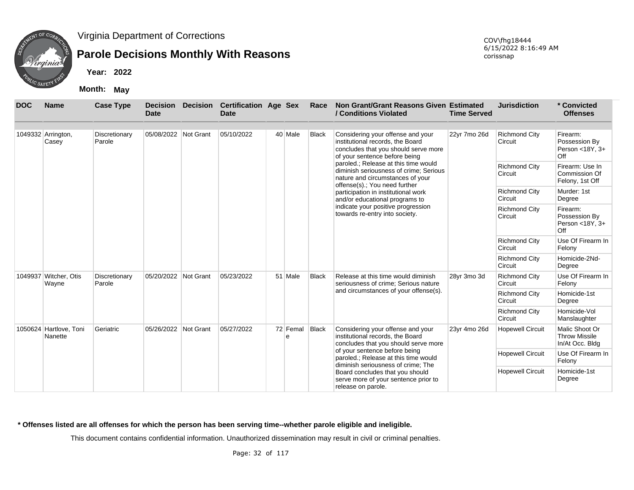

## **Parole Decisions Monthly With Reasons**

**Year: 2022**

**Month: May**

| <b>DOC</b> | <b>Name</b>                       | <b>Case Type</b>        | <b>Decision</b><br><b>Date</b> | <b>Decision</b> | <b>Certification Age Sex</b><br><b>Date</b> |               | Race                            | Non Grant/Grant Reasons Given Estimated<br>/ Conditions Violated                                                                                    | <b>Time Served</b> | <b>Jurisdiction</b>             | * Convicted<br><b>Offenses</b>                            |
|------------|-----------------------------------|-------------------------|--------------------------------|-----------------|---------------------------------------------|---------------|---------------------------------|-----------------------------------------------------------------------------------------------------------------------------------------------------|--------------------|---------------------------------|-----------------------------------------------------------|
|            | 1049332 Arrington,<br>Casey       | Discretionary<br>Parole | 05/08/2022 Not Grant           |                 | 05/10/2022                                  | 40 Male       | <b>Black</b>                    | Considering your offense and your<br>institutional records, the Board<br>concludes that you should serve more<br>of your sentence before being      | 22yr 7mo 26d       | <b>Richmond City</b><br>Circuit | Firearm:<br>Possession By<br>Person <18Y, 3+<br>Off       |
|            |                                   |                         |                                |                 |                                             |               |                                 | paroled.; Release at this time would<br>diminish seriousness of crime; Serious<br>nature and circumstances of your<br>offense(s).; You need further |                    | <b>Richmond City</b><br>Circuit | Firearm: Use In<br>Commission Of<br>Felony, 1st Off       |
|            |                                   |                         |                                |                 |                                             |               |                                 | participation in institutional work<br>and/or educational programs to                                                                               |                    | <b>Richmond City</b><br>Circuit | Murder: 1st<br>Degree                                     |
|            |                                   |                         |                                |                 |                                             |               |                                 | indicate your positive progression<br>towards re-entry into society.                                                                                |                    | <b>Richmond City</b><br>Circuit | Firearm:<br>Possession By<br>Person < $18Y, 3+$<br>Off    |
|            |                                   |                         |                                |                 |                                             |               | <b>Richmond City</b><br>Circuit | Use Of Firearm In<br>Felony                                                                                                                         |                    |                                 |                                                           |
|            |                                   |                         |                                |                 |                                             |               |                                 |                                                                                                                                                     |                    | <b>Richmond City</b><br>Circuit | Homicide-2Nd-<br>Degree                                   |
|            | 1049937 Witcher, Otis<br>Wayne    | Discretionary<br>Parole | 05/20/2022                     | Not Grant       | 05/23/2022                                  | 51 Male       | <b>Black</b>                    | Release at this time would diminish<br>seriousness of crime; Serious nature                                                                         | 28yr 3mo 3d        | <b>Richmond City</b><br>Circuit | Use Of Firearm In<br>Felony                               |
|            |                                   |                         |                                |                 |                                             |               |                                 | and circumstances of your offense(s).                                                                                                               |                    | <b>Richmond City</b><br>Circuit | Homicide-1st<br>Degree                                    |
|            |                                   |                         |                                |                 |                                             |               |                                 |                                                                                                                                                     |                    | <b>Richmond City</b><br>Circuit | Homicide-Vol<br>Manslaughter                              |
|            | 1050624 Hartlove, Toni<br>Nanette | Geriatric               | 05/26/2022 Not Grant           |                 | 05/27/2022                                  | 72 Femal<br>e | <b>Black</b>                    | Considering your offense and your<br>institutional records, the Board<br>concludes that you should serve more                                       | 23yr 4mo 26d       | <b>Hopewell Circuit</b>         | Malic Shoot Or<br><b>Throw Missile</b><br>In/At Occ. Bldg |
|            |                                   |                         |                                |                 |                                             |               |                                 | of your sentence before being<br>paroled.; Release at this time would<br>diminish seriousness of crime; The                                         |                    | <b>Hopewell Circuit</b>         | Use Of Firearm In<br>Felony                               |
|            |                                   |                         |                                |                 |                                             |               |                                 | Board concludes that you should<br>serve more of your sentence prior to<br>release on parole.                                                       |                    | <b>Hopewell Circuit</b>         | Homicide-1st<br>Degree                                    |

#### **\* Offenses listed are all offenses for which the person has been serving time--whether parole eligible and ineligible.**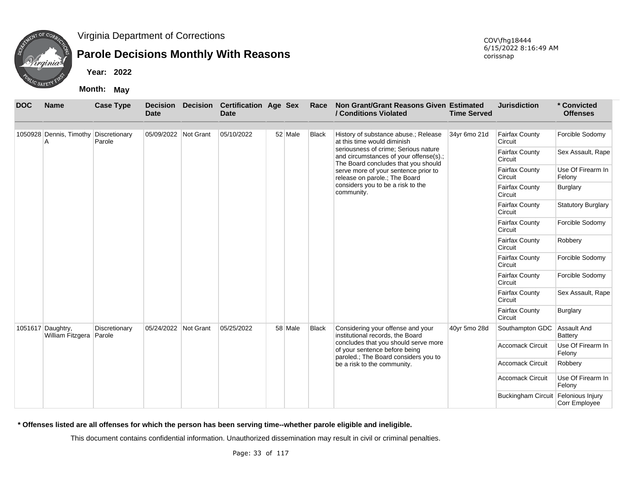

# **Parole Decisions Monthly With Reasons**

**Year: 2022**

**Month: May**

| <b>DOC</b> | <b>Name</b>                                | <b>Case Type</b>        | <b>Decision</b><br><b>Date</b> | <b>Decision</b> | <b>Certification Age Sex</b><br><b>Date</b> |         | Race         | Non Grant/Grant Reasons Given Estimated<br>/ Conditions Violated                                                      | <b>Time Served</b> | <b>Jurisdiction</b>              | * Convicted<br><b>Offenses</b>    |
|------------|--------------------------------------------|-------------------------|--------------------------------|-----------------|---------------------------------------------|---------|--------------|-----------------------------------------------------------------------------------------------------------------------|--------------------|----------------------------------|-----------------------------------|
|            | 1050928 Dennis, Timothy Discretionary<br>А | Parole                  | 05/09/2022 Not Grant           |                 | 05/10/2022                                  | 52 Male | <b>Black</b> | History of substance abuse.; Release<br>at this time would diminish                                                   | 34yr 6mo 21d       | <b>Fairfax County</b><br>Circuit | Forcible Sodomy                   |
|            |                                            |                         |                                |                 |                                             |         |              | seriousness of crime: Serious nature<br>and circumstances of your offense(s).;<br>The Board concludes that you should |                    | <b>Fairfax County</b><br>Circuit | Sex Assault, Rape                 |
|            |                                            |                         |                                |                 |                                             |         |              | serve more of your sentence prior to<br>release on parole.; The Board                                                 |                    | <b>Fairfax County</b><br>Circuit | Use Of Firearm In<br>Felony       |
|            |                                            |                         |                                |                 |                                             |         |              | considers you to be a risk to the<br>community.                                                                       |                    | <b>Fairfax County</b><br>Circuit | Burglary                          |
|            |                                            |                         |                                |                 |                                             |         |              |                                                                                                                       |                    | <b>Fairfax County</b><br>Circuit | <b>Statutory Burglary</b>         |
|            |                                            |                         |                                |                 |                                             |         |              |                                                                                                                       |                    | <b>Fairfax County</b><br>Circuit | Forcible Sodomy                   |
|            |                                            |                         |                                |                 |                                             |         |              |                                                                                                                       |                    | <b>Fairfax County</b><br>Circuit | Robbery                           |
|            |                                            |                         |                                |                 |                                             |         |              |                                                                                                                       |                    | <b>Fairfax County</b><br>Circuit | Forcible Sodomy                   |
|            |                                            |                         |                                |                 |                                             |         |              |                                                                                                                       |                    | <b>Fairfax County</b><br>Circuit | Forcible Sodomy                   |
|            |                                            |                         |                                |                 |                                             |         |              |                                                                                                                       |                    | <b>Fairfax County</b><br>Circuit | Sex Assault, Rape                 |
|            |                                            |                         |                                |                 |                                             |         |              |                                                                                                                       |                    | <b>Fairfax County</b><br>Circuit | <b>Burglary</b>                   |
|            | 1051617 Daughtry,<br>William Fitzgera      | Discretionary<br>Parole | 05/24/2022 Not Grant           |                 | 05/25/2022                                  | 58 Male | <b>Black</b> | Considering your offense and your<br>institutional records, the Board                                                 | 40yr 5mo 28d       | Southampton GDC                  | Assault And<br>Battery            |
|            |                                            |                         |                                |                 |                                             |         |              | concludes that you should serve more<br>of your sentence before being                                                 |                    | <b>Accomack Circuit</b>          | Use Of Firearm In<br>Felony       |
|            |                                            |                         |                                |                 |                                             |         |              | paroled.; The Board considers you to<br>be a risk to the community.                                                   |                    | <b>Accomack Circuit</b>          | Robbery                           |
|            |                                            |                         |                                |                 |                                             |         |              |                                                                                                                       |                    | <b>Accomack Circuit</b>          | Use Of Firearm In<br>Felony       |
|            |                                            |                         |                                |                 |                                             |         |              |                                                                                                                       |                    | <b>Buckingham Circuit</b>        | Felonious Injury<br>Corr Employee |

**\* Offenses listed are all offenses for which the person has been serving time--whether parole eligible and ineligible.**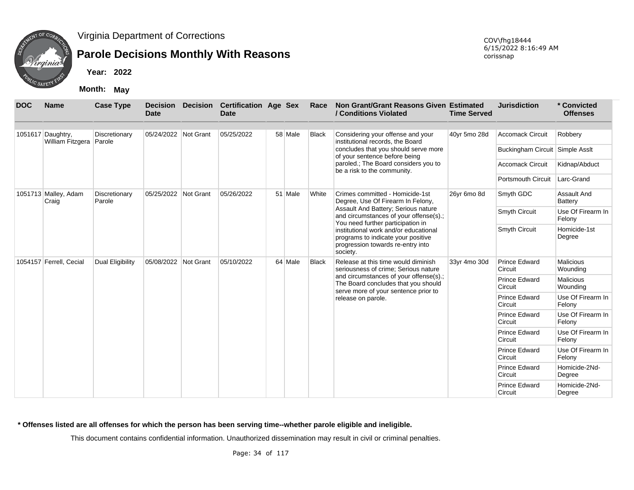

# **Parole Decisions Monthly With Reasons**

**Year: 2022**

**Month: May**

| <b>DOC</b> | <b>Name</b>                                  | <b>Case Type</b>        | <b>Decision</b><br><b>Date</b> | <b>Decision</b> | <b>Certification Age Sex</b><br><b>Date</b> |         | Race         | Non Grant/Grant Reasons Given Estimated<br>/ Conditions Violated                                                                                                                                                                                   | <b>Time Served</b> | <b>Jurisdiction</b>             | * Convicted<br><b>Offenses</b> |
|------------|----------------------------------------------|-------------------------|--------------------------------|-----------------|---------------------------------------------|---------|--------------|----------------------------------------------------------------------------------------------------------------------------------------------------------------------------------------------------------------------------------------------------|--------------------|---------------------------------|--------------------------------|
|            | 1051617 Daughtry,<br>William Fitzgera Parole | Discretionary           | 05/24/2022 Not Grant           |                 | 05/25/2022                                  | 58 Male | <b>Black</b> | Considering your offense and your<br>institutional records, the Board                                                                                                                                                                              | 40yr 5mo 28d       | <b>Accomack Circuit</b>         | Robbery                        |
|            |                                              |                         |                                |                 |                                             |         |              | concludes that you should serve more<br>of your sentence before being                                                                                                                                                                              |                    | Buckingham Circuit Simple Asslt |                                |
|            |                                              |                         |                                |                 |                                             |         |              | paroled.; The Board considers you to<br>be a risk to the community.                                                                                                                                                                                |                    | <b>Accomack Circuit</b>         | Kidnap/Abduct                  |
|            |                                              |                         |                                |                 |                                             |         |              |                                                                                                                                                                                                                                                    |                    | Portsmouth Circuit              | Larc-Grand                     |
|            | 1051713 Malley, Adam<br>Craig                | Discretionary<br>Parole | 05/25/2022                     | Not Grant       | 05/26/2022                                  | 51 Male | White        | Crimes committed - Homicide-1st<br>Degree, Use Of Firearm In Felony,                                                                                                                                                                               | 26yr 6mo 8d        | Smyth GDC                       | Assault And<br>Battery         |
|            |                                              |                         |                                |                 |                                             |         |              | Assault And Battery; Serious nature<br>and circumstances of your offense(s).;<br>You need further participation in<br>institutional work and/or educational<br>programs to indicate your positive<br>progression towards re-entry into<br>society. |                    | <b>Smyth Circuit</b>            | Use Of Firearm In<br>Felony    |
|            |                                              |                         |                                |                 |                                             |         |              |                                                                                                                                                                                                                                                    |                    | <b>Smyth Circuit</b>            | Homicide-1st<br>Degree         |
|            | 1054157 Ferrell, Cecial                      | Dual Eligibility        | 05/08/2022 Not Grant           |                 | 05/10/2022                                  | 64 Male | <b>Black</b> | Release at this time would diminish<br>seriousness of crime; Serious nature                                                                                                                                                                        | 33yr 4mo 30d       | <b>Prince Edward</b><br>Circuit | <b>Malicious</b><br>Wounding   |
|            |                                              |                         |                                |                 |                                             |         |              | and circumstances of your offense(s).;<br>The Board concludes that you should                                                                                                                                                                      |                    | <b>Prince Edward</b><br>Circuit | <b>Malicious</b><br>Wounding   |
|            |                                              |                         |                                |                 |                                             |         |              | serve more of your sentence prior to<br>release on parole.                                                                                                                                                                                         |                    | <b>Prince Edward</b><br>Circuit | Use Of Firearm In<br>Felony    |
|            |                                              |                         |                                |                 |                                             |         |              |                                                                                                                                                                                                                                                    |                    | <b>Prince Edward</b><br>Circuit | Use Of Firearm In<br>Felony    |
|            |                                              |                         |                                |                 |                                             |         |              |                                                                                                                                                                                                                                                    |                    | <b>Prince Edward</b><br>Circuit | Use Of Firearm In<br>Felony    |
|            |                                              |                         |                                |                 |                                             |         |              |                                                                                                                                                                                                                                                    |                    | <b>Prince Edward</b><br>Circuit | Use Of Firearm In<br>Felony    |
|            |                                              |                         |                                |                 |                                             |         |              |                                                                                                                                                                                                                                                    |                    | <b>Prince Edward</b><br>Circuit | Homicide-2Nd-<br>Degree        |
|            |                                              |                         |                                |                 |                                             |         |              |                                                                                                                                                                                                                                                    |                    | <b>Prince Edward</b><br>Circuit | Homicide-2Nd-<br>Degree        |

**\* Offenses listed are all offenses for which the person has been serving time--whether parole eligible and ineligible.**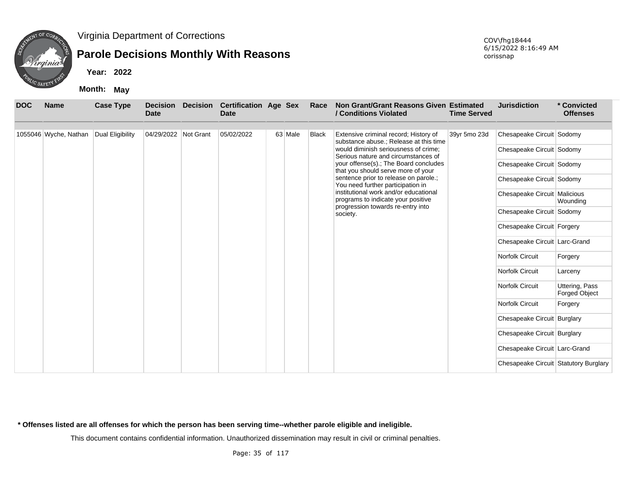

## **Parole Decisions Monthly With Reasons**

**Year: 2022**

**Month: May**

| <b>DOC</b> | <b>Name</b>           | <b>Case Type</b> | <b>Decision</b><br><b>Date</b> | <b>Decision</b> | <b>Certification Age Sex</b><br><b>Date</b> |                                               | Race         | Non Grant/Grant Reasons Given Estimated<br>/ Conditions Violated                | <b>Time Served</b> | <b>Jurisdiction</b>                   | * Convicted<br><b>Offenses</b>         |
|------------|-----------------------|------------------|--------------------------------|-----------------|---------------------------------------------|-----------------------------------------------|--------------|---------------------------------------------------------------------------------|--------------------|---------------------------------------|----------------------------------------|
|            | 1055046 Wyche, Nathan | Dual Eligibility | 04/29/2022 Not Grant           |                 | 05/02/2022                                  | 63 Male                                       | <b>Black</b> | Extensive criminal record; History of<br>substance abuse.; Release at this time | 39yr 5mo 23d       | Chesapeake Circuit Sodomy             |                                        |
|            |                       |                  |                                |                 |                                             |                                               |              | would diminish seriousness of crime:<br>Serious nature and circumstances of     |                    | Chesapeake Circuit Sodomy             |                                        |
|            |                       |                  |                                |                 |                                             |                                               |              | your offense(s).; The Board concludes<br>that you should serve more of your     |                    | Chesapeake Circuit Sodomy             |                                        |
|            |                       |                  |                                |                 |                                             |                                               |              | sentence prior to release on parole.;<br>You need further participation in      |                    | Chesapeake Circuit Sodomy             |                                        |
|            |                       |                  |                                |                 |                                             |                                               |              | institutional work and/or educational<br>programs to indicate your positive     |                    | Chesapeake Circuit Malicious          | Wounding                               |
|            |                       |                  |                                |                 |                                             | progression towards re-entry into<br>society. |              | Chesapeake Circuit Sodomy                                                       |                    |                                       |                                        |
|            |                       |                  |                                |                 |                                             |                                               |              |                                                                                 |                    | Chesapeake Circuit Forgery            |                                        |
|            |                       |                  |                                |                 |                                             |                                               |              |                                                                                 |                    | Chesapeake Circuit Larc-Grand         |                                        |
|            |                       |                  |                                |                 |                                             |                                               |              |                                                                                 |                    | Norfolk Circuit                       | Forgery                                |
|            |                       |                  |                                |                 |                                             |                                               |              |                                                                                 |                    | Norfolk Circuit                       | Larceny                                |
|            |                       |                  |                                |                 |                                             |                                               |              |                                                                                 |                    | Norfolk Circuit                       | Uttering, Pass<br><b>Forged Object</b> |
|            |                       |                  |                                |                 |                                             |                                               |              |                                                                                 |                    | <b>Norfolk Circuit</b>                | Forgery                                |
|            |                       |                  |                                |                 |                                             |                                               |              |                                                                                 |                    | Chesapeake Circuit Burglary           |                                        |
|            |                       |                  |                                |                 |                                             |                                               |              |                                                                                 |                    | Chesapeake Circuit Burglary           |                                        |
|            |                       |                  |                                |                 |                                             |                                               |              |                                                                                 |                    | Chesapeake Circuit Larc-Grand         |                                        |
|            |                       |                  |                                |                 |                                             |                                               |              |                                                                                 |                    | Chesapeake Circuit Statutory Burglary |                                        |

**\* Offenses listed are all offenses for which the person has been serving time--whether parole eligible and ineligible.**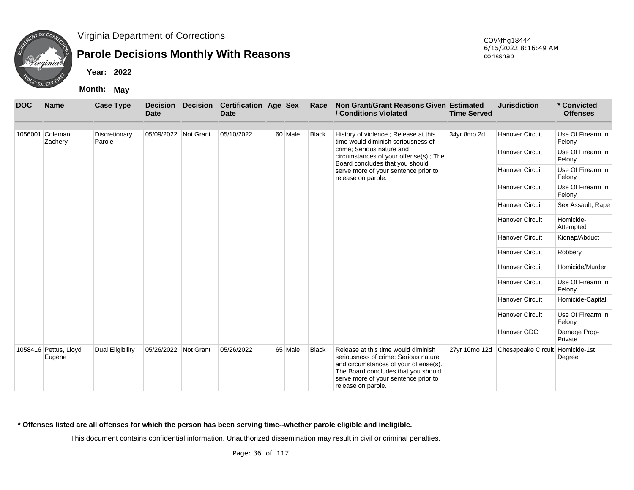

## **Parole Decisions Monthly With Reasons**

**Year: 2022**

**Month: May**

| <b>DOC</b> | <b>Name</b>                     | <b>Case Type</b>        | <b>Decision</b><br><b>Date</b> | <b>Decision</b> | <b>Certification Age Sex</b><br><b>Date</b> |         | Race         | Non Grant/Grant Reasons Given Estimated<br>/ Conditions Violated                                                                                                                                                           | <b>Time Served</b> | <b>Jurisdiction</b>    | * Convicted<br><b>Offenses</b> |
|------------|---------------------------------|-------------------------|--------------------------------|-----------------|---------------------------------------------|---------|--------------|----------------------------------------------------------------------------------------------------------------------------------------------------------------------------------------------------------------------------|--------------------|------------------------|--------------------------------|
|            | 1056001 Coleman,<br>Zachery     | Discretionary<br>Parole | 05/09/2022 Not Grant           |                 | 05/10/2022                                  | 60 Male | <b>Black</b> | History of violence.; Release at this<br>time would diminish seriousness of                                                                                                                                                | 34yr 8mo 2d        | <b>Hanover Circuit</b> | Use Of Firearm In<br>Felony    |
|            |                                 |                         |                                |                 |                                             |         |              | crime; Serious nature and<br>circumstances of your offense(s).; The<br>Board concludes that you should                                                                                                                     |                    | <b>Hanover Circuit</b> | Use Of Firearm In<br>Felony    |
|            |                                 |                         |                                |                 |                                             |         |              | serve more of your sentence prior to<br>release on parole.                                                                                                                                                                 |                    | <b>Hanover Circuit</b> | Use Of Firearm In<br>Felony    |
|            |                                 |                         |                                |                 |                                             |         |              |                                                                                                                                                                                                                            |                    | <b>Hanover Circuit</b> | Use Of Firearm In<br>Felony    |
|            |                                 |                         |                                |                 |                                             |         |              |                                                                                                                                                                                                                            |                    | <b>Hanover Circuit</b> | Sex Assault, Rape              |
|            |                                 |                         |                                |                 |                                             |         |              |                                                                                                                                                                                                                            |                    | <b>Hanover Circuit</b> | Homicide-<br>Attempted         |
|            |                                 |                         |                                |                 |                                             |         |              |                                                                                                                                                                                                                            |                    | <b>Hanover Circuit</b> | Kidnap/Abduct                  |
|            |                                 |                         |                                |                 |                                             |         |              |                                                                                                                                                                                                                            |                    | <b>Hanover Circuit</b> | Robbery                        |
|            |                                 |                         |                                |                 |                                             |         |              |                                                                                                                                                                                                                            |                    | <b>Hanover Circuit</b> | Homicide/Murder                |
|            |                                 |                         |                                |                 |                                             |         |              |                                                                                                                                                                                                                            |                    | <b>Hanover Circuit</b> | Use Of Firearm In<br>Felony    |
|            |                                 |                         |                                |                 |                                             |         |              |                                                                                                                                                                                                                            |                    | <b>Hanover Circuit</b> | Homicide-Capital               |
|            |                                 |                         |                                |                 |                                             |         |              |                                                                                                                                                                                                                            |                    | <b>Hanover Circuit</b> | Use Of Firearm In<br>Felony    |
|            |                                 |                         |                                |                 |                                             |         |              |                                                                                                                                                                                                                            |                    | Hanover GDC            | Damage Prop-<br>Private        |
|            | 1058416 Pettus, Lloyd<br>Eugene | Dual Eligibility        | 05/26/2022                     | Not Grant       | 05/26/2022                                  | 65 Male | <b>Black</b> | Release at this time would diminish<br>seriousness of crime; Serious nature<br>and circumstances of your offense(s).;<br>The Board concludes that you should<br>serve more of your sentence prior to<br>release on parole. | 27yr 10mo 12d      | Chesapeake Circuit     | Homicide-1st<br>Degree         |

#### **\* Offenses listed are all offenses for which the person has been serving time--whether parole eligible and ineligible.**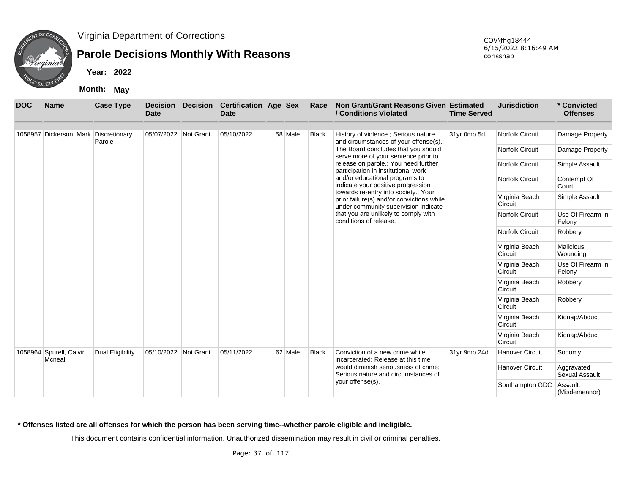

## **Parole Decisions Monthly With Reasons**

**Year: 2022**

**Month: May**

| <b>DOC</b> | <b>Name</b>                           | <b>Case Type</b>        | <b>Decision</b><br><b>Date</b> | <b>Decision</b> | <b>Certification Age Sex</b><br>Date |         | Race                                                           | Non Grant/Grant Reasons Given Estimated<br>/ Conditions Violated                                                          | <b>Time Served</b>     | <b>Jurisdiction</b>         | * Convicted<br><b>Offenses</b>      |
|------------|---------------------------------------|-------------------------|--------------------------------|-----------------|--------------------------------------|---------|----------------------------------------------------------------|---------------------------------------------------------------------------------------------------------------------------|------------------------|-----------------------------|-------------------------------------|
|            | 1058957 Dickerson, Mark Discretionary | Parole                  | 05/07/2022 Not Grant           |                 | 05/10/2022                           | 58 Male | <b>Black</b>                                                   | History of violence.; Serious nature<br>and circumstances of your offense(s).;                                            | 31yr 0mo 5d            | Norfolk Circuit             | Damage Property                     |
|            |                                       |                         |                                |                 |                                      |         |                                                                | The Board concludes that you should<br>serve more of your sentence prior to                                               |                        | Norfolk Circuit             | Damage Property                     |
|            |                                       |                         |                                |                 |                                      |         |                                                                | release on parole.; You need further<br>participation in institutional work                                               |                        | Norfolk Circuit             | Simple Assault                      |
|            |                                       |                         |                                |                 |                                      |         |                                                                | and/or educational programs to<br>indicate your positive progression                                                      |                        | <b>Norfolk Circuit</b>      | Contempt Of<br>Court                |
|            |                                       |                         |                                |                 |                                      |         |                                                                | towards re-entry into society.; Your<br>prior failure(s) and/or convictions while<br>under community supervision indicate |                        | Virginia Beach<br>Circuit   | Simple Assault                      |
|            |                                       |                         |                                |                 |                                      |         | that you are unlikely to comply with<br>conditions of release. |                                                                                                                           | <b>Norfolk Circuit</b> | Use Of Firearm In<br>Felony |                                     |
|            |                                       |                         |                                |                 |                                      |         |                                                                |                                                                                                                           |                        | Norfolk Circuit             | Robbery                             |
|            |                                       |                         |                                |                 |                                      |         |                                                                |                                                                                                                           |                        | Virginia Beach<br>Circuit   | <b>Malicious</b><br>Wounding        |
|            |                                       |                         |                                |                 |                                      |         |                                                                |                                                                                                                           |                        | Virginia Beach<br>Circuit   | Use Of Firearm In<br>Felony         |
|            |                                       |                         |                                |                 |                                      |         |                                                                |                                                                                                                           |                        | Virginia Beach<br>Circuit   | Robbery                             |
|            |                                       |                         |                                |                 |                                      |         |                                                                |                                                                                                                           |                        | Virginia Beach<br>Circuit   | Robbery                             |
|            |                                       |                         |                                |                 |                                      |         |                                                                |                                                                                                                           |                        | Virginia Beach<br>Circuit   | Kidnap/Abduct                       |
|            |                                       |                         |                                |                 |                                      |         |                                                                |                                                                                                                           |                        | Virginia Beach<br>Circuit   | Kidnap/Abduct                       |
|            | 1058964 Spurell, Calvin<br>Mcneal     | <b>Dual Eligibility</b> | 05/10/2022 Not Grant           |                 | 05/11/2022                           | 62 Male | <b>Black</b>                                                   | Conviction of a new crime while<br>incarcerated; Release at this time                                                     | 31yr 9mo 24d           | <b>Hanover Circuit</b>      | Sodomy                              |
|            |                                       |                         |                                |                 |                                      |         |                                                                | would diminish seriousness of crime;<br>Serious nature and circumstances of                                               |                        | <b>Hanover Circuit</b>      | Aggravated<br><b>Sexual Assault</b> |
|            |                                       |                         |                                |                 |                                      |         |                                                                | your offense(s).                                                                                                          |                        | Southampton GDC             | Assault:<br>(Misdemeanor)           |

**\* Offenses listed are all offenses for which the person has been serving time--whether parole eligible and ineligible.**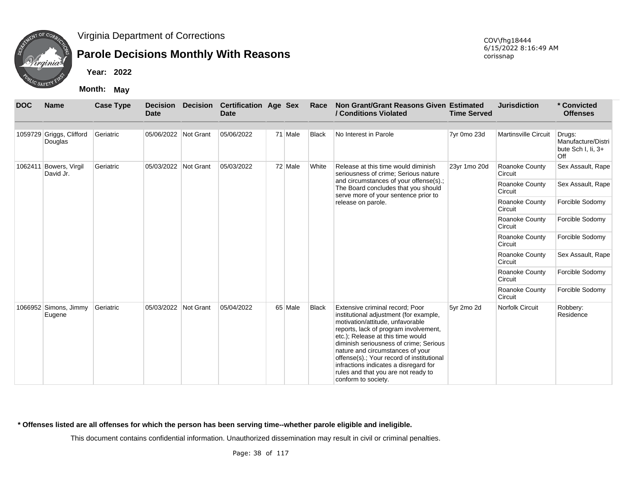

## **Parole Decisions Monthly With Reasons**

**Year: 2022**

**Month: May**

| <b>DOC</b> | <b>Name</b>                         | <b>Case Type</b> | Date                 | <b>Decision Decision</b> | <b>Certification Age Sex</b><br><b>Date</b> |         | Race         | Non Grant/Grant Reasons Given Estimated<br>/ Conditions Violated                                                                                                                                                                                                                                                                                                                                                              | <b>Time Served</b> | <b>Jurisdiction</b>         | * Convicted<br><b>Offenses</b>                            |
|------------|-------------------------------------|------------------|----------------------|--------------------------|---------------------------------------------|---------|--------------|-------------------------------------------------------------------------------------------------------------------------------------------------------------------------------------------------------------------------------------------------------------------------------------------------------------------------------------------------------------------------------------------------------------------------------|--------------------|-----------------------------|-----------------------------------------------------------|
|            | 1059729 Griggs, Clifford<br>Douglas | Geriatric        | 05/06/2022 Not Grant |                          | 05/06/2022                                  | 71 Male | <b>Black</b> | No Interest in Parole                                                                                                                                                                                                                                                                                                                                                                                                         | 7yr 0mo 23d        | <b>Martinsville Circuit</b> | Drugs:<br>Manufacture/Distri<br>bute Sch I, Ii, 3+<br>Off |
|            | 1062411 Bowers, Virgil<br>David Jr. | Geriatric        | 05/03/2022 Not Grant |                          | 05/03/2022                                  | 72 Male | White        | Release at this time would diminish<br>seriousness of crime; Serious nature                                                                                                                                                                                                                                                                                                                                                   | 23yr 1mo 20d       | Roanoke County<br>Circuit   | Sex Assault, Rape                                         |
|            |                                     |                  |                      |                          |                                             |         |              | and circumstances of your offense(s).;<br>The Board concludes that you should<br>serve more of your sentence prior to                                                                                                                                                                                                                                                                                                         |                    | Roanoke County<br>Circuit   | Sex Assault, Rape                                         |
|            |                                     |                  |                      |                          |                                             |         |              | release on parole.                                                                                                                                                                                                                                                                                                                                                                                                            |                    | Roanoke County<br>Circuit   | Forcible Sodomy                                           |
|            |                                     |                  |                      |                          |                                             |         |              |                                                                                                                                                                                                                                                                                                                                                                                                                               |                    | Roanoke County<br>Circuit   | Forcible Sodomy                                           |
|            |                                     |                  |                      |                          |                                             |         |              |                                                                                                                                                                                                                                                                                                                                                                                                                               |                    | Roanoke County<br>Circuit   | Forcible Sodomy                                           |
|            |                                     |                  |                      |                          |                                             |         |              |                                                                                                                                                                                                                                                                                                                                                                                                                               |                    | Roanoke County<br>Circuit   | Sex Assault, Rape                                         |
|            |                                     |                  |                      |                          |                                             |         |              |                                                                                                                                                                                                                                                                                                                                                                                                                               |                    | Roanoke County<br>Circuit   | Forcible Sodomy                                           |
|            |                                     |                  |                      |                          |                                             |         |              |                                                                                                                                                                                                                                                                                                                                                                                                                               |                    | Roanoke County<br>Circuit   | Forcible Sodomy                                           |
|            | 1066952 Simons, Jimmy<br>Eugene     | Geriatric        | 05/03/2022 Not Grant |                          | 05/04/2022                                  | 65 Male | <b>Black</b> | Extensive criminal record; Poor<br>institutional adjustment (for example,<br>motivation/attitude, unfavorable<br>reports, lack of program involvement,<br>etc.); Release at this time would<br>diminish seriousness of crime; Serious<br>nature and circumstances of your<br>offense(s).; Your record of institutional<br>infractions indicates a disregard for<br>rules and that you are not ready to<br>conform to society. | 5yr 2mo 2d         | Norfolk Circuit             | Robbery:<br>Residence                                     |

**\* Offenses listed are all offenses for which the person has been serving time--whether parole eligible and ineligible.**

This document contains confidential information. Unauthorized dissemination may result in civil or criminal penalties.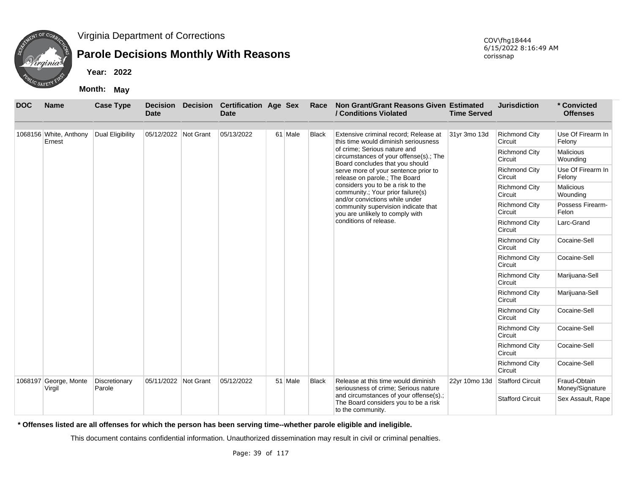

### **Parole Decisions Monthly With Reasons**

**Year: 2022**

**Month: May**

| <b>DOC</b> | <b>Name</b>                      | <b>Case Type</b>        | <b>Date</b>          | <b>Decision Decision</b> | <b>Certification Age Sex</b><br><b>Date</b> |         | Race         | Non Grant/Grant Reasons Given Estimated<br>/ Conditions Violated                                          | <b>Time Served</b>              | <b>Jurisdiction</b>             | * Convicted<br><b>Offenses</b>  |
|------------|----------------------------------|-------------------------|----------------------|--------------------------|---------------------------------------------|---------|--------------|-----------------------------------------------------------------------------------------------------------|---------------------------------|---------------------------------|---------------------------------|
|            | 1068156 White, Anthony<br>Ernest | Dual Eligibility        | 05/12/2022 Not Grant |                          | 05/13/2022                                  | 61 Male | <b>Black</b> | Extensive criminal record; Release at<br>this time would diminish seriousness                             | 31yr 3mo 13d                    | <b>Richmond City</b><br>Circuit | Use Of Firearm In<br>Felony     |
|            |                                  |                         |                      |                          |                                             |         |              | of crime; Serious nature and<br>circumstances of your offense(s).; The<br>Board concludes that you should |                                 | <b>Richmond City</b><br>Circuit | Malicious<br>Wounding           |
|            |                                  |                         |                      |                          |                                             |         |              | serve more of your sentence prior to<br>release on parole.; The Board                                     |                                 | <b>Richmond City</b><br>Circuit | Use Of Firearm In<br>Felony     |
|            |                                  |                         |                      |                          |                                             |         |              | considers you to be a risk to the<br>community.; Your prior failure(s)<br>and/or convictions while under  |                                 | <b>Richmond City</b><br>Circuit | Malicious<br>Wounding           |
|            |                                  |                         |                      |                          |                                             |         |              | community supervision indicate that<br>you are unlikely to comply with                                    |                                 | <b>Richmond City</b><br>Circuit | Possess Firearm-<br>Felon       |
|            |                                  |                         |                      |                          |                                             |         |              | conditions of release.                                                                                    |                                 | <b>Richmond City</b><br>Circuit | Larc-Grand                      |
|            |                                  |                         |                      |                          |                                             |         |              |                                                                                                           |                                 | <b>Richmond City</b><br>Circuit | Cocaine-Sell                    |
|            |                                  |                         |                      |                          |                                             |         |              |                                                                                                           |                                 | <b>Richmond City</b><br>Circuit | Cocaine-Sell                    |
|            |                                  |                         |                      |                          |                                             |         |              |                                                                                                           |                                 | <b>Richmond City</b><br>Circuit | Marijuana-Sell                  |
|            |                                  |                         |                      |                          |                                             |         |              |                                                                                                           |                                 | <b>Richmond City</b><br>Circuit | Marijuana-Sell                  |
|            |                                  |                         |                      |                          |                                             |         |              |                                                                                                           |                                 | <b>Richmond City</b><br>Circuit | Cocaine-Sell                    |
|            |                                  |                         |                      |                          |                                             |         |              |                                                                                                           |                                 | <b>Richmond City</b><br>Circuit | Cocaine-Sell                    |
|            |                                  |                         |                      |                          |                                             |         |              |                                                                                                           |                                 | <b>Richmond City</b><br>Circuit | Cocaine-Sell                    |
|            |                                  |                         |                      |                          |                                             |         |              |                                                                                                           | <b>Richmond City</b><br>Circuit | Cocaine-Sell                    |                                 |
|            | 1068197 George, Monte<br>Virgil  | Discretionary<br>Parole | 05/11/2022 Not Grant |                          | 05/12/2022                                  | 51 Male | <b>Black</b> | Release at this time would diminish<br>seriousness of crime; Serious nature                               | 22yr 10mo 13d                   | <b>Stafford Circuit</b>         | Fraud-Obtain<br>Money/Signature |
|            |                                  |                         |                      |                          |                                             |         |              | and circumstances of your offense(s).;<br>The Board considers you to be a risk<br>to the community.       |                                 | <b>Stafford Circuit</b>         | Sex Assault, Rape               |

**\* Offenses listed are all offenses for which the person has been serving time--whether parole eligible and ineligible.**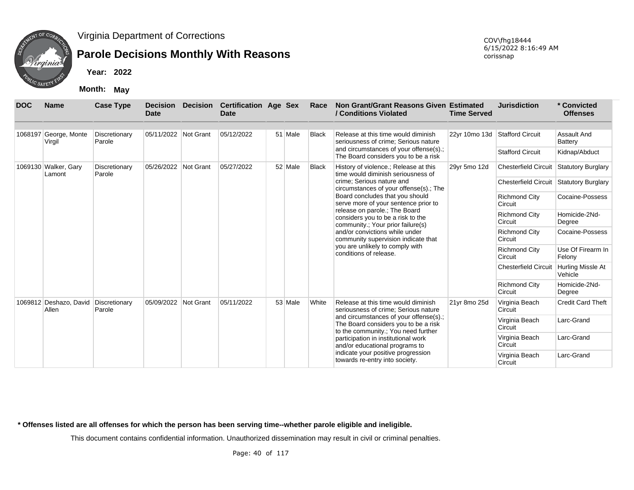

## **Parole Decisions Monthly With Reasons**

**Year: 2022**

**Month: May**

| <b>DOC</b> | <b>Name</b>                                   | <b>Case Type</b>        | <b>Decision</b><br><b>Date</b> | <b>Decision</b> | <b>Certification Age Sex</b><br>Date |         | Race         | Non Grant/Grant Reasons Given Estimated<br>/ Conditions Violated                                                      | <b>Time Served</b> | <b>Jurisdiction</b>                     | * Convicted<br><b>Offenses</b>      |
|------------|-----------------------------------------------|-------------------------|--------------------------------|-----------------|--------------------------------------|---------|--------------|-----------------------------------------------------------------------------------------------------------------------|--------------------|-----------------------------------------|-------------------------------------|
|            |                                               |                         |                                |                 |                                      |         |              |                                                                                                                       |                    |                                         |                                     |
|            | 1068197 George, Monte<br>Virgil               | Discretionary<br>Parole | 05/11/2022 Not Grant           |                 | 05/12/2022                           | 51 Male | <b>Black</b> | Release at this time would diminish<br>seriousness of crime; Serious nature                                           | 22yr 10mo 13d      | Stafford Circuit                        | Assault And<br>Battery              |
|            |                                               |                         |                                |                 |                                      |         |              | and circumstances of your offense(s).;<br>The Board considers you to be a risk                                        |                    | <b>Stafford Circuit</b>                 | Kidnap/Abduct                       |
|            | 1069130 Walker, Gary<br>Lamont                | Discretionary<br>Parole | 05/26/2022 Not Grant           |                 | 05/27/2022                           | 52 Male | <b>Black</b> | History of violence.; Release at this<br>time would diminish seriousness of                                           | 29yr 5mo 12d       | Chesterfield Circuit Statutory Burglary |                                     |
|            |                                               |                         |                                |                 |                                      |         |              | crime: Serious nature and<br>circumstances of your offense(s).; The                                                   |                    | <b>Chesterfield Circuit</b>             | Statutory Burglary                  |
|            |                                               |                         |                                |                 |                                      |         |              | Board concludes that you should<br>serve more of your sentence prior to                                               |                    | <b>Richmond City</b><br>Circuit         | Cocaine-Possess                     |
|            |                                               |                         |                                |                 |                                      |         |              | release on parole.; The Board<br>considers you to be a risk to the<br>community.; Your prior failure(s)               |                    | <b>Richmond City</b><br>Circuit         | Homicide-2Nd-<br>Degree             |
|            |                                               |                         |                                |                 |                                      |         |              | and/or convictions while under<br>community supervision indicate that                                                 |                    | <b>Richmond City</b><br>Circuit         | Cocaine-Possess                     |
|            |                                               |                         |                                |                 |                                      |         |              | you are unlikely to comply with<br>conditions of release.                                                             |                    | <b>Richmond City</b><br>Circuit         | Use Of Firearm In<br>Felony         |
|            |                                               |                         |                                |                 |                                      |         |              |                                                                                                                       |                    | <b>Chesterfield Circuit</b>             | <b>Hurling Missle At</b><br>Vehicle |
|            |                                               |                         |                                |                 |                                      |         |              |                                                                                                                       |                    | <b>Richmond City</b><br>Circuit         | Homicide-2Nd-<br>Degree             |
|            | 1069812 Deshazo, David Discretionary<br>Allen | Parole                  | 05/09/2022                     | Not Grant       | 05/11/2022                           | 53 Male | White        | Release at this time would diminish<br>seriousness of crime; Serious nature                                           | 21yr 8mo 25d       | Virginia Beach<br>Circuit               | <b>Credit Card Theft</b>            |
|            |                                               |                         |                                |                 |                                      |         |              | and circumstances of your offense(s).;<br>The Board considers you to be a risk<br>to the community.; You need further |                    | Virginia Beach<br>Circuit               | Larc-Grand                          |
|            |                                               |                         |                                |                 |                                      |         |              | participation in institutional work<br>and/or educational programs to                                                 |                    | Virginia Beach<br>Circuit               | Larc-Grand                          |
|            |                                               |                         |                                |                 |                                      |         |              | indicate your positive progression<br>towards re-entry into society.                                                  |                    | Virginia Beach<br>Circuit               | Larc-Grand                          |

**\* Offenses listed are all offenses for which the person has been serving time--whether parole eligible and ineligible.**

This document contains confidential information. Unauthorized dissemination may result in civil or criminal penalties.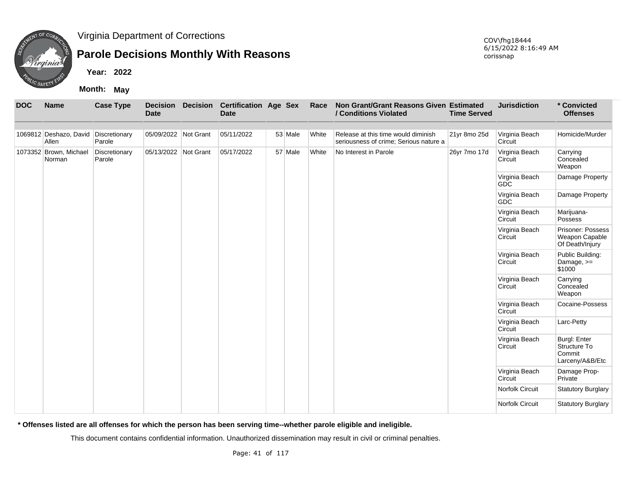

## **Parole Decisions Monthly With Reasons**

**Year: 2022**

**Month: May**

| <b>DOC</b> | <b>Name</b>                                   | <b>Case Type</b>        | <b>Date</b>          | Decision Decision Certification Age Sex<br><b>Date</b> |         | Race  | Non Grant/Grant Reasons Given Estimated<br>/ Conditions Violated              | <b>Time Served</b> | <b>Jurisdiction</b>          | * Convicted<br><b>Offenses</b>                                   |
|------------|-----------------------------------------------|-------------------------|----------------------|--------------------------------------------------------|---------|-------|-------------------------------------------------------------------------------|--------------------|------------------------------|------------------------------------------------------------------|
|            | 1069812 Deshazo, David Discretionary<br>Allen | Parole                  | 05/09/2022 Not Grant | 05/11/2022                                             | 53 Male | White | Release at this time would diminish<br>seriousness of crime; Serious nature a | 21yr 8mo 25d       | Virginia Beach<br>Circuit    | Homicide/Murder                                                  |
|            | 1073352 Brown, Michael<br>Norman              | Discretionary<br>Parole | 05/13/2022 Not Grant | 05/17/2022                                             | 57 Male | White | No Interest in Parole                                                         | 26yr 7mo 17d       | Virginia Beach<br>Circuit    | Carrying<br>Concealed<br>Weapon                                  |
|            |                                               |                         |                      |                                                        |         |       |                                                                               |                    | Virginia Beach<br><b>GDC</b> | Damage Property                                                  |
|            |                                               |                         |                      |                                                        |         |       |                                                                               |                    | Virginia Beach<br><b>GDC</b> | Damage Property                                                  |
|            |                                               |                         |                      |                                                        |         |       |                                                                               |                    | Virginia Beach<br>Circuit    | Marijuana-<br>Possess                                            |
|            |                                               |                         |                      |                                                        |         |       |                                                                               |                    | Virginia Beach<br>Circuit    | Prisoner: Possess<br>Weapon Capable<br>Of Death/Injury           |
|            |                                               |                         |                      |                                                        |         |       |                                                                               |                    | Virginia Beach<br>Circuit    | Public Building:<br>Damage, >=<br>\$1000                         |
|            |                                               |                         |                      |                                                        |         |       |                                                                               |                    | Virginia Beach<br>Circuit    | Carrying<br>Concealed<br>Weapon                                  |
|            |                                               |                         |                      |                                                        |         |       |                                                                               |                    | Virginia Beach<br>Circuit    | Cocaine-Possess                                                  |
|            |                                               |                         |                      |                                                        |         |       |                                                                               |                    | Virginia Beach<br>Circuit    | Larc-Petty                                                       |
|            |                                               |                         |                      |                                                        |         |       |                                                                               |                    | Virginia Beach<br>Circuit    | <b>Burgl: Enter</b><br>Structure To<br>Commit<br>Larceny/A&B/Etc |
|            |                                               |                         |                      |                                                        |         |       |                                                                               |                    | Virginia Beach<br>Circuit    | Damage Prop-<br>Private                                          |
|            |                                               |                         |                      |                                                        |         |       |                                                                               |                    | Norfolk Circuit              | <b>Statutory Burglary</b>                                        |
|            |                                               |                         |                      |                                                        |         |       |                                                                               |                    | Norfolk Circuit              | Statutory Burglary                                               |

**\* Offenses listed are all offenses for which the person has been serving time--whether parole eligible and ineligible.**

This document contains confidential information. Unauthorized dissemination may result in civil or criminal penalties.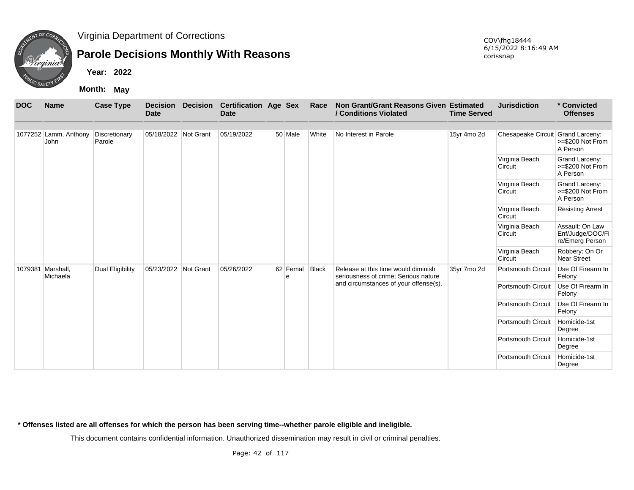

## **Parole Decisions Monthly With Reasons**

**Year: 2022**

**Month: May**

| <b>DOC</b> | <b>Name</b>                   | <b>Case Type</b>        | <b>Decision</b><br><b>Date</b> | <b>Decision</b> | <b>Certification Age Sex</b><br><b>Date</b> |               | Race  | Non Grant/Grant Reasons Given Estimated<br>/ Conditions Violated            | <b>Time Served</b> | <b>Jurisdiction</b>               | * Convicted<br><b>Offenses</b>                         |
|------------|-------------------------------|-------------------------|--------------------------------|-----------------|---------------------------------------------|---------------|-------|-----------------------------------------------------------------------------|--------------------|-----------------------------------|--------------------------------------------------------|
|            |                               |                         |                                |                 |                                             |               |       |                                                                             |                    |                                   |                                                        |
|            | 1077252 Lamm, Anthony<br>John | Discretionary<br>Parole | 05/18/2022 Not Grant           |                 | 05/19/2022                                  | 50 Male       | White | No Interest in Parole                                                       | 15yr 4mo 2d        | Chesapeake Circuit Grand Larceny: | >=\$200 Not From<br>A Person                           |
|            |                               |                         |                                |                 |                                             |               |       |                                                                             |                    | Virginia Beach<br>Circuit         | Grand Larceny:<br>>=\$200 Not From<br>A Person         |
|            |                               |                         |                                |                 |                                             |               |       |                                                                             |                    | Virginia Beach<br>Circuit         | Grand Larceny:<br>>=\$200 Not From<br>A Person         |
|            |                               |                         |                                |                 |                                             |               |       |                                                                             |                    | Virginia Beach<br>Circuit         | <b>Resisting Arrest</b>                                |
|            |                               |                         |                                |                 |                                             |               |       |                                                                             |                    | Virginia Beach<br>Circuit         | Assault: On Law<br>Enf/Judge/DOC/Fi<br>re/Emerg Person |
|            |                               |                         |                                |                 |                                             |               |       |                                                                             |                    | Virginia Beach<br>Circuit         | Robbery: On Or<br><b>Near Street</b>                   |
| 1079381    | Marshall,<br>Michaela         | Dual Eligibility        | 05/23/2022 Not Grant           |                 | 05/26/2022                                  | 62 Femal<br>e | Black | Release at this time would diminish<br>seriousness of crime; Serious nature | 35yr 7mo 2d        | <b>Portsmouth Circuit</b>         | Use Of Firearm In<br>Felony                            |
|            |                               |                         |                                |                 |                                             |               |       | and circumstances of your offense(s).                                       |                    | Portsmouth Circuit                | Use Of Firearm In<br>Felony                            |
|            |                               |                         |                                |                 |                                             |               |       |                                                                             |                    | <b>Portsmouth Circuit</b>         | Use Of Firearm In<br>Felony                            |
|            |                               |                         |                                |                 |                                             |               |       |                                                                             |                    | Portsmouth Circuit                | Homicide-1st<br>Degree                                 |
|            |                               |                         |                                |                 |                                             |               |       |                                                                             |                    | <b>Portsmouth Circuit</b>         | Homicide-1st<br>Degree                                 |
|            |                               |                         |                                |                 |                                             |               |       |                                                                             |                    | <b>Portsmouth Circuit</b>         | Homicide-1st<br>Degree                                 |

**\* Offenses listed are all offenses for which the person has been serving time--whether parole eligible and ineligible.**

This document contains confidential information. Unauthorized dissemination may result in civil or criminal penalties.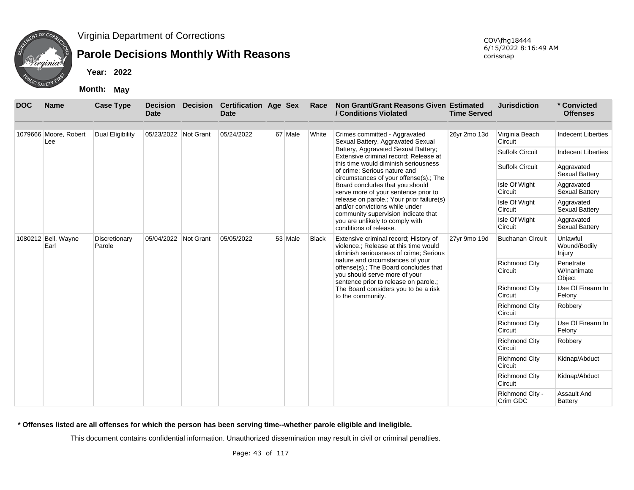

### **Parole Decisions Monthly With Reasons**

**Year: 2022**

**Month: May**

| <b>DOC</b> | <b>Name</b>                  | <b>Case Type</b>        | <b>Decision</b><br>Date | <b>Decision</b> | <b>Certification Age Sex</b><br><b>Date</b> |         | Race         | Non Grant/Grant Reasons Given Estimated<br>/ Conditions Violated                                                                                    | <b>Time Served</b> | <b>Jurisdiction</b>             | * Convicted<br><b>Offenses</b>      |
|------------|------------------------------|-------------------------|-------------------------|-----------------|---------------------------------------------|---------|--------------|-----------------------------------------------------------------------------------------------------------------------------------------------------|--------------------|---------------------------------|-------------------------------------|
|            | 1079666 Moore, Robert<br>Lee | Dual Eligibility        | 05/23/2022 Not Grant    |                 | 05/24/2022                                  | 67 Male | White        | Crimes committed - Aggravated<br>Sexual Battery, Aggravated Sexual                                                                                  | 26yr 2mo 13d       | Virginia Beach<br>Circuit       | <b>Indecent Liberties</b>           |
|            |                              |                         |                         |                 |                                             |         |              | Battery, Aggravated Sexual Battery;<br>Extensive criminal record: Release at                                                                        |                    | <b>Suffolk Circuit</b>          | <b>Indecent Liberties</b>           |
|            |                              |                         |                         |                 |                                             |         |              | this time would diminish seriousness<br>of crime; Serious nature and<br>circumstances of your offense(s).; The                                      |                    | <b>Suffolk Circuit</b>          | Aggravated<br><b>Sexual Battery</b> |
|            |                              |                         |                         |                 |                                             |         |              | Board concludes that you should<br>serve more of your sentence prior to                                                                             |                    | Isle Of Wight<br>Circuit        | Aggravated<br>Sexual Battery        |
|            |                              |                         |                         |                 |                                             |         |              | release on parole.; Your prior failure(s)<br>and/or convictions while under<br>community supervision indicate that                                  |                    | Isle Of Wight<br>Circuit        | Aggravated<br>Sexual Battery        |
|            |                              |                         |                         |                 |                                             |         |              | you are unlikely to comply with<br>conditions of release.                                                                                           |                    | Isle Of Wight<br>Circuit        | Aggravated<br>Sexual Battery        |
|            | 1080212 Bell, Wayne<br>Earl  | Discretionary<br>Parole | 05/04/2022 Not Grant    |                 | 05/05/2022                                  | 53 Male | <b>Black</b> | Extensive criminal record; History of<br>violence.; Release at this time would<br>diminish seriousness of crime; Serious                            | 27yr 9mo 19d       | <b>Buchanan Circuit</b>         | Unlawful<br>Wound/Bodily<br>Injury  |
|            |                              |                         |                         |                 |                                             |         |              | nature and circumstances of your<br>offense(s).; The Board concludes that<br>you should serve more of your<br>sentence prior to release on parole.; |                    | <b>Richmond City</b><br>Circuit | Penetrate<br>W/Inanimate<br>Object  |
|            |                              |                         |                         |                 |                                             |         |              | The Board considers you to be a risk<br>to the community.                                                                                           |                    | <b>Richmond City</b><br>Circuit | Use Of Firearm In<br>Felony         |
|            |                              |                         |                         |                 |                                             |         |              |                                                                                                                                                     |                    | <b>Richmond City</b><br>Circuit | Robbery                             |
|            |                              |                         |                         |                 |                                             |         |              |                                                                                                                                                     |                    | <b>Richmond City</b><br>Circuit | Use Of Firearm In<br>Felony         |
|            |                              |                         |                         |                 |                                             |         |              |                                                                                                                                                     |                    | <b>Richmond City</b><br>Circuit | Robbery                             |
|            |                              |                         |                         |                 |                                             |         |              |                                                                                                                                                     |                    | <b>Richmond City</b><br>Circuit | Kidnap/Abduct                       |
|            |                              |                         |                         |                 |                                             |         |              |                                                                                                                                                     |                    | <b>Richmond City</b><br>Circuit | Kidnap/Abduct                       |
|            |                              |                         |                         |                 |                                             |         |              |                                                                                                                                                     |                    | Richmond City -<br>Crim GDC     | Assault And<br>Battery              |

**\* Offenses listed are all offenses for which the person has been serving time--whether parole eligible and ineligible.**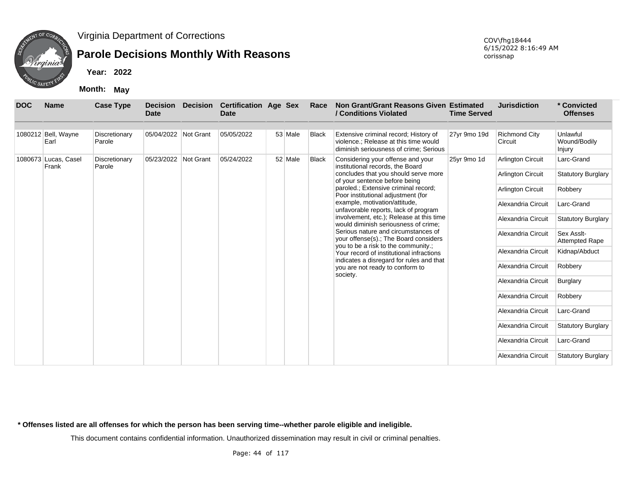

## **Parole Decisions Monthly With Reasons**

**Year: 2022**

**Month: May**

| <b>DOC</b> | <b>Name</b>                   | <b>Case Type</b>        | <b>Decision</b><br><b>Date</b> | <b>Decision</b> | <b>Certification Age Sex</b><br><b>Date</b> |         | Race         | Non Grant/Grant Reasons Given Estimated<br>/ Conditions Violated                                                         | <b>Time Served</b> | <b>Jurisdiction</b>             | * Convicted<br><b>Offenses</b>      |
|------------|-------------------------------|-------------------------|--------------------------------|-----------------|---------------------------------------------|---------|--------------|--------------------------------------------------------------------------------------------------------------------------|--------------------|---------------------------------|-------------------------------------|
|            | 1080212 Bell, Wayne<br>Earl   | Discretionary<br>Parole | 05/04/2022 Not Grant           |                 | 05/05/2022                                  | 53 Male | <b>Black</b> | Extensive criminal record; History of<br>violence.; Release at this time would<br>diminish seriousness of crime; Serious | 27yr 9mo 19d       | <b>Richmond City</b><br>Circuit | Unlawful<br>Wound/Bodily<br>Injury  |
|            | 1080673 Lucas, Casel<br>Frank | Discretionary<br>Parole | 05/23/2022 Not Grant           |                 | 05/24/2022                                  | 52 Male | <b>Black</b> | Considering your offense and your<br>institutional records, the Board                                                    | 25yr 9mo 1d        | <b>Arlington Circuit</b>        | Larc-Grand                          |
|            |                               |                         |                                |                 |                                             |         |              | concludes that you should serve more<br>of your sentence before being                                                    |                    | Arlington Circuit               | <b>Statutory Burglary</b>           |
|            |                               |                         |                                |                 |                                             |         |              | paroled.; Extensive criminal record;<br>Poor institutional adjustment (for                                               |                    | <b>Arlington Circuit</b>        | Robbery                             |
|            |                               |                         |                                |                 |                                             |         |              | example, motivation/attitude,<br>unfavorable reports, lack of program                                                    |                    | Alexandria Circuit              | Larc-Grand                          |
|            |                               |                         |                                |                 |                                             |         |              | involvement, etc.); Release at this time<br>would diminish seriousness of crime:                                         |                    | Alexandria Circuit              | <b>Statutory Burglary</b>           |
|            |                               |                         |                                |                 |                                             |         |              | Serious nature and circumstances of<br>your offense(s).; The Board considers                                             |                    | Alexandria Circuit              | Sex Asslt-<br><b>Attempted Rape</b> |
|            |                               |                         |                                |                 |                                             |         |              | you to be a risk to the community.;<br>Your record of institutional infractions                                          |                    | Alexandria Circuit              | Kidnap/Abduct                       |
|            |                               |                         |                                |                 |                                             |         |              | indicates a disregard for rules and that<br>you are not ready to conform to                                              |                    | Alexandria Circuit              | Robbery                             |
|            |                               |                         |                                |                 |                                             |         |              | society.                                                                                                                 |                    | Alexandria Circuit              | <b>Burglary</b>                     |
|            |                               |                         |                                |                 |                                             |         |              |                                                                                                                          |                    | Alexandria Circuit              | Robbery                             |
|            |                               |                         |                                |                 |                                             |         |              |                                                                                                                          |                    | Alexandria Circuit              | Larc-Grand                          |
|            |                               |                         |                                |                 |                                             |         |              |                                                                                                                          |                    | Alexandria Circuit              | <b>Statutory Burglary</b>           |
|            |                               |                         |                                |                 |                                             |         |              |                                                                                                                          |                    | Alexandria Circuit              | Larc-Grand                          |
|            |                               |                         |                                |                 |                                             |         |              |                                                                                                                          |                    | Alexandria Circuit              | <b>Statutory Burglary</b>           |

**\* Offenses listed are all offenses for which the person has been serving time--whether parole eligible and ineligible.**

This document contains confidential information. Unauthorized dissemination may result in civil or criminal penalties.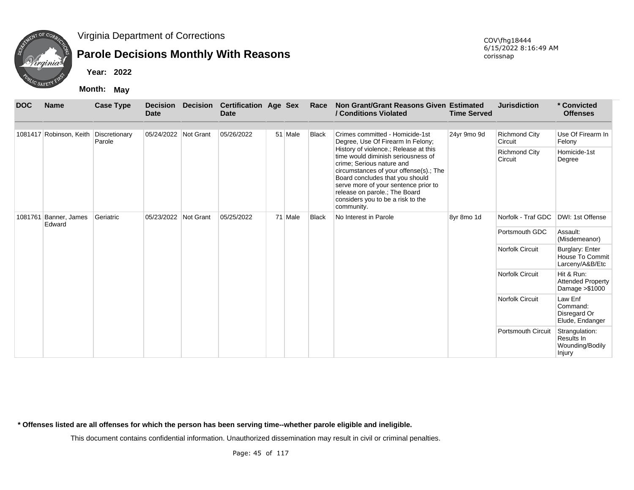

# **Parole Decisions Monthly With Reasons**

**Year: 2022**

**Month: May**

COV\fhg18444 6/15/2022 8:16:49 AM corissnap

| <b>DOC</b> | <b>Name</b>             | <b>Case Type</b>        | <b>Decision</b><br><b>Date</b> | <b>Decision</b> | <b>Certification Age Sex</b><br><b>Date</b> |         | Race         | Non Grant/Grant Reasons Given Estimated<br>/ Conditions Violated                                                                                                                                                                                                                                                  | <b>Time Served</b> | <b>Jurisdiction</b>             | * Convicted<br><b>Offenses</b>                            |
|------------|-------------------------|-------------------------|--------------------------------|-----------------|---------------------------------------------|---------|--------------|-------------------------------------------------------------------------------------------------------------------------------------------------------------------------------------------------------------------------------------------------------------------------------------------------------------------|--------------------|---------------------------------|-----------------------------------------------------------|
|            | 1081417 Robinson, Keith | Discretionary<br>Parole | 05/24/2022 Not Grant           |                 | 05/26/2022                                  | 51 Male | <b>Black</b> | Crimes committed - Homicide-1st<br>Degree, Use Of Firearm In Felony;                                                                                                                                                                                                                                              | 24yr 9mo 9d        | <b>Richmond City</b><br>Circuit | Use Of Firearm In<br>Felony                               |
|            |                         |                         |                                |                 |                                             |         |              | History of violence.; Release at this<br>time would diminish seriousness of<br>crime; Serious nature and<br>circumstances of your offense(s).; The<br>Board concludes that you should<br>serve more of your sentence prior to<br>release on parole.; The Board<br>considers you to be a risk to the<br>community. |                    | <b>Richmond City</b><br>Circuit | Homicide-1st<br>Degree                                    |
| 1081761    | Banner, James<br>Edward | Geriatric               | 05/23/2022 Not Grant           |                 | 05/25/2022                                  | 71 Male | <b>Black</b> | No Interest in Parole                                                                                                                                                                                                                                                                                             | 8yr 8mo 1d         | Norfolk - Traf GDC              | DWI: 1st Offense                                          |
|            |                         |                         |                                |                 |                                             |         |              |                                                                                                                                                                                                                                                                                                                   |                    | Portsmouth GDC                  | Assault:<br>(Misdemeanor)                                 |
|            |                         |                         |                                |                 |                                             |         |              |                                                                                                                                                                                                                                                                                                                   |                    | <b>Norfolk Circuit</b>          | Burglary: Enter<br>House To Commit<br>Larceny/A&B/Etc     |
|            |                         |                         |                                |                 |                                             |         |              |                                                                                                                                                                                                                                                                                                                   |                    | <b>Norfolk Circuit</b>          | Hit & Run:<br><b>Attended Property</b><br>Damage > \$1000 |
|            |                         |                         |                                |                 |                                             |         |              |                                                                                                                                                                                                                                                                                                                   |                    | <b>Norfolk Circuit</b>          | Law Enf<br>Command:<br>Disregard Or<br>Elude, Endanger    |
|            |                         |                         |                                |                 |                                             |         |              |                                                                                                                                                                                                                                                                                                                   |                    | <b>Portsmouth Circuit</b>       | Strangulation:<br>Results In<br>Wounding/Bodily<br>Injury |

**\* Offenses listed are all offenses for which the person has been serving time--whether parole eligible and ineligible.**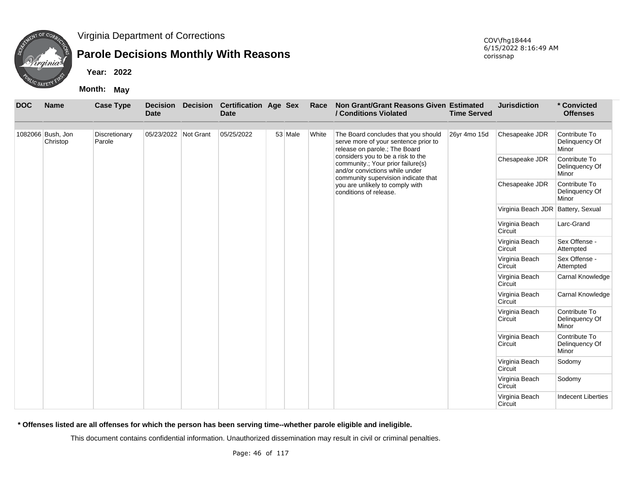

# **Parole Decisions Monthly With Reasons**

**Year: 2022**

**Month: May**

| <b>DOC</b> | <b>Name</b>       | <b>Case Type</b> | <b>Decision</b><br><b>Date</b> | <b>Decision</b> | <b>Certification Age Sex</b><br><b>Date</b> |         | Race  | Non Grant/Grant Reasons Given Estimated<br>/ Conditions Violated                                                                                | <b>Time Served</b> | <b>Jurisdiction</b>                | * Convicted<br><b>Offenses</b>           |
|------------|-------------------|------------------|--------------------------------|-----------------|---------------------------------------------|---------|-------|-------------------------------------------------------------------------------------------------------------------------------------------------|--------------------|------------------------------------|------------------------------------------|
|            | 1082066 Bush, Jon | Discretionary    | 05/23/2022 Not Grant           |                 | 05/25/2022                                  | 53 Male | White | The Board concludes that you should                                                                                                             | 26yr 4mo 15d       | Chesapeake JDR                     | Contribute To                            |
|            | Christop          | Parole           |                                |                 |                                             |         |       | serve more of your sentence prior to<br>release on parole.; The Board                                                                           |                    |                                    | Delinquency Of<br>Minor                  |
|            |                   |                  |                                |                 |                                             |         |       | considers you to be a risk to the<br>community.; Your prior failure(s)<br>and/or convictions while under<br>community supervision indicate that |                    | Chesapeake JDR                     | Contribute To<br>Delinquency Of<br>Minor |
|            |                   |                  |                                |                 |                                             |         |       | you are unlikely to comply with<br>conditions of release.                                                                                       |                    | Chesapeake JDR                     | Contribute To<br>Delinquency Of<br>Minor |
|            |                   |                  |                                |                 |                                             |         |       |                                                                                                                                                 |                    | Virginia Beach JDR Battery, Sexual |                                          |
|            |                   |                  |                                |                 |                                             |         |       |                                                                                                                                                 |                    | Virginia Beach<br>Circuit          | Larc-Grand                               |
|            |                   |                  |                                |                 |                                             |         |       |                                                                                                                                                 |                    | Virginia Beach<br>Circuit          | Sex Offense -<br>Attempted               |
|            |                   |                  |                                |                 |                                             |         |       |                                                                                                                                                 |                    | Virginia Beach<br>Circuit          | Sex Offense -<br>Attempted               |
|            |                   |                  |                                |                 |                                             |         |       |                                                                                                                                                 |                    | Virginia Beach<br>Circuit          | Carnal Knowledge                         |
|            |                   |                  |                                |                 |                                             |         |       |                                                                                                                                                 |                    | Virginia Beach<br>Circuit          | Carnal Knowledge                         |
|            |                   |                  |                                |                 |                                             |         |       |                                                                                                                                                 |                    | Virginia Beach<br>Circuit          | Contribute To<br>Delinquency Of<br>Minor |
|            |                   |                  |                                |                 |                                             |         |       |                                                                                                                                                 |                    | Virginia Beach<br>Circuit          | Contribute To<br>Delinquency Of<br>Minor |
|            |                   |                  |                                |                 |                                             |         |       |                                                                                                                                                 |                    | Virginia Beach<br>Circuit          | Sodomy                                   |
|            |                   |                  |                                |                 |                                             |         |       |                                                                                                                                                 |                    | Virginia Beach<br>Circuit          | Sodomy                                   |
|            |                   |                  |                                |                 |                                             |         |       |                                                                                                                                                 |                    | Virginia Beach<br>Circuit          | <b>Indecent Liberties</b>                |

**\* Offenses listed are all offenses for which the person has been serving time--whether parole eligible and ineligible.**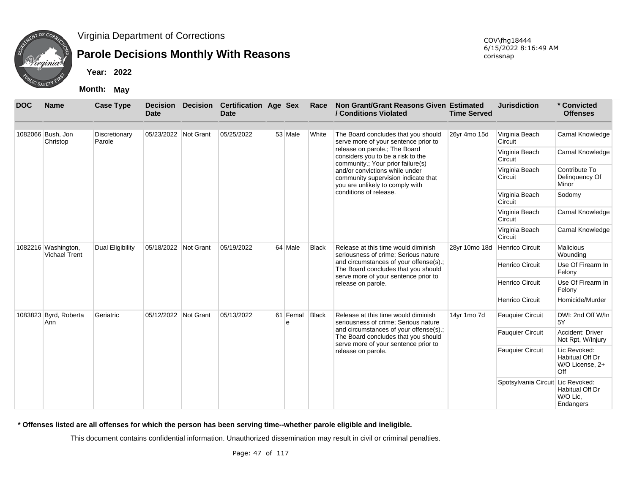

# **Parole Decisions Monthly With Reasons**

**Year: 2022**

**Month: May**

| <b>DOC</b> | <b>Name</b>                                 | <b>Case Type</b>        | <b>Decision</b><br><b>Date</b> | <b>Decision</b> | <b>Certification Age Sex</b><br><b>Date</b> |  |               | Race                      | Non Grant/Grant Reasons Given Estimated<br>/ Conditions Violated                                                      | <b>Time Served</b> | <b>Jurisdiction</b>       | * Convicted<br><b>Offenses</b>                            |
|------------|---------------------------------------------|-------------------------|--------------------------------|-----------------|---------------------------------------------|--|---------------|---------------------------|-----------------------------------------------------------------------------------------------------------------------|--------------------|---------------------------|-----------------------------------------------------------|
|            | 1082066 Bush, Jon<br>Christop               | Discretionary<br>Parole | 05/23/2022 Not Grant           |                 | 05/25/2022                                  |  | 53 Male       | White                     | The Board concludes that you should<br>serve more of your sentence prior to                                           | 26yr 4mo 15d       | Virginia Beach<br>Circuit | Carnal Knowledge                                          |
|            |                                             |                         |                                |                 |                                             |  |               |                           | release on parole.; The Board<br>considers you to be a risk to the<br>community.; Your prior failure(s)               |                    | Virginia Beach<br>Circuit | Carnal Knowledge                                          |
|            |                                             |                         |                                |                 |                                             |  |               |                           | and/or convictions while under<br>community supervision indicate that<br>you are unlikely to comply with              |                    | Virginia Beach<br>Circuit | Contribute To<br>Delinguency Of<br>Minor                  |
|            |                                             |                         |                                |                 |                                             |  |               |                           | conditions of release.                                                                                                |                    | Virginia Beach<br>Circuit | Sodomy                                                    |
|            |                                             |                         |                                |                 |                                             |  |               | Virginia Beach<br>Circuit | Carnal Knowledge                                                                                                      |                    |                           |                                                           |
|            |                                             |                         |                                |                 |                                             |  |               |                           |                                                                                                                       |                    | Virginia Beach<br>Circuit | Carnal Knowledge                                          |
|            | 1082216 Washington,<br><b>Vichael Trent</b> | Dual Eligibility        | 05/18/2022 Not Grant           |                 | 05/19/2022                                  |  | 64 Male       | <b>Black</b>              | Release at this time would diminish<br>seriousness of crime; Serious nature                                           | 28yr 10mo 18d      | <b>Henrico Circuit</b>    | Malicious<br>Wounding                                     |
|            |                                             |                         |                                |                 |                                             |  |               |                           | and circumstances of your offense(s).;<br>The Board concludes that you should<br>serve more of your sentence prior to |                    | <b>Henrico Circuit</b>    | Use Of Firearm In<br>Felony                               |
|            |                                             |                         |                                |                 |                                             |  |               |                           | release on parole.                                                                                                    |                    | Henrico Circuit           | Use Of Firearm In<br>Felony                               |
|            |                                             |                         |                                |                 |                                             |  |               |                           |                                                                                                                       |                    | <b>Henrico Circuit</b>    | Homicide/Murder                                           |
|            | 1083823 Byrd, Roberta<br>Ann                | Geriatric               | 05/12/2022                     | Not Grant       | 05/13/2022                                  |  | 61 Femal<br>e | <b>Black</b>              | Release at this time would diminish<br>seriousness of crime: Serious nature                                           | 14yr 1mo 7d        | <b>Fauquier Circuit</b>   | DWI: 2nd Off W/In<br>5Y                                   |
|            |                                             |                         |                                |                 |                                             |  |               |                           | and circumstances of your offense(s).;<br>The Board concludes that you should<br>serve more of your sentence prior to |                    | <b>Fauquier Circuit</b>   | Accident: Driver<br>Not Rpt, W/Injury                     |
|            |                                             |                         |                                |                 |                                             |  |               |                           | release on parole.                                                                                                    |                    | <b>Fauquier Circuit</b>   | Lic Revoked:<br>Habitual Off Dr<br>W/O License, 2+<br>Off |
|            |                                             |                         |                                |                 |                                             |  |               |                           |                                                                                                                       |                    | Spotsylvania Circuit      | Lic Revoked:<br>Habitual Off Dr<br>W/O Lic.<br>Endangers  |

**\* Offenses listed are all offenses for which the person has been serving time--whether parole eligible and ineligible.**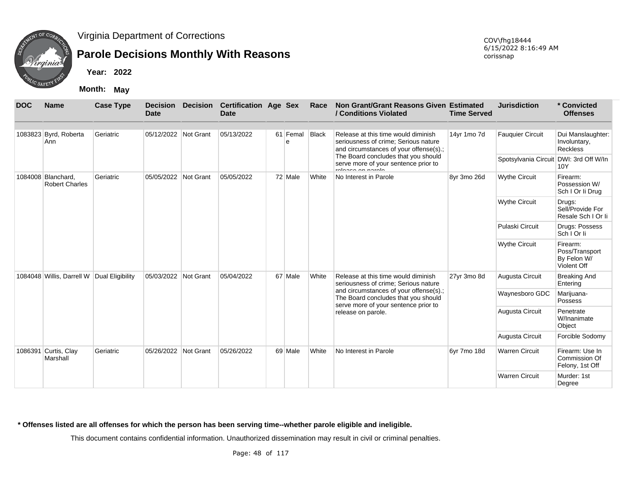

## **Parole Decisions Monthly With Reasons**

COV\fhg18444 6/15/2022 8:16:49 AM corissnap

**Year: 2022**

**Month: May**

| <b>DOC</b> | <b>Name</b>                                 | <b>Case Type</b> | <b>Date</b>          | Decision Decision Certification Age Sex<br><b>Date</b> |               | Race         | Non Grant/Grant Reasons Given Estimated<br>/ Conditions Violated                                                      | <b>Time Served</b> | <b>Jurisdiction</b>                    | * Convicted<br><b>Offenses</b>                           |
|------------|---------------------------------------------|------------------|----------------------|--------------------------------------------------------|---------------|--------------|-----------------------------------------------------------------------------------------------------------------------|--------------------|----------------------------------------|----------------------------------------------------------|
|            | 1083823 Byrd, Roberta<br>Ann                | Geriatric        | 05/12/2022 Not Grant | 05/13/2022                                             | 61 Femal<br>e | <b>Black</b> | Release at this time would diminish<br>seriousness of crime; Serious nature<br>and circumstances of your offense(s).; | 14yr 1mo 7d        | <b>Fauquier Circuit</b>                | Dui Manslaughter:<br>Involuntary,<br><b>Reckless</b>     |
|            |                                             |                  |                      |                                                        |               |              | The Board concludes that you should<br>serve more of your sentence prior to<br>rologon on parolo                      |                    | Spotsylvania Circuit DWI: 3rd Off W/In | 10Y                                                      |
|            | 1084008 Blanchard,<br><b>Robert Charles</b> | Geriatric        | 05/05/2022 Not Grant | 05/05/2022                                             | 72 Male       | White        | No Interest in Parole                                                                                                 | 8yr 3mo 26d        | <b>Wythe Circuit</b>                   | Firearm:<br>Possession W/<br>Sch I Or li Drug            |
|            |                                             |                  |                      |                                                        |               |              |                                                                                                                       |                    | <b>Wythe Circuit</b>                   | Drugs:<br>Sell/Provide For<br>Resale Sch I Or li         |
|            |                                             |                  |                      |                                                        |               |              |                                                                                                                       |                    | Pulaski Circuit                        | Drugs: Possess<br>Sch   Or li                            |
|            |                                             |                  |                      |                                                        |               |              |                                                                                                                       |                    | <b>Wythe Circuit</b>                   | Firearm:<br>Poss/Transport<br>By Felon W/<br>Violent Off |
|            | 1084048 Willis, Darrell W Dual Eligibility  |                  | 05/03/2022 Not Grant | 05/04/2022                                             | 67 Male       | White        | Release at this time would diminish<br>seriousness of crime; Serious nature                                           | 27yr 3mo 8d        | Augusta Circuit                        | <b>Breaking And</b><br>Entering                          |
|            |                                             |                  |                      |                                                        |               |              | and circumstances of your offense(s).;<br>The Board concludes that you should<br>serve more of your sentence prior to |                    | Waynesboro GDC                         | Marijuana-<br>Possess                                    |
|            |                                             |                  |                      |                                                        |               |              | release on parole.                                                                                                    |                    | Augusta Circuit                        | Penetrate<br>W/Inanimate<br>Object                       |
|            |                                             |                  |                      |                                                        |               |              |                                                                                                                       |                    | Augusta Circuit                        | Forcible Sodomy                                          |
|            | 1086391 Curtis, Clay<br>Marshall            | Geriatric        | 05/26/2022 Not Grant | 05/26/2022                                             | 69 Male       | White        | No Interest in Parole                                                                                                 | 6yr 7mo 18d        | <b>Warren Circuit</b>                  | Firearm: Use In<br>Commission Of<br>Felony, 1st Off      |
|            |                                             |                  |                      |                                                        |               |              |                                                                                                                       |                    | <b>Warren Circuit</b>                  | Murder: 1st<br>Degree                                    |

#### **\* Offenses listed are all offenses for which the person has been serving time--whether parole eligible and ineligible.**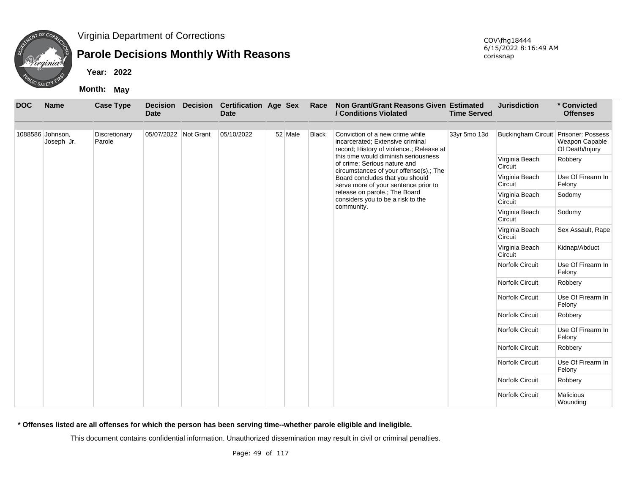

# **Parole Decisions Monthly With Reasons**

**Year: 2022**

**Month: May**

| <b>DOC</b> | <b>Name</b>                    | <b>Case Type</b>        | <b>Date</b>          | <b>Decision Decision</b> | <b>Certification Age Sex</b><br><b>Date</b> |         | Race         | Non Grant/Grant Reasons Given Estimated<br>/ Conditions Violated                                                  | <b>Time Served</b> | <b>Jurisdiction</b>                  | * Convicted<br><b>Offenses</b>    |
|------------|--------------------------------|-------------------------|----------------------|--------------------------|---------------------------------------------|---------|--------------|-------------------------------------------------------------------------------------------------------------------|--------------------|--------------------------------------|-----------------------------------|
|            | 1088586 Johnson,<br>Joseph Jr. | Discretionary<br>Parole | 05/07/2022 Not Grant |                          | 05/10/2022                                  | 52 Male | <b>Black</b> | Conviction of a new crime while<br>incarcerated: Extensive criminal<br>record; History of violence.; Release at   | 33yr 5mo 13d       | Buckingham Circuit Prisoner: Possess | Weapon Capable<br>Of Death/Injury |
|            |                                |                         |                      |                          |                                             |         |              | this time would diminish seriousness<br>of crime; Serious nature and                                              |                    | Virginia Beach<br>Circuit            | Robbery                           |
|            |                                |                         |                      |                          |                                             |         |              | circumstances of your offense(s).; The<br>Board concludes that you should<br>serve more of your sentence prior to |                    | Virginia Beach<br>Circuit            | Use Of Firearm In<br>Felony       |
|            |                                |                         |                      |                          |                                             |         |              | release on parole.; The Board<br>considers you to be a risk to the                                                |                    | Virginia Beach<br>Circuit            | Sodomy                            |
|            |                                |                         |                      |                          |                                             |         |              | community.                                                                                                        |                    | Virginia Beach<br>Circuit            | Sodomy                            |
|            |                                |                         |                      |                          |                                             |         |              |                                                                                                                   |                    | Virginia Beach<br>Circuit            | Sex Assault, Rape                 |
|            |                                |                         |                      |                          |                                             |         |              |                                                                                                                   |                    | Virginia Beach<br>Circuit            | Kidnap/Abduct                     |
|            |                                |                         |                      |                          |                                             |         |              |                                                                                                                   |                    | Norfolk Circuit                      | Use Of Firearm In<br>Felony       |
|            |                                |                         |                      |                          |                                             |         |              |                                                                                                                   |                    | <b>Norfolk Circuit</b>               | Robbery                           |
|            |                                |                         |                      |                          |                                             |         |              |                                                                                                                   |                    | Norfolk Circuit                      | Use Of Firearm In<br>Felony       |
|            |                                |                         |                      |                          |                                             |         |              |                                                                                                                   |                    | Norfolk Circuit                      | Robbery                           |
|            |                                |                         |                      |                          |                                             |         |              |                                                                                                                   |                    | Norfolk Circuit                      | Use Of Firearm In<br>Felony       |
|            |                                |                         |                      |                          |                                             |         |              |                                                                                                                   |                    | Norfolk Circuit                      | Robbery                           |
|            |                                |                         |                      |                          |                                             |         |              |                                                                                                                   |                    | Norfolk Circuit                      | Use Of Firearm In<br>Felony       |
|            |                                |                         |                      |                          |                                             |         |              |                                                                                                                   |                    | Norfolk Circuit                      | Robbery                           |
|            |                                |                         |                      |                          |                                             |         |              |                                                                                                                   |                    | <b>Norfolk Circuit</b>               | <b>Malicious</b><br>Wounding      |

**\* Offenses listed are all offenses for which the person has been serving time--whether parole eligible and ineligible.**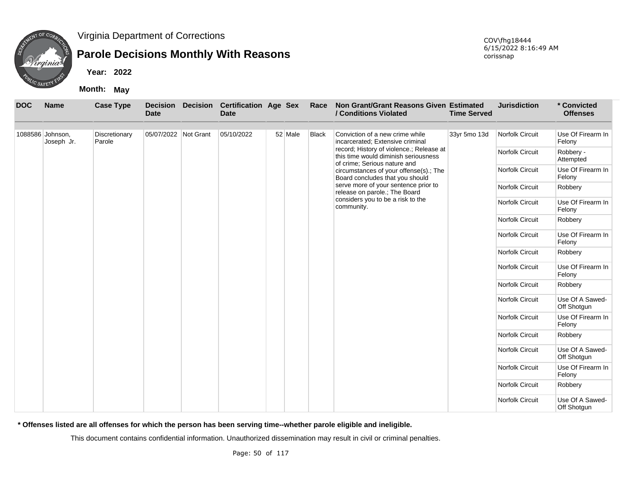

### **Parole Decisions Monthly With Reasons**

**Year: 2022**

**Month: May**

| <b>DOC</b> | <b>Name</b>                    | <b>Case Type</b>        | <b>Decision</b><br><b>Date</b> | <b>Decision</b> | <b>Certification Age Sex</b><br><b>Date</b> |         | Race         | Non Grant/Grant Reasons Given Estimated<br>/ Conditions Violated                                                 | <b>Time Served</b> | <b>Jurisdiction</b>    | * Convicted<br><b>Offenses</b> |
|------------|--------------------------------|-------------------------|--------------------------------|-----------------|---------------------------------------------|---------|--------------|------------------------------------------------------------------------------------------------------------------|--------------------|------------------------|--------------------------------|
|            | 1088586 Johnson,<br>Joseph Jr. | Discretionary<br>Parole | 05/07/2022 Not Grant           |                 | 05/10/2022                                  | 52 Male | <b>Black</b> | Conviction of a new crime while<br>incarcerated; Extensive criminal                                              | 33yr 5mo 13d       | Norfolk Circuit        | Use Of Firearm In<br>Felony    |
|            |                                |                         |                                |                 |                                             |         |              | record; History of violence.; Release at<br>this time would diminish seriousness<br>of crime; Serious nature and |                    | Norfolk Circuit        | Robbery -<br>Attempted         |
|            |                                |                         |                                |                 |                                             |         |              | circumstances of your offense(s).; The<br>Board concludes that you should                                        |                    | Norfolk Circuit        | Use Of Firearm In<br>Felony    |
|            |                                |                         |                                |                 |                                             |         |              | serve more of your sentence prior to<br>release on parole.; The Board                                            |                    | <b>Norfolk Circuit</b> | Robbery                        |
|            |                                |                         |                                |                 |                                             |         |              | considers you to be a risk to the<br>community.                                                                  |                    | Norfolk Circuit        | Use Of Firearm In<br>Felony    |
|            |                                |                         |                                |                 |                                             |         |              |                                                                                                                  |                    | <b>Norfolk Circuit</b> | Robbery                        |
|            |                                |                         |                                |                 |                                             |         |              |                                                                                                                  |                    | Norfolk Circuit        | Use Of Firearm In<br>Felony    |
|            |                                |                         |                                |                 |                                             |         |              |                                                                                                                  |                    | <b>Norfolk Circuit</b> | Robbery                        |
|            |                                |                         |                                |                 |                                             |         |              |                                                                                                                  |                    | Norfolk Circuit        | Use Of Firearm In<br>Felony    |
|            |                                |                         |                                |                 |                                             |         |              |                                                                                                                  |                    | <b>Norfolk Circuit</b> | Robbery                        |
|            |                                |                         |                                |                 |                                             |         |              |                                                                                                                  |                    | Norfolk Circuit        | Use Of A Sawed-<br>Off Shotgun |
|            |                                |                         |                                |                 |                                             |         |              |                                                                                                                  |                    | Norfolk Circuit        | Use Of Firearm In<br>Felony    |
|            |                                |                         |                                |                 |                                             |         |              |                                                                                                                  |                    | <b>Norfolk Circuit</b> | Robbery                        |
|            |                                |                         |                                |                 |                                             |         |              |                                                                                                                  |                    | Norfolk Circuit        | Use Of A Sawed-<br>Off Shotgun |
|            |                                |                         |                                |                 |                                             |         |              |                                                                                                                  |                    | Norfolk Circuit        | Use Of Firearm In<br>Felony    |
|            |                                |                         |                                |                 |                                             |         |              |                                                                                                                  |                    | Norfolk Circuit        | Robbery                        |
|            |                                |                         |                                |                 |                                             |         |              |                                                                                                                  |                    | Norfolk Circuit        | Use Of A Sawed-<br>Off Shotgun |

**\* Offenses listed are all offenses for which the person has been serving time--whether parole eligible and ineligible.**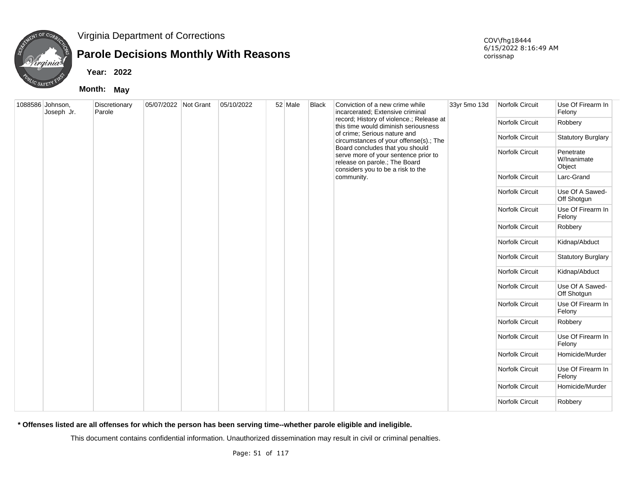

## **Parole Decisions Monthly With Reasons**

**Year: 2022**

**Month: May**

COV\fhg18444 6/15/2022 8:16:49 AM corissnap

| 1088586 Johnson,<br>Joseph Jr. | Discretionary<br>Parole | 05/07/2022 Not Grant | 05/10/2022 | 52 Male | Black | Conviction of a new crime while<br>incarcerated; Extensive criminal                                                                           | 33yr 5mo 13d | Norfolk Circuit        | Use Of Firearm In<br>Felony        |
|--------------------------------|-------------------------|----------------------|------------|---------|-------|-----------------------------------------------------------------------------------------------------------------------------------------------|--------------|------------------------|------------------------------------|
|                                |                         |                      |            |         |       | record; History of violence.; Release at<br>this time would diminish seriousness                                                              |              | Norfolk Circuit        | Robbery                            |
|                                |                         |                      |            |         |       | of crime; Serious nature and<br>circumstances of your offense(s).; The                                                                        |              | Norfolk Circuit        | <b>Statutory Burglary</b>          |
|                                |                         |                      |            |         |       | Board concludes that you should<br>serve more of your sentence prior to<br>release on parole.; The Board<br>considers you to be a risk to the |              | Norfolk Circuit        | Penetrate<br>W/Inanimate<br>Object |
|                                |                         |                      |            |         |       | community.                                                                                                                                    |              | <b>Norfolk Circuit</b> | Larc-Grand                         |
|                                |                         |                      |            |         |       |                                                                                                                                               |              | Norfolk Circuit        | Use Of A Sawed-<br>Off Shotgun     |
|                                |                         |                      |            |         |       |                                                                                                                                               |              | Norfolk Circuit        | Use Of Firearm In<br>Felony        |
|                                |                         |                      |            |         |       |                                                                                                                                               |              | Norfolk Circuit        | Robbery                            |
|                                |                         |                      |            |         |       |                                                                                                                                               |              | Norfolk Circuit        | Kidnap/Abduct                      |
|                                |                         |                      |            |         |       |                                                                                                                                               |              | Norfolk Circuit        | <b>Statutory Burglary</b>          |
|                                |                         |                      |            |         |       |                                                                                                                                               |              | Norfolk Circuit        | Kidnap/Abduct                      |
|                                |                         |                      |            |         |       |                                                                                                                                               |              | Norfolk Circuit        | Use Of A Sawed-<br>Off Shotgun     |
|                                |                         |                      |            |         |       |                                                                                                                                               |              | Norfolk Circuit        | Use Of Firearm In<br>Felony        |
|                                |                         |                      |            |         |       |                                                                                                                                               |              | Norfolk Circuit        | Robbery                            |
|                                |                         |                      |            |         |       |                                                                                                                                               |              | Norfolk Circuit        | Use Of Firearm In<br>Felony        |
|                                |                         |                      |            |         |       |                                                                                                                                               |              | Norfolk Circuit        | Homicide/Murder                    |
|                                |                         |                      |            |         |       |                                                                                                                                               |              | Norfolk Circuit        | Use Of Firearm In<br>Felony        |
|                                |                         |                      |            |         |       |                                                                                                                                               |              | <b>Norfolk Circuit</b> | Homicide/Murder                    |
|                                |                         |                      |            |         |       |                                                                                                                                               |              | Norfolk Circuit        | Robbery                            |

**\* Offenses listed are all offenses for which the person has been serving time--whether parole eligible and ineligible.**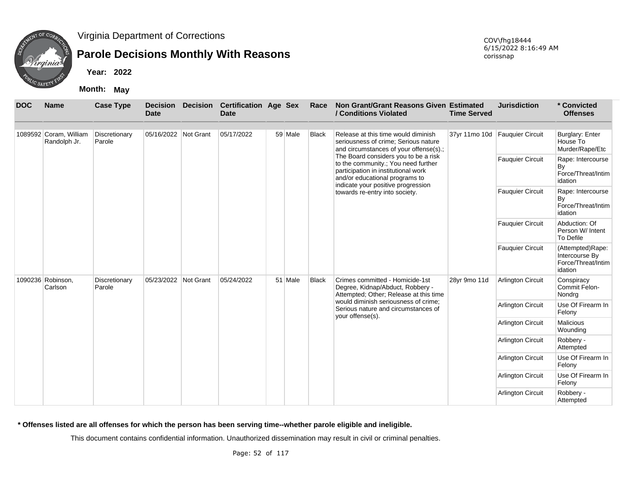

# **Parole Decisions Monthly With Reasons**

**Year: 2022**

**Month: May**

| <b>DOC</b> | <b>Name</b>                            | <b>Case Type</b>        | <b>Decision</b><br><b>Date</b> | <b>Decision</b> | <b>Certification Age Sex</b><br><b>Date</b> |         | Race         | Non Grant/Grant Reasons Given Estimated<br>/ Conditions Violated                                                                                     | <b>Time Served</b> | <b>Jurisdiction</b>      | * Convicted<br><b>Offenses</b>                                      |
|------------|----------------------------------------|-------------------------|--------------------------------|-----------------|---------------------------------------------|---------|--------------|------------------------------------------------------------------------------------------------------------------------------------------------------|--------------------|--------------------------|---------------------------------------------------------------------|
|            | 1089592 Coram, William<br>Randolph Jr. | Discretionary<br>Parole | 05/16/2022 Not Grant           |                 | 05/17/2022                                  | 59 Male | <b>Black</b> | Release at this time would diminish<br>seriousness of crime; Serious nature<br>and circumstances of your offense(s).;                                | 37yr 11mo 10d      | <b>Fauquier Circuit</b>  | <b>Burglary: Enter</b><br>House To<br>Murder/Rape/Etc               |
|            |                                        |                         |                                |                 |                                             |         |              | The Board considers you to be a risk<br>to the community.; You need further<br>participation in institutional work<br>and/or educational programs to |                    | <b>Fauquier Circuit</b>  | Rape: Intercourse<br>By<br>Force/Threat/Intim<br>idation            |
|            |                                        |                         |                                |                 |                                             |         |              | indicate your positive progression<br>towards re-entry into society.                                                                                 |                    | <b>Fauquier Circuit</b>  | Rape: Intercourse<br>By<br>Force/Threat/Intim<br>idation            |
|            |                                        |                         |                                |                 |                                             |         |              |                                                                                                                                                      |                    | <b>Fauquier Circuit</b>  | Abduction: Of<br>Person W/ Intent<br>To Defile                      |
|            |                                        |                         |                                |                 |                                             |         |              |                                                                                                                                                      |                    | <b>Fauquier Circuit</b>  | (Attempted)Rape:<br>Intercourse By<br>Force/Threat/Intim<br>idation |
|            | 1090236 Robinson,<br>Carlson           | Discretionary<br>Parole | 05/23/2022 Not Grant           |                 | 05/24/2022                                  | 51 Male | <b>Black</b> | Crimes committed - Homicide-1st<br>Degree, Kidnap/Abduct, Robbery -<br>Attempted; Other; Release at this time                                        | 28yr 9mo 11d       | <b>Arlington Circuit</b> | Conspiracy<br>Commit Felon-<br>Nondrg                               |
|            |                                        |                         |                                |                 |                                             |         |              | would diminish seriousness of crime;<br>Serious nature and circumstances of<br>your offense(s).                                                      |                    | <b>Arlington Circuit</b> | Use Of Firearm In<br>Felony                                         |
|            |                                        |                         |                                |                 |                                             |         |              |                                                                                                                                                      |                    | Arlington Circuit        | <b>Malicious</b><br>Wounding                                        |
|            |                                        |                         |                                |                 |                                             |         |              |                                                                                                                                                      |                    | Arlington Circuit        | Robbery -<br>Attempted                                              |
|            |                                        |                         |                                |                 |                                             |         |              |                                                                                                                                                      |                    | <b>Arlington Circuit</b> | Use Of Firearm In<br>Felony                                         |
|            |                                        |                         |                                |                 |                                             |         |              |                                                                                                                                                      |                    | <b>Arlington Circuit</b> | Use Of Firearm In<br>Felony                                         |
|            |                                        |                         |                                |                 |                                             |         |              |                                                                                                                                                      |                    | <b>Arlington Circuit</b> | Robbery -<br>Attempted                                              |

**\* Offenses listed are all offenses for which the person has been serving time--whether parole eligible and ineligible.**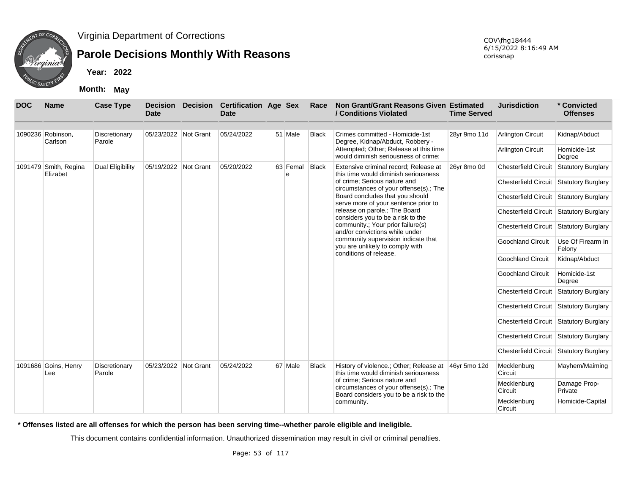

## **Parole Decisions Monthly With Reasons**

**Year: 2022**

**Month: May**

| <b>DOC</b> | <b>Name</b>                       | <b>Case Type</b>        | <b>Decision</b><br><b>Date</b> | <b>Decision</b> | <b>Certification Age Sex</b><br><b>Date</b> |               | Race         | Non Grant/Grant Reasons Given Estimated<br>/ Conditions Violated                                                  | <b>Time Served</b> | <b>Jurisdiction</b>                     | * Convicted<br><b>Offenses</b> |
|------------|-----------------------------------|-------------------------|--------------------------------|-----------------|---------------------------------------------|---------------|--------------|-------------------------------------------------------------------------------------------------------------------|--------------------|-----------------------------------------|--------------------------------|
|            | 1090236 Robinson,<br>Carlson      | Discretionary<br>Parole | 05/23/2022 Not Grant           |                 | 05/24/2022                                  | 51 Male       | <b>Black</b> | Crimes committed - Homicide-1st<br>Degree, Kidnap/Abduct, Robbery -                                               | 28yr 9mo 11d       | <b>Arlington Circuit</b>                | Kidnap/Abduct                  |
|            |                                   |                         |                                |                 |                                             |               |              | Attempted; Other; Release at this time<br>would diminish seriousness of crime:                                    |                    | Arlington Circuit                       | Homicide-1st<br>Degree         |
|            | 1091479 Smith, Regina<br>Elizabet | Dual Eligibility        | 05/19/2022 Not Grant           |                 | 05/20/2022                                  | 63 Femal<br>e | Black        | Extensive criminal record; Release at<br>this time would diminish seriousness                                     | 26yr 8mo 0d        | <b>Chesterfield Circuit</b>             | <b>Statutory Burglary</b>      |
|            |                                   |                         |                                |                 |                                             |               |              | of crime; Serious nature and<br>circumstances of your offense(s).; The                                            |                    | Chesterfield Circuit Statutory Burglary |                                |
|            |                                   |                         |                                |                 |                                             |               |              | Board concludes that you should<br>serve more of your sentence prior to                                           |                    | Chesterfield Circuit Statutory Burglary |                                |
|            |                                   |                         |                                |                 |                                             |               |              | release on parole.; The Board<br>considers you to be a risk to the                                                |                    | Chesterfield Circuit Statutory Burglary |                                |
|            |                                   |                         |                                |                 |                                             |               |              | community.; Your prior failure(s)<br>and/or convictions while under                                               |                    | Chesterfield Circuit Statutory Burglary |                                |
|            |                                   |                         |                                |                 |                                             |               |              | community supervision indicate that<br>you are unlikely to comply with<br>conditions of release.                  |                    | <b>Goochland Circuit</b>                | Use Of Firearm In<br>Felony    |
|            |                                   |                         |                                |                 |                                             |               |              |                                                                                                                   |                    | <b>Goochland Circuit</b>                | Kidnap/Abduct                  |
|            |                                   |                         |                                |                 |                                             |               |              |                                                                                                                   |                    | <b>Goochland Circuit</b>                | Homicide-1st<br>Degree         |
|            |                                   |                         |                                |                 |                                             |               |              |                                                                                                                   |                    | <b>Chesterfield Circuit</b>             | <b>Statutory Burglary</b>      |
|            |                                   |                         |                                |                 |                                             |               |              |                                                                                                                   |                    | Chesterfield Circuit Statutory Burglary |                                |
|            |                                   |                         |                                |                 |                                             |               |              |                                                                                                                   |                    | Chesterfield Circuit Statutory Burglary |                                |
|            |                                   |                         |                                |                 |                                             |               |              |                                                                                                                   |                    | Chesterfield Circuit Statutory Burglary |                                |
|            |                                   |                         |                                |                 |                                             |               |              |                                                                                                                   |                    | Chesterfield Circuit Statutory Burglary |                                |
|            | 1091686 Goins, Henry<br>Lee       | Discretionary<br>Parole | 05/23/2022 Not Grant           |                 | 05/24/2022                                  | 67 Male       | <b>Black</b> | History of violence.; Other; Release at<br>this time would diminish seriousness                                   | 46yr 5mo 12d       | Mecklenburg<br>Circuit                  | Mayhem/Maiming                 |
|            |                                   |                         |                                |                 |                                             |               |              | of crime; Serious nature and<br>circumstances of your offense(s).; The<br>Board considers you to be a risk to the |                    | Mecklenburg<br>Circuit                  | Damage Prop-<br>Private        |
|            |                                   |                         |                                |                 |                                             |               |              | community.                                                                                                        |                    | Mecklenburg<br>Circuit                  | Homicide-Capital               |

**\* Offenses listed are all offenses for which the person has been serving time--whether parole eligible and ineligible.**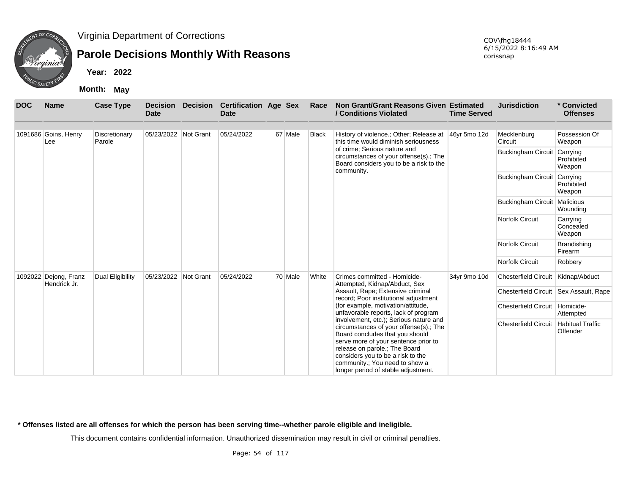

## **Parole Decisions Monthly With Reasons**

**Year: 2022**

**Month: May**

| <b>DOC</b> | <b>Name</b>                           | <b>Case Type</b>        | <b>Decision</b><br><b>Date</b> | <b>Decision</b> | <b>Certification Age Sex</b><br>Date |         | Race         | Non Grant/Grant Reasons Given Estimated<br>/ Conditions Violated                                                                                                                                                                                                                                           | <b>Time Served</b> | <b>Jurisdiction</b>                      | * Convicted<br><b>Offenses</b>      |
|------------|---------------------------------------|-------------------------|--------------------------------|-----------------|--------------------------------------|---------|--------------|------------------------------------------------------------------------------------------------------------------------------------------------------------------------------------------------------------------------------------------------------------------------------------------------------------|--------------------|------------------------------------------|-------------------------------------|
|            | 1091686 Goins, Henry<br>Lee           | Discretionary<br>Parole | 05/23/2022 Not Grant           |                 | 05/24/2022                           | 67 Male | <b>Black</b> | History of violence.; Other; Release at<br>this time would diminish seriousness                                                                                                                                                                                                                            | 46yr 5mo 12d       | Mecklenburg<br>Circuit                   | Possession Of<br>Weapon             |
|            |                                       |                         |                                |                 |                                      |         |              | of crime; Serious nature and<br>circumstances of your offense(s).; The<br>Board considers you to be a risk to the                                                                                                                                                                                          |                    | <b>Buckingham Circuit</b>                | Carrying<br>Prohibited<br>Weapon    |
|            |                                       |                         |                                |                 |                                      |         |              | community.                                                                                                                                                                                                                                                                                                 |                    | <b>Buckingham Circuit</b>                | Carrying<br>Prohibited<br>Weapon    |
|            |                                       |                         |                                |                 |                                      |         |              |                                                                                                                                                                                                                                                                                                            |                    | <b>Buckingham Circuit</b>                | Malicious<br>Wounding               |
|            |                                       |                         |                                |                 |                                      |         |              |                                                                                                                                                                                                                                                                                                            |                    | <b>Norfolk Circuit</b>                   | Carrying<br>Concealed<br>Weapon     |
|            |                                       |                         |                                |                 |                                      |         |              |                                                                                                                                                                                                                                                                                                            |                    | <b>Norfolk Circuit</b>                   | <b>Brandishing</b><br>Firearm       |
|            |                                       |                         |                                |                 |                                      |         |              |                                                                                                                                                                                                                                                                                                            |                    | <b>Norfolk Circuit</b>                   | Robbery                             |
|            | 1092022 Dejong, Franz<br>Hendrick Jr. | Dual Eligibility        | 05/23/2022 Not Grant           |                 | 05/24/2022                           | 70 Male | White        | Crimes committed - Homicide-<br>Attempted, Kidnap/Abduct, Sex                                                                                                                                                                                                                                              | 34yr 9mo 10d       | Chesterfield Circuit Kidnap/Abduct       |                                     |
|            |                                       |                         |                                |                 |                                      |         |              | Assault, Rape; Extensive criminal<br>record; Poor institutional adjustment                                                                                                                                                                                                                                 |                    | Chesterfield Circuit   Sex Assault, Rape |                                     |
|            |                                       |                         |                                |                 |                                      |         |              | (for example, motivation/attitude,<br>unfavorable reports, lack of program                                                                                                                                                                                                                                 |                    | Chesterfield Circuit Homicide-           | Attempted                           |
|            |                                       |                         |                                |                 |                                      |         |              | involvement, etc.); Serious nature and<br>circumstances of your offense(s).; The<br>Board concludes that you should<br>serve more of your sentence prior to<br>release on parole.; The Board<br>considers you to be a risk to the<br>community.; You need to show a<br>longer period of stable adjustment. |                    | <b>Chesterfield Circuit</b>              | <b>Habitual Traffic</b><br>Offender |

**\* Offenses listed are all offenses for which the person has been serving time--whether parole eligible and ineligible.**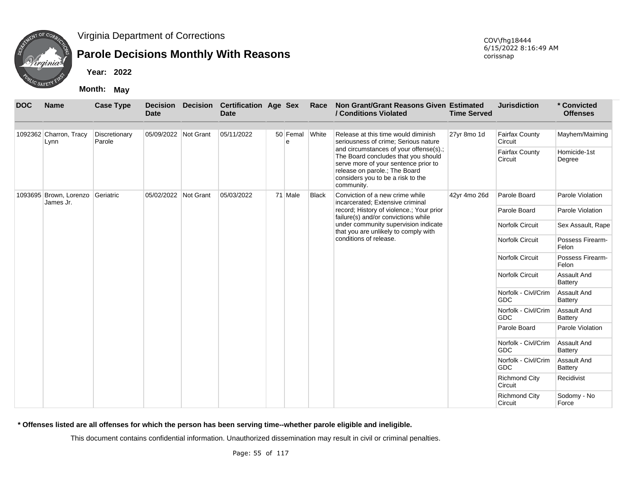

### **Parole Decisions Monthly With Reasons**

**Year: 2022**

**Month: May**

| <b>DOC</b> | <b>Name</b>                         | <b>Case Type</b>        | <b>Decision</b><br><b>Date</b> | <b>Decision</b> | <b>Certification Age Sex</b><br><b>Date</b> |                     | Race         | Non Grant/Grant Reasons Given Estimated<br>/ Conditions Violated                                                                                                                                          | <b>Time Served</b> | <b>Jurisdiction</b>               | * Convicted<br><b>Offenses</b> |
|------------|-------------------------------------|-------------------------|--------------------------------|-----------------|---------------------------------------------|---------------------|--------------|-----------------------------------------------------------------------------------------------------------------------------------------------------------------------------------------------------------|--------------------|-----------------------------------|--------------------------------|
|            |                                     |                         |                                |                 |                                             |                     |              |                                                                                                                                                                                                           |                    |                                   |                                |
|            | 1092362 Charron, Tracy<br>Lynn      | Discretionary<br>Parole | 05/09/2022 Not Grant           |                 | 05/11/2022                                  | 50 Femal White<br>e |              | Release at this time would diminish<br>seriousness of crime; Serious nature                                                                                                                               | 27yr 8mo 1d        | <b>Fairfax County</b><br>Circuit  | Mayhem/Maiming                 |
|            |                                     |                         |                                |                 |                                             |                     |              | and circumstances of your offense(s).;<br>The Board concludes that you should<br>serve more of your sentence prior to<br>release on parole.; The Board<br>considers you to be a risk to the<br>community. |                    | <b>Fairfax County</b><br>Circuit  | Homicide-1st<br>Degree         |
|            | 1093695 Brown, Lorenzo<br>James Jr. | Geriatric               | 05/02/2022                     | Not Grant       | 05/03/2022                                  | 71 Male             | <b>Black</b> | Conviction of a new crime while<br>incarcerated; Extensive criminal                                                                                                                                       | 42yr 4mo 26d       | Parole Board                      | Parole Violation               |
|            |                                     |                         |                                |                 |                                             |                     |              | record; History of violence.; Your prior<br>failure(s) and/or convictions while                                                                                                                           |                    | Parole Board                      | Parole Violation               |
|            |                                     |                         |                                |                 |                                             |                     |              | under community supervision indicate<br>that you are unlikely to comply with                                                                                                                              |                    | <b>Norfolk Circuit</b>            | Sex Assault, Rape              |
|            |                                     |                         |                                |                 |                                             |                     |              | conditions of release.                                                                                                                                                                                    |                    | Norfolk Circuit                   | Possess Firearm-<br>Felon      |
|            |                                     |                         |                                |                 |                                             |                     |              |                                                                                                                                                                                                           |                    | Norfolk Circuit                   | Possess Firearm-<br>Felon      |
|            |                                     |                         |                                |                 |                                             |                     |              |                                                                                                                                                                                                           |                    | <b>Norfolk Circuit</b>            | <b>Assault And</b><br>Battery  |
|            |                                     |                         |                                |                 |                                             |                     |              |                                                                                                                                                                                                           |                    | Norfolk - Civl/Crim<br><b>GDC</b> | Assault And<br>Battery         |
|            |                                     |                         |                                |                 |                                             |                     |              |                                                                                                                                                                                                           |                    | Norfolk - Civl/Crim<br><b>GDC</b> | Assault And<br>Battery         |
|            |                                     |                         |                                |                 |                                             |                     |              |                                                                                                                                                                                                           |                    | Parole Board                      | Parole Violation               |
|            |                                     |                         |                                |                 |                                             |                     |              |                                                                                                                                                                                                           |                    | Norfolk - Civl/Crim<br><b>GDC</b> | Assault And<br>Battery         |
|            |                                     |                         |                                |                 |                                             |                     |              |                                                                                                                                                                                                           |                    | Norfolk - Civl/Crim<br><b>GDC</b> | Assault And<br>Battery         |
|            |                                     |                         |                                |                 |                                             |                     |              |                                                                                                                                                                                                           |                    | <b>Richmond City</b><br>Circuit   | Recidivist                     |
|            |                                     |                         |                                |                 |                                             |                     |              |                                                                                                                                                                                                           |                    | <b>Richmond City</b><br>Circuit   | Sodomy - No<br>Force           |

**\* Offenses listed are all offenses for which the person has been serving time--whether parole eligible and ineligible.**

This document contains confidential information. Unauthorized dissemination may result in civil or criminal penalties.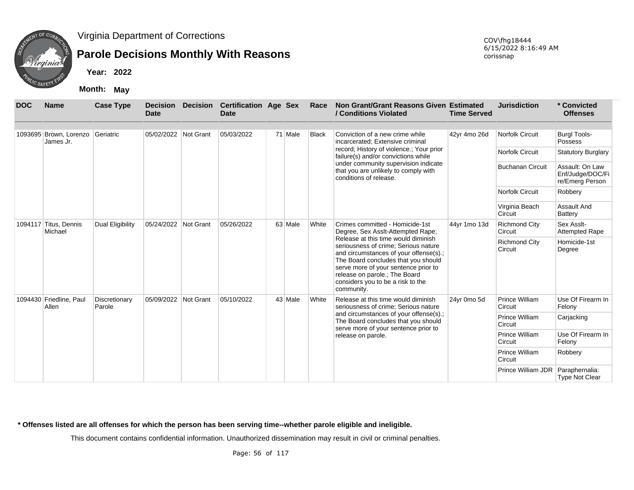

## **Parole Decisions Monthly With Reasons**

**Year: 2022**

**Month: May**

| <b>DOC</b> | <b>Name</b>                         | <b>Case Type</b>        | <b>Decision</b><br><b>Date</b> | <b>Decision</b> | <b>Certification Age Sex</b><br><b>Date</b> |         | Race         | Non Grant/Grant Reasons Given Estimated<br>/ Conditions Violated                                                                                                                                                                                                                         | <b>Time Served</b> | <b>Jurisdiction</b>             | * Convicted<br><b>Offenses</b>                         |
|------------|-------------------------------------|-------------------------|--------------------------------|-----------------|---------------------------------------------|---------|--------------|------------------------------------------------------------------------------------------------------------------------------------------------------------------------------------------------------------------------------------------------------------------------------------------|--------------------|---------------------------------|--------------------------------------------------------|
|            | 1093695 Brown, Lorenzo<br>James Jr. | Geriatric               | 05/02/2022 Not Grant           |                 | 05/03/2022                                  | 71 Male | <b>Black</b> | Conviction of a new crime while<br>incarcerated; Extensive criminal                                                                                                                                                                                                                      | 42yr 4mo 26d       | <b>Norfolk Circuit</b>          | <b>Burgl Tools-</b><br>Possess                         |
|            |                                     |                         |                                |                 |                                             |         |              | record; History of violence.; Your prior<br>failure(s) and/or convictions while                                                                                                                                                                                                          |                    | <b>Norfolk Circuit</b>          | <b>Statutory Burglary</b>                              |
|            |                                     |                         |                                |                 |                                             |         |              | under community supervision indicate<br>that you are unlikely to comply with<br>conditions of release.                                                                                                                                                                                   |                    | <b>Buchanan Circuit</b>         | Assault: On Law<br>Enf/Judge/DOC/Fi<br>re/Emerg Person |
|            |                                     |                         |                                |                 |                                             |         |              |                                                                                                                                                                                                                                                                                          |                    | <b>Norfolk Circuit</b>          | Robbery                                                |
|            |                                     |                         |                                |                 |                                             |         |              |                                                                                                                                                                                                                                                                                          |                    | Virginia Beach<br>Circuit       | <b>Assault And</b><br>Battery                          |
|            | 1094117 Titus, Dennis<br>Michael    | Dual Eligibility        | 05/24/2022                     | Not Grant       | 05/26/2022                                  | 63 Male | White        | Crimes committed - Homicide-1st<br>Degree, Sex Asslt-Attempted Rape;                                                                                                                                                                                                                     | 44yr 1mo 13d       | <b>Richmond City</b><br>Circuit | Sex Assit-<br><b>Attempted Rape</b>                    |
|            |                                     |                         |                                |                 |                                             |         |              | Release at this time would diminish<br>seriousness of crime; Serious nature<br>and circumstances of your offense(s).;<br>The Board concludes that you should<br>serve more of your sentence prior to<br>release on parole.; The Board<br>considers you to be a risk to the<br>community. |                    | <b>Richmond City</b><br>Circuit | Homicide-1st<br>Degree                                 |
|            | 1094430 Friedline, Paul<br>Allen    | Discretionary<br>Parole | 05/09/2022 Not Grant           |                 | 05/10/2022                                  | 43 Male | White        | Release at this time would diminish<br>seriousness of crime: Serious nature                                                                                                                                                                                                              | 24yr 0mo 5d        | Prince William<br>Circuit       | Use Of Firearm In<br>Felony                            |
|            |                                     |                         |                                |                 |                                             |         |              | and circumstances of your offense(s).;<br>The Board concludes that you should<br>serve more of your sentence prior to                                                                                                                                                                    |                    | Prince William<br>Circuit       | Carjacking                                             |
|            |                                     |                         |                                |                 |                                             |         |              | release on parole.                                                                                                                                                                                                                                                                       |                    | Prince William<br>Circuit       | Use Of Firearm In<br>Felony                            |
|            |                                     |                         |                                |                 |                                             |         |              |                                                                                                                                                                                                                                                                                          |                    | Prince William<br>Circuit       | Robbery                                                |
|            |                                     |                         |                                |                 |                                             |         |              |                                                                                                                                                                                                                                                                                          |                    | Prince William JDR              | Paraphernalia:<br><b>Type Not Clear</b>                |

**\* Offenses listed are all offenses for which the person has been serving time--whether parole eligible and ineligible.**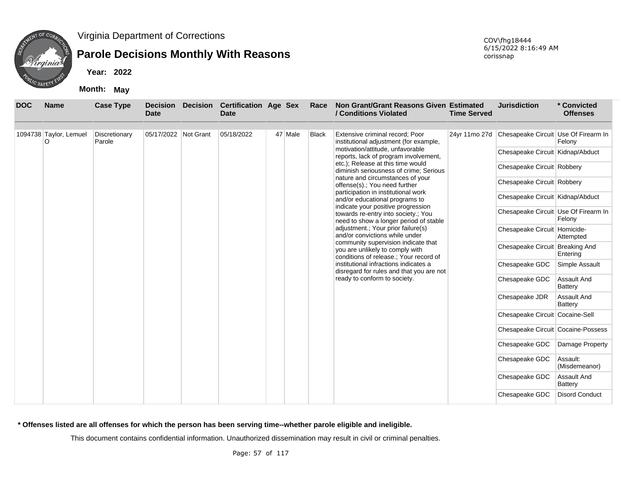

# **Parole Decisions Monthly With Reasons**

**Year: 2022**

**Month: May**

| <b>DOC</b> | <b>Name</b>            | <b>Case Type</b> | <b>Decision</b><br><b>Date</b> | <b>Decision</b> | <b>Certification Age Sex</b><br><b>Date</b> |         | Race         | Non Grant/Grant Reasons Given Estimated<br>/ Conditions Violated                                                    | <b>Time Served</b> | <b>Jurisdiction</b>                  | * Convicted<br><b>Offenses</b> |
|------------|------------------------|------------------|--------------------------------|-----------------|---------------------------------------------|---------|--------------|---------------------------------------------------------------------------------------------------------------------|--------------------|--------------------------------------|--------------------------------|
|            | 1094738 Taylor, Lemuel | Discretionary    | 05/17/2022 Not Grant           |                 | 05/18/2022                                  | 47 Male | <b>Black</b> | Extensive criminal record; Poor                                                                                     | 24yr 11mo 27d      | Chesapeake Circuit Use Of Firearm In |                                |
|            | O                      | Parole           |                                |                 |                                             |         |              | institutional adjustment (for example,                                                                              |                    |                                      | Felony                         |
|            |                        |                  |                                |                 |                                             |         |              | motivation/attitude, unfavorable<br>reports, lack of program involvement,                                           |                    | Chesapeake Circuit Kidnap/Abduct     |                                |
|            |                        |                  |                                |                 |                                             |         |              | etc.); Release at this time would<br>diminish seriousness of crime; Serious                                         |                    | Chesapeake Circuit Robbery           |                                |
|            |                        |                  |                                |                 |                                             |         |              | nature and circumstances of your<br>offense(s).; You need further                                                   |                    | Chesapeake Circuit Robbery           |                                |
|            |                        |                  |                                |                 |                                             |         |              | participation in institutional work<br>and/or educational programs to                                               |                    | Chesapeake Circuit Kidnap/Abduct     |                                |
|            |                        |                  |                                |                 |                                             |         |              | indicate your positive progression<br>towards re-entry into society.; You<br>need to show a longer period of stable |                    | Chesapeake Circuit Use Of Firearm In | Felony                         |
|            |                        |                  |                                |                 |                                             |         |              | adjustment.; Your prior failure(s)<br>and/or convictions while under                                                |                    | Chesapeake Circuit Homicide-         | Attempted                      |
|            |                        |                  |                                |                 |                                             |         |              | community supervision indicate that<br>you are unlikely to comply with<br>conditions of release.; Your record of    |                    | Chesapeake Circuit Breaking And      | Entering                       |
|            |                        |                  |                                |                 |                                             |         |              | institutional infractions indicates a<br>disregard for rules and that you are not                                   |                    | Chesapeake GDC                       | Simple Assault                 |
|            |                        |                  |                                |                 |                                             |         |              | ready to conform to society.                                                                                        |                    | Chesapeake GDC                       | Assault And<br>Battery         |
|            |                        |                  |                                |                 |                                             |         |              |                                                                                                                     |                    | Chesapeake JDR                       | Assault And<br>Battery         |
|            |                        |                  |                                |                 |                                             |         |              |                                                                                                                     |                    | Chesapeake Circuit Cocaine-Sell      |                                |
|            |                        |                  |                                |                 |                                             |         |              |                                                                                                                     |                    | Chesapeake Circuit Cocaine-Possess   |                                |
|            |                        |                  |                                |                 |                                             |         |              |                                                                                                                     |                    | Chesapeake GDC                       | Damage Property                |
|            |                        |                  |                                |                 |                                             |         |              |                                                                                                                     |                    | Chesapeake GDC                       | Assault:<br>(Misdemeanor)      |
|            |                        |                  |                                |                 |                                             |         |              |                                                                                                                     |                    | Chesapeake GDC                       | Assault And<br><b>Battery</b>  |
|            |                        |                  |                                |                 |                                             |         |              |                                                                                                                     |                    | Chesapeake GDC                       | <b>Disord Conduct</b>          |

**\* Offenses listed are all offenses for which the person has been serving time--whether parole eligible and ineligible.**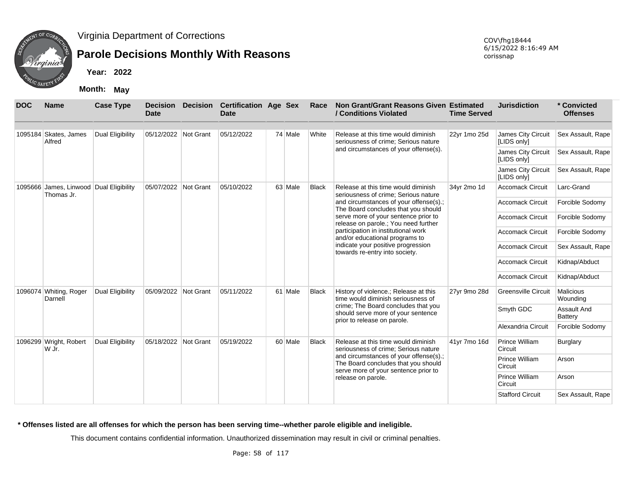

# **Parole Decisions Monthly With Reasons**

**Year: 2022**

**Month: May**

| <b>DOC</b> | <b>Name</b>                                           | <b>Case Type</b>        | <b>Decision</b><br><b>Date</b> | <b>Decision</b> | <b>Certification Age Sex</b><br><b>Date</b> |         | Race         | Non Grant/Grant Reasons Given Estimated<br>/ Conditions Violated                                                      | <b>Time Served</b> | <b>Jurisdiction</b>               | * Convicted<br><b>Offenses</b> |
|------------|-------------------------------------------------------|-------------------------|--------------------------------|-----------------|---------------------------------------------|---------|--------------|-----------------------------------------------------------------------------------------------------------------------|--------------------|-----------------------------------|--------------------------------|
|            | 1095184 Skates, James<br>Alfred                       | Dual Eligibility        | 05/12/2022 Not Grant           |                 | 05/12/2022                                  | 74 Male | White        | Release at this time would diminish<br>seriousness of crime; Serious nature                                           | 22yr 1mo 25d       | James City Circuit<br>[LIDS only] | Sex Assault, Rape              |
|            |                                                       |                         |                                |                 |                                             |         |              | and circumstances of your offense(s).                                                                                 |                    | James City Circuit<br>[LIDS only] | Sex Assault, Rape              |
|            |                                                       |                         |                                |                 |                                             |         |              |                                                                                                                       |                    | James City Circuit<br>[LIDS only] | Sex Assault, Rape              |
|            | 1095666 James, Linwood Dual Eligibility<br>Thomas Jr. |                         | 05/07/2022                     | Not Grant       | 05/10/2022                                  | 63 Male | <b>Black</b> | Release at this time would diminish<br>seriousness of crime: Serious nature                                           | 34yr 2mo 1d        | <b>Accomack Circuit</b>           | Larc-Grand                     |
|            |                                                       |                         |                                |                 |                                             |         |              | and circumstances of your offense(s).;<br>The Board concludes that you should                                         |                    | <b>Accomack Circuit</b>           | Forcible Sodomy                |
|            |                                                       |                         |                                |                 |                                             |         |              | serve more of your sentence prior to<br>release on parole.; You need further                                          |                    | <b>Accomack Circuit</b>           | Forcible Sodomy                |
|            |                                                       |                         |                                |                 |                                             |         |              | participation in institutional work<br>and/or educational programs to                                                 |                    | <b>Accomack Circuit</b>           | Forcible Sodomy                |
|            |                                                       |                         |                                |                 |                                             |         |              | indicate your positive progression<br>towards re-entry into society.                                                  |                    | <b>Accomack Circuit</b>           | Sex Assault, Rape              |
|            |                                                       |                         |                                |                 |                                             |         |              |                                                                                                                       |                    | <b>Accomack Circuit</b>           | Kidnap/Abduct                  |
|            |                                                       |                         |                                |                 |                                             |         |              |                                                                                                                       |                    | <b>Accomack Circuit</b>           | Kidnap/Abduct                  |
|            | 1096074 Whiting, Roger<br>Darnell                     | <b>Dual Eligibility</b> | 05/09/2022 Not Grant           |                 | 05/11/2022                                  | 61 Male | <b>Black</b> | History of violence.; Release at this<br>time would diminish seriousness of                                           | 27yr 9mo 28d       | <b>Greensville Circuit</b>        | Malicious<br>Wounding          |
|            |                                                       |                         |                                |                 |                                             |         |              | crime; The Board concludes that you<br>should serve more of your sentence<br>prior to release on parole.              |                    | Smyth GDC                         | Assault And<br>Battery         |
|            |                                                       |                         |                                |                 |                                             |         |              |                                                                                                                       |                    | Alexandria Circuit                | Forcible Sodomy                |
|            | 1096299 Wright, Robert<br>W Jr.                       | Dual Eligibility        | 05/18/2022 Not Grant           |                 | 05/19/2022                                  | 60 Male | <b>Black</b> | Release at this time would diminish<br>seriousness of crime; Serious nature                                           | 41yr 7mo 16d       | Prince William<br>Circuit         | Burglary                       |
|            |                                                       |                         |                                |                 |                                             |         |              | and circumstances of your offense(s).;<br>The Board concludes that you should<br>serve more of your sentence prior to |                    | Prince William<br>Circuit         | Arson                          |
|            |                                                       |                         |                                |                 |                                             |         |              | release on parole.                                                                                                    |                    | Prince William<br>Circuit         | Arson                          |
|            |                                                       |                         |                                |                 |                                             |         |              |                                                                                                                       |                    | <b>Stafford Circuit</b>           | Sex Assault, Rape              |

**\* Offenses listed are all offenses for which the person has been serving time--whether parole eligible and ineligible.**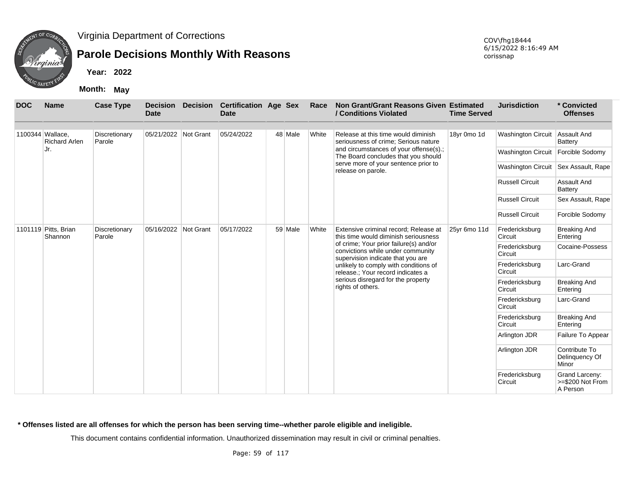

# **Parole Decisions Monthly With Reasons**

**Year: 2022**

**Month: May**

| <b>DOC</b> | <b>Name</b>                              | <b>Case Type</b>                                   | <b>Decision</b><br><b>Date</b> | <b>Decision</b> | <b>Certification Age Sex</b><br><b>Date</b> |                                                                               | Race         | Non Grant/Grant Reasons Given Estimated<br>/ Conditions Violated                                                 | <b>Time Served</b>              | <b>Jurisdiction</b>       | * Convicted<br><b>Offenses</b>                 |
|------------|------------------------------------------|----------------------------------------------------|--------------------------------|-----------------|---------------------------------------------|-------------------------------------------------------------------------------|--------------|------------------------------------------------------------------------------------------------------------------|---------------------------------|---------------------------|------------------------------------------------|
|            | 1100344 Wallace.<br><b>Richard Arlen</b> | Discretionary<br>Parole                            | 05/21/2022 Not Grant           |                 | 05/24/2022                                  | 48 Male                                                                       | White        | Release at this time would diminish<br>seriousness of crime; Serious nature                                      | 18yr 0mo 1d                     | <b>Washington Circuit</b> | Assault And<br>Battery                         |
|            | Jr.                                      |                                                    |                                |                 |                                             |                                                                               |              | and circumstances of your offense(s).;<br>The Board concludes that you should                                    |                                 | <b>Washington Circuit</b> | Forcible Sodomy                                |
|            |                                          |                                                    |                                |                 |                                             |                                                                               |              | serve more of your sentence prior to<br>release on parole.                                                       |                                 | <b>Washington Circuit</b> | Sex Assault, Rape                              |
|            |                                          |                                                    |                                |                 |                                             |                                                                               |              |                                                                                                                  |                                 | <b>Russell Circuit</b>    | Assault And<br>Battery                         |
|            |                                          |                                                    |                                |                 |                                             |                                                                               |              |                                                                                                                  |                                 | <b>Russell Circuit</b>    | Sex Assault, Rape                              |
|            |                                          |                                                    |                                |                 |                                             |                                                                               |              |                                                                                                                  |                                 | <b>Russell Circuit</b>    | Forcible Sodomy                                |
|            | 1101119 Pitts, Brian<br>Shannon          | Discretionary<br>05/16/2022<br>Not Grant<br>Parole | 05/17/2022                     | 59 Male         | White                                       | Extensive criminal record; Release at<br>this time would diminish seriousness | 25yr 6mo 11d | Fredericksburg<br>Circuit                                                                                        | <b>Breaking And</b><br>Entering |                           |                                                |
|            |                                          |                                                    |                                |                 |                                             |                                                                               |              | of crime; Your prior failure(s) and/or<br>convictions while under community<br>supervision indicate that you are |                                 | Fredericksburg<br>Circuit | Cocaine-Possess                                |
|            |                                          |                                                    |                                |                 |                                             |                                                                               |              | unlikely to comply with conditions of<br>release.; Your record indicates a                                       |                                 | Fredericksburg<br>Circuit | Larc-Grand                                     |
|            |                                          |                                                    |                                |                 |                                             |                                                                               |              | serious disregard for the property<br>rights of others.                                                          |                                 | Fredericksburg<br>Circuit | <b>Breaking And</b><br>Entering                |
|            |                                          |                                                    |                                |                 |                                             |                                                                               |              |                                                                                                                  |                                 | Fredericksburg<br>Circuit | Larc-Grand                                     |
|            |                                          |                                                    |                                |                 |                                             |                                                                               |              |                                                                                                                  |                                 | Fredericksburg<br>Circuit | <b>Breaking And</b><br>Entering                |
|            |                                          |                                                    |                                |                 |                                             |                                                                               |              |                                                                                                                  |                                 | Arlington JDR             | Failure To Appear                              |
|            |                                          |                                                    |                                |                 |                                             |                                                                               |              |                                                                                                                  |                                 | Arlington JDR             | Contribute To<br>Delinquency Of<br>Minor       |
|            |                                          |                                                    |                                |                 |                                             |                                                                               |              |                                                                                                                  |                                 | Fredericksburg<br>Circuit | Grand Larceny:<br>>=\$200 Not From<br>A Person |

**\* Offenses listed are all offenses for which the person has been serving time--whether parole eligible and ineligible.**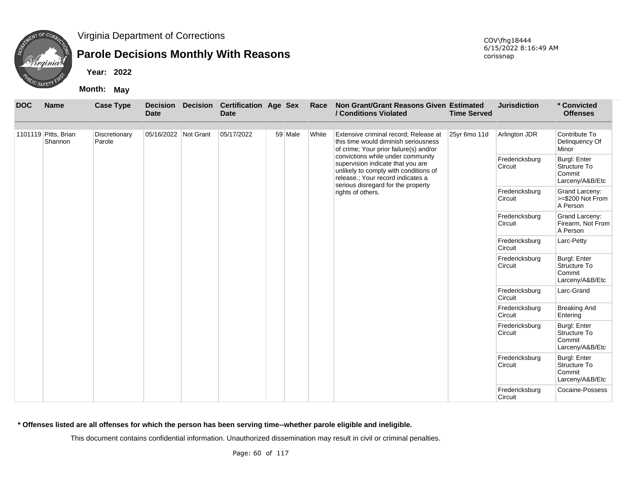

# **Parole Decisions Monthly With Reasons**

**Year: 2022**

**Month: May**

| <b>DOC</b> | <b>Name</b>                     | <b>Case Type</b>        | <b>Decision</b><br><b>Date</b> | <b>Decision</b> | <b>Certification Age Sex</b><br><b>Date</b> |         | Race  | Non Grant/Grant Reasons Given Estimated<br>/ Conditions Violated                                                                                     | <b>Time Served</b> | <b>Jurisdiction</b>       | * Convicted<br><b>Offenses</b>                                   |
|------------|---------------------------------|-------------------------|--------------------------------|-----------------|---------------------------------------------|---------|-------|------------------------------------------------------------------------------------------------------------------------------------------------------|--------------------|---------------------------|------------------------------------------------------------------|
|            | 1101119 Pitts, Brian<br>Shannon | Discretionary<br>Parole | 05/16/2022 Not Grant           |                 | 05/17/2022                                  | 59 Male | White | Extensive criminal record; Release at<br>this time would diminish seriousness<br>of crime; Your prior failure(s) and/or                              | 25yr 6mo 11d       | Arlington JDR             | Contribute To<br>Delinquency Of<br>Minor                         |
|            |                                 |                         |                                |                 |                                             |         |       | convictions while under community<br>supervision indicate that you are<br>unlikely to comply with conditions of<br>release.; Your record indicates a |                    | Fredericksburg<br>Circuit | <b>Burgl: Enter</b><br>Structure To<br>Commit<br>Larceny/A&B/Etc |
|            |                                 |                         |                                |                 |                                             |         |       | serious disregard for the property<br>rights of others.                                                                                              |                    | Fredericksburg<br>Circuit | Grand Larceny:<br>>=\$200 Not From<br>A Person                   |
|            |                                 |                         |                                |                 |                                             |         |       |                                                                                                                                                      |                    | Fredericksburg<br>Circuit | Grand Larceny:<br>Firearm, Not From<br>A Person                  |
|            |                                 |                         |                                |                 |                                             |         |       |                                                                                                                                                      |                    | Fredericksburg<br>Circuit | Larc-Petty                                                       |
|            |                                 |                         |                                |                 |                                             |         |       |                                                                                                                                                      |                    | Fredericksburg<br>Circuit | <b>Burgl: Enter</b><br>Structure To<br>Commit<br>Larceny/A&B/Etc |
|            |                                 |                         |                                |                 |                                             |         |       |                                                                                                                                                      |                    | Fredericksburg<br>Circuit | Larc-Grand                                                       |
|            |                                 |                         |                                |                 |                                             |         |       |                                                                                                                                                      |                    | Fredericksburg<br>Circuit | <b>Breaking And</b><br>Entering                                  |
|            |                                 |                         |                                |                 |                                             |         |       |                                                                                                                                                      |                    | Fredericksburg<br>Circuit | <b>Burgl: Enter</b><br>Structure To<br>Commit<br>Larceny/A&B/Etc |
|            |                                 |                         |                                |                 |                                             |         |       |                                                                                                                                                      |                    | Fredericksburg<br>Circuit | <b>Burgl: Enter</b><br>Structure To<br>Commit<br>Larceny/A&B/Etc |
|            |                                 |                         |                                |                 |                                             |         |       |                                                                                                                                                      |                    | Fredericksburg<br>Circuit | Cocaine-Possess                                                  |

**\* Offenses listed are all offenses for which the person has been serving time--whether parole eligible and ineligible.**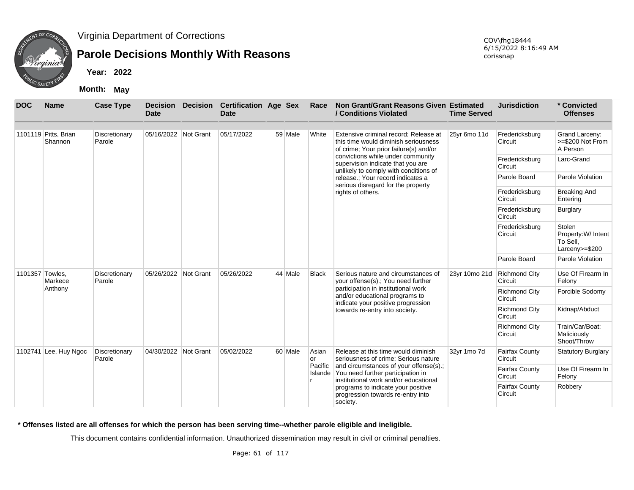

## **Parole Decisions Monthly With Reasons**

**Year: 2022**

**Month: May**

| <b>DOC</b>      | <b>Name</b>                     | <b>Case Type</b>        | <b>Decision</b><br><b>Date</b> | <b>Decision</b> | <b>Certification Age Sex</b><br><b>Date</b> |         | Race                                                                                | Non Grant/Grant Reasons Given Estimated<br>/ Conditions Violated                                                             | <b>Time Served</b>               | <b>Jurisdiction</b>              | * Convicted<br><b>Offenses</b>                              |
|-----------------|---------------------------------|-------------------------|--------------------------------|-----------------|---------------------------------------------|---------|-------------------------------------------------------------------------------------|------------------------------------------------------------------------------------------------------------------------------|----------------------------------|----------------------------------|-------------------------------------------------------------|
|                 | 1101119 Pitts, Brian<br>Shannon | Discretionary<br>Parole | 05/16/2022 Not Grant           |                 | 05/17/2022                                  | 59 Male | White                                                                               | Extensive criminal record; Release at<br>this time would diminish seriousness<br>of crime; Your prior failure(s) and/or      | 25yr 6mo 11d                     | Fredericksburg<br>Circuit        | Grand Larceny:<br>>=\$200 Not From<br>A Person              |
|                 |                                 |                         |                                |                 |                                             |         |                                                                                     | convictions while under community<br>supervision indicate that you are<br>unlikely to comply with conditions of              |                                  | Fredericksburg<br>Circuit        | Larc-Grand                                                  |
|                 |                                 |                         |                                |                 |                                             |         |                                                                                     | release.; Your record indicates a<br>serious disregard for the property                                                      |                                  | Parole Board                     | Parole Violation                                            |
|                 |                                 |                         |                                |                 |                                             |         |                                                                                     | rights of others.                                                                                                            |                                  | Fredericksburg<br>Circuit        | <b>Breaking And</b><br>Entering                             |
|                 |                                 |                         |                                |                 |                                             |         |                                                                                     |                                                                                                                              |                                  | Fredericksburg<br>Circuit        | Burglary                                                    |
|                 |                                 |                         |                                |                 |                                             |         |                                                                                     |                                                                                                                              |                                  | Fredericksburg<br>Circuit        | Stolen<br>Property: W/ Intent<br>To Sell,<br>Larceny>=\$200 |
|                 |                                 |                         |                                |                 |                                             |         |                                                                                     |                                                                                                                              |                                  | Parole Board                     | Parole Violation                                            |
| 1101357 Towles, | Markece                         | Discretionary<br>Parole | 05/26/2022 Not Grant           |                 | 05/26/2022                                  | 44 Male | <b>Black</b>                                                                        | Serious nature and circumstances of<br>your offense(s).; You need further                                                    | 23yr 10mo 21d                    | <b>Richmond City</b><br>Circuit  | Use Of Firearm In<br>Felony                                 |
|                 | Anthony                         |                         |                                |                 |                                             |         |                                                                                     | participation in institutional work<br>and/or educational programs to<br>indicate your positive progression                  |                                  | <b>Richmond City</b><br>Circuit  | Forcible Sodomy                                             |
|                 |                                 |                         |                                |                 |                                             |         |                                                                                     | towards re-entry into society.                                                                                               |                                  | <b>Richmond City</b><br>Circuit  | Kidnap/Abduct                                               |
|                 |                                 |                         |                                |                 |                                             |         |                                                                                     |                                                                                                                              |                                  | <b>Richmond City</b><br>Circuit  | Train/Car/Boat:<br>Maliciously<br>Shoot/Throw               |
|                 | 1102741 Lee, Huy Ngoc           | Discretionary<br>Parole | 04/30/2022 Not Grant           |                 | 05/02/2022                                  | 60 Male | Asian<br>l or                                                                       | Release at this time would diminish<br>seriousness of crime: Serious nature                                                  | 32yr 1mo 7d                      | <b>Fairfax County</b><br>Circuit | <b>Statutory Burglary</b>                                   |
|                 |                                 |                         |                                |                 |                                             |         | Pacific                                                                             | and circumstances of your offense(s).;<br>Islande You need further participation in<br>institutional work and/or educational |                                  | <b>Fairfax County</b><br>Circuit | Use Of Firearm In<br>Felony                                 |
|                 |                                 |                         |                                |                 |                                             |         | programs to indicate your positive<br>progression towards re-entry into<br>society. |                                                                                                                              | <b>Fairfax County</b><br>Circuit | Robbery                          |                                                             |

**\* Offenses listed are all offenses for which the person has been serving time--whether parole eligible and ineligible.**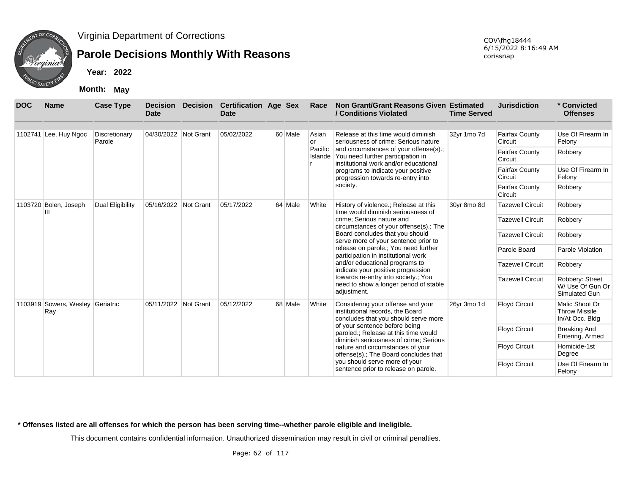

Virginia Department of Corrections

### **Parole Decisions Monthly With Reasons**

**Year: 2022**

|                                         |                       | <b>Month:</b><br>May    |                         |                  |                                      |         |                    |                                                                                                                                      |                                  |                                  |                                                           |
|-----------------------------------------|-----------------------|-------------------------|-------------------------|------------------|--------------------------------------|---------|--------------------|--------------------------------------------------------------------------------------------------------------------------------------|----------------------------------|----------------------------------|-----------------------------------------------------------|
| <b>DOC</b>                              | <b>Name</b>           | <b>Case Type</b>        | <b>Decision</b><br>Date | <b>Decision</b>  | <b>Certification Age Sex</b><br>Date |         | Race               | Non Grant/Grant Reasons Given Estimated<br>/ Conditions Violated                                                                     | <b>Time Served</b>               | <b>Jurisdiction</b>              | * Convicted<br><b>Offenses</b>                            |
|                                         | 1102741 Lee, Huy Ngoc | Discretionary<br>Parole | 04/30/2022              | Not Grant        | 05/02/2022                           | 60 Male | Asian<br><b>or</b> | Release at this time would diminish<br>seriousness of crime; Serious nature                                                          | 32yr 1mo 7d                      | <b>Fairfax County</b><br>Circuit | Use Of Firearm In<br>Felony                               |
|                                         |                       |                         |                         |                  |                                      |         |                    | Pacific and circumstances of your offense(s).;<br>Islande You need further participation in<br>institutional work and/or educational |                                  | <b>Fairfax County</b><br>Circuit | Robbery                                                   |
|                                         |                       |                         |                         |                  |                                      |         |                    | programs to indicate your positive<br>progression towards re-entry into                                                              |                                  | <b>Fairfax County</b><br>Circuit | Use Of Firearm In<br>Felony                               |
| 1103720<br>Bolen, Joseph                |                       |                         |                         |                  |                                      |         | society.           |                                                                                                                                      | <b>Fairfax County</b><br>Circuit | Robbery                          |                                                           |
|                                         | Ш                     | Dual Eligibility        | 05/16/2022              | <b>Not Grant</b> | 05/17/2022                           | 64 Male | White              | History of violence.; Release at this<br>time would diminish seriousness of                                                          | 30yr 8mo 8d                      | <b>Tazewell Circuit</b>          | Robbery                                                   |
|                                         |                       |                         |                         |                  |                                      |         |                    | crime; Serious nature and<br>circumstances of your offense(s).; The                                                                  |                                  | <b>Tazewell Circuit</b>          | Robbery                                                   |
|                                         |                       |                         |                         |                  |                                      |         |                    | Board concludes that you should<br>serve more of your sentence prior to                                                              |                                  | <b>Tazewell Circuit</b>          | Robbery                                                   |
|                                         |                       |                         |                         |                  |                                      |         |                    | release on parole.; You need further<br>participation in institutional work                                                          |                                  | Parole Board                     | Parole Violation                                          |
|                                         |                       |                         |                         |                  |                                      |         |                    | and/or educational programs to<br>indicate your positive progression                                                                 |                                  | <b>Tazewell Circuit</b>          | Robbery                                                   |
|                                         |                       |                         |                         |                  |                                      |         |                    | towards re-entry into society.; You<br>need to show a longer period of stable<br>adjustment.                                         |                                  | <b>Tazewell Circuit</b>          | Robbery: Street<br>W/ Use Of Gun Or<br>Simulated Gun      |
| 1103919 Sowers, Wesley Geriatric<br>Ray |                       |                         | 05/11/2022              | Not Grant        | 05/12/2022                           | 68 Male | White              | Considering your offense and your<br>institutional records, the Board<br>concludes that you should serve more                        | 26yr 3mo 1d                      | <b>Floyd Circuit</b>             | Malic Shoot Or<br><b>Throw Missile</b><br>In/At Occ. Bldg |
|                                         |                       |                         |                         |                  |                                      |         |                    | of your sentence before being<br>paroled.; Release at this time would<br>diminish seriousness of crime; Serious                      |                                  | <b>Floyd Circuit</b>             | <b>Breaking And</b><br>Entering, Armed                    |

nature and circumstances of your offense(s).; The Board concludes that you should serve more of your sentence prior to release on parole.

**\* Offenses listed are all offenses for which the person has been serving time--whether parole eligible and ineligible.**

This document contains confidential information. Unauthorized dissemination may result in civil or criminal penalties.

COV\fhg18444 6/15/2022 8:16:49 AM corissnap

Floyd Circuit Homicide-1st

Floyd Circuit Use Of Firearm In Felony

Degree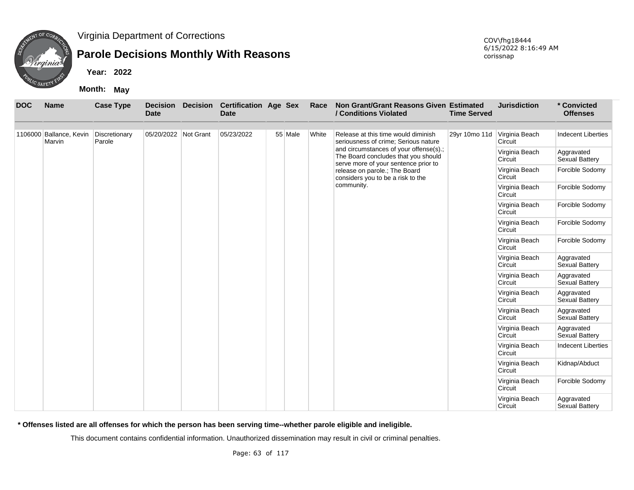

### **Parole Decisions Monthly With Reasons**

**Year: 2022**

**Month: May**

| <b>DOC</b> | <b>Name</b>                       | <b>Case Type</b>        | <b>Decision</b><br><b>Date</b> | <b>Decision</b> | <b>Certification Age Sex</b><br><b>Date</b> |         | Race  | Non Grant/Grant Reasons Given Estimated<br>/ Conditions Violated                                                      | <b>Time Served</b> | <b>Jurisdiction</b>       | * Convicted<br><b>Offenses</b>      |
|------------|-----------------------------------|-------------------------|--------------------------------|-----------------|---------------------------------------------|---------|-------|-----------------------------------------------------------------------------------------------------------------------|--------------------|---------------------------|-------------------------------------|
|            | 1106000 Ballance, Kevin<br>Marvin | Discretionary<br>Parole | 05/20/2022 Not Grant           |                 | 05/23/2022                                  | 55 Male | White | Release at this time would diminish<br>seriousness of crime; Serious nature                                           | 29yr 10mo 11d      | Virginia Beach<br>Circuit | <b>Indecent Liberties</b>           |
|            |                                   |                         |                                |                 |                                             |         |       | and circumstances of your offense(s).;<br>The Board concludes that you should<br>serve more of your sentence prior to |                    | Virginia Beach<br>Circuit | Aggravated<br><b>Sexual Battery</b> |
|            |                                   |                         |                                |                 |                                             |         |       | release on parole.; The Board<br>considers you to be a risk to the                                                    |                    | Virginia Beach<br>Circuit | Forcible Sodomy                     |
|            |                                   |                         |                                |                 |                                             |         |       | community.                                                                                                            |                    | Virginia Beach<br>Circuit | Forcible Sodomy                     |
|            |                                   |                         |                                |                 |                                             |         |       |                                                                                                                       |                    | Virginia Beach<br>Circuit | Forcible Sodomy                     |
|            |                                   |                         |                                |                 |                                             |         |       |                                                                                                                       |                    | Virginia Beach<br>Circuit | Forcible Sodomy                     |
|            |                                   |                         |                                |                 |                                             |         |       |                                                                                                                       |                    | Virginia Beach<br>Circuit | Forcible Sodomy                     |
|            |                                   |                         |                                |                 |                                             |         |       |                                                                                                                       |                    | Virginia Beach<br>Circuit | Aggravated<br>Sexual Battery        |
|            |                                   |                         |                                |                 |                                             |         |       |                                                                                                                       |                    | Virginia Beach<br>Circuit | Aggravated<br>Sexual Battery        |
|            |                                   |                         |                                |                 |                                             |         |       |                                                                                                                       |                    | Virginia Beach<br>Circuit | Aggravated<br><b>Sexual Battery</b> |
|            |                                   |                         |                                |                 |                                             |         |       |                                                                                                                       |                    | Virginia Beach<br>Circuit | Aggravated<br><b>Sexual Battery</b> |
|            |                                   |                         |                                |                 |                                             |         |       |                                                                                                                       |                    | Virginia Beach<br>Circuit | Aggravated<br>Sexual Battery        |
|            |                                   |                         |                                |                 |                                             |         |       |                                                                                                                       |                    | Virginia Beach<br>Circuit | <b>Indecent Liberties</b>           |
|            |                                   |                         |                                |                 |                                             |         |       |                                                                                                                       |                    | Virginia Beach<br>Circuit | Kidnap/Abduct                       |
|            |                                   |                         |                                |                 |                                             |         |       |                                                                                                                       |                    | Virginia Beach<br>Circuit | Forcible Sodomy                     |
|            |                                   |                         |                                |                 |                                             |         |       |                                                                                                                       |                    | Virginia Beach<br>Circuit | Aggravated<br>Sexual Battery        |

**\* Offenses listed are all offenses for which the person has been serving time--whether parole eligible and ineligible.**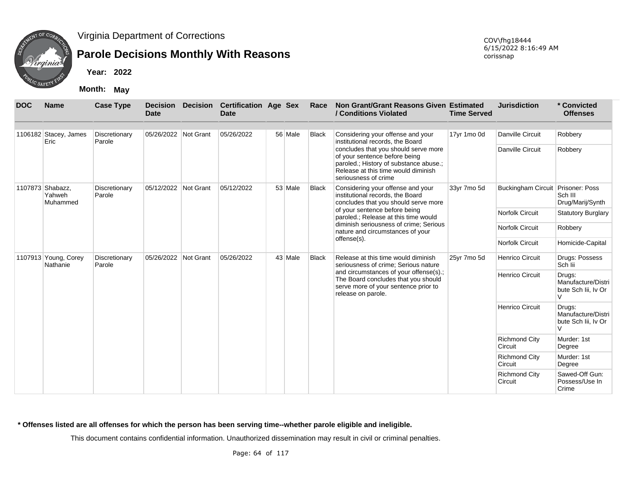

## **Parole Decisions Monthly With Reasons**

**Year: 2022**

**Month: May**

| <b>DOC</b>                       | <b>Name</b>                            | <b>Case Type</b>        | Date                 | <b>Decision Decision</b> | <b>Certification Age Sex</b><br>Date |         | Race         | Non Grant/Grant Reasons Given Estimated<br>/ Conditions Violated                                                                                                               | <b>Time Served</b> | <b>Jurisdiction</b>             | * Convicted<br><b>Offenses</b>                                |
|----------------------------------|----------------------------------------|-------------------------|----------------------|--------------------------|--------------------------------------|---------|--------------|--------------------------------------------------------------------------------------------------------------------------------------------------------------------------------|--------------------|---------------------------------|---------------------------------------------------------------|
|                                  | 1106182 Stacey, James<br>Eric          | Discretionary<br>Parole | 05/26/2022 Not Grant |                          | 05/26/2022                           | 56 Male | <b>Black</b> | Considering your offense and your<br>institutional records, the Board                                                                                                          | 17yr 1mo 0d        | <b>Danville Circuit</b>         | Robbery                                                       |
|                                  |                                        |                         |                      |                          |                                      |         |              | concludes that you should serve more<br>of your sentence before being<br>paroled.; History of substance abuse.;<br>Release at this time would diminish<br>seriousness of crime |                    | <b>Danville Circuit</b>         | Robbery                                                       |
|                                  | 1107873 Shabazz,<br>Yahweh<br>Muhammed | Discretionary<br>Parole | 05/12/2022 Not Grant |                          | 05/12/2022                           | 53 Male | <b>Black</b> | Considering your offense and your<br>institutional records, the Board<br>concludes that you should serve more                                                                  | 33yr 7mo 5d        | <b>Buckingham Circuit</b>       | Prisoner: Poss<br>Sch III<br>Drug/Marij/Synth                 |
|                                  |                                        |                         |                      |                          |                                      |         |              | of your sentence before being<br>paroled.; Release at this time would                                                                                                          |                    | <b>Norfolk Circuit</b>          | <b>Statutory Burglary</b>                                     |
|                                  |                                        |                         |                      |                          |                                      |         |              | diminish seriousness of crime; Serious<br>nature and circumstances of your                                                                                                     |                    | <b>Norfolk Circuit</b>          | Robbery                                                       |
|                                  |                                        |                         |                      |                          |                                      |         |              | offense(s).                                                                                                                                                                    |                    | Norfolk Circuit                 | Homicide-Capital                                              |
| 1107913 Young, Corey<br>Nathanie |                                        | Discretionary<br>Parole | 05/26/2022 Not Grant |                          | 05/26/2022                           | 43 Male | <b>Black</b> | Release at this time would diminish<br>seriousness of crime; Serious nature                                                                                                    | 25yr 7mo 5d        | <b>Henrico Circuit</b>          | Drugs: Possess<br>Sch lii                                     |
|                                  |                                        |                         |                      |                          |                                      |         |              | and circumstances of your offense(s).;<br>The Board concludes that you should<br>serve more of your sentence prior to<br>release on parole.                                    |                    | <b>Henrico Circuit</b>          | Drugs:<br>Manufacture/Distri<br>bute Sch lii, Iv Or<br>$\vee$ |
|                                  |                                        |                         |                      |                          |                                      |         |              |                                                                                                                                                                                |                    | <b>Henrico Circuit</b>          | Drugs:<br>Manufacture/Distri<br>bute Sch lii, Iv Or<br>V      |
|                                  |                                        |                         |                      |                          |                                      |         |              |                                                                                                                                                                                |                    | <b>Richmond City</b><br>Circuit | Murder: 1st<br>Degree                                         |
|                                  |                                        |                         |                      |                          |                                      |         |              |                                                                                                                                                                                |                    | <b>Richmond City</b><br>Circuit | Murder: 1st<br>Degree                                         |
|                                  |                                        |                         |                      |                          |                                      |         |              |                                                                                                                                                                                |                    | <b>Richmond City</b><br>Circuit | Sawed-Off Gun:<br>Possess/Use In<br>Crime                     |

**\* Offenses listed are all offenses for which the person has been serving time--whether parole eligible and ineligible.**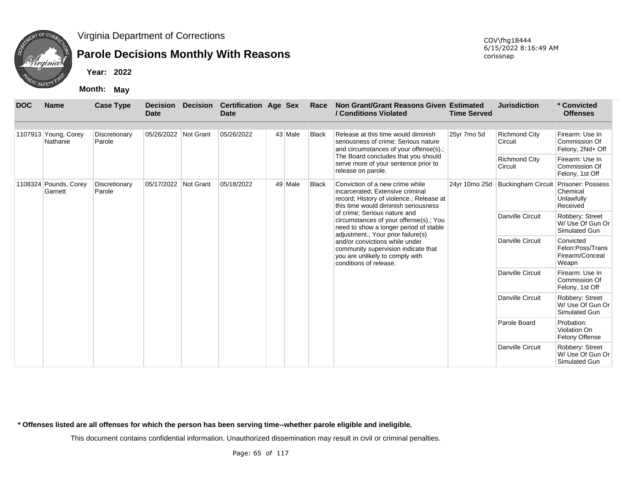

## **Parole Decisions Monthly With Reasons**

**Year: 2022**

**Month: May**

| <b>DOC</b> | <b>Name</b>                      | <b>Case Type</b>        | <b>Decision</b><br><b>Date</b> | <b>Decision</b> | <b>Certification Age Sex</b><br><b>Date</b> |         | Race         | Non Grant/Grant Reasons Given Estimated<br>/ Conditions Violated                                                                                        | <b>Time Served</b> | <b>Jurisdiction</b>             | * Convicted<br><b>Offenses</b>                            |
|------------|----------------------------------|-------------------------|--------------------------------|-----------------|---------------------------------------------|---------|--------------|---------------------------------------------------------------------------------------------------------------------------------------------------------|--------------------|---------------------------------|-----------------------------------------------------------|
|            | 1107913 Young, Corey<br>Nathanie | Discretionary<br>Parole | 05/26/2022 Not Grant           |                 | 05/26/2022                                  | 43 Male | Black        | Release at this time would diminish<br>seriousness of crime; Serious nature<br>and circumstances of your offense(s).;                                   | 25yr 7mo 5d        | <b>Richmond City</b><br>Circuit | Firearm: Use In<br>Commission Of<br>Felony, 2Nd+ Off      |
|            |                                  |                         |                                |                 |                                             |         |              | The Board concludes that you should<br>serve more of your sentence prior to<br>release on parole.                                                       |                    | Richmond City<br>Circuit        | Firearm: Use In<br>Commission Of<br>Felony, 1st Off       |
|            | 1108324 Pounds, Corey<br>Garnett | Discretionary<br>Parole | 05/17/2022 Not Grant           |                 | 05/18/2022                                  | 49 Male | <b>Black</b> | Conviction of a new crime while<br>incarcerated; Extensive criminal<br>record; History of violence.; Release at<br>this time would diminish seriousness | 24yr 10mo 25d      | <b>Buckingham Circuit</b>       | Prisoner: Possess<br>Chemical<br>Unlawfully<br>Received   |
|            |                                  |                         |                                |                 |                                             |         |              | of crime; Serious nature and<br>circumstances of your offense(s).; You<br>need to show a longer period of stable<br>adjustment.; Your prior failure(s)  |                    | Danville Circuit                | Robbery: Street<br>W/ Use Of Gun Or<br>Simulated Gun      |
|            |                                  |                         |                                |                 |                                             |         |              | and/or convictions while under<br>community supervision indicate that<br>you are unlikely to comply with<br>conditions of release.                      |                    | <b>Danville Circuit</b>         | Convicted<br>Felon:Poss/Trans<br>Firearm/Conceal<br>Weapn |
|            |                                  |                         |                                |                 |                                             |         |              |                                                                                                                                                         |                    | <b>Danville Circuit</b>         | Firearm: Use In<br>Commission Of<br>Felony, 1st Off       |
|            |                                  |                         |                                |                 |                                             |         |              |                                                                                                                                                         |                    | Danville Circuit                | Robbery: Street<br>W/ Use Of Gun Or<br>Simulated Gun      |
|            |                                  |                         |                                |                 |                                             |         |              |                                                                                                                                                         |                    | Parole Board                    | Probation:<br>Violation On<br><b>Felony Offense</b>       |
|            |                                  |                         |                                |                 |                                             |         |              |                                                                                                                                                         |                    | <b>Danville Circuit</b>         | Robbery: Street<br>W/ Use Of Gun Or<br>Simulated Gun      |

**\* Offenses listed are all offenses for which the person has been serving time--whether parole eligible and ineligible.**

This document contains confidential information. Unauthorized dissemination may result in civil or criminal penalties.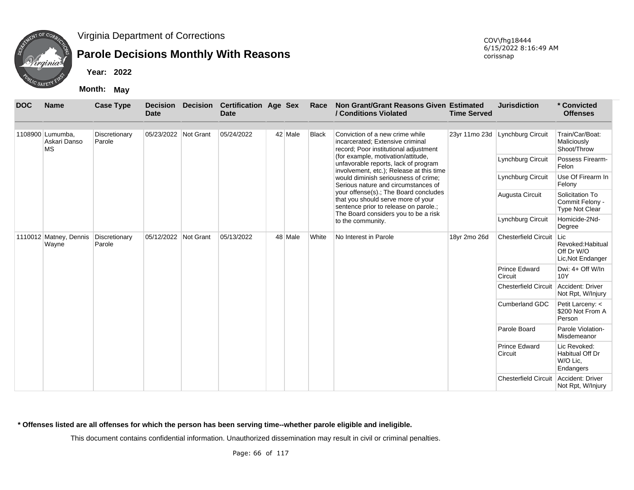

## **Parole Decisions Monthly With Reasons**

**Year: 2022**

**Month: May**

| <b>DOC</b> | <b>Name</b>                                   | <b>Case Type</b>        | <b>Decision</b><br><b>Date</b> | <b>Decision</b> | <b>Certification Age Sex</b><br><b>Date</b> |         | Race         | Non Grant/Grant Reasons Given Estimated<br>/ Conditions Violated                                                       | <b>Time Served</b> | <b>Jurisdiction</b>             | * Convicted<br><b>Offenses</b>                                  |
|------------|-----------------------------------------------|-------------------------|--------------------------------|-----------------|---------------------------------------------|---------|--------------|------------------------------------------------------------------------------------------------------------------------|--------------------|---------------------------------|-----------------------------------------------------------------|
|            | 1108900 Lumumba.<br>Askari Danso<br><b>MS</b> | Discretionary<br>Parole | 05/23/2022 Not Grant           |                 | 05/24/2022                                  | 42 Male | <b>Black</b> | Conviction of a new crime while<br>incarcerated; Extensive criminal<br>record; Poor institutional adjustment           |                    | 23yr 11mo 23d Lynchburg Circuit | Train/Car/Boat:<br>Maliciously<br>Shoot/Throw                   |
|            |                                               |                         |                                |                 |                                             |         |              | (for example, motivation/attitude,<br>unfavorable reports, lack of program<br>involvement, etc.); Release at this time |                    | Lynchburg Circuit               | Possess Firearm-<br>Felon                                       |
|            |                                               |                         |                                |                 |                                             |         |              | would diminish seriousness of crime;<br>Serious nature and circumstances of                                            |                    | Lynchburg Circuit               | Use Of Firearm In<br>Felony                                     |
|            |                                               |                         |                                |                 |                                             |         |              | your offense(s).; The Board concludes<br>that you should serve more of your<br>sentence prior to release on parole.;   |                    | Augusta Circuit                 | Solicitation To<br>Commit Felony -<br><b>Type Not Clear</b>     |
|            |                                               |                         |                                |                 |                                             |         |              | The Board considers you to be a risk<br>to the community.                                                              |                    | Lynchburg Circuit               | Homicide-2Nd-<br>Degree                                         |
|            | 1110012 Matney, Dennis<br>Wayne               | Discretionary<br>Parole | 05/12/2022 Not Grant           |                 | 05/13/2022                                  | 48 Male | White        | No Interest in Parole                                                                                                  | 18yr 2mo 26d       | <b>Chesterfield Circuit</b>     | Lic<br>Revoked: Habitual<br>Off Dr W/O<br>Lic, Not Endanger     |
|            |                                               |                         |                                |                 |                                             |         |              |                                                                                                                        |                    | <b>Prince Edward</b><br>Circuit | Dwi: 4+ Off W/In<br>10Y                                         |
|            |                                               |                         |                                |                 |                                             |         |              |                                                                                                                        |                    | <b>Chesterfield Circuit</b>     | Accident: Driver<br>Not Rpt, W/Injury                           |
|            |                                               |                         |                                |                 |                                             |         |              |                                                                                                                        |                    | <b>Cumberland GDC</b>           | Petit Larceny: <<br>\$200 Not From A<br>Person                  |
|            |                                               |                         |                                |                 |                                             |         |              |                                                                                                                        |                    | Parole Board                    | Parole Violation-<br>Misdemeanor                                |
|            |                                               |                         |                                |                 |                                             |         |              |                                                                                                                        |                    | <b>Prince Edward</b><br>Circuit | Lic Revoked:<br><b>Habitual Off Dr</b><br>W/O Lic.<br>Endangers |
|            |                                               |                         |                                |                 |                                             |         |              |                                                                                                                        |                    | <b>Chesterfield Circuit</b>     | Accident: Driver<br>Not Rpt, W/Injury                           |

#### **\* Offenses listed are all offenses for which the person has been serving time--whether parole eligible and ineligible.**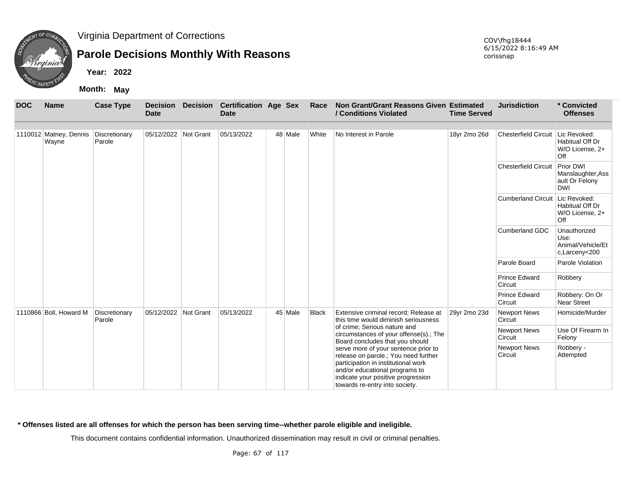

## **Parole Decisions Monthly With Reasons**

**Year: 2022**

**Month: May**

| <b>DOC</b> | <b>Name</b>                     | <b>Case Type</b>        | <b>Decision</b><br><b>Date</b> | <b>Decision</b> | <b>Certification Age Sex</b><br><b>Date</b> |         | Race         | Non Grant/Grant Reasons Given Estimated<br>/ Conditions Violated                                                                                                                                                              | <b>Time Served</b> | <b>Jurisdiction</b>               | * Convicted<br><b>Offenses</b>                                        |
|------------|---------------------------------|-------------------------|--------------------------------|-----------------|---------------------------------------------|---------|--------------|-------------------------------------------------------------------------------------------------------------------------------------------------------------------------------------------------------------------------------|--------------------|-----------------------------------|-----------------------------------------------------------------------|
|            |                                 |                         |                                |                 |                                             |         |              |                                                                                                                                                                                                                               |                    |                                   |                                                                       |
|            | 1110012 Matney, Dennis<br>Wayne | Discretionary<br>Parole | 05/12/2022 Not Grant           |                 | 05/13/2022                                  | 48 Male | White        | No Interest in Parole                                                                                                                                                                                                         | 18yr 2mo 26d       | Chesterfield Circuit Lic Revoked: | Habitual Off Dr<br>W/O License, 2+<br>Off                             |
|            |                                 |                         |                                |                 |                                             |         |              |                                                                                                                                                                                                                               |                    | <b>Chesterfield Circuit</b>       | <b>Prior DWI</b><br>Manslaughter, Ass<br>ault Or Felony<br><b>DWI</b> |
|            |                                 |                         |                                |                 |                                             |         |              |                                                                                                                                                                                                                               |                    | Cumberland Circuit Lic Revoked:   | Habitual Off Dr<br>W/O License, 2+<br>Off                             |
|            |                                 |                         |                                |                 |                                             |         |              |                                                                                                                                                                                                                               |                    | <b>Cumberland GDC</b>             | Unauthorized<br>Use:<br>Animal/Vehicle/Et<br>c,Larceny<200            |
|            |                                 |                         |                                |                 |                                             |         |              |                                                                                                                                                                                                                               |                    | Parole Board                      | Parole Violation                                                      |
|            |                                 |                         |                                |                 |                                             |         |              |                                                                                                                                                                                                                               |                    | <b>Prince Edward</b><br>Circuit   | Robbery                                                               |
|            |                                 |                         |                                |                 |                                             |         |              |                                                                                                                                                                                                                               |                    | <b>Prince Edward</b><br>Circuit   | Robbery: On Or<br><b>Near Street</b>                                  |
|            | 1110866 Boll, Howard M          | Discretionary<br>Parole | 05/12/2022 Not Grant           |                 | 05/13/2022                                  | 45 Male | <b>Black</b> | Extensive criminal record; Release at<br>this time would diminish seriousness                                                                                                                                                 | 29yr 2mo 23d       | <b>Newport News</b><br>Circuit    | Homicide/Murder                                                       |
|            |                                 |                         |                                |                 |                                             |         |              | of crime; Serious nature and<br>circumstances of your offense(s).; The<br>Board concludes that you should                                                                                                                     |                    | <b>Newport News</b><br>Circuit    | Use Of Firearm In<br>Felony                                           |
|            |                                 |                         |                                |                 |                                             |         |              | serve more of your sentence prior to<br>release on parole.; You need further<br>participation in institutional work<br>and/or educational programs to<br>indicate your positive progression<br>towards re-entry into society. |                    | <b>Newport News</b><br>Circuit    | Robbery -<br>Attempted                                                |

**\* Offenses listed are all offenses for which the person has been serving time--whether parole eligible and ineligible.**

This document contains confidential information. Unauthorized dissemination may result in civil or criminal penalties.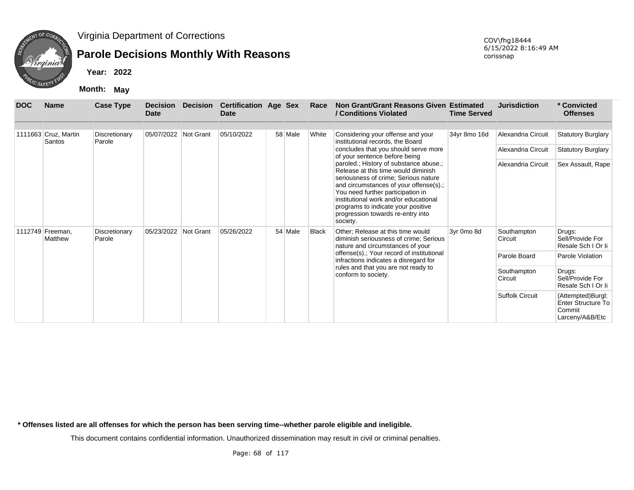

## **Parole Decisions Monthly With Reasons**

**Year: 2022**

**Month: May**

| <b>DOC</b> | <b>Name</b>                    | <b>Case Type</b>        | <b>Decision</b><br>Date | <b>Decision</b>  | <b>Certification Age Sex</b><br><b>Date</b> |         | Race         | Non Grant/Grant Reasons Given Estimated<br>/ Conditions Violated                                                                                                                                                                                                                                                                                                                                                                      | <b>Time Served</b> | <b>Jurisdiction</b>                                            | * Convicted<br><b>Offenses</b>                                              |
|------------|--------------------------------|-------------------------|-------------------------|------------------|---------------------------------------------|---------|--------------|---------------------------------------------------------------------------------------------------------------------------------------------------------------------------------------------------------------------------------------------------------------------------------------------------------------------------------------------------------------------------------------------------------------------------------------|--------------------|----------------------------------------------------------------|-----------------------------------------------------------------------------|
|            | 1111663 Cruz, Martin<br>Santos | Discretionary<br>Parole | 05/07/2022              | Not Grant        | 05/10/2022                                  | 58 Male | White        | Considering your offense and your<br>institutional records, the Board<br>concludes that you should serve more<br>of your sentence before being<br>paroled.; History of substance abuse.;<br>Release at this time would diminish<br>seriousness of crime; Serious nature<br>and circumstances of your offense(s).;<br>You need further participation in<br>institutional work and/or educational<br>programs to indicate your positive | 34yr 8mo 16d       | Alexandria Circuit<br>Alexandria Circuit<br>Alexandria Circuit | <b>Statutory Burglary</b><br><b>Statutory Burglary</b><br>Sex Assault, Rape |
| 1112749    | Freeman.<br>Matthew            | Discretionary<br>Parole | 05/23/2022              | <b>Not Grant</b> | 05/26/2022                                  | 54 Male | <b>Black</b> | progression towards re-entry into<br>society.<br>Other; Release at this time would<br>diminish seriousness of crime; Serious<br>nature and circumstances of your                                                                                                                                                                                                                                                                      | 3yr 0mo 8d         | Southampton<br>Circuit                                         | Drugs:<br>Sell/Provide For<br>Resale Sch   Or li                            |
|            |                                |                         |                         |                  |                                             |         |              | offense(s).; Your record of institutional<br>infractions indicates a disregard for<br>rules and that you are not ready to<br>conform to society.                                                                                                                                                                                                                                                                                      |                    | Parole Board<br>Southampton<br>Circuit                         | Parole Violation<br>Drugs:<br>Sell/Provide For<br>Resale Sch I Or li        |
|            |                                |                         |                         |                  |                                             |         |              |                                                                                                                                                                                                                                                                                                                                                                                                                                       |                    | <b>Suffolk Circuit</b>                                         | (Attempted)Burgl:<br>Enter Structure To<br>Commit<br>Larceny/A&B/Etc        |

**\* Offenses listed are all offenses for which the person has been serving time--whether parole eligible and ineligible.**

This document contains confidential information. Unauthorized dissemination may result in civil or criminal penalties.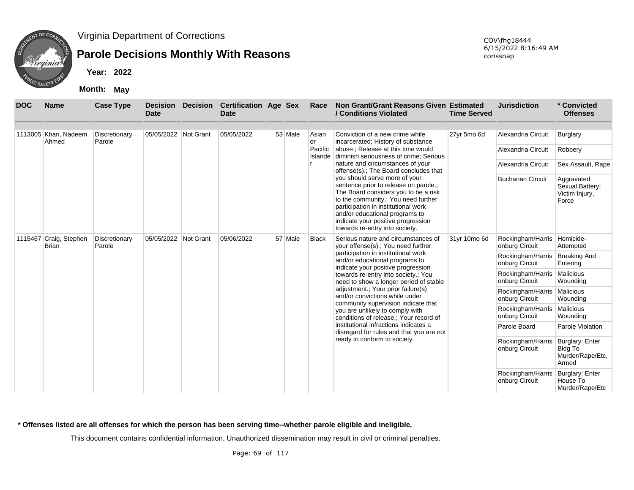

## **Parole Decisions Monthly With Reasons**

**Year: 2022**

**Month: May**

| <b>DOC</b> | <b>Name</b>                            | <b>Case Type</b>        | <b>Decision</b><br>Date                                                              | <b>Decision</b> | <b>Certification Age Sex</b><br><b>Date</b> |                        | Race                                                                                                                                                                                                                                                                                                                                                         | Non Grant/Grant Reasons Given Estimated<br>/ Conditions Violated                                            | <b>Time Served</b>      | <b>Jurisdiction</b>                                      | * Convicted<br><b>Offenses</b>                                 |
|------------|----------------------------------------|-------------------------|--------------------------------------------------------------------------------------|-----------------|---------------------------------------------|------------------------|--------------------------------------------------------------------------------------------------------------------------------------------------------------------------------------------------------------------------------------------------------------------------------------------------------------------------------------------------------------|-------------------------------------------------------------------------------------------------------------|-------------------------|----------------------------------------------------------|----------------------------------------------------------------|
|            | 1113005 Khan, Nadeem<br>Ahmed          | Discretionary<br>Parole | 05/05/2022 Not Grant                                                                 |                 | 05/05/2022                                  | 53 Male                | Asian<br>or                                                                                                                                                                                                                                                                                                                                                  | Conviction of a new crime while<br>incarcerated; History of substance                                       | 27yr 5mo 6d             | Alexandria Circuit                                       | Burglary                                                       |
|            |                                        |                         |                                                                                      |                 |                                             |                        | Pacific                                                                                                                                                                                                                                                                                                                                                      | abuse.; Release at this time would<br>Islande diminish seriousness of crime; Serious                        |                         | Alexandria Circuit                                       | Robbery                                                        |
|            |                                        |                         |                                                                                      |                 |                                             |                        |                                                                                                                                                                                                                                                                                                                                                              | nature and circumstances of your<br>offense(s).; The Board concludes that                                   |                         | Alexandria Circuit                                       | Sex Assault, Rape                                              |
|            |                                        |                         |                                                                                      |                 |                                             |                        | you should serve more of your<br>sentence prior to release on parole.;<br>The Board considers you to be a risk<br>to the community.; You need further<br>participation in institutional work<br>and/or educational programs to<br>indicate your positive progression<br>towards re-entry into society.<br><b>Black</b><br>your offense(s).; You need further |                                                                                                             | <b>Buchanan Circuit</b> | Aggravated<br>Sexual Battery:<br>Victim Injury,<br>Force |                                                                |
|            | 1115467 Craig, Stephen<br><b>Brian</b> | Discretionary<br>Parole | 05/05/2022 Not Grant<br>05/06/2022<br>57 Male<br>Serious nature and circumstances of | 31yr 10mo 6d    | Rockingham/Harris<br>onburg Circuit         | Homicide-<br>Attempted |                                                                                                                                                                                                                                                                                                                                                              |                                                                                                             |                         |                                                          |                                                                |
|            |                                        |                         |                                                                                      |                 |                                             |                        |                                                                                                                                                                                                                                                                                                                                                              | participation in institutional work<br>and/or educational programs to<br>indicate your positive progression |                         | Rockingham/Harris<br>onburg Circuit                      | <b>Breaking And</b><br>Entering                                |
|            |                                        |                         |                                                                                      |                 |                                             |                        |                                                                                                                                                                                                                                                                                                                                                              | towards re-entry into society.; You<br>need to show a longer period of stable                               |                         | Rockingham/Harris<br>onburg Circuit                      | Malicious<br>Wounding                                          |
|            |                                        |                         |                                                                                      |                 |                                             |                        |                                                                                                                                                                                                                                                                                                                                                              | adjustment.; Your prior failure(s)<br>and/or convictions while under<br>community supervision indicate that |                         | Rockingham/Harris<br>onburg Circuit                      | Malicious<br>Wounding                                          |
|            |                                        |                         |                                                                                      |                 |                                             |                        |                                                                                                                                                                                                                                                                                                                                                              | you are unlikely to comply with<br>conditions of release.; Your record of                                   |                         | Rockingham/Harris<br>onburg Circuit                      | Malicious<br>Wounding                                          |
|            |                                        |                         |                                                                                      |                 |                                             |                        |                                                                                                                                                                                                                                                                                                                                                              | institutional infractions indicates a<br>disregard for rules and that you are not                           |                         | Parole Board                                             | Parole Violation                                               |
|            |                                        |                         |                                                                                      |                 |                                             |                        |                                                                                                                                                                                                                                                                                                                                                              | ready to conform to society.                                                                                |                         | Rockingham/Harris<br>onburg Circuit                      | Burglary: Enter<br><b>Bldg To</b><br>Murder/Rape/Etc,<br>Armed |
|            |                                        |                         |                                                                                      |                 |                                             |                        |                                                                                                                                                                                                                                                                                                                                                              |                                                                                                             |                         | Rockingham/Harris<br>onburg Circuit                      | Burglary: Enter<br>House To<br>Murder/Rape/Etc                 |

**\* Offenses listed are all offenses for which the person has been serving time--whether parole eligible and ineligible.**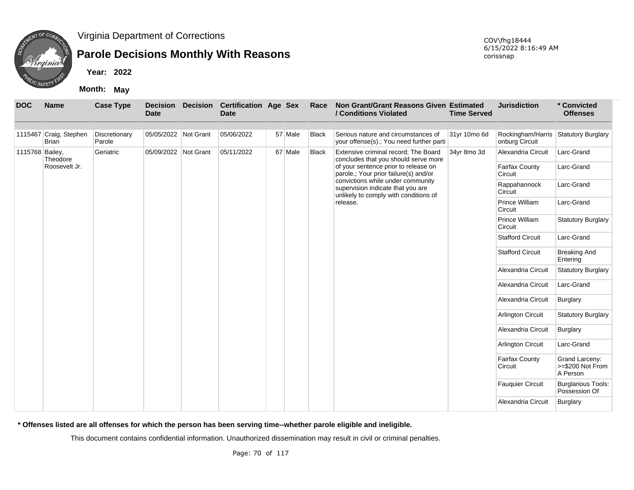

# **Parole Decisions Monthly With Reasons**

**Year: 2022**

**Month: May**

| <b>DOC</b>      | <b>Name</b>                            | <b>Case Type</b>        | <b>Decision</b><br><b>Date</b> | <b>Decision</b> | <b>Certification Age Sex</b><br><b>Date</b> |          | Race         | Non Grant/Grant Reasons Given Estimated<br>/ Conditions Violated                                                | <b>Time Served</b> | <b>Jurisdiction</b>                 | * Convicted<br><b>Offenses</b>                 |
|-----------------|----------------------------------------|-------------------------|--------------------------------|-----------------|---------------------------------------------|----------|--------------|-----------------------------------------------------------------------------------------------------------------|--------------------|-------------------------------------|------------------------------------------------|
|                 | 1115467 Craig, Stephen<br><b>Brian</b> | Discretionary<br>Parole | 05/05/2022 Not Grant           |                 | 05/06/2022                                  | 57 Male  | Black        | Serious nature and circumstances of<br>your offense(s).; You need further parti                                 | 31yr 10mo 6d       | Rockingham/Harris<br>onburg Circuit | Statutory Burglary                             |
| 1115768 Bailey, | Theodore                               | Geriatric               | 05/09/2022 Not Grant           |                 | 05/11/2022                                  | 67 Male  | <b>Black</b> | Extensive criminal record; The Board<br>concludes that you should serve more                                    | 34yr 8mo 3d        | Alexandria Circuit                  | Larc-Grand                                     |
|                 | Roosevelt Jr.                          |                         |                                |                 |                                             |          |              | of your sentence prior to release on<br>parole.; Your prior failure(s) and/or                                   |                    | <b>Fairfax County</b><br>Circuit    | Larc-Grand                                     |
|                 |                                        |                         |                                |                 |                                             |          |              | convictions while under community<br>supervision indicate that you are<br>unlikely to comply with conditions of |                    | Rappahannock<br>Circuit             | Larc-Grand                                     |
|                 |                                        |                         |                                |                 |                                             | release. |              | Prince William<br>Circuit                                                                                       | Larc-Grand         |                                     |                                                |
|                 |                                        |                         |                                |                 |                                             |          |              |                                                                                                                 |                    | Prince William<br>Circuit           | <b>Statutory Burglary</b>                      |
|                 |                                        |                         |                                |                 |                                             |          |              |                                                                                                                 |                    | <b>Stafford Circuit</b>             | Larc-Grand                                     |
|                 |                                        |                         |                                |                 |                                             |          |              |                                                                                                                 |                    | <b>Stafford Circuit</b>             | <b>Breaking And</b><br>Entering                |
|                 |                                        |                         |                                |                 |                                             |          |              |                                                                                                                 |                    | Alexandria Circuit                  | <b>Statutory Burglary</b>                      |
|                 |                                        |                         |                                |                 |                                             |          |              |                                                                                                                 |                    | Alexandria Circuit                  | Larc-Grand                                     |
|                 |                                        |                         |                                |                 |                                             |          |              |                                                                                                                 |                    | Alexandria Circuit                  | Burglary                                       |
|                 |                                        |                         |                                |                 |                                             |          |              |                                                                                                                 |                    | Arlington Circuit                   | <b>Statutory Burglary</b>                      |
|                 |                                        |                         |                                |                 |                                             |          |              |                                                                                                                 |                    | Alexandria Circuit                  | Burglary                                       |
|                 |                                        |                         |                                |                 |                                             |          |              |                                                                                                                 |                    | Arlington Circuit                   | Larc-Grand                                     |
|                 |                                        |                         |                                |                 |                                             |          |              |                                                                                                                 |                    | Fairfax County<br>Circuit           | Grand Larceny:<br>>=\$200 Not From<br>A Person |
|                 |                                        |                         |                                |                 |                                             |          |              |                                                                                                                 |                    | <b>Fauquier Circuit</b>             | <b>Burglarious Tools:</b><br>Possession Of     |
|                 |                                        |                         |                                |                 |                                             |          |              |                                                                                                                 |                    | Alexandria Circuit                  | <b>Burglary</b>                                |

**\* Offenses listed are all offenses for which the person has been serving time--whether parole eligible and ineligible.**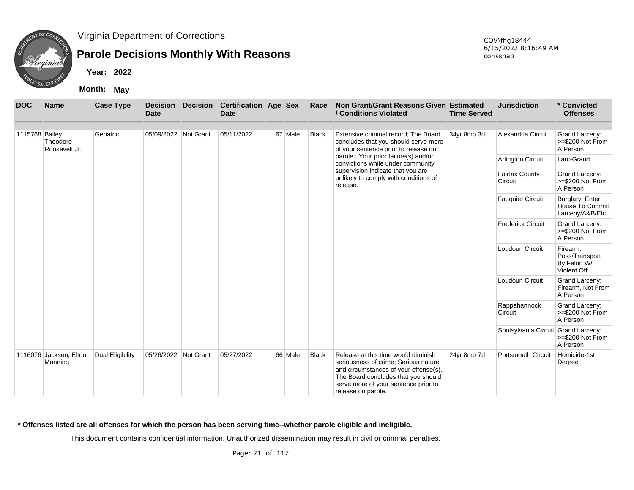

## **Parole Decisions Monthly With Reasons**

**Year: 2022**

**Month: May**

| <b>DOC</b>      | <b>Name</b>                       | <b>Case Type</b> | <b>Decision</b><br><b>Date</b> | <b>Decision</b> | <b>Certification Age Sex</b><br><b>Date</b> |         | Race         | Non Grant/Grant Reasons Given Estimated<br>/ Conditions Violated                                                                                                                                                           | <b>Time Served</b> | <b>Jurisdiction</b>                 | * Convicted<br><b>Offenses</b>                           |
|-----------------|-----------------------------------|------------------|--------------------------------|-----------------|---------------------------------------------|---------|--------------|----------------------------------------------------------------------------------------------------------------------------------------------------------------------------------------------------------------------------|--------------------|-------------------------------------|----------------------------------------------------------|
|                 |                                   |                  |                                |                 |                                             |         |              |                                                                                                                                                                                                                            |                    |                                     |                                                          |
| 1115768 Bailey, | Theodore<br>Roosevelt Jr.         | Geriatric        | 05/09/2022 Not Grant           |                 | 05/11/2022                                  | 67 Male | Black        | Extensive criminal record: The Board<br>concludes that you should serve more<br>of your sentence prior to release on                                                                                                       | 34yr 8mo 3d        | Alexandria Circuit                  | Grand Larceny:<br>>=\$200 Not From<br>A Person           |
|                 |                                   |                  |                                |                 |                                             |         |              | parole.; Your prior failure(s) and/or<br>convictions while under community                                                                                                                                                 |                    | <b>Arlington Circuit</b>            | Larc-Grand                                               |
|                 |                                   |                  |                                |                 |                                             |         |              | supervision indicate that you are<br>unlikely to comply with conditions of<br>release.                                                                                                                                     |                    | Fairfax County<br>Circuit           | Grand Larceny:<br>$>= $200$ Not From<br>A Person         |
|                 |                                   |                  |                                |                 |                                             |         |              |                                                                                                                                                                                                                            |                    | <b>Fauquier Circuit</b>             | Burglary: Enter<br>House To Commit<br>Larceny/A&B/Etc    |
|                 |                                   |                  |                                |                 |                                             |         |              |                                                                                                                                                                                                                            |                    | <b>Frederick Circuit</b>            | Grand Larceny:<br>>=\$200 Not From<br>A Person           |
|                 |                                   |                  |                                |                 |                                             |         |              |                                                                                                                                                                                                                            |                    | Loudoun Circuit                     | Firearm:<br>Poss/Transport<br>By Felon W/<br>Violent Off |
|                 |                                   |                  |                                |                 |                                             |         |              |                                                                                                                                                                                                                            |                    | Loudoun Circuit                     | Grand Larceny:<br>Firearm, Not From<br>A Person          |
|                 |                                   |                  |                                |                 |                                             |         |              |                                                                                                                                                                                                                            |                    | Rappahannock<br>Circuit             | Grand Larceny:<br>>=\$200 Not From<br>A Person           |
|                 |                                   |                  |                                |                 |                                             |         |              |                                                                                                                                                                                                                            |                    | Spotsylvania Circuit Grand Larceny: | >=\$200 Not From<br>A Person                             |
|                 | 1116076 Jackson, Elton<br>Manning | Dual Eligibility | 05/26/2022 Not Grant           |                 | 05/27/2022                                  | 66 Male | <b>Black</b> | Release at this time would diminish<br>seriousness of crime; Serious nature<br>and circumstances of your offense(s).;<br>The Board concludes that you should<br>serve more of your sentence prior to<br>release on parole. | 24yr 8mo 7d        | <b>Portsmouth Circuit</b>           | Homicide-1st<br>Degree                                   |

#### **\* Offenses listed are all offenses for which the person has been serving time--whether parole eligible and ineligible.**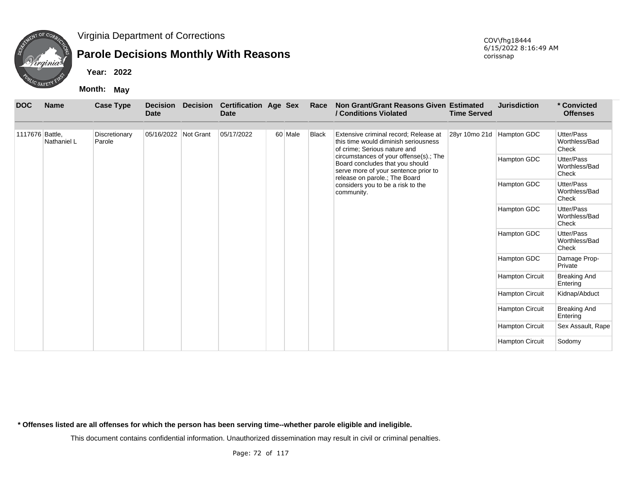

## **Parole Decisions Monthly With Reasons**

**Year: 2022**

**Month: May**

| <b>DOC</b>      | <b>Name</b> | <b>Case Type</b>        | <b>Date</b>          | <b>Decision Decision</b> | <b>Certification Age Sex</b><br><b>Date</b> |         | Race         | Non Grant/Grant Reasons Given Estimated<br>/ Conditions Violated                                                                                   | <b>Time Served</b> | <b>Jurisdiction</b>       | * Convicted<br><b>Offenses</b>       |
|-----------------|-------------|-------------------------|----------------------|--------------------------|---------------------------------------------|---------|--------------|----------------------------------------------------------------------------------------------------------------------------------------------------|--------------------|---------------------------|--------------------------------------|
|                 |             |                         |                      |                          |                                             |         |              |                                                                                                                                                    |                    |                           |                                      |
| 1117676 Battle, | Nathaniel L | Discretionary<br>Parole | 05/16/2022 Not Grant |                          | 05/17/2022                                  | 60 Male | <b>Black</b> | Extensive criminal record; Release at<br>this time would diminish seriousness<br>of crime; Serious nature and                                      |                    | 28yr 10mo 21d Hampton GDC | Utter/Pass<br>Worthless/Bad<br>Check |
|                 |             |                         |                      |                          |                                             |         |              | circumstances of your offense(s).; The<br>Board concludes that you should<br>serve more of your sentence prior to<br>release on parole.; The Board |                    | Hampton GDC               | Utter/Pass<br>Worthless/Bad<br>Check |
|                 |             |                         |                      |                          |                                             |         |              | considers you to be a risk to the<br>community.                                                                                                    |                    | Hampton GDC               | Utter/Pass<br>Worthless/Bad<br>Check |
|                 |             |                         |                      |                          |                                             |         |              |                                                                                                                                                    |                    | Hampton GDC               | Utter/Pass<br>Worthless/Bad<br>Check |
|                 |             |                         |                      |                          |                                             |         |              |                                                                                                                                                    |                    | Hampton GDC               | Utter/Pass<br>Worthless/Bad<br>Check |
|                 |             |                         |                      |                          |                                             |         |              |                                                                                                                                                    |                    | Hampton GDC               | Damage Prop-<br>Private              |
|                 |             |                         |                      |                          |                                             |         |              |                                                                                                                                                    |                    | <b>Hampton Circuit</b>    | <b>Breaking And</b><br>Entering      |
|                 |             |                         |                      |                          |                                             |         |              |                                                                                                                                                    |                    | <b>Hampton Circuit</b>    | Kidnap/Abduct                        |
|                 |             |                         |                      |                          |                                             |         |              |                                                                                                                                                    |                    | <b>Hampton Circuit</b>    | <b>Breaking And</b><br>Entering      |
|                 |             |                         |                      |                          |                                             |         |              |                                                                                                                                                    |                    | <b>Hampton Circuit</b>    | Sex Assault, Rape                    |
|                 |             |                         |                      |                          |                                             |         |              |                                                                                                                                                    |                    | <b>Hampton Circuit</b>    | Sodomy                               |

**\* Offenses listed are all offenses for which the person has been serving time--whether parole eligible and ineligible.**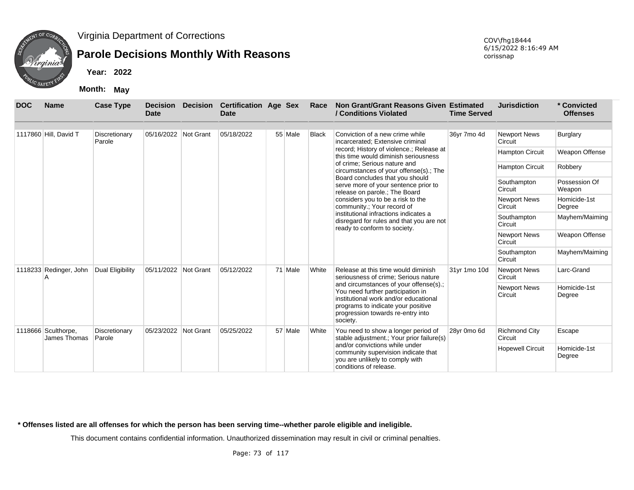

## **Parole Decisions Monthly With Reasons**

**Year: 2022**

**Month: May**

| <b>DOC</b> | <b>Name</b>                         | <b>Case Type</b>        | <b>Decision</b><br><b>Date</b> | <b>Decision</b> | <b>Certification Age Sex</b><br><b>Date</b> |         | Race                                                                                                                               | Non Grant/Grant Reasons Given Estimated<br>/ Conditions Violated                                                                                                                                            | <b>Time Served</b>      | <b>Jurisdiction</b>             | * Convicted<br><b>Offenses</b> |
|------------|-------------------------------------|-------------------------|--------------------------------|-----------------|---------------------------------------------|---------|------------------------------------------------------------------------------------------------------------------------------------|-------------------------------------------------------------------------------------------------------------------------------------------------------------------------------------------------------------|-------------------------|---------------------------------|--------------------------------|
|            | 1117860 Hill, David T               | Discretionary<br>Parole | 05/16/2022                     | Not Grant       | 05/18/2022                                  | 55 Male | Black                                                                                                                              | Conviction of a new crime while<br>incarcerated; Extensive criminal                                                                                                                                         | 36yr 7mo 4d             | <b>Newport News</b><br>Circuit  | Burglary                       |
|            |                                     |                         |                                |                 |                                             |         |                                                                                                                                    | record; History of violence.; Release at<br>this time would diminish seriousness                                                                                                                            |                         | <b>Hampton Circuit</b>          | Weapon Offense                 |
|            |                                     |                         |                                |                 |                                             |         |                                                                                                                                    | of crime; Serious nature and<br>circumstances of your offense(s).; The                                                                                                                                      |                         | <b>Hampton Circuit</b>          | Robbery                        |
|            |                                     |                         |                                |                 |                                             |         |                                                                                                                                    | Board concludes that you should<br>serve more of your sentence prior to<br>release on parole.; The Board                                                                                                    |                         | Southampton<br>Circuit          | Possession Of<br>Weapon        |
|            |                                     |                         |                                |                 |                                             |         |                                                                                                                                    | considers you to be a risk to the<br>community.; Your record of                                                                                                                                             |                         | <b>Newport News</b><br>Circuit  | Homicide-1st<br>Degree         |
|            |                                     |                         |                                |                 |                                             |         |                                                                                                                                    | institutional infractions indicates a<br>disregard for rules and that you are not<br>ready to conform to society.                                                                                           |                         | Southampton<br>Circuit          | Mayhem/Maiming                 |
|            |                                     |                         |                                |                 |                                             |         |                                                                                                                                    |                                                                                                                                                                                                             |                         | <b>Newport News</b><br>Circuit  | Weapon Offense                 |
|            |                                     |                         |                                |                 |                                             |         |                                                                                                                                    |                                                                                                                                                                                                             |                         | Southampton<br>Circuit          | Mayhem/Maiming                 |
|            | 1118233 Redinger, John              | Dual Eligibility        | 05/11/2022                     | Not Grant       | 05/12/2022                                  | 71 Male | White                                                                                                                              | Release at this time would diminish<br>seriousness of crime; Serious nature                                                                                                                                 | 31yr 1mo 10d            | <b>Newport News</b><br>Circuit  | Larc-Grand                     |
|            |                                     |                         |                                |                 |                                             |         |                                                                                                                                    | and circumstances of your offense(s).;<br>You need further participation in<br>institutional work and/or educational<br>programs to indicate your positive<br>progression towards re-entry into<br>society. |                         | <b>Newport News</b><br>Circuit  | Homicide-1st<br>Degree         |
|            | 1118666 Sculthorpe,<br>James Thomas | Discretionary<br>Parole | 05/23/2022                     | Not Grant       | 05/25/2022                                  | 57 Male | White                                                                                                                              | You need to show a longer period of<br>stable adjustment.; Your prior failure(s)                                                                                                                            | 28yr 0mo 6d             | <b>Richmond City</b><br>Circuit | Escape                         |
|            |                                     |                         |                                |                 |                                             |         | and/or convictions while under<br>community supervision indicate that<br>you are unlikely to comply with<br>conditions of release. |                                                                                                                                                                                                             | <b>Hopewell Circuit</b> | Homicide-1st<br>Degree          |                                |

**\* Offenses listed are all offenses for which the person has been serving time--whether parole eligible and ineligible.**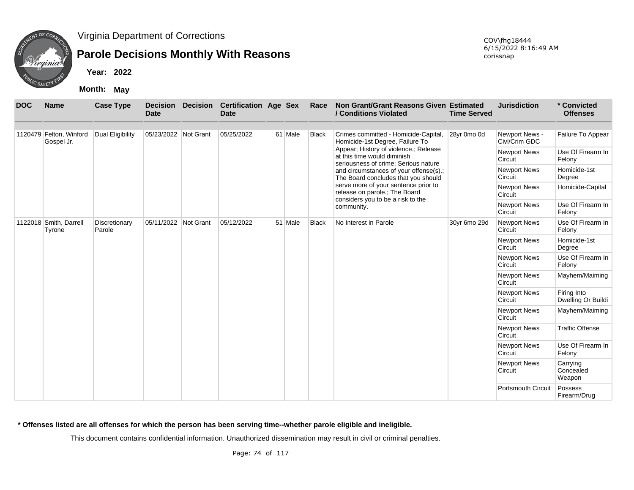

## **Parole Decisions Monthly With Reasons**

**Year: 2022**

**Month: May**

| <b>DOC</b> | <b>Name</b>                           | <b>Case Type</b>        | <b>Decision</b><br><b>Date</b> | <b>Decision</b> | <b>Certification Age Sex</b><br><b>Date</b> |         | Race         | Non Grant/Grant Reasons Given Estimated<br>/ Conditions Violated                                             | <b>Time Served</b> | <b>Jurisdiction</b>             | * Convicted<br><b>Offenses</b>    |
|------------|---------------------------------------|-------------------------|--------------------------------|-----------------|---------------------------------------------|---------|--------------|--------------------------------------------------------------------------------------------------------------|--------------------|---------------------------------|-----------------------------------|
|            | 1120479 Felton, Winford<br>Gospel Jr. | Dual Eligibility        | 05/23/2022 Not Grant           |                 | 05/25/2022                                  | 61 Male | <b>Black</b> | Crimes committed - Homicide-Capital,<br>Homicide-1st Degree, Failure To                                      | 28yr 0mo 0d        | Newport News -<br>Civl/Crim GDC | Failure To Appear                 |
|            |                                       |                         |                                |                 |                                             |         |              | Appear; History of violence.; Release<br>at this time would diminish<br>seriousness of crime; Serious nature |                    | <b>Newport News</b><br>Circuit  | Use Of Firearm In<br>Felony       |
|            |                                       |                         |                                |                 |                                             |         |              | and circumstances of your offense(s).;<br>The Board concludes that you should                                |                    | <b>Newport News</b><br>Circuit  | Homicide-1st<br>Degree            |
|            |                                       |                         |                                |                 |                                             |         |              | serve more of your sentence prior to<br>release on parole.; The Board                                        |                    | <b>Newport News</b><br>Circuit  | Homicide-Capital                  |
|            | 1122018 Smith, Darrell                |                         |                                |                 |                                             |         |              | considers you to be a risk to the<br>community.                                                              |                    | <b>Newport News</b><br>Circuit  | Use Of Firearm In<br>Felony       |
|            | Tyrone                                | Discretionary<br>Parole | 05/11/2022 Not Grant           |                 | 05/12/2022                                  | 51 Male | <b>Black</b> | No Interest in Parole                                                                                        | 30yr 6mo 29d       | <b>Newport News</b><br>Circuit  | Use Of Firearm In<br>Felony       |
|            |                                       |                         |                                |                 |                                             |         |              |                                                                                                              |                    | <b>Newport News</b><br>Circuit  | Homicide-1st<br>Degree            |
|            |                                       |                         |                                |                 |                                             |         |              |                                                                                                              |                    | <b>Newport News</b><br>Circuit  | Use Of Firearm In<br>Felony       |
|            |                                       |                         |                                |                 |                                             |         |              |                                                                                                              |                    | <b>Newport News</b><br>Circuit  | Mayhem/Maiming                    |
|            |                                       |                         |                                |                 |                                             |         |              |                                                                                                              |                    | <b>Newport News</b><br>Circuit  | Firing Into<br>Dwelling Or Buildi |
|            |                                       |                         |                                |                 |                                             |         |              |                                                                                                              |                    | <b>Newport News</b><br>Circuit  | Mayhem/Maiming                    |
|            |                                       |                         |                                |                 |                                             |         |              |                                                                                                              |                    | <b>Newport News</b><br>Circuit  | <b>Traffic Offense</b>            |
|            |                                       |                         |                                |                 |                                             |         |              |                                                                                                              |                    | <b>Newport News</b><br>Circuit  | Use Of Firearm In<br>Felony       |
|            |                                       |                         |                                |                 |                                             |         |              |                                                                                                              |                    | <b>Newport News</b><br>Circuit  | Carrying<br>Concealed<br>Weapon   |
|            |                                       |                         |                                |                 |                                             |         |              |                                                                                                              |                    | <b>Portsmouth Circuit</b>       | Possess<br>Firearm/Drug           |

**\* Offenses listed are all offenses for which the person has been serving time--whether parole eligible and ineligible.**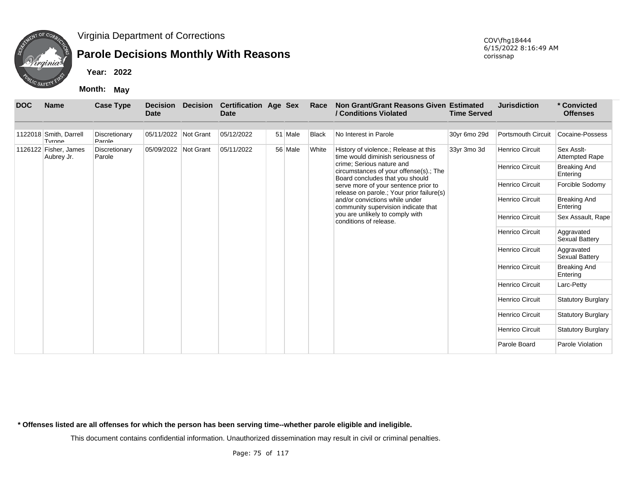

## **Parole Decisions Monthly With Reasons**

**Year: 2022**

**Month: May**

| <b>DOC</b> | <b>Name</b>                         | <b>Case Type</b>        | <b>Decision</b><br><b>Date</b> | <b>Decision</b> | <b>Certification Age Sex</b><br><b>Date</b> |         | Race         | Non Grant/Grant Reasons Given Estimated<br>/ Conditions Violated                                                     | <b>Time Served</b> | <b>Jurisdiction</b>       | * Convicted<br><b>Offenses</b>      |
|------------|-------------------------------------|-------------------------|--------------------------------|-----------------|---------------------------------------------|---------|--------------|----------------------------------------------------------------------------------------------------------------------|--------------------|---------------------------|-------------------------------------|
|            | 1122018 Smith, Darrell<br>Tyrone    | Discretionary<br>Parole | 05/11/2022 Not Grant           |                 | 05/12/2022                                  | 51 Male | <b>Black</b> | No Interest in Parole                                                                                                | 30yr 6mo 29d       | <b>Portsmouth Circuit</b> | Cocaine-Possess                     |
|            | 1126122 Fisher, James<br>Aubrey Jr. | Discretionary<br>Parole | 05/09/2022 Not Grant           |                 | 05/11/2022                                  | 56 Male | White        | History of violence.; Release at this<br>time would diminish seriousness of                                          | 33yr 3mo 3d        | <b>Henrico Circuit</b>    | Sex Asslt-<br><b>Attempted Rape</b> |
|            |                                     |                         |                                |                 |                                             |         |              | crime: Serious nature and<br>circumstances of your offense(s).; The                                                  |                    | <b>Henrico Circuit</b>    | <b>Breaking And</b><br>Entering     |
|            |                                     |                         |                                |                 |                                             |         |              | Board concludes that you should<br>serve more of your sentence prior to<br>release on parole.; Your prior failure(s) |                    | <b>Henrico Circuit</b>    | Forcible Sodomy                     |
|            |                                     |                         |                                |                 |                                             |         |              | and/or convictions while under<br>community supervision indicate that                                                |                    | <b>Henrico Circuit</b>    | <b>Breaking And</b><br>Entering     |
|            |                                     |                         |                                |                 |                                             |         |              | you are unlikely to comply with<br>conditions of release.                                                            |                    | <b>Henrico Circuit</b>    | Sex Assault, Rape                   |
|            |                                     |                         |                                |                 |                                             |         |              |                                                                                                                      |                    | <b>Henrico Circuit</b>    | Aggravated<br>Sexual Battery        |
|            |                                     |                         |                                |                 |                                             |         |              |                                                                                                                      |                    | <b>Henrico Circuit</b>    | Aggravated<br>Sexual Battery        |
|            |                                     |                         |                                |                 |                                             |         |              |                                                                                                                      |                    | <b>Henrico Circuit</b>    | <b>Breaking And</b><br>Entering     |
|            |                                     |                         |                                |                 |                                             |         |              |                                                                                                                      |                    | <b>Henrico Circuit</b>    | Larc-Petty                          |
|            |                                     |                         |                                |                 |                                             |         |              |                                                                                                                      |                    | <b>Henrico Circuit</b>    | <b>Statutory Burglary</b>           |
|            |                                     |                         |                                |                 |                                             |         |              |                                                                                                                      |                    | <b>Henrico Circuit</b>    | <b>Statutory Burglary</b>           |
|            |                                     |                         |                                |                 |                                             |         |              |                                                                                                                      |                    | <b>Henrico Circuit</b>    | <b>Statutory Burglary</b>           |
|            |                                     |                         |                                |                 |                                             |         |              |                                                                                                                      |                    | Parole Board              | Parole Violation                    |

**\* Offenses listed are all offenses for which the person has been serving time--whether parole eligible and ineligible.**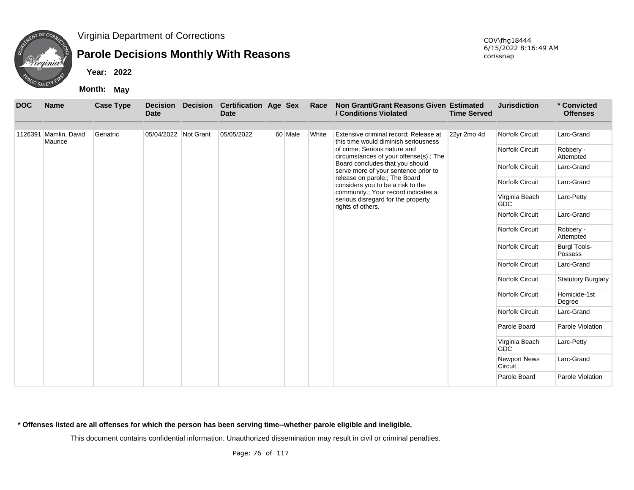

## **Parole Decisions Monthly With Reasons**

**Year: 2022**

**Month: May**

| <b>DOC</b> | <b>Name</b>                      | <b>Case Type</b> | <b>Decision</b><br><b>Date</b> | <b>Decision</b> | <b>Certification Age Sex</b><br><b>Date</b> |         | Race  | Non Grant/Grant Reasons Given Estimated<br>/ Conditions Violated                               | <b>Time Served</b> | <b>Jurisdiction</b>            | * Convicted<br><b>Offenses</b> |
|------------|----------------------------------|------------------|--------------------------------|-----------------|---------------------------------------------|---------|-------|------------------------------------------------------------------------------------------------|--------------------|--------------------------------|--------------------------------|
|            | 1126391 Mamlin, David<br>Maurice | Geriatric        | 05/04/2022 Not Grant           |                 | 05/05/2022                                  | 60 Male | White | Extensive criminal record; Release at<br>this time would diminish seriousness                  | 22yr 2mo 4d        | Norfolk Circuit                | Larc-Grand                     |
|            |                                  |                  |                                |                 |                                             |         |       | of crime; Serious nature and<br>circumstances of your offense(s).; The                         |                    | Norfolk Circuit                | Robbery -<br>Attempted         |
|            |                                  |                  |                                |                 |                                             |         |       | Board concludes that you should<br>serve more of your sentence prior to                        |                    | <b>Norfolk Circuit</b>         | Larc-Grand                     |
|            |                                  |                  |                                |                 |                                             |         |       | release on parole.; The Board<br>considers you to be a risk to the                             |                    | Norfolk Circuit                | Larc-Grand                     |
|            |                                  |                  |                                |                 |                                             |         |       | community.; Your record indicates a<br>serious disregard for the property<br>rights of others. |                    | Virginia Beach<br><b>GDC</b>   | Larc-Petty                     |
|            |                                  |                  |                                |                 |                                             |         |       |                                                                                                |                    | Norfolk Circuit                | Larc-Grand                     |
|            |                                  |                  |                                |                 |                                             |         |       |                                                                                                |                    | Norfolk Circuit                | Robbery -<br>Attempted         |
|            |                                  |                  |                                |                 |                                             |         |       |                                                                                                |                    | Norfolk Circuit                | <b>Burgl Tools-</b><br>Possess |
|            |                                  |                  |                                |                 |                                             |         |       |                                                                                                |                    | Norfolk Circuit                | Larc-Grand                     |
|            |                                  |                  |                                |                 |                                             |         |       |                                                                                                |                    | Norfolk Circuit                | <b>Statutory Burglary</b>      |
|            |                                  |                  |                                |                 |                                             |         |       |                                                                                                |                    | Norfolk Circuit                | Homicide-1st<br>Degree         |
|            |                                  |                  |                                |                 |                                             |         |       |                                                                                                |                    | Norfolk Circuit                | Larc-Grand                     |
|            |                                  |                  |                                |                 |                                             |         |       |                                                                                                |                    | Parole Board                   | Parole Violation               |
|            |                                  |                  |                                |                 |                                             |         |       |                                                                                                |                    | Virginia Beach<br><b>GDC</b>   | Larc-Petty                     |
|            |                                  |                  |                                |                 |                                             |         |       |                                                                                                |                    | <b>Newport News</b><br>Circuit | Larc-Grand                     |
|            |                                  |                  |                                |                 |                                             |         |       |                                                                                                |                    | Parole Board                   | Parole Violation               |

**\* Offenses listed are all offenses for which the person has been serving time--whether parole eligible and ineligible.**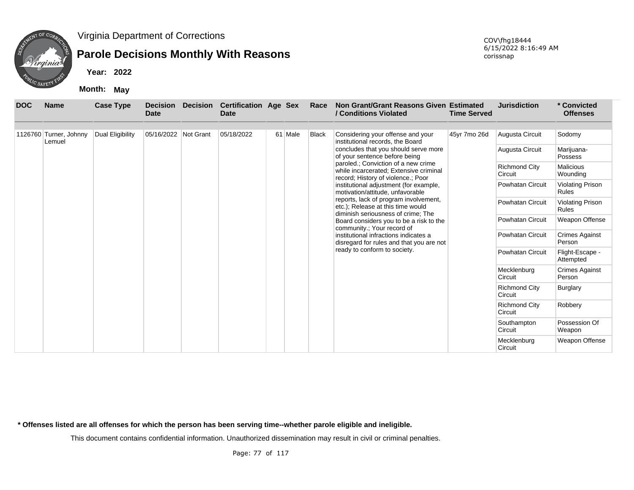

## **Parole Decisions Monthly With Reasons**

**Year: 2022**

**Month: May**

| <b>DOC</b> | <b>Name</b>            | <b>Case Type</b> | <b>Decision</b><br><b>Date</b> | <b>Decision</b> | <b>Certification Age Sex</b><br><b>Date</b> |         | Race         | Non Grant/Grant Reasons Given Estimated<br>/ Conditions Violated                                                    | <b>Time Served</b> | <b>Jurisdiction</b>             | * Convicted<br><b>Offenses</b>          |
|------------|------------------------|------------------|--------------------------------|-----------------|---------------------------------------------|---------|--------------|---------------------------------------------------------------------------------------------------------------------|--------------------|---------------------------------|-----------------------------------------|
|            | 1126760 Turner, Johnny | Dual Eligibility | 05/16/2022 Not Grant           |                 | 05/18/2022                                  | 61 Male | <b>Black</b> | Considering your offense and your                                                                                   | 45yr 7mo 26d       | Augusta Circuit                 | Sodomy                                  |
|            | Lemuel                 |                  |                                |                 |                                             |         |              | institutional records, the Board<br>concludes that you should serve more<br>of your sentence before being           |                    | Augusta Circuit                 | Marijuana-<br>Possess                   |
|            |                        |                  |                                |                 |                                             |         |              | paroled.; Conviction of a new crime<br>while incarcerated; Extensive criminal<br>record; History of violence.; Poor |                    | <b>Richmond City</b><br>Circuit | <b>Malicious</b><br>Wounding            |
|            |                        |                  |                                |                 |                                             |         |              | institutional adjustment (for example,<br>motivation/attitude, unfavorable                                          |                    | <b>Powhatan Circuit</b>         | <b>Violating Prison</b><br><b>Rules</b> |
|            |                        |                  |                                |                 |                                             |         |              | reports, lack of program involvement,<br>etc.); Release at this time would<br>diminish seriousness of crime; The    |                    | <b>Powhatan Circuit</b>         | <b>Violating Prison</b><br><b>Rules</b> |
|            |                        |                  |                                |                 |                                             |         |              | Board considers you to be a risk to the<br>community.; Your record of                                               |                    | <b>Powhatan Circuit</b>         | Weapon Offense                          |
|            |                        |                  |                                |                 |                                             |         |              | institutional infractions indicates a<br>disregard for rules and that you are not                                   |                    | <b>Powhatan Circuit</b>         | <b>Crimes Against</b><br>Person         |
|            |                        |                  |                                |                 |                                             |         |              | ready to conform to society.                                                                                        |                    | <b>Powhatan Circuit</b>         | Flight-Escape -<br>Attempted            |
|            |                        |                  |                                |                 |                                             |         |              |                                                                                                                     |                    | Mecklenburg<br>Circuit          | <b>Crimes Against</b><br>Person         |
|            |                        |                  |                                |                 |                                             |         |              |                                                                                                                     |                    | <b>Richmond City</b><br>Circuit | Burglary                                |
|            |                        |                  |                                |                 |                                             |         |              |                                                                                                                     |                    | <b>Richmond City</b><br>Circuit | Robbery                                 |
|            |                        |                  |                                |                 |                                             |         |              |                                                                                                                     |                    | Southampton<br>Circuit          | Possession Of<br>Weapon                 |
|            |                        |                  |                                |                 |                                             |         |              |                                                                                                                     |                    | Mecklenburg<br>Circuit          | Weapon Offense                          |

**\* Offenses listed are all offenses for which the person has been serving time--whether parole eligible and ineligible.**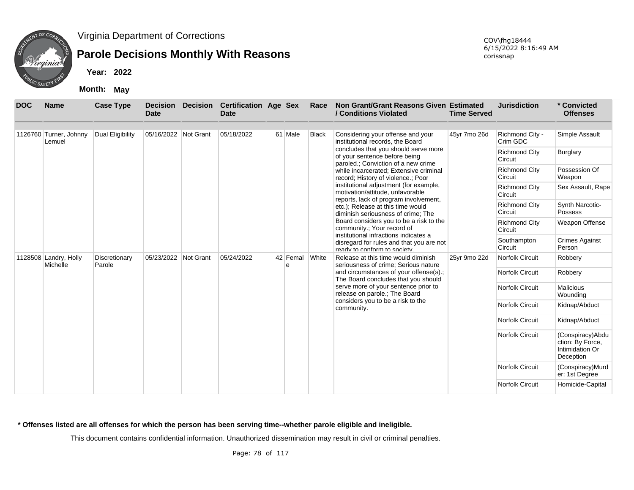

## **Parole Decisions Monthly With Reasons**

**Year: 2022**

**Month: May**

| <b>DOC</b> | <b>Name</b>                       | <b>Case Type</b>        | <b>Decision</b><br><b>Date</b> | <b>Decision</b> | <b>Certification Age Sex</b><br><b>Date</b> |               | Race         | Non Grant/Grant Reasons Given Estimated<br>/ Conditions Violated                                                    | <b>Time Served</b> | <b>Jurisdiction</b>             | * Convicted<br><b>Offenses</b>                                        |
|------------|-----------------------------------|-------------------------|--------------------------------|-----------------|---------------------------------------------|---------------|--------------|---------------------------------------------------------------------------------------------------------------------|--------------------|---------------------------------|-----------------------------------------------------------------------|
|            | 1126760 Turner, Johnny<br>Lemuel  | Dual Eligibility        | 05/16/2022 Not Grant           |                 | 05/18/2022                                  | 61 Male       | <b>Black</b> | Considering your offense and your<br>institutional records, the Board                                               | 45yr 7mo 26d       | Richmond City -<br>Crim GDC     | Simple Assault                                                        |
|            |                                   |                         |                                |                 |                                             |               |              | concludes that you should serve more<br>of your sentence before being<br>paroled.; Conviction of a new crime        |                    | <b>Richmond City</b><br>Circuit | Burglary                                                              |
|            |                                   |                         |                                |                 |                                             |               |              | while incarcerated; Extensive criminal<br>record; History of violence.; Poor                                        |                    | <b>Richmond City</b><br>Circuit | Possession Of<br>Weapon                                               |
|            |                                   |                         |                                |                 |                                             |               |              | institutional adjustment (for example,<br>motivation/attitude, unfavorable<br>reports, lack of program involvement, |                    | <b>Richmond City</b><br>Circuit | Sex Assault, Rape                                                     |
|            |                                   |                         |                                |                 |                                             |               |              | etc.); Release at this time would<br>diminish seriousness of crime: The                                             |                    | <b>Richmond City</b><br>Circuit | Synth Narcotic-<br><b>Possess</b>                                     |
|            |                                   |                         |                                |                 |                                             |               |              | Board considers you to be a risk to the<br>community.; Your record of                                               |                    | <b>Richmond City</b><br>Circuit | Weapon Offense                                                        |
|            |                                   |                         |                                |                 |                                             |               |              | institutional infractions indicates a<br>disregard for rules and that you are not<br>ready to conform to society    |                    | Southampton<br>Circuit          | <b>Crimes Against</b><br>Person                                       |
|            | 1128508 Landry, Holly<br>Michelle | Discretionary<br>Parole | 05/23/2022                     | Not Grant       | 05/24/2022                                  | 42 Femal<br>e | White        | Release at this time would diminish<br>seriousness of crime; Serious nature                                         | 25yr 9mo 22d       | <b>Norfolk Circuit</b>          | Robbery                                                               |
|            |                                   |                         |                                |                 |                                             |               |              | and circumstances of your offense(s).;<br>The Board concludes that you should                                       |                    | Norfolk Circuit                 | Robbery                                                               |
|            |                                   |                         |                                |                 |                                             |               |              | serve more of your sentence prior to<br>release on parole.; The Board                                               |                    | Norfolk Circuit                 | <b>Malicious</b><br>Wounding                                          |
|            |                                   |                         |                                |                 |                                             |               |              | considers you to be a risk to the<br>community.                                                                     |                    | Norfolk Circuit                 | Kidnap/Abduct                                                         |
|            |                                   |                         |                                |                 |                                             |               |              |                                                                                                                     |                    | Norfolk Circuit                 | Kidnap/Abduct                                                         |
|            |                                   |                         |                                |                 |                                             |               |              |                                                                                                                     |                    | Norfolk Circuit                 | (Conspiracy) Abdu<br>ction: By Force,<br>Intimidation Or<br>Deception |
|            |                                   |                         |                                |                 |                                             |               |              |                                                                                                                     |                    | <b>Norfolk Circuit</b>          | (Conspiracy)Murd<br>er: 1st Degree                                    |
|            |                                   |                         |                                |                 |                                             |               |              |                                                                                                                     |                    | <b>Norfolk Circuit</b>          | Homicide-Capital                                                      |

**\* Offenses listed are all offenses for which the person has been serving time--whether parole eligible and ineligible.**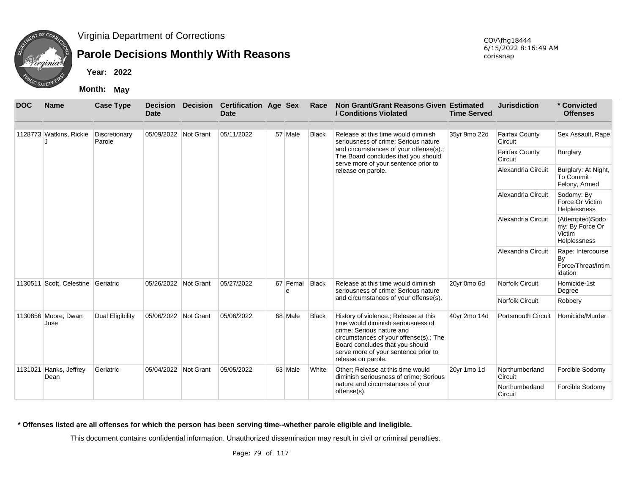

## **Parole Decisions Monthly With Reasons**

**Year: 2022**

**Month: May**

| <b>DOC</b>                     | <b>Name</b>                 | <b>Case Type</b>        | <b>Decision</b><br><b>Date</b> | <b>Decision</b> | <b>Certification Age Sex</b><br>Date |               | Race                                            | Non Grant/Grant Reasons Given Estimated<br>/ Conditions Violated                                                                                                                                                                                    | <b>Time Served</b>        | <b>Jurisdiction</b>              | * Convicted<br><b>Offenses</b>                               |
|--------------------------------|-----------------------------|-------------------------|--------------------------------|-----------------|--------------------------------------|---------------|-------------------------------------------------|-----------------------------------------------------------------------------------------------------------------------------------------------------------------------------------------------------------------------------------------------------|---------------------------|----------------------------------|--------------------------------------------------------------|
|                                | 1128773 Watkins, Rickie     | Discretionary<br>Parole | 05/09/2022 Not Grant           |                 | 05/11/2022                           | 57 Male       | <b>Black</b>                                    | Release at this time would diminish<br>seriousness of crime: Serious nature                                                                                                                                                                         | 35yr 9mo 22d              | <b>Fairfax County</b><br>Circuit | Sex Assault, Rape                                            |
|                                |                             |                         |                                |                 |                                      |               |                                                 | and circumstances of your offense(s).;<br>The Board concludes that you should<br>serve more of your sentence prior to                                                                                                                               |                           | <b>Fairfax County</b><br>Circuit | Burglary                                                     |
|                                |                             |                         |                                |                 |                                      |               |                                                 | release on parole.                                                                                                                                                                                                                                  |                           | Alexandria Circuit               | Burglary: At Night,<br>To Commit<br>Felony, Armed            |
|                                |                             |                         |                                |                 |                                      |               |                                                 |                                                                                                                                                                                                                                                     |                           | Alexandria Circuit               | Sodomy: By<br>Force Or Victim<br>Helplessness                |
|                                |                             |                         |                                |                 |                                      |               |                                                 |                                                                                                                                                                                                                                                     |                           | Alexandria Circuit               | (Attempted)Sodo<br>my: By Force Or<br>Victim<br>Helplessness |
|                                |                             |                         |                                |                 |                                      |               |                                                 |                                                                                                                                                                                                                                                     |                           | Alexandria Circuit               | Rape: Intercourse<br>By<br>Force/Threat/Intim<br>idation     |
| 1130511                        | Scott, Celestine Geriatric  |                         | 05/26/2022 Not Grant           |                 | 05/27/2022                           | 67 Femal<br>e | <b>Black</b>                                    | Release at this time would diminish<br>seriousness of crime; Serious nature                                                                                                                                                                         | 20yr 0mo 6d               | <b>Norfolk Circuit</b>           | Homicide-1st<br>Degree                                       |
|                                |                             |                         |                                |                 |                                      |               |                                                 | and circumstances of your offense(s).                                                                                                                                                                                                               |                           | <b>Norfolk Circuit</b>           | Robbery                                                      |
|                                | 1130856 Moore, Dwan<br>Jose | <b>Dual Eligibility</b> | 05/06/2022 Not Grant           |                 | 05/06/2022                           | 68 Male       | <b>Black</b>                                    | History of violence.; Release at this<br>time would diminish seriousness of<br>crime; Serious nature and<br>circumstances of your offense(s).; The<br>Board concludes that you should<br>serve more of your sentence prior to<br>release on parole. | 40yr 2mo 14d              | <b>Portsmouth Circuit</b>        | Homicide/Murder                                              |
| 1131021 Hanks, Jeffrey<br>Dean |                             | Geriatric               | 05/04/2022 Not Grant           |                 | 05/05/2022                           | 63 Male       | White                                           | Other: Release at this time would<br>diminish seriousness of crime; Serious                                                                                                                                                                         | 20yr 1mo 1d               | Northumberland<br>Circuit        | Forcible Sodomy                                              |
|                                |                             |                         |                                |                 |                                      |               | nature and circumstances of your<br>offense(s). |                                                                                                                                                                                                                                                     | Northumberland<br>Circuit | Forcible Sodomy                  |                                                              |

**\* Offenses listed are all offenses for which the person has been serving time--whether parole eligible and ineligible.**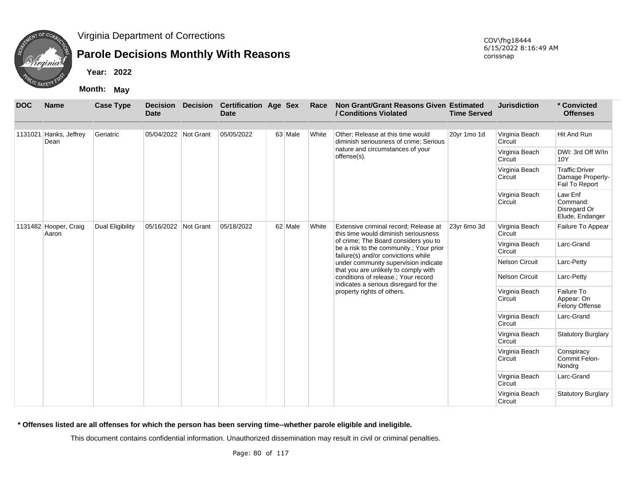

## **Parole Decisions Monthly With Reasons**

**Year: 2022**

**Month: May**

| <b>DOC</b> | <b>Name</b>                    | <b>Case Type</b> | <b>Decision</b><br><b>Date</b> | <b>Decision</b> | <b>Certification Age Sex</b><br><b>Date</b> |         | Race  | Non Grant/Grant Reasons Given Estimated<br>/ Conditions Violated                                                       | <b>Time Served</b> | <b>Jurisdiction</b>       | * Convicted<br><b>Offenses</b>                         |
|------------|--------------------------------|------------------|--------------------------------|-----------------|---------------------------------------------|---------|-------|------------------------------------------------------------------------------------------------------------------------|--------------------|---------------------------|--------------------------------------------------------|
| 1131021    | Hanks, Jeffrey                 | Geriatric        | 05/04/2022 Not Grant           |                 | 05/05/2022                                  | 63 Male | White | Other: Release at this time would                                                                                      | 20yr 1mo 1d        | Virginia Beach            | Hit And Run                                            |
|            | Dean                           |                  |                                |                 |                                             |         |       | diminish seriousness of crime; Serious                                                                                 |                    | Circuit                   |                                                        |
|            |                                |                  |                                |                 |                                             |         |       | nature and circumstances of your<br>offense(s).                                                                        |                    | Virginia Beach<br>Circuit | DWI: 3rd Off W/In<br>10Y                               |
|            |                                |                  |                                |                 |                                             |         |       |                                                                                                                        |                    | Virginia Beach<br>Circuit | Traffic: Driver<br>Damage Property-<br>Fail To Report  |
|            |                                |                  |                                |                 |                                             |         |       |                                                                                                                        |                    | Virginia Beach<br>Circuit | Law Enf<br>Command:<br>Disregard Or<br>Elude, Endanger |
|            | 1131482 Hooper, Craig<br>Aaron | Dual Eligibility | 05/16/2022 Not Grant           |                 | 05/18/2022                                  | 62 Male | White | Extensive criminal record; Release at<br>this time would diminish seriousness                                          | 23yr 6mo 3d        | Virginia Beach<br>Circuit | Failure To Appear                                      |
|            |                                |                  |                                |                 |                                             |         |       | of crime; The Board considers you to<br>be a risk to the community.; Your prior<br>failure(s) and/or convictions while |                    | Virginia Beach<br>Circuit | Larc-Grand                                             |
|            |                                |                  |                                |                 |                                             |         |       | under community supervision indicate<br>that you are unlikely to comply with                                           |                    | Nelson Circuit            | Larc-Petty                                             |
|            |                                |                  |                                |                 |                                             |         |       | conditions of release.; Your record<br>indicates a serious disregard for the                                           |                    | <b>Nelson Circuit</b>     | Larc-Petty                                             |
|            |                                |                  |                                |                 |                                             |         |       | property rights of others.                                                                                             |                    | Virginia Beach<br>Circuit | Failure To<br>Appear: On<br><b>Felony Offense</b>      |
|            |                                |                  |                                |                 |                                             |         |       |                                                                                                                        |                    | Virginia Beach<br>Circuit | Larc-Grand                                             |
|            |                                |                  |                                |                 |                                             |         |       |                                                                                                                        |                    | Virginia Beach<br>Circuit | <b>Statutory Burglary</b>                              |
|            |                                |                  |                                |                 |                                             |         |       |                                                                                                                        |                    | Virginia Beach<br>Circuit | Conspiracy<br>Commit Felon-<br>Nondrg                  |
|            |                                |                  |                                |                 |                                             |         |       |                                                                                                                        |                    | Virginia Beach<br>Circuit | Larc-Grand                                             |
|            |                                |                  |                                |                 |                                             |         |       |                                                                                                                        |                    | Virginia Beach<br>Circuit | <b>Statutory Burglary</b>                              |

**\* Offenses listed are all offenses for which the person has been serving time--whether parole eligible and ineligible.**

This document contains confidential information. Unauthorized dissemination may result in civil or criminal penalties.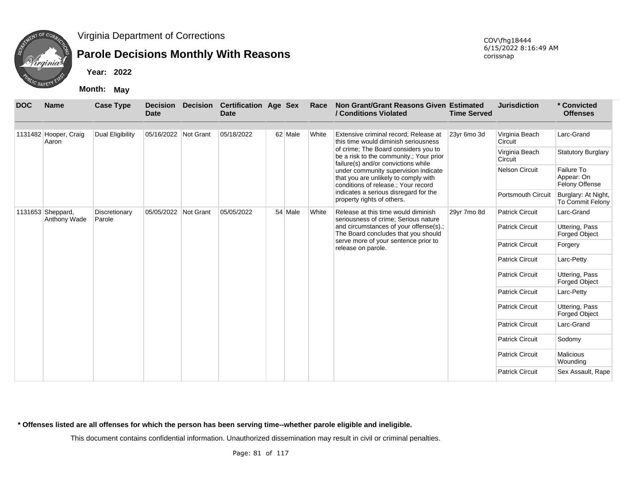

## **Parole Decisions Monthly With Reasons**

**Year: 2022**

**Month: May**

| <b>DOC</b>        | <b>Name</b>                    | <b>Case Type</b>        | <b>Date</b>          | <b>Decision Decision</b> | <b>Certification Age Sex</b><br><b>Date</b> |         | Race  | Non Grant/Grant Reasons Given Estimated<br>/ Conditions Violated                                                       | <b>Time Served</b> | <b>Jurisdiction</b>       | * Convicted<br><b>Offenses</b>             |
|-------------------|--------------------------------|-------------------------|----------------------|--------------------------|---------------------------------------------|---------|-------|------------------------------------------------------------------------------------------------------------------------|--------------------|---------------------------|--------------------------------------------|
|                   | 1131482 Hooper, Craig<br>Aaron | Dual Eligibility        | 05/16/2022 Not Grant |                          | 05/18/2022                                  | 62 Male | White | Extensive criminal record; Release at<br>this time would diminish seriousness                                          | 23yr 6mo 3d        | Virginia Beach<br>Circuit | Larc-Grand                                 |
|                   |                                |                         |                      |                          |                                             |         |       | of crime; The Board considers you to<br>be a risk to the community.; Your prior<br>failure(s) and/or convictions while |                    | Virginia Beach<br>Circuit | <b>Statutory Burglary</b>                  |
|                   |                                |                         |                      |                          |                                             |         |       | under community supervision indicate<br>that you are unlikely to comply with<br>conditions of release.; Your record    |                    | Nelson Circuit            | Failure To<br>Appear: On<br>Felony Offense |
| 1131653 Sheppard, |                                |                         |                      |                          |                                             |         |       | indicates a serious disregard for the<br>property rights of others.                                                    |                    | Portsmouth Circuit        | Burglary: At Night,<br>To Commit Felony    |
|                   | Anthony Wade                   | Discretionary<br>Parole | 05/05/2022 Not Grant |                          | 05/05/2022                                  | 54 Male | White | Release at this time would diminish<br>seriousness of crime; Serious nature                                            | 29yr 7mo 8d        | <b>Patrick Circuit</b>    | Larc-Grand                                 |
|                   |                                |                         |                      |                          |                                             |         |       | and circumstances of your offense(s).;<br>The Board concludes that you should                                          |                    | <b>Patrick Circuit</b>    | Uttering, Pass<br>Forged Object            |
|                   |                                |                         |                      |                          |                                             |         |       | serve more of your sentence prior to<br>release on parole.                                                             |                    | <b>Patrick Circuit</b>    | Forgery                                    |
|                   |                                |                         |                      |                          |                                             |         |       |                                                                                                                        |                    | <b>Patrick Circuit</b>    | Larc-Petty                                 |
|                   |                                |                         |                      |                          |                                             |         |       |                                                                                                                        |                    | <b>Patrick Circuit</b>    | Uttering, Pass<br><b>Forged Object</b>     |
|                   |                                |                         |                      |                          |                                             |         |       |                                                                                                                        |                    | <b>Patrick Circuit</b>    | Larc-Petty                                 |
|                   |                                |                         |                      |                          |                                             |         |       |                                                                                                                        |                    | <b>Patrick Circuit</b>    | Uttering, Pass<br><b>Forged Object</b>     |
|                   |                                |                         |                      |                          |                                             |         |       |                                                                                                                        |                    | <b>Patrick Circuit</b>    | Larc-Grand                                 |
|                   |                                |                         |                      |                          |                                             |         |       |                                                                                                                        |                    | <b>Patrick Circuit</b>    | Sodomy                                     |
|                   |                                |                         |                      |                          |                                             |         |       |                                                                                                                        |                    | <b>Patrick Circuit</b>    | <b>Malicious</b><br>Wounding               |
|                   |                                |                         |                      |                          |                                             |         |       |                                                                                                                        |                    | <b>Patrick Circuit</b>    | Sex Assault, Rape                          |

**\* Offenses listed are all offenses for which the person has been serving time--whether parole eligible and ineligible.**

This document contains confidential information. Unauthorized dissemination may result in civil or criminal penalties.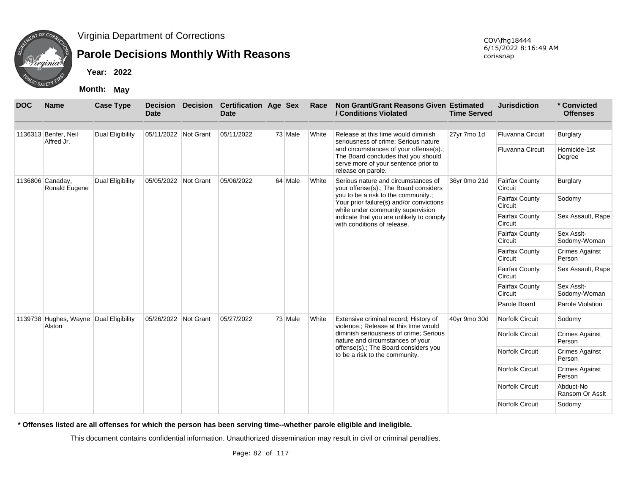

## **Parole Decisions Monthly With Reasons**

**Year: 2022**

**Month: May**

| <b>DOC</b> | <b>Name</b>                                      | <b>Case Type</b>        | <b>Decision</b><br><b>Date</b> | <b>Decision</b> | <b>Certification Age Sex</b><br><b>Date</b> |         | Race  | Non Grant/Grant Reasons Given Estimated<br>/ Conditions Violated                                                                            | <b>Time Served</b> | <b>Jurisdiction</b>              | * Convicted<br><b>Offenses</b>  |
|------------|--------------------------------------------------|-------------------------|--------------------------------|-----------------|---------------------------------------------|---------|-------|---------------------------------------------------------------------------------------------------------------------------------------------|--------------------|----------------------------------|---------------------------------|
|            | 1136313 Benfer, Neil<br>Alfred Jr.               | <b>Dual Eligibility</b> | 05/11/2022 Not Grant           |                 | 05/11/2022                                  | 73 Male | White | Release at this time would diminish<br>seriousness of crime; Serious nature                                                                 | 27yr 7mo 1d        | Fluvanna Circuit                 | <b>Burglary</b>                 |
|            |                                                  |                         |                                |                 |                                             |         |       | and circumstances of your offense(s).;<br>The Board concludes that you should<br>serve more of your sentence prior to<br>release on parole. |                    | <b>Fluvanna Circuit</b>          | Homicide-1st<br>Degree          |
|            | 1136806 Canaday,<br>Ronald Eugene                | <b>Dual Eligibility</b> | 05/05/2022 Not Grant           |                 | 05/06/2022                                  | 64 Male | White | Serious nature and circumstances of<br>your offense(s).; The Board considers                                                                | 36yr 0mo 21d       | <b>Fairfax County</b><br>Circuit | <b>Burglary</b>                 |
|            |                                                  |                         |                                |                 |                                             |         |       | you to be a risk to the community.;<br>Your prior failure(s) and/or convictions<br>while under community supervision                        |                    | <b>Fairfax County</b><br>Circuit | Sodomy                          |
|            |                                                  |                         |                                |                 |                                             |         |       | indicate that you are unlikely to comply<br>with conditions of release.                                                                     |                    | <b>Fairfax County</b><br>Circuit | Sex Assault, Rape               |
|            |                                                  |                         |                                |                 |                                             |         |       |                                                                                                                                             |                    | <b>Fairfax County</b><br>Circuit | Sex Asslt-<br>Sodomy-Woman      |
|            |                                                  |                         |                                |                 |                                             |         |       |                                                                                                                                             |                    | <b>Fairfax County</b><br>Circuit | <b>Crimes Against</b><br>Person |
|            |                                                  |                         |                                |                 |                                             |         |       |                                                                                                                                             |                    | <b>Fairfax County</b><br>Circuit | Sex Assault, Rape               |
|            |                                                  |                         |                                |                 |                                             |         |       |                                                                                                                                             |                    | <b>Fairfax County</b><br>Circuit | Sex Asslt-<br>Sodomy-Woman      |
|            |                                                  |                         |                                |                 |                                             |         |       |                                                                                                                                             |                    | Parole Board                     | Parole Violation                |
|            | 1139738 Hughes, Wayne Dual Eligibility<br>Alston |                         | 05/26/2022 Not Grant           |                 | 05/27/2022                                  | 73 Male | White | Extensive criminal record; History of<br>violence.; Release at this time would                                                              | 40yr 9mo 30d       | Norfolk Circuit                  | Sodomy                          |
|            |                                                  |                         |                                |                 |                                             |         |       | diminish seriousness of crime; Serious<br>nature and circumstances of your                                                                  |                    | Norfolk Circuit                  | <b>Crimes Against</b><br>Person |
|            |                                                  |                         |                                |                 |                                             |         |       | offense(s).; The Board considers you<br>to be a risk to the community.                                                                      |                    | Norfolk Circuit                  | <b>Crimes Against</b><br>Person |
|            |                                                  |                         |                                |                 |                                             |         |       |                                                                                                                                             |                    | <b>Norfolk Circuit</b>           | <b>Crimes Against</b><br>Person |
|            |                                                  |                         |                                |                 |                                             |         |       |                                                                                                                                             |                    | Norfolk Circuit                  | Abduct-No<br>Ransom Or Asslt    |
|            |                                                  |                         |                                |                 |                                             |         |       |                                                                                                                                             |                    | Norfolk Circuit                  | Sodomy                          |

**\* Offenses listed are all offenses for which the person has been serving time--whether parole eligible and ineligible.**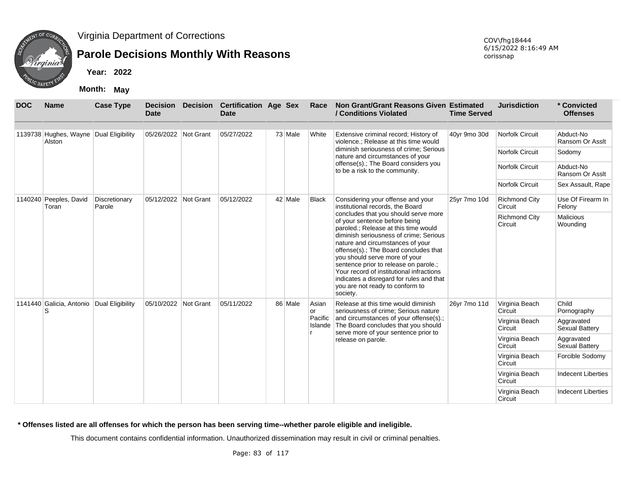

### **Parole Decisions Monthly With Reasons**

**Year: 2022**

**Month: May**

| <b>DOC</b> | <b>Name</b>                                      | <b>Case Type</b>        | <b>Decision</b><br><b>Date</b> | <b>Decision</b> | <b>Certification Age Sex</b><br>Date |         | Race         | Non Grant/Grant Reasons Given Estimated<br>/ Conditions Violated                                                                                                                                                                                                                                                                                                                                                                                      | <b>Time Served</b> | <b>Jurisdiction</b>             | * Convicted<br><b>Offenses</b> |
|------------|--------------------------------------------------|-------------------------|--------------------------------|-----------------|--------------------------------------|---------|--------------|-------------------------------------------------------------------------------------------------------------------------------------------------------------------------------------------------------------------------------------------------------------------------------------------------------------------------------------------------------------------------------------------------------------------------------------------------------|--------------------|---------------------------------|--------------------------------|
|            | 1139738 Hughes, Wayne Dual Eligibility<br>Alston |                         | 05/26/2022 Not Grant           |                 | 05/27/2022                           | 73 Male | White        | Extensive criminal record; History of<br>violence.; Release at this time would                                                                                                                                                                                                                                                                                                                                                                        | 40yr 9mo 30d       | Norfolk Circuit                 | Abduct-No<br>Ransom Or Asslt   |
|            |                                                  |                         |                                |                 |                                      |         |              | diminish seriousness of crime; Serious<br>nature and circumstances of your                                                                                                                                                                                                                                                                                                                                                                            |                    | <b>Norfolk Circuit</b>          | Sodomy                         |
|            |                                                  |                         |                                |                 |                                      |         |              | offense(s).; The Board considers you<br>to be a risk to the community.                                                                                                                                                                                                                                                                                                                                                                                |                    | Norfolk Circuit                 | Abduct-No<br>Ransom Or Asslt   |
|            |                                                  |                         |                                |                 |                                      |         |              |                                                                                                                                                                                                                                                                                                                                                                                                                                                       |                    | <b>Norfolk Circuit</b>          | Sex Assault, Rape              |
|            | 1140240 Peeples, David<br>Toran                  | Discretionary<br>Parole | 05/12/2022 Not Grant           |                 | 05/12/2022                           | 42 Male | Black        | Considering your offense and your<br>institutional records, the Board                                                                                                                                                                                                                                                                                                                                                                                 | 25yr 7mo 10d       | <b>Richmond City</b><br>Circuit | Use Of Firearm In<br>Felony    |
|            |                                                  |                         |                                |                 |                                      |         |              | concludes that you should serve more<br>of your sentence before being<br>paroled.; Release at this time would<br>diminish seriousness of crime; Serious<br>nature and circumstances of your<br>offense(s).; The Board concludes that<br>you should serve more of your<br>sentence prior to release on parole.;<br>Your record of institutional infractions<br>indicates a disregard for rules and that<br>you are not ready to conform to<br>society. |                    | <b>Richmond City</b><br>Circuit | <b>Malicious</b><br>Wounding   |
|            | 1141440 Galicia, Antonio Dual Eligibility<br>S   |                         | 05/10/2022                     | Not Grant       | 05/11/2022                           | 86 Male | Asian<br>lor | Release at this time would diminish<br>seriousness of crime; Serious nature                                                                                                                                                                                                                                                                                                                                                                           | 26yr 7mo 11d       | Virginia Beach<br>Circuit       | Child<br>Pornography           |
|            |                                                  |                         |                                |                 |                                      |         | Pacific      | and circumstances of your offense(s).;<br>Islande The Board concludes that you should<br>serve more of your sentence prior to                                                                                                                                                                                                                                                                                                                         |                    | Virginia Beach<br>Circuit       | Aggravated<br>Sexual Battery   |
|            |                                                  |                         |                                |                 |                                      |         |              | release on parole.                                                                                                                                                                                                                                                                                                                                                                                                                                    |                    | Virginia Beach<br>Circuit       | Aggravated<br>Sexual Battery   |
|            |                                                  |                         |                                |                 |                                      |         |              |                                                                                                                                                                                                                                                                                                                                                                                                                                                       |                    | Virginia Beach<br>Circuit       | Forcible Sodomy                |
|            |                                                  |                         |                                |                 |                                      |         |              |                                                                                                                                                                                                                                                                                                                                                                                                                                                       |                    | Virginia Beach<br>Circuit       | <b>Indecent Liberties</b>      |
|            |                                                  |                         |                                |                 |                                      |         |              |                                                                                                                                                                                                                                                                                                                                                                                                                                                       |                    | Virginia Beach<br>Circuit       | <b>Indecent Liberties</b>      |

**\* Offenses listed are all offenses for which the person has been serving time--whether parole eligible and ineligible.**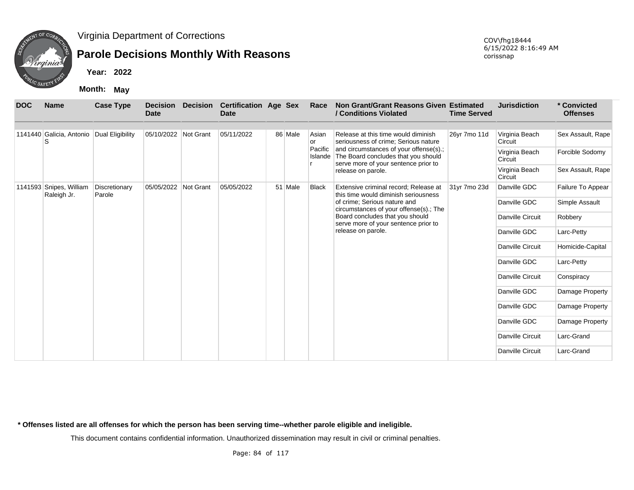

## **Parole Decisions Monthly With Reasons**

**Year: 2022**

**Month: May**

| <b>DOC</b> | <b>Name</b>                               | <b>Case Type</b>        | <b>Decision</b><br><b>Date</b> | Decision Certification Age Sex<br><b>Date</b> |         | Race         | Non Grant/Grant Reasons Given Estimated<br>/ Conditions Violated                                                              | <b>Time Served</b> | <b>Jurisdiction</b>       | * Convicted<br><b>Offenses</b> |
|------------|-------------------------------------------|-------------------------|--------------------------------|-----------------------------------------------|---------|--------------|-------------------------------------------------------------------------------------------------------------------------------|--------------------|---------------------------|--------------------------------|
|            | 1141440 Galicia, Antonio Dual Eligibility |                         | 05/10/2022 Not Grant           | 05/11/2022                                    | 86 Male | Asian<br>or  | Release at this time would diminish<br>seriousness of crime; Serious nature                                                   | 26yr 7mo 11d       | Virginia Beach<br>Circuit | Sex Assault, Rape              |
|            |                                           |                         |                                |                                               |         | Pacific      | and circumstances of your offense(s).;<br>Islande The Board concludes that you should<br>serve more of your sentence prior to |                    | Virginia Beach<br>Circuit | Forcible Sodomy                |
|            |                                           |                         |                                |                                               |         |              | release on parole.                                                                                                            |                    | Virginia Beach<br>Circuit | Sex Assault, Rape              |
| 1141593    | Snipes, William<br>Raleigh Jr.            | Discretionary<br>Parole | 05/05/2022 Not Grant           | 05/05/2022                                    | 51 Male | <b>Black</b> | Extensive criminal record; Release at<br>this time would diminish seriousness                                                 | 31yr 7mo 23d       | Danville GDC              | Failure To Appear              |
|            |                                           |                         |                                |                                               |         |              | of crime; Serious nature and<br>circumstances of your offense(s).; The                                                        |                    | Danville GDC              | Simple Assault                 |
|            |                                           |                         |                                |                                               |         |              | Board concludes that you should<br>serve more of your sentence prior to                                                       |                    | Danville Circuit          | Robbery                        |
|            |                                           |                         |                                |                                               |         |              | release on parole.                                                                                                            |                    | Danville GDC              | Larc-Petty                     |
|            |                                           |                         |                                |                                               |         |              |                                                                                                                               |                    | Danville Circuit          | Homicide-Capital               |
|            |                                           |                         |                                |                                               |         |              |                                                                                                                               |                    | Danville GDC              | Larc-Petty                     |
|            |                                           |                         |                                |                                               |         |              |                                                                                                                               |                    | Danville Circuit          | Conspiracy                     |
|            |                                           |                         |                                |                                               |         |              |                                                                                                                               |                    | Danville GDC              | Damage Property                |
|            |                                           |                         |                                |                                               |         |              |                                                                                                                               |                    | Danville GDC              | Damage Property                |
|            |                                           |                         |                                |                                               |         |              |                                                                                                                               |                    | Danville GDC              | Damage Property                |
|            |                                           |                         |                                |                                               |         |              |                                                                                                                               |                    | Danville Circuit          | Larc-Grand                     |
|            |                                           |                         |                                |                                               |         |              |                                                                                                                               |                    | Danville Circuit          | Larc-Grand                     |

**\* Offenses listed are all offenses for which the person has been serving time--whether parole eligible and ineligible.**

This document contains confidential information. Unauthorized dissemination may result in civil or criminal penalties.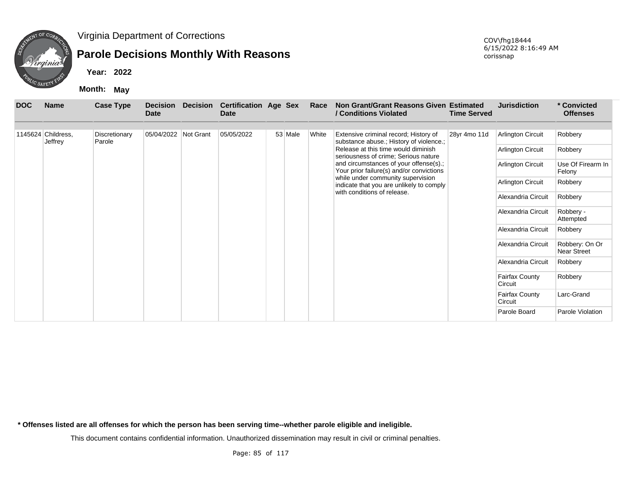

## **Parole Decisions Monthly With Reasons**

**Year: 2022**

**Month: May**

| <b>DOC</b> | <b>Name</b>                   | <b>Case Type</b>        | <b>Decision</b><br><b>Date</b> | <b>Decision</b> | <b>Certification Age Sex</b><br><b>Date</b> |         | Race  | Non Grant/Grant Reasons Given Estimated<br>/ Conditions Violated                                                                                                                                                                                                                                                                                                      | <b>Time Served</b> | <b>Jurisdiction</b>                                                                                                                                                                                                                                                    | * Convicted<br><b>Offenses</b>                                                                                                                                                           |
|------------|-------------------------------|-------------------------|--------------------------------|-----------------|---------------------------------------------|---------|-------|-----------------------------------------------------------------------------------------------------------------------------------------------------------------------------------------------------------------------------------------------------------------------------------------------------------------------------------------------------------------------|--------------------|------------------------------------------------------------------------------------------------------------------------------------------------------------------------------------------------------------------------------------------------------------------------|------------------------------------------------------------------------------------------------------------------------------------------------------------------------------------------|
|            | 1145624 Childress,<br>Jeffrey | Discretionary<br>Parole | 05/04/2022 Not Grant           |                 | 05/05/2022                                  | 53 Male | White | Extensive criminal record; History of<br>substance abuse.; History of violence.;<br>Release at this time would diminish<br>seriousness of crime; Serious nature<br>and circumstances of your offense(s).;<br>Your prior failure(s) and/or convictions<br>while under community supervision<br>indicate that you are unlikely to comply<br>with conditions of release. | 28yr 4mo 11d       | Arlington Circuit<br><b>Arlington Circuit</b><br>Arlington Circuit<br>Arlington Circuit<br>Alexandria Circuit<br>Alexandria Circuit<br>Alexandria Circuit<br>Alexandria Circuit<br>Alexandria Circuit<br><b>Fairfax County</b><br>Circuit<br>Fairfax County<br>Circuit | Robbery<br>Robbery<br>Use Of Firearm In<br>Felony<br>Robbery<br>Robbery<br>Robbery -<br>Attempted<br>Robbery<br>Robbery: On Or<br><b>Near Street</b><br>Robbery<br>Robbery<br>Larc-Grand |
|            |                               |                         |                                |                 |                                             |         |       |                                                                                                                                                                                                                                                                                                                                                                       |                    | Parole Board                                                                                                                                                                                                                                                           | Parole Violation                                                                                                                                                                         |

**\* Offenses listed are all offenses for which the person has been serving time--whether parole eligible and ineligible.**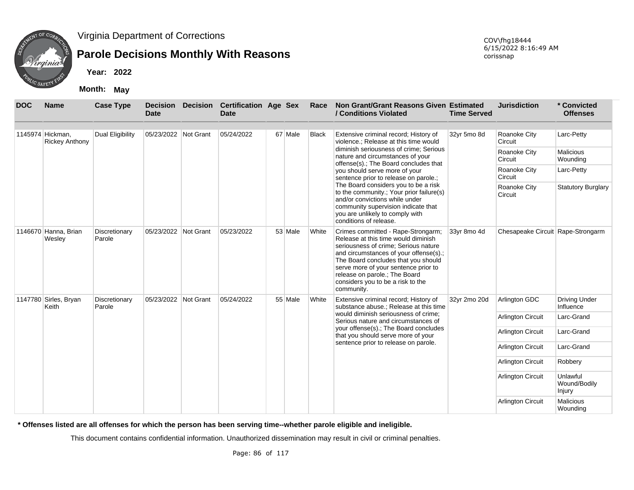

## **Parole Decisions Monthly With Reasons**

**Year: 2022**

**Month: May**

| <b>DOC</b> | <b>Name</b>                               | <b>Case Type</b>                                                  | <b>Decision</b><br><b>Date</b> | <b>Decision</b>                                                                                                                                                                                                        | <b>Certification Age Sex</b><br><b>Date</b> |                         | Race                      | Non Grant/Grant Reasons Given Estimated<br>/ Conditions Violated                                                                                                                                                                                                                                                               | <b>Time Served</b> | <b>Jurisdiction</b>               | * Convicted<br><b>Offenses</b>     |
|------------|-------------------------------------------|-------------------------------------------------------------------|--------------------------------|------------------------------------------------------------------------------------------------------------------------------------------------------------------------------------------------------------------------|---------------------------------------------|-------------------------|---------------------------|--------------------------------------------------------------------------------------------------------------------------------------------------------------------------------------------------------------------------------------------------------------------------------------------------------------------------------|--------------------|-----------------------------------|------------------------------------|
|            | 1145974 Hickman.<br><b>Rickey Anthony</b> | Dual Eligibility                                                  | 05/23/2022 Not Grant           |                                                                                                                                                                                                                        | 05/24/2022                                  | 67 Male                 | <b>Black</b>              | Extensive criminal record; History of<br>violence.; Release at this time would                                                                                                                                                                                                                                                 | 32yr 5mo 8d        | Roanoke City<br>Circuit           | Larc-Petty                         |
|            |                                           |                                                                   |                                |                                                                                                                                                                                                                        |                                             |                         |                           | diminish seriousness of crime; Serious<br>nature and circumstances of your<br>offense(s).; The Board concludes that                                                                                                                                                                                                            |                    | Roanoke City<br>Circuit           | <b>Malicious</b><br>Wounding       |
|            |                                           |                                                                   |                                |                                                                                                                                                                                                                        |                                             |                         |                           | you should serve more of your<br>sentence prior to release on parole.;                                                                                                                                                                                                                                                         |                    | Roanoke City<br>Circuit           | Larc-Petty                         |
|            |                                           | Not Grant<br>05/23/2022<br>53 Male<br>Discretionary<br>05/23/2022 |                                | The Board considers you to be a risk<br>to the community.; Your prior failure(s)<br>and/or convictions while under<br>community supervision indicate that<br>you are unlikely to comply with<br>conditions of release. |                                             | Roanoke City<br>Circuit | <b>Statutory Burglary</b> |                                                                                                                                                                                                                                                                                                                                |                    |                                   |                                    |
|            | 1146670 Hanna, Brian<br>Wesley            | Parole                                                            |                                |                                                                                                                                                                                                                        |                                             |                         | White                     | Crimes committed - Rape-Strongarm;<br>Release at this time would diminish<br>seriousness of crime; Serious nature<br>and circumstances of your offense(s).;<br>The Board concludes that you should<br>serve more of your sentence prior to<br>release on parole.; The Board<br>considers you to be a risk to the<br>community. | 33vr 8mo 4d        | Chesapeake Circuit Rape-Strongarm |                                    |
|            | 1147780 Sirles, Bryan<br>Keith            | Discretionary<br>Parole                                           | 05/23/2022                     | Not Grant                                                                                                                                                                                                              | 05/24/2022                                  | 55 Male                 | White                     | Extensive criminal record; History of<br>substance abuse.; Release at this time                                                                                                                                                                                                                                                | 32yr 2mo 20d       | Arlington GDC                     | <b>Driving Under</b><br>Influence  |
|            |                                           |                                                                   |                                |                                                                                                                                                                                                                        |                                             |                         |                           | would diminish seriousness of crime:<br>Serious nature and circumstances of                                                                                                                                                                                                                                                    |                    | <b>Arlington Circuit</b>          | Larc-Grand                         |
|            |                                           |                                                                   |                                |                                                                                                                                                                                                                        |                                             |                         |                           | your offense(s).; The Board concludes<br>that you should serve more of your                                                                                                                                                                                                                                                    |                    | <b>Arlington Circuit</b>          | Larc-Grand                         |
|            |                                           |                                                                   |                                |                                                                                                                                                                                                                        |                                             |                         |                           | sentence prior to release on parole.                                                                                                                                                                                                                                                                                           |                    | <b>Arlington Circuit</b>          | Larc-Grand                         |
|            |                                           |                                                                   |                                |                                                                                                                                                                                                                        |                                             |                         |                           |                                                                                                                                                                                                                                                                                                                                |                    | Arlington Circuit                 | Robbery                            |
|            |                                           |                                                                   |                                |                                                                                                                                                                                                                        |                                             |                         |                           |                                                                                                                                                                                                                                                                                                                                |                    | <b>Arlington Circuit</b>          | Unlawful<br>Wound/Bodily<br>Injury |
|            |                                           |                                                                   |                                |                                                                                                                                                                                                                        |                                             |                         |                           |                                                                                                                                                                                                                                                                                                                                |                    | <b>Arlington Circuit</b>          | <b>Malicious</b><br>Wounding       |

**\* Offenses listed are all offenses for which the person has been serving time--whether parole eligible and ineligible.**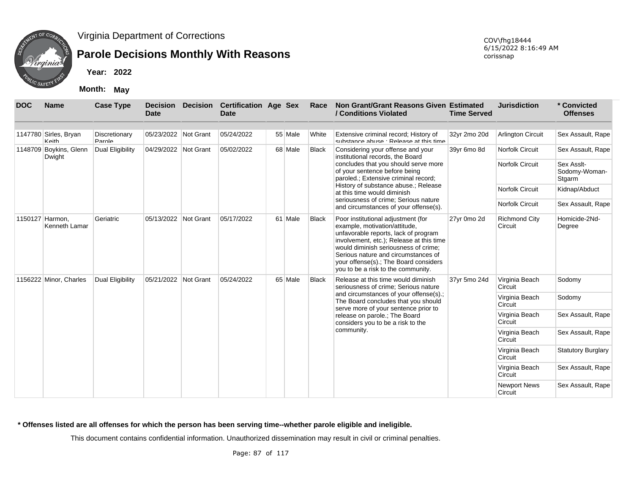

## **Parole Decisions Monthly With Reasons**

**Year: 2022**

**Month: May**

| <b>DOC</b> | <b>Name</b>                      | <b>Case Type</b>        | <b>Decision</b><br><b>Date</b> | <b>Decision</b> | <b>Certification Age Sex</b><br>Date |         | Race         | Non Grant/Grant Reasons Given Estimated<br>/ Conditions Violated                                                                                                                                                                                                                                                      | <b>Time Served</b> | <b>Jurisdiction</b>                | * Convicted<br><b>Offenses</b>                   |
|------------|----------------------------------|-------------------------|--------------------------------|-----------------|--------------------------------------|---------|--------------|-----------------------------------------------------------------------------------------------------------------------------------------------------------------------------------------------------------------------------------------------------------------------------------------------------------------------|--------------------|------------------------------------|--------------------------------------------------|
|            | 1147780 Sirles, Bryan<br>Keith   | Discretionary<br>Parole | 05/23/2022                     | Not Grant       | 05/24/2022                           | 55 Male | White        | Extensive criminal record; History of<br>substance abuse Release at this time                                                                                                                                                                                                                                         | 32yr 2mo 20d       | <b>Arlington Circuit</b>           | Sex Assault, Rape                                |
|            | 1148709 Boykins, Glenn<br>Dwight | Dual Eligibility        | 04/29/2022 Not Grant           |                 | 05/02/2022                           | 68 Male | <b>Black</b> | Considering your offense and your<br>institutional records, the Board<br>concludes that you should serve more<br>of your sentence before being                                                                                                                                                                        | 39yr 6mo 8d        | Norfolk Circuit<br>Norfolk Circuit | Sex Assault, Rape<br>Sex Asslt-<br>Sodomy-Woman- |
|            |                                  |                         |                                |                 |                                      |         |              | paroled.; Extensive criminal record;<br>History of substance abuse.; Release<br>at this time would diminish                                                                                                                                                                                                           |                    | <b>Norfolk Circuit</b>             | Stgarm<br>Kidnap/Abduct                          |
|            |                                  |                         |                                |                 |                                      |         |              | seriousness of crime; Serious nature<br>and circumstances of your offense(s).                                                                                                                                                                                                                                         |                    | <b>Norfolk Circuit</b>             | Sex Assault, Rape                                |
|            | 1150127 Harmon,<br>Kenneth Lamar | Geriatric               | 05/13/2022 Not Grant           |                 | 05/17/2022                           | 61 Male | Black        | Poor institutional adjustment (for<br>example, motivation/attitude,<br>unfavorable reports, lack of program<br>involvement, etc.); Release at this time<br>would diminish seriousness of crime:<br>Serious nature and circumstances of<br>your offense(s).; The Board considers<br>you to be a risk to the community. | 27yr 0mo 2d        | <b>Richmond City</b><br>Circuit    | Homicide-2Nd-<br>Degree                          |
|            | 1156222 Minor, Charles           | Dual Eligibility        | 05/21/2022 Not Grant           |                 | 05/24/2022                           | 65 Male | <b>Black</b> | Release at this time would diminish<br>seriousness of crime; Serious nature                                                                                                                                                                                                                                           | 37yr 5mo 24d       | Virginia Beach<br>Circuit          | Sodomy                                           |
|            |                                  |                         |                                |                 |                                      |         |              | and circumstances of your offense(s).;<br>The Board concludes that you should<br>serve more of your sentence prior to                                                                                                                                                                                                 |                    | Virginia Beach<br>Circuit          | Sodomy                                           |
|            |                                  |                         |                                |                 |                                      |         |              | release on parole.; The Board<br>considers you to be a risk to the                                                                                                                                                                                                                                                    |                    | Virginia Beach<br>Circuit          | Sex Assault, Rape                                |
|            |                                  |                         |                                |                 |                                      |         |              | community.                                                                                                                                                                                                                                                                                                            |                    | Virginia Beach<br>Circuit          | Sex Assault, Rape                                |
|            |                                  |                         |                                |                 |                                      |         |              |                                                                                                                                                                                                                                                                                                                       |                    | Virginia Beach<br>Circuit          | <b>Statutory Burglary</b>                        |
|            |                                  |                         |                                |                 |                                      |         |              |                                                                                                                                                                                                                                                                                                                       |                    | Virginia Beach<br>Circuit          | Sex Assault, Rape                                |
|            |                                  |                         |                                |                 |                                      |         |              |                                                                                                                                                                                                                                                                                                                       |                    | <b>Newport News</b><br>Circuit     | Sex Assault, Rape                                |

**\* Offenses listed are all offenses for which the person has been serving time--whether parole eligible and ineligible.**

This document contains confidential information. Unauthorized dissemination may result in civil or criminal penalties.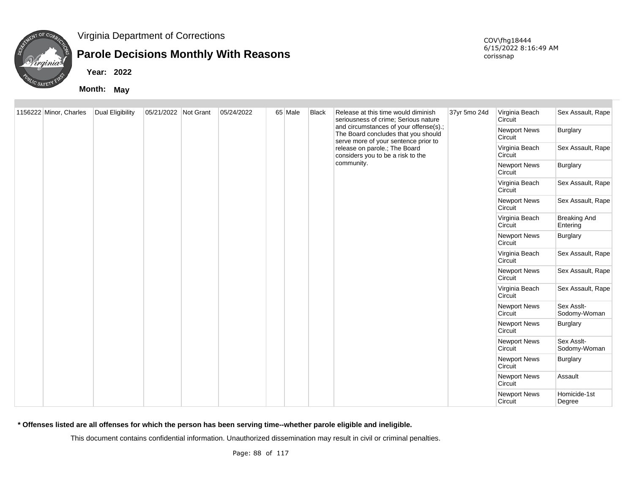

## **Parole Decisions Monthly With Reasons**

**Year: 2022**

**Month: May**

COV\fhg18444 6/15/2022 8:16:49 AM corissnap

| 1156222 Minor, Charles | <b>Dual Eligibility</b> | 05/21/2022 Not Grant | 05/24/2022 | 65 Male | <b>Black</b> | Release at this time would diminish<br>seriousness of crime; Serious nature                                           | 37yr 5mo 24d | Virginia Beach<br>Circuit      | Sex Assault, Rape               |
|------------------------|-------------------------|----------------------|------------|---------|--------------|-----------------------------------------------------------------------------------------------------------------------|--------------|--------------------------------|---------------------------------|
|                        |                         |                      |            |         |              | and circumstances of your offense(s).;<br>The Board concludes that you should<br>serve more of your sentence prior to |              | <b>Newport News</b><br>Circuit | Burglary                        |
|                        |                         |                      |            |         |              | release on parole.; The Board<br>considers you to be a risk to the                                                    |              | Virginia Beach<br>Circuit      | Sex Assault, Rape               |
|                        |                         |                      |            |         |              | community.                                                                                                            |              | <b>Newport News</b><br>Circuit | Burglary                        |
|                        |                         |                      |            |         |              |                                                                                                                       |              | Virginia Beach<br>Circuit      | Sex Assault, Rape               |
|                        |                         |                      |            |         |              |                                                                                                                       |              | <b>Newport News</b><br>Circuit | Sex Assault, Rape               |
|                        |                         |                      |            |         |              |                                                                                                                       |              | Virginia Beach<br>Circuit      | <b>Breaking And</b><br>Entering |
|                        |                         |                      |            |         |              |                                                                                                                       |              | <b>Newport News</b><br>Circuit | Burglary                        |
|                        |                         |                      |            |         |              |                                                                                                                       |              | Virginia Beach<br>Circuit      | Sex Assault, Rape               |
|                        |                         |                      |            |         |              |                                                                                                                       |              | <b>Newport News</b><br>Circuit | Sex Assault, Rape               |
|                        |                         |                      |            |         |              |                                                                                                                       |              | Virginia Beach<br>Circuit      | Sex Assault, Rape               |
|                        |                         |                      |            |         |              |                                                                                                                       |              | <b>Newport News</b><br>Circuit | Sex Asslt-<br>Sodomy-Woman      |
|                        |                         |                      |            |         |              |                                                                                                                       |              | Newport News<br>Circuit        | Burglary                        |
|                        |                         |                      |            |         |              |                                                                                                                       |              | <b>Newport News</b><br>Circuit | Sex Asslt-<br>Sodomy-Woman      |
|                        |                         |                      |            |         |              |                                                                                                                       |              | <b>Newport News</b><br>Circuit | <b>Burglary</b>                 |
|                        |                         |                      |            |         |              |                                                                                                                       |              | <b>Newport News</b><br>Circuit | Assault                         |
|                        |                         |                      |            |         |              |                                                                                                                       |              | <b>Newport News</b><br>Circuit | Homicide-1st<br>Degree          |

**\* Offenses listed are all offenses for which the person has been serving time--whether parole eligible and ineligible.**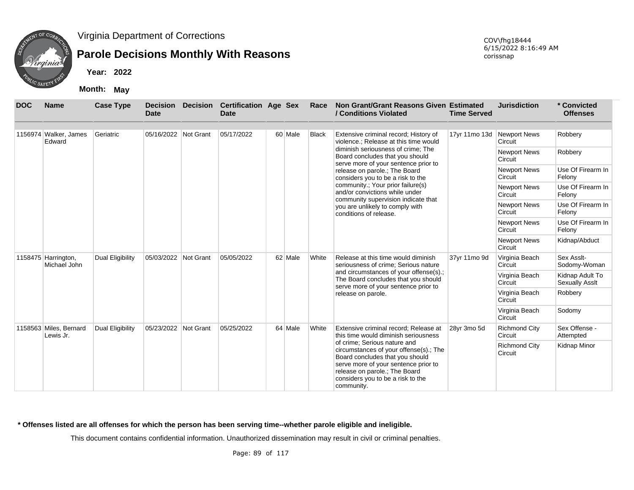

## **Parole Decisions Monthly With Reasons**

**Year: 2022**

**Month: May**

| <b>DOC</b> | <b>Name</b>                         | <b>Case Type</b> | <b>Decision</b><br><b>Date</b> | <b>Decision</b> | <b>Certification Age Sex</b><br><b>Date</b> |         | Race  | Non Grant/Grant Reasons Given Estimated<br>/ Conditions Violated                                                                                                                                                                      | <b>Time Served</b>         | <b>Jurisdiction</b>             | * Convicted<br><b>Offenses</b>           |
|------------|-------------------------------------|------------------|--------------------------------|-----------------|---------------------------------------------|---------|-------|---------------------------------------------------------------------------------------------------------------------------------------------------------------------------------------------------------------------------------------|----------------------------|---------------------------------|------------------------------------------|
|            | 1156974 Walker, James<br>Edward     | Geriatric        | 05/16/2022 Not Grant           |                 | 05/17/2022                                  | 60 Male | Black | Extensive criminal record; History of<br>violence.; Release at this time would                                                                                                                                                        | 17yr 11mo 13d Newport News | Circuit                         | Robbery                                  |
|            |                                     |                  |                                |                 |                                             |         |       | diminish seriousness of crime; The<br>Board concludes that you should<br>serve more of your sentence prior to                                                                                                                         |                            | <b>Newport News</b><br>Circuit  | Robbery                                  |
|            |                                     |                  |                                |                 |                                             |         |       | release on parole.; The Board<br>considers you to be a risk to the                                                                                                                                                                    |                            | <b>Newport News</b><br>Circuit  | Use Of Firearm In<br>Felony              |
|            |                                     |                  |                                |                 |                                             |         |       | community.; Your prior failure(s)<br>and/or convictions while under                                                                                                                                                                   |                            | <b>Newport News</b><br>Circuit  | Use Of Firearm In<br>Felony              |
|            |                                     |                  |                                |                 |                                             |         |       | community supervision indicate that<br>you are unlikely to comply with<br>conditions of release.                                                                                                                                      |                            | <b>Newport News</b><br>Circuit  | Use Of Firearm In<br>Felony              |
|            |                                     |                  |                                |                 |                                             |         |       |                                                                                                                                                                                                                                       |                            | <b>Newport News</b><br>Circuit  | Use Of Firearm In<br>Felony              |
|            |                                     |                  |                                |                 |                                             |         |       |                                                                                                                                                                                                                                       |                            | <b>Newport News</b><br>Circuit  | Kidnap/Abduct                            |
|            | 1158475 Harrington,<br>Michael John | Dual Eligibility | 05/03/2022 Not Grant           |                 | 05/05/2022                                  | 62 Male | White | Release at this time would diminish<br>seriousness of crime; Serious nature                                                                                                                                                           | 37yr 11mo 9d               | Virginia Beach<br>Circuit       | Sex Asslt-<br>Sodomy-Woman               |
|            |                                     |                  |                                |                 |                                             |         |       | and circumstances of your offense(s).;<br>The Board concludes that you should                                                                                                                                                         |                            | Virginia Beach<br>Circuit       | Kidnap Adult To<br><b>Sexually Asslt</b> |
|            |                                     |                  |                                |                 |                                             |         |       | serve more of your sentence prior to<br>release on parole.                                                                                                                                                                            |                            | Virginia Beach<br>Circuit       | Robbery                                  |
|            |                                     |                  |                                |                 |                                             |         |       |                                                                                                                                                                                                                                       |                            | Virginia Beach<br>Circuit       | Sodomy                                   |
|            | 1158563 Miles, Bernard<br>Lewis Jr. | Dual Eligibility | 05/23/2022 Not Grant           |                 | 05/25/2022                                  | 64 Male | White | Extensive criminal record; Release at<br>this time would diminish seriousness                                                                                                                                                         | 28yr 3mo 5d                | <b>Richmond City</b><br>Circuit | Sex Offense -<br>Attempted               |
|            |                                     |                  |                                |                 |                                             |         |       | of crime; Serious nature and<br>circumstances of your offense(s).; The<br>Board concludes that you should<br>serve more of your sentence prior to<br>release on parole.; The Board<br>considers you to be a risk to the<br>community. |                            | <b>Richmond City</b><br>Circuit | Kidnap Minor                             |

#### **\* Offenses listed are all offenses for which the person has been serving time--whether parole eligible and ineligible.**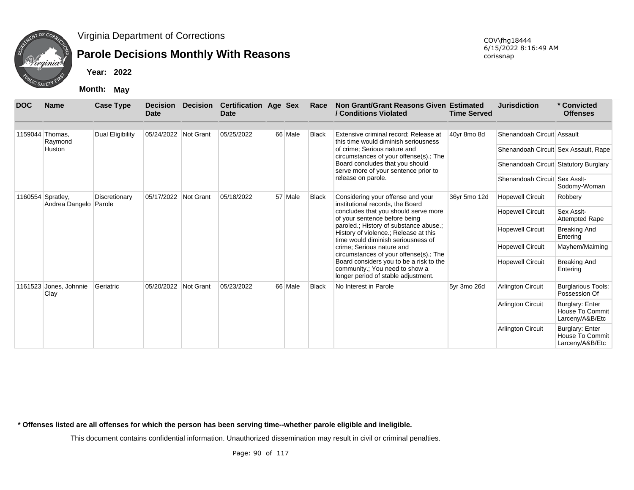

## **Parole Decisions Monthly With Reasons**

**Year: 2022**

**Month: May**

COV\fhg18444 6/15/2022 8:16:49 AM corissnap

| <b>DOC</b> | <b>Name</b>                                  | <b>Case Type</b> | <b>Decision</b><br>Date | <b>Decision</b> | <b>Certification Age Sex</b><br><b>Date</b> |         | Race         | Non Grant/Grant Reasons Given Estimated<br>/ Conditions Violated                                                      | <b>Time Served</b> | <b>Jurisdiction</b>                   | * Convicted<br><b>Offenses</b>                               |
|------------|----------------------------------------------|------------------|-------------------------|-----------------|---------------------------------------------|---------|--------------|-----------------------------------------------------------------------------------------------------------------------|--------------------|---------------------------------------|--------------------------------------------------------------|
|            | 1159044 Thomas,<br>Raymond                   | Dual Eligibility | 05/24/2022 Not Grant    |                 | 05/25/2022                                  | 66 Male | <b>Black</b> | Extensive criminal record; Release at<br>this time would diminish seriousness                                         | 40yr 8mo 8d        | Shenandoah Circuit Assault            |                                                              |
|            | Huston                                       |                  |                         |                 |                                             |         |              | of crime; Serious nature and<br>circumstances of your offense(s).; The                                                |                    | Shenandoah Circuit Sex Assault, Rape  |                                                              |
|            |                                              |                  |                         |                 |                                             |         |              | Board concludes that you should<br>serve more of your sentence prior to                                               |                    | Shenandoah Circuit Statutory Burglary |                                                              |
|            |                                              |                  |                         |                 |                                             |         |              | release on parole.                                                                                                    |                    | Shenandoah Circuit Sex Asslt-         | Sodomy-Woman                                                 |
|            | 1160554 Spratley,<br>Andrea Dangelo   Parole | Discretionary    | 05/17/2022              | Not Grant       | 05/18/2022                                  | 57 Male | <b>Black</b> | Considering your offense and your<br>institutional records, the Board                                                 | 36yr 5mo 12d       | <b>Hopewell Circuit</b>               | Robbery                                                      |
|            |                                              |                  |                         |                 |                                             |         |              | concludes that you should serve more<br>of your sentence before being                                                 |                    | <b>Hopewell Circuit</b>               | Sex Asslt-<br><b>Attempted Rape</b>                          |
|            |                                              |                  |                         |                 |                                             |         |              | paroled.; History of substance abuse.;<br>History of violence.; Release at this<br>time would diminish seriousness of |                    | <b>Hopewell Circuit</b>               | <b>Breaking And</b><br>Entering                              |
|            |                                              |                  |                         |                 |                                             |         |              | crime; Serious nature and<br>circumstances of your offense(s).; The                                                   |                    | <b>Hopewell Circuit</b>               | Mayhem/Maiming                                               |
|            |                                              |                  |                         |                 |                                             |         |              | Board considers you to be a risk to the<br>community.; You need to show a<br>longer period of stable adjustment.      |                    | <b>Hopewell Circuit</b>               | <b>Breaking And</b><br>Entering                              |
|            | 1161523 Jones, Johnnie<br>Clay               | Geriatric        | 05/20/2022              | Not Grant       | 05/23/2022                                  | 66 Male | <b>Black</b> | No Interest in Parole                                                                                                 | 5yr 3mo 26d        | Arlington Circuit                     | <b>Burglarious Tools:</b><br>Possession Of                   |
|            |                                              |                  |                         |                 |                                             |         |              |                                                                                                                       |                    | <b>Arlington Circuit</b>              | Burglary: Enter<br>House To Commit<br>Larceny/A&B/Etc        |
|            |                                              |                  |                         |                 |                                             |         |              |                                                                                                                       |                    | Arlington Circuit                     | <b>Burglary: Enter</b><br>House To Commit<br>Larceny/A&B/Etc |

**\* Offenses listed are all offenses for which the person has been serving time--whether parole eligible and ineligible.**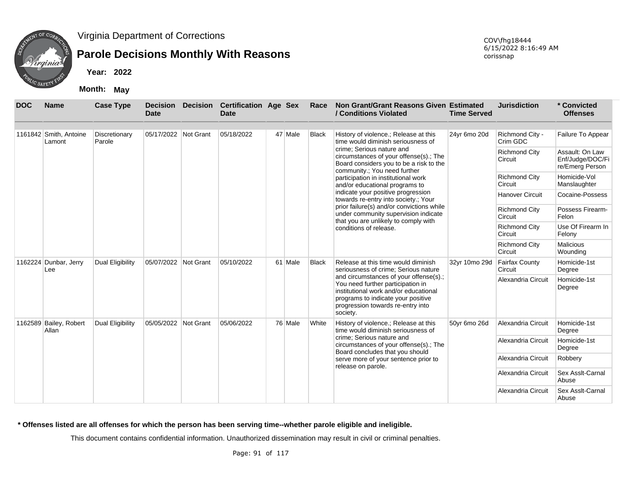

### **Parole Decisions Monthly With Reasons**

**Year: 2022**

**Month: May**

| <b>DOC</b> | <b>Name</b>                      | <b>Case Type</b>        | <b>Decision</b><br><b>Date</b> | <b>Decision</b> | <b>Certification Age Sex</b><br><b>Date</b> |         | Race         | Non Grant/Grant Reasons Given Estimated<br>/ Conditions Violated                                                                                                                                            | <b>Time Served</b> | <b>Jurisdiction</b>              | * Convicted<br><b>Offenses</b>                         |
|------------|----------------------------------|-------------------------|--------------------------------|-----------------|---------------------------------------------|---------|--------------|-------------------------------------------------------------------------------------------------------------------------------------------------------------------------------------------------------------|--------------------|----------------------------------|--------------------------------------------------------|
|            | 1161842 Smith, Antoine<br>Lamont | Discretionary<br>Parole | 05/17/2022 Not Grant           |                 | 05/18/2022                                  | 47 Male | Black        | History of violence.; Release at this<br>time would diminish seriousness of                                                                                                                                 | 24yr 6mo 20d       | Richmond City -<br>Crim GDC      | Failure To Appear                                      |
|            |                                  |                         |                                |                 |                                             |         |              | crime; Serious nature and<br>circumstances of your offense(s).; The<br>Board considers you to be a risk to the                                                                                              |                    | <b>Richmond City</b><br>Circuit  | Assault: On Law<br>Enf/Judge/DOC/Fi<br>re/Emerg Person |
|            |                                  |                         |                                |                 |                                             |         |              | community.; You need further<br>participation in institutional work<br>and/or educational programs to                                                                                                       |                    | <b>Richmond City</b><br>Circuit  | Homicide-Vol<br>Manslaughter                           |
|            |                                  |                         |                                |                 |                                             |         |              | indicate your positive progression<br>towards re-entry into society.; Your                                                                                                                                  |                    | Hanover Circuit                  | Cocaine-Possess                                        |
|            |                                  |                         |                                |                 |                                             |         |              | prior failure(s) and/or convictions while<br>under community supervision indicate<br>that you are unlikely to comply with                                                                                   |                    | <b>Richmond City</b><br>Circuit  | Possess Firearm-<br>Felon                              |
|            |                                  |                         |                                |                 |                                             |         |              | conditions of release.                                                                                                                                                                                      |                    | <b>Richmond City</b><br>Circuit  | Use Of Firearm In<br>Felony                            |
|            |                                  |                         |                                |                 |                                             |         |              |                                                                                                                                                                                                             |                    | <b>Richmond City</b><br>Circuit  | Malicious<br>Wounding                                  |
|            | 1162224 Dunbar, Jerry<br>Lee     | Dual Eligibility        | 05/07/2022 Not Grant           |                 | 05/10/2022                                  | 61 Male | <b>Black</b> | Release at this time would diminish<br>seriousness of crime; Serious nature                                                                                                                                 | 32yr 10mo 29d      | <b>Fairfax County</b><br>Circuit | Homicide-1st<br>Degree                                 |
|            |                                  |                         |                                |                 |                                             |         |              | and circumstances of your offense(s).;<br>You need further participation in<br>institutional work and/or educational<br>programs to indicate your positive<br>progression towards re-entry into<br>society. |                    | Alexandria Circuit               | Homicide-1st<br>Degree                                 |
|            | 1162589 Bailey, Robert<br>Allan  | <b>Dual Eligibility</b> | 05/05/2022 Not Grant           |                 | 05/06/2022                                  | 76 Male | White        | History of violence.; Release at this<br>time would diminish seriousness of                                                                                                                                 | 50yr 6mo 26d       | Alexandria Circuit               | Homicide-1st<br>Degree                                 |
|            |                                  |                         |                                |                 |                                             |         |              | crime: Serious nature and<br>circumstances of your offense(s).; The<br>Board concludes that you should                                                                                                      |                    | Alexandria Circuit               | Homicide-1st<br>Degree                                 |
|            |                                  |                         |                                |                 |                                             |         |              | serve more of your sentence prior to<br>release on parole.                                                                                                                                                  |                    | Alexandria Circuit               | Robbery                                                |
|            |                                  |                         |                                |                 |                                             |         |              |                                                                                                                                                                                                             |                    | Alexandria Circuit               | Sex Asslt-Carnal<br>Abuse                              |
|            |                                  |                         |                                |                 |                                             |         |              |                                                                                                                                                                                                             |                    | Alexandria Circuit               | Sex Asslt-Carnal<br>Abuse                              |

#### **\* Offenses listed are all offenses for which the person has been serving time--whether parole eligible and ineligible.**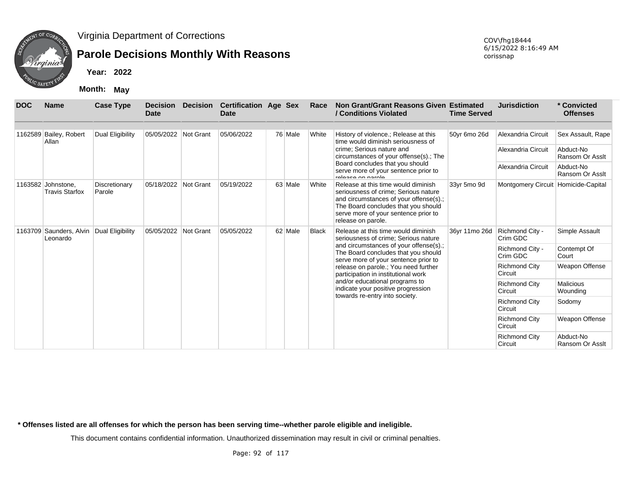

## **Parole Decisions Monthly With Reasons**

**Year: 2022**

**Month: May**

| <b>DOC</b> | <b>Name</b>                         | <b>Case Type</b>        | <b>Decision</b><br><b>Date</b> | Decision  | <b>Certification Age Sex</b><br>Date |         | Race         | Non Grant/Grant Reasons Given Estimated<br>/ Conditions Violated                                                                                                                                                           | <b>Time Served</b> | <b>Jurisdiction</b>                 | * Convicted<br><b>Offenses</b> |
|------------|-------------------------------------|-------------------------|--------------------------------|-----------|--------------------------------------|---------|--------------|----------------------------------------------------------------------------------------------------------------------------------------------------------------------------------------------------------------------------|--------------------|-------------------------------------|--------------------------------|
| 1162589    | Bailey, Robert<br>Allan             | Dual Eligibility        | 05/05/2022 Not Grant           |           | 05/06/2022                           | 76 Male | White        | History of violence.; Release at this<br>time would diminish seriousness of                                                                                                                                                | 50yr 6mo 26d       | Alexandria Circuit                  | Sex Assault, Rape              |
|            |                                     |                         |                                |           |                                      |         |              | crime; Serious nature and<br>circumstances of your offense(s).; The                                                                                                                                                        |                    | Alexandria Circuit                  | Abduct-No<br>Ransom Or Asslt   |
|            |                                     |                         |                                |           |                                      |         |              | Board concludes that you should<br>serve more of your sentence prior to<br>ralagea on ngrola                                                                                                                               |                    | Alexandria Circuit                  | Abduct-No<br>Ransom Or Asslt   |
| 1163582    | Johnstone,<br><b>Travis Starfox</b> | Discretionary<br>Parole | 05/18/2022                     | Not Grant | 05/19/2022                           | 63 Male | White        | Release at this time would diminish<br>seriousness of crime; Serious nature<br>and circumstances of your offense(s).;<br>The Board concludes that you should<br>serve more of your sentence prior to<br>release on parole. | 33yr 5mo 9d        | Montgomery Circuit Homicide-Capital |                                |
| 1163709    | Saunders, Alvin<br>Leonardo         | Dual Eligibility        | 05/05/2022                     | Not Grant | 05/05/2022                           | 62 Male | <b>Black</b> | Release at this time would diminish<br>seriousness of crime: Serious nature                                                                                                                                                | 36yr 11mo 26d      | Richmond City -<br>Crim GDC         | Simple Assault                 |
|            |                                     |                         |                                |           |                                      |         |              | and circumstances of your offense(s).;<br>The Board concludes that you should<br>serve more of your sentence prior to                                                                                                      |                    | Richmond City -<br>Crim GDC         | Contempt Of<br>Court           |
|            |                                     |                         |                                |           |                                      |         |              | release on parole.; You need further<br>participation in institutional work                                                                                                                                                |                    | <b>Richmond City</b><br>Circuit     | Weapon Offense                 |
|            |                                     |                         |                                |           |                                      |         |              | and/or educational programs to<br>indicate your positive progression                                                                                                                                                       |                    | <b>Richmond City</b><br>Circuit     | <b>Malicious</b><br>Wounding   |
|            |                                     |                         |                                |           |                                      |         |              | towards re-entry into society.                                                                                                                                                                                             |                    | <b>Richmond City</b><br>Circuit     | Sodomy                         |
|            |                                     |                         |                                |           |                                      |         |              |                                                                                                                                                                                                                            |                    | <b>Richmond City</b><br>Circuit     | Weapon Offense                 |
|            |                                     |                         |                                |           |                                      |         |              |                                                                                                                                                                                                                            |                    | <b>Richmond City</b><br>Circuit     | Abduct-No<br>Ransom Or Asslt   |

**\* Offenses listed are all offenses for which the person has been serving time--whether parole eligible and ineligible.**

This document contains confidential information. Unauthorized dissemination may result in civil or criminal penalties.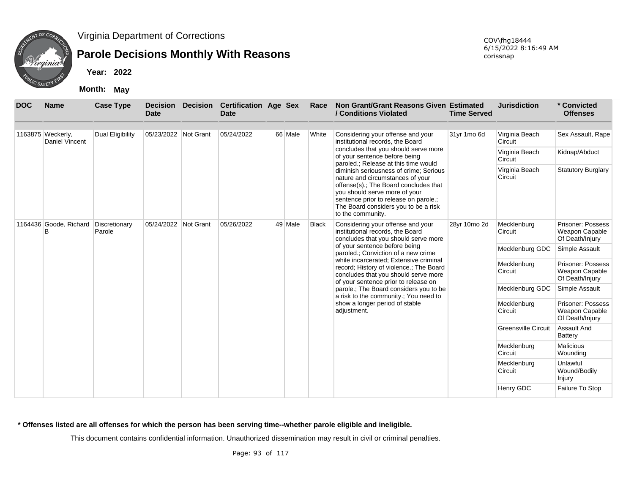

## **Parole Decisions Monthly With Reasons**

**Year: 2022**

**Month: May**

| <b>DOC</b> | <b>Name</b>                          | <b>Case Type</b> | <b>Decision</b><br><b>Date</b> | <b>Decision</b> | <b>Certification Age Sex</b><br><b>Date</b> |         | Race         | Non Grant/Grant Reasons Given Estimated<br>/ Conditions Violated                                                                                                                                                                                           | <b>Time Served</b> | <b>Jurisdiction</b>        | * Convicted<br><b>Offenses</b>                         |
|------------|--------------------------------------|------------------|--------------------------------|-----------------|---------------------------------------------|---------|--------------|------------------------------------------------------------------------------------------------------------------------------------------------------------------------------------------------------------------------------------------------------------|--------------------|----------------------------|--------------------------------------------------------|
|            | 1163875 Weckerly,<br>Daniel Vincent  | Dual Eligibility | 05/23/2022 Not Grant           |                 | 05/24/2022                                  | 66 Male | White        | Considering your offense and your<br>institutional records, the Board                                                                                                                                                                                      | 31yr 1mo 6d        | Virginia Beach<br>Circuit  | Sex Assault, Rape                                      |
|            |                                      |                  |                                |                 |                                             |         |              | concludes that you should serve more<br>of your sentence before being<br>paroled.; Release at this time would                                                                                                                                              |                    | Virginia Beach<br>Circuit  | Kidnap/Abduct                                          |
| в          |                                      |                  |                                |                 |                                             |         |              | diminish seriousness of crime; Serious<br>nature and circumstances of your<br>offense(s).; The Board concludes that<br>you should serve more of your<br>sentence prior to release on parole.;<br>The Board considers you to be a risk<br>to the community. |                    | Virginia Beach<br>Circuit  | <b>Statutory Burglary</b>                              |
|            | 1164436 Goode, Richard Discretionary | Parole           | 05/24/2022 Not Grant           |                 | 05/26/2022                                  | 49 Male | <b>Black</b> | Considering your offense and your<br>institutional records, the Board<br>concludes that you should serve more                                                                                                                                              | 28yr 10mo 2d       | Mecklenburg<br>Circuit     | Prisoner: Possess<br>Weapon Capable<br>Of Death/Injury |
|            |                                      |                  |                                |                 |                                             |         |              | of your sentence before being<br>paroled.; Conviction of a new crime                                                                                                                                                                                       |                    | Mecklenburg GDC            | Simple Assault                                         |
|            |                                      |                  |                                |                 |                                             |         |              | while incarcerated; Extensive criminal<br>record; History of violence.; The Board<br>concludes that you should serve more<br>of your sentence prior to release on                                                                                          |                    | Mecklenburg<br>Circuit     | Prisoner: Possess<br>Weapon Capable<br>Of Death/Injury |
|            |                                      |                  |                                |                 |                                             |         |              | parole.; The Board considers you to be<br>a risk to the community.; You need to                                                                                                                                                                            |                    | Mecklenburg GDC            | Simple Assault                                         |
|            |                                      |                  |                                |                 |                                             |         |              | show a longer period of stable<br>adjustment.                                                                                                                                                                                                              |                    | Mecklenburg<br>Circuit     | Prisoner: Possess<br>Weapon Capable<br>Of Death/Injury |
|            |                                      |                  |                                |                 |                                             |         |              |                                                                                                                                                                                                                                                            |                    | <b>Greensville Circuit</b> | Assault And<br><b>Battery</b>                          |
|            |                                      |                  |                                |                 |                                             |         |              |                                                                                                                                                                                                                                                            |                    | Mecklenburg<br>Circuit     | <b>Malicious</b><br>Wounding                           |
|            |                                      |                  |                                |                 |                                             |         |              |                                                                                                                                                                                                                                                            |                    | Mecklenburg<br>Circuit     | Unlawful<br>Wound/Bodily<br>Injury                     |
|            |                                      |                  |                                |                 |                                             |         |              |                                                                                                                                                                                                                                                            |                    | Henry GDC                  | Failure To Stop                                        |

**\* Offenses listed are all offenses for which the person has been serving time--whether parole eligible and ineligible.**

This document contains confidential information. Unauthorized dissemination may result in civil or criminal penalties.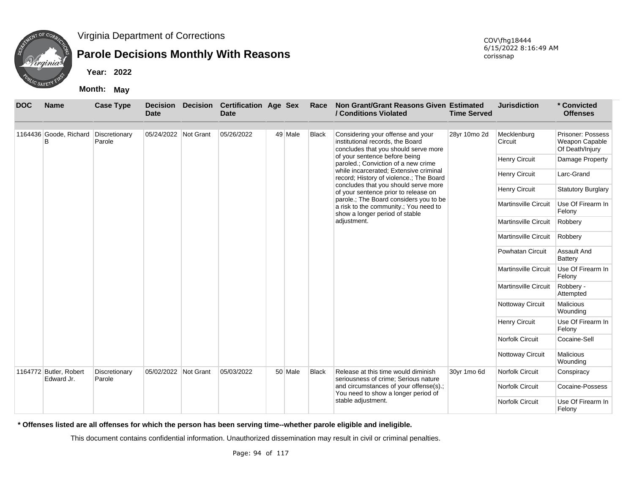

### **Parole Decisions Monthly With Reasons**

**Year: 2022**

**Month: May**

| <b>DOC</b> | <b>Name</b>                               | <b>Case Type</b>        | <b>Date</b>          | <b>Decision Decision</b> | <b>Certification Age Sex</b><br><b>Date</b> |         | Race                        | Non Grant/Grant Reasons Given Estimated<br>/ Conditions Violated                                                  | <b>Time Served</b> | <b>Jurisdiction</b>         | * Convicted<br><b>Offenses</b>                         |
|------------|-------------------------------------------|-------------------------|----------------------|--------------------------|---------------------------------------------|---------|-----------------------------|-------------------------------------------------------------------------------------------------------------------|--------------------|-----------------------------|--------------------------------------------------------|
|            |                                           |                         |                      |                          |                                             |         |                             |                                                                                                                   |                    |                             |                                                        |
|            | 1164436 Goode, Richard Discretionary<br>B | Parole                  | 05/24/2022 Not Grant |                          | 05/26/2022                                  | 49 Male | <b>Black</b>                | Considering your offense and your<br>institutional records, the Board<br>concludes that you should serve more     | 28yr 10mo 2d       | Mecklenburg<br>Circuit      | Prisoner: Possess<br>Weapon Capable<br>Of Death/Injury |
|            |                                           |                         |                      |                          |                                             |         |                             | of your sentence before being<br>paroled.; Conviction of a new crime                                              |                    | Henry Circuit               | Damage Property                                        |
|            |                                           |                         |                      |                          |                                             |         |                             | while incarcerated; Extensive criminal<br>record; History of violence.; The Board                                 |                    | Henry Circuit               | Larc-Grand                                             |
|            |                                           |                         |                      |                          |                                             |         |                             | concludes that you should serve more<br>of your sentence prior to release on                                      |                    | <b>Henry Circuit</b>        | <b>Statutory Burglary</b>                              |
|            |                                           |                         |                      |                          |                                             |         |                             | parole.; The Board considers you to be<br>a risk to the community.; You need to<br>show a longer period of stable |                    | <b>Martinsville Circuit</b> | Use Of Firearm In<br>Felony                            |
|            |                                           |                         |                      |                          | adjustment.                                 |         | <b>Martinsville Circuit</b> | Robbery                                                                                                           |                    |                             |                                                        |
|            |                                           |                         |                      |                          |                                             |         | <b>Martinsville Circuit</b> | Robbery                                                                                                           |                    |                             |                                                        |
|            |                                           |                         |                      |                          |                                             |         |                             |                                                                                                                   |                    | <b>Powhatan Circuit</b>     | <b>Assault And</b><br><b>Battery</b>                   |
|            |                                           |                         |                      |                          |                                             |         |                             |                                                                                                                   |                    | <b>Martinsville Circuit</b> | Use Of Firearm In<br>Felony                            |
|            |                                           |                         |                      |                          |                                             |         |                             |                                                                                                                   |                    | <b>Martinsville Circuit</b> | Robbery -<br>Attempted                                 |
|            |                                           |                         |                      |                          |                                             |         |                             |                                                                                                                   |                    | Nottoway Circuit            | Malicious<br>Wounding                                  |
|            |                                           |                         |                      |                          |                                             |         |                             |                                                                                                                   |                    | <b>Henry Circuit</b>        | Use Of Firearm In<br>Felony                            |
|            |                                           |                         |                      |                          |                                             |         |                             |                                                                                                                   |                    | <b>Norfolk Circuit</b>      | Cocaine-Sell                                           |
|            |                                           |                         |                      |                          |                                             |         |                             |                                                                                                                   |                    | Nottoway Circuit            | Malicious<br>Wounding                                  |
|            | 1164772 Butler, Robert<br>Edward Jr.      | Discretionary<br>Parole | 05/02/2022 Not Grant |                          | 05/03/2022                                  | 50 Male | <b>Black</b>                | Release at this time would diminish<br>seriousness of crime; Serious nature                                       | 30yr 1mo 6d        | <b>Norfolk Circuit</b>      | Conspiracy                                             |
|            |                                           |                         |                      |                          |                                             |         |                             | and circumstances of your offense(s).;<br>You need to show a longer period of                                     |                    | <b>Norfolk Circuit</b>      | Cocaine-Possess                                        |
|            |                                           |                         |                      |                          |                                             |         |                             | stable adjustment.                                                                                                |                    | <b>Norfolk Circuit</b>      | Use Of Firearm In<br>Felony                            |

**\* Offenses listed are all offenses for which the person has been serving time--whether parole eligible and ineligible.**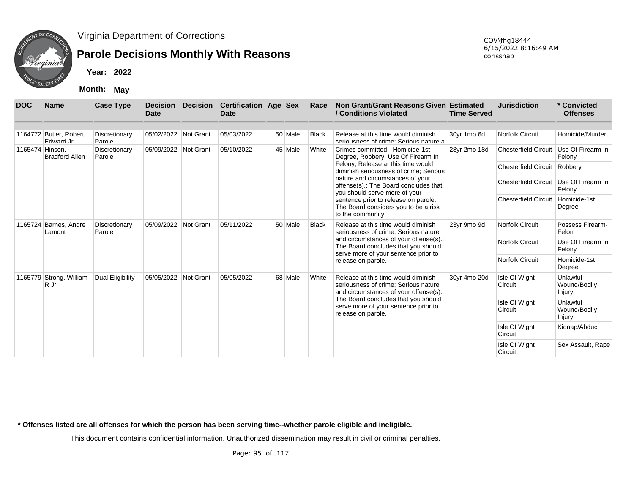

## **Parole Decisions Monthly With Reasons**

**Year: 2022**

**Month: May**

| <b>DOC</b>      | <b>Name</b>                         | <b>Case Type</b>        | <b>Date</b>          | <b>Decision Decision</b> | <b>Certification Age Sex</b><br><b>Date</b> |         | Race         | Non Grant/Grant Reasons Given Estimated<br>/ Conditions Violated                                                      | <b>Time Served</b> | <b>Jurisdiction</b>         | * Convicted<br><b>Offenses</b>     |
|-----------------|-------------------------------------|-------------------------|----------------------|--------------------------|---------------------------------------------|---------|--------------|-----------------------------------------------------------------------------------------------------------------------|--------------------|-----------------------------|------------------------------------|
|                 |                                     |                         |                      |                          |                                             |         |              |                                                                                                                       |                    |                             |                                    |
|                 | 1164772 Butler, Robert<br>Foward Jr | Discretionary<br>Parole | 05/02/2022 Not Grant |                          | 05/03/2022                                  | 50 Male | Black        | Release at this time would diminish<br>seriousness of crime: Serious nature a                                         | 30yr 1mo 6d        | Norfolk Circuit             | Homicide/Murder                    |
| 1165474 Hinson, | <b>Bradford Allen</b>               | Discretionary<br>Parole | 05/09/2022 Not Grant |                          | 05/10/2022                                  | 45 Male | White        | Crimes committed - Homicide-1st<br>Degree, Robbery, Use Of Firearm In                                                 | 28yr 2mo 18d       | <b>Chesterfield Circuit</b> | Use Of Firearm In<br>Felony        |
|                 |                                     |                         |                      |                          |                                             |         |              | Felony; Release at this time would<br>diminish seriousness of crime; Serious                                          |                    | <b>Chesterfield Circuit</b> | Robbery                            |
|                 |                                     |                         |                      |                          |                                             |         |              | nature and circumstances of your<br>offense(s).; The Board concludes that<br>you should serve more of your            |                    | <b>Chesterfield Circuit</b> | Use Of Firearm In<br>Felony        |
|                 |                                     |                         |                      |                          |                                             |         |              | sentence prior to release on parole.;<br>The Board considers you to be a risk<br>to the community.                    |                    | <b>Chesterfield Circuit</b> | Homicide-1st<br>Degree             |
|                 | 1165724 Barnes, Andre<br>Lamont     | Discretionary<br>Parole | 05/09/2022 Not Grant |                          | 05/11/2022                                  | 50 Male | <b>Black</b> | Release at this time would diminish<br>seriousness of crime; Serious nature                                           | 23yr 9mo 9d        | <b>Norfolk Circuit</b>      | Possess Firearm-<br>Felon          |
|                 |                                     |                         |                      |                          |                                             |         |              | and circumstances of your offense(s).;<br>The Board concludes that you should<br>serve more of your sentence prior to |                    | Norfolk Circuit             | Use Of Firearm In<br>Felony        |
|                 |                                     |                         |                      |                          |                                             |         |              | release on parole.                                                                                                    |                    | Norfolk Circuit             | Homicide-1st<br>Degree             |
|                 | 1165779 Strong, William<br>R Jr.    | Dual Eligibility        | 05/05/2022 Not Grant |                          | 05/05/2022                                  | 68 Male | White        | Release at this time would diminish<br>seriousness of crime; Serious nature<br>and circumstances of your offense(s).; | 30yr 4mo 20d       | Isle Of Wight<br>Circuit    | Unlawful<br>Wound/Bodily<br>Injury |
|                 |                                     |                         |                      |                          |                                             |         |              | The Board concludes that you should<br>serve more of your sentence prior to<br>release on parole.                     |                    | Isle Of Wight<br>Circuit    | Unlawful<br>Wound/Bodily<br>Injury |
|                 |                                     |                         |                      |                          |                                             |         |              |                                                                                                                       |                    | Isle Of Wight<br>Circuit    | Kidnap/Abduct                      |
|                 |                                     |                         |                      |                          |                                             |         |              |                                                                                                                       |                    | Isle Of Wight<br>Circuit    | Sex Assault, Rape                  |

**\* Offenses listed are all offenses for which the person has been serving time--whether parole eligible and ineligible.**

This document contains confidential information. Unauthorized dissemination may result in civil or criminal penalties.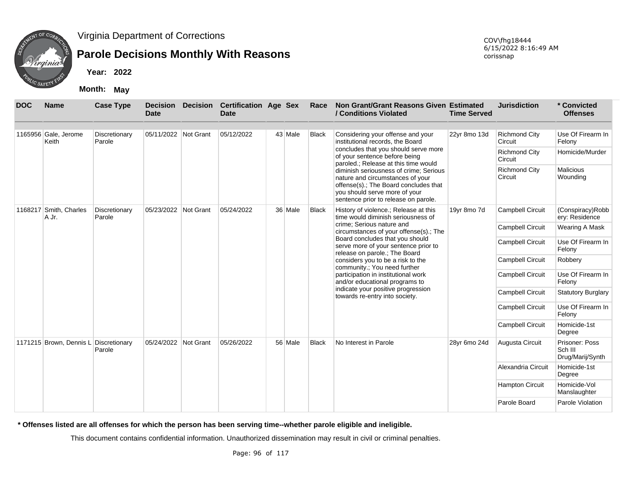

## **Parole Decisions Monthly With Reasons**

**Year: 2022**

**Month: May**

| <b>DOC</b> | <b>Name</b>                           | <b>Case Type</b>        | <b>Date</b>          |           | Decision Decision Certification Age Sex<br><b>Date</b> |         | Race         | Non Grant/Grant Reasons Given Estimated<br>/ Conditions Violated                                                                                                                             | <b>Time Served</b> | <b>Jurisdiction</b>             | * Convicted<br><b>Offenses</b>                |
|------------|---------------------------------------|-------------------------|----------------------|-----------|--------------------------------------------------------|---------|--------------|----------------------------------------------------------------------------------------------------------------------------------------------------------------------------------------------|--------------------|---------------------------------|-----------------------------------------------|
|            | 1165956 Gale, Jerome<br>Keith         | Discretionary<br>Parole | 05/11/2022 Not Grant |           | 05/12/2022                                             | 43 Male | <b>Black</b> | Considering your offense and your<br>institutional records, the Board                                                                                                                        | 22yr 8mo 13d       | <b>Richmond City</b><br>Circuit | Use Of Firearm In<br>Felony                   |
|            |                                       |                         |                      |           |                                                        |         |              | concludes that you should serve more<br>of your sentence before being<br>paroled.; Release at this time would                                                                                |                    | <b>Richmond City</b><br>Circuit | Homicide/Murder                               |
|            |                                       |                         |                      |           |                                                        |         |              | diminish seriousness of crime; Serious<br>nature and circumstances of your<br>offense(s).; The Board concludes that<br>you should serve more of your<br>sentence prior to release on parole. |                    | <b>Richmond City</b><br>Circuit | Malicious<br>Wounding                         |
|            | 1168217 Smith, Charles<br>A Jr.       | Discretionary<br>Parole | 05/23/2022           | Not Grant | 05/24/2022                                             | 36 Male | <b>Black</b> | History of violence.; Release at this<br>time would diminish seriousness of                                                                                                                  | 19yr 8mo 7d        | <b>Campbell Circuit</b>         | (Conspiracy)Robb<br>ery: Residence            |
|            |                                       |                         |                      |           |                                                        |         |              | crime; Serious nature and<br>circumstances of your offense(s).; The                                                                                                                          |                    | <b>Campbell Circuit</b>         | Wearing A Mask                                |
|            |                                       |                         |                      |           |                                                        |         |              | Board concludes that you should<br>serve more of your sentence prior to<br>release on parole.; The Board                                                                                     |                    | <b>Campbell Circuit</b>         | Use Of Firearm In<br>Felony                   |
|            |                                       |                         |                      |           |                                                        |         |              | considers you to be a risk to the<br>community.; You need further                                                                                                                            |                    | Campbell Circuit                | Robbery                                       |
|            |                                       |                         |                      |           |                                                        |         |              | participation in institutional work<br>and/or educational programs to                                                                                                                        |                    | Campbell Circuit                | Use Of Firearm In<br>Felony                   |
|            |                                       |                         |                      |           |                                                        |         |              | indicate your positive progression<br>towards re-entry into society.                                                                                                                         |                    | Campbell Circuit                | <b>Statutory Burglary</b>                     |
|            |                                       |                         |                      |           |                                                        |         |              |                                                                                                                                                                                              |                    | <b>Campbell Circuit</b>         | Use Of Firearm In<br>Felony                   |
|            |                                       |                         |                      |           |                                                        |         |              |                                                                                                                                                                                              |                    | Campbell Circuit                | Homicide-1st<br>Degree                        |
|            | 1171215 Brown, Dennis L Discretionary | Parole                  | 05/24/2022           | Not Grant | 05/26/2022                                             | 56 Male | <b>Black</b> | No Interest in Parole                                                                                                                                                                        | 28yr 6mo 24d       | Augusta Circuit                 | Prisoner: Poss<br>Sch III<br>Drug/Marij/Synth |
|            |                                       |                         |                      |           |                                                        |         |              |                                                                                                                                                                                              |                    | Alexandria Circuit              | Homicide-1st<br>Degree                        |
|            |                                       |                         |                      |           |                                                        |         |              |                                                                                                                                                                                              |                    | <b>Hampton Circuit</b>          | Homicide-Vol<br>Manslaughter                  |
|            |                                       |                         |                      |           |                                                        |         |              |                                                                                                                                                                                              |                    | Parole Board                    | Parole Violation                              |

**\* Offenses listed are all offenses for which the person has been serving time--whether parole eligible and ineligible.**

This document contains confidential information. Unauthorized dissemination may result in civil or criminal penalties.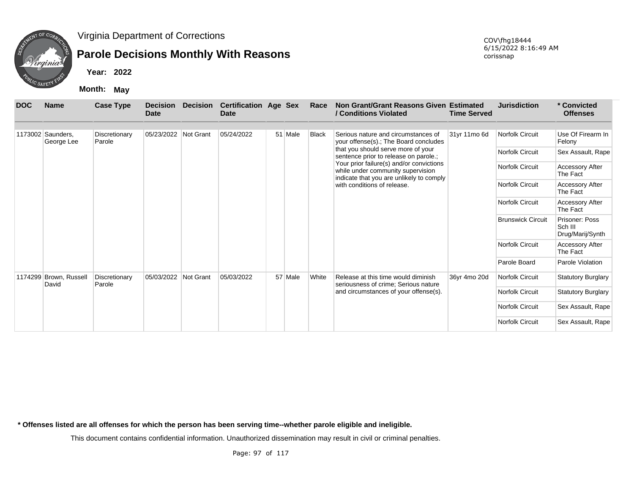

## **Parole Decisions Monthly With Reasons**

**Year: 2022**

**Month: May**

| <b>DOC</b> | <b>Name</b>                     | <b>Case Type</b>        | <b>Decision</b><br><b>Date</b> | <b>Decision</b> | <b>Certification Age Sex</b><br><b>Date</b> |         | Race         | Non Grant/Grant Reasons Given Estimated<br>/ Conditions Violated                                                          | <b>Time Served</b> | <b>Jurisdiction</b>      | * Convicted<br><b>Offenses</b>                |
|------------|---------------------------------|-------------------------|--------------------------------|-----------------|---------------------------------------------|---------|--------------|---------------------------------------------------------------------------------------------------------------------------|--------------------|--------------------------|-----------------------------------------------|
|            | 1173002 Saunders.<br>George Lee | Discretionary<br>Parole | 05/23/2022                     | Not Grant       | 05/24/2022                                  | 51 Male | <b>Black</b> | Serious nature and circumstances of<br>your offense(s).; The Board concludes                                              | 31yr 11mo 6d       | Norfolk Circuit          | Use Of Firearm In<br>Felony                   |
|            |                                 |                         |                                |                 |                                             |         |              | that you should serve more of your<br>sentence prior to release on parole.;                                               |                    | Norfolk Circuit          | Sex Assault, Rape                             |
|            |                                 |                         |                                |                 |                                             |         |              | Your prior failure(s) and/or convictions<br>while under community supervision<br>indicate that you are unlikely to comply |                    | Norfolk Circuit          | <b>Accessory After</b><br>The Fact            |
|            |                                 |                         |                                |                 |                                             |         |              | with conditions of release.                                                                                               |                    | Norfolk Circuit          | <b>Accessory After</b><br>The Fact            |
|            |                                 |                         |                                |                 |                                             |         |              |                                                                                                                           |                    | Norfolk Circuit          | <b>Accessory After</b><br>The Fact            |
|            |                                 |                         |                                |                 |                                             |         |              |                                                                                                                           |                    | <b>Brunswick Circuit</b> | Prisoner: Poss<br>Sch III<br>Drug/Marij/Synth |
|            |                                 |                         |                                |                 |                                             |         |              |                                                                                                                           |                    | Norfolk Circuit          | <b>Accessory After</b><br>The Fact            |
|            |                                 |                         |                                |                 |                                             |         |              |                                                                                                                           |                    | Parole Board             | Parole Violation                              |
|            | 1174299 Brown, Russell<br>David | Discretionary<br>Parole | 05/03/2022                     | Not Grant       | 05/03/2022                                  | 57 Male | White        | Release at this time would diminish<br>seriousness of crime; Serious nature                                               | 36yr 4mo 20d       | Norfolk Circuit          | <b>Statutory Burglary</b>                     |
|            |                                 |                         |                                |                 |                                             |         |              | and circumstances of your offense(s).                                                                                     |                    | Norfolk Circuit          | <b>Statutory Burglary</b>                     |
|            |                                 |                         |                                |                 |                                             |         |              |                                                                                                                           |                    | Norfolk Circuit          | Sex Assault, Rape                             |
|            |                                 |                         |                                |                 |                                             |         |              |                                                                                                                           |                    | Norfolk Circuit          | Sex Assault, Rape                             |

**\* Offenses listed are all offenses for which the person has been serving time--whether parole eligible and ineligible.**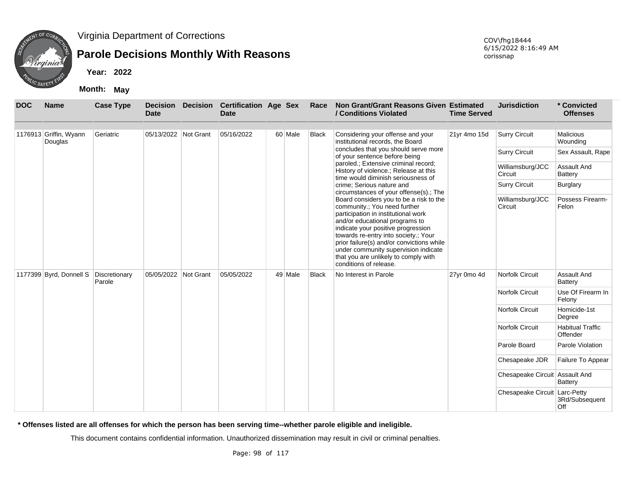

### **Parole Decisions Monthly With Reasons**

**Year: 2022**

**Month: May**

| <b>DOC</b> | <b>Name</b>                           | <b>Case Type</b> | <b>Decision</b><br><b>Date</b> | <b>Decision</b> | <b>Certification Age Sex</b><br><b>Date</b> |         | Race         | <b>Non Grant/Grant Reasons Given Estimated</b><br>/ Conditions Violated                                                                                                                                                                                                                                                                                                               | <b>Time Served</b> | <b>Jurisdiction</b>            | * Convicted<br><b>Offenses</b>      |
|------------|---------------------------------------|------------------|--------------------------------|-----------------|---------------------------------------------|---------|--------------|---------------------------------------------------------------------------------------------------------------------------------------------------------------------------------------------------------------------------------------------------------------------------------------------------------------------------------------------------------------------------------------|--------------------|--------------------------------|-------------------------------------|
|            | 1176913 Griffin, Wyann<br>Douglas     | Geriatric        | 05/13/2022 Not Grant           |                 | 05/16/2022                                  | 60 Male | <b>Black</b> | Considering your offense and your<br>institutional records, the Board                                                                                                                                                                                                                                                                                                                 | 21yr 4mo 15d       | <b>Surry Circuit</b>           | <b>Malicious</b><br>Wounding        |
|            |                                       |                  |                                |                 |                                             |         |              | concludes that you should serve more<br>of your sentence before being                                                                                                                                                                                                                                                                                                                 |                    | <b>Surry Circuit</b>           | Sex Assault, Rape                   |
|            |                                       |                  |                                |                 |                                             |         |              | paroled.; Extensive criminal record;<br>History of violence.; Release at this<br>time would diminish seriousness of                                                                                                                                                                                                                                                                   |                    | Williamsburg/JCC<br>Circuit    | Assault And<br>Battery              |
|            |                                       |                  |                                |                 |                                             |         |              | crime: Serious nature and<br>circumstances of your offense(s).; The                                                                                                                                                                                                                                                                                                                   |                    | <b>Surry Circuit</b>           | Burglary                            |
|            |                                       |                  |                                |                 |                                             |         |              | Board considers you to be a risk to the<br>community.; You need further<br>participation in institutional work<br>and/or educational programs to<br>indicate your positive progression<br>towards re-entry into society.; Your<br>prior failure(s) and/or convictions while<br>under community supervision indicate<br>that you are unlikely to comply with<br>conditions of release. |                    | Williamsburg/JCC<br>Circuit    | Possess Firearm-<br>Felon           |
|            | 1177399 Byrd, Donnell S Discretionary | Parole           | 05/05/2022 Not Grant           |                 | 05/05/2022                                  | 49 Male | <b>Black</b> | No Interest in Parole                                                                                                                                                                                                                                                                                                                                                                 | 27yr 0mo 4d        | <b>Norfolk Circuit</b>         | <b>Assault And</b><br>Battery       |
|            |                                       |                  |                                |                 |                                             |         |              |                                                                                                                                                                                                                                                                                                                                                                                       |                    | <b>Norfolk Circuit</b>         | Use Of Firearm In<br>Felony         |
|            |                                       |                  |                                |                 |                                             |         |              |                                                                                                                                                                                                                                                                                                                                                                                       |                    | <b>Norfolk Circuit</b>         | Homicide-1st<br>Degree              |
|            |                                       |                  |                                |                 |                                             |         |              |                                                                                                                                                                                                                                                                                                                                                                                       |                    | Norfolk Circuit                | <b>Habitual Traffic</b><br>Offender |
|            |                                       |                  |                                |                 |                                             |         |              |                                                                                                                                                                                                                                                                                                                                                                                       |                    | Parole Board                   | Parole Violation                    |
|            |                                       |                  |                                |                 |                                             |         |              |                                                                                                                                                                                                                                                                                                                                                                                       |                    | Chesapeake JDR                 | Failure To Appear                   |
|            |                                       |                  |                                |                 |                                             |         |              |                                                                                                                                                                                                                                                                                                                                                                                       |                    | Chesapeake Circuit Assault And | <b>Battery</b>                      |
|            |                                       |                  |                                |                 |                                             |         |              |                                                                                                                                                                                                                                                                                                                                                                                       |                    | Chesapeake Circuit Larc-Petty  | 3Rd/Subsequent<br>Off               |

**\* Offenses listed are all offenses for which the person has been serving time--whether parole eligible and ineligible.**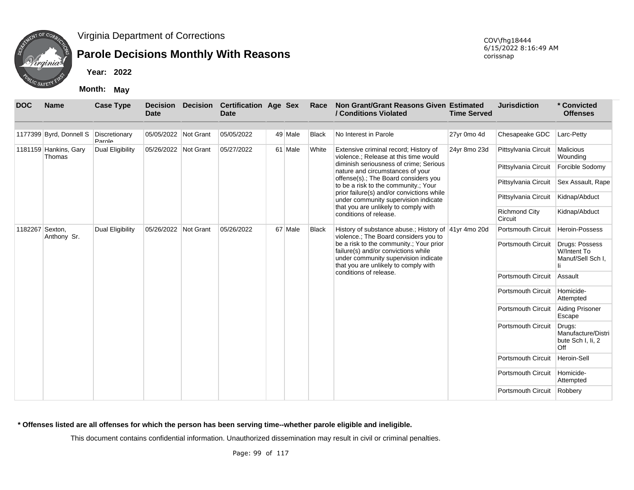

## **Parole Decisions Monthly With Reasons**

**Year: 2022**

**Month: May**

| <b>DOC</b>      | <b>Name</b>                     | <b>Case Type</b>        | <b>Decision</b><br><b>Date</b> | <b>Decision</b> | <b>Certification Age Sex</b><br><b>Date</b> |         | Race         | Non Grant/Grant Reasons Given Estimated<br>/ Conditions Violated                                                                                               | <b>Time Served</b> | <b>Jurisdiction</b>             | * Convicted<br><b>Offenses</b>                           |
|-----------------|---------------------------------|-------------------------|--------------------------------|-----------------|---------------------------------------------|---------|--------------|----------------------------------------------------------------------------------------------------------------------------------------------------------------|--------------------|---------------------------------|----------------------------------------------------------|
|                 |                                 |                         |                                |                 |                                             |         |              |                                                                                                                                                                |                    |                                 |                                                          |
|                 | 1177399 Byrd, Donnell S         | Discretionary<br>Parole | 05/05/2022 Not Grant           |                 | 05/05/2022                                  | 49 Male | <b>Black</b> | No Interest in Parole                                                                                                                                          | 27yr 0mo 4d        | Chesapeake GDC                  | Larc-Petty                                               |
|                 | 1181159 Hankins, Gary<br>Thomas | Dual Eligibility        | 05/26/2022 Not Grant           |                 | 05/27/2022                                  | 61 Male | White        | Extensive criminal record; History of<br>violence.; Release at this time would                                                                                 | 24yr 8mo 23d       | Pittsylvania Circuit            | Malicious<br>Wounding                                    |
|                 |                                 |                         |                                |                 |                                             |         |              | diminish seriousness of crime; Serious<br>nature and circumstances of your                                                                                     |                    | Pittsylvania Circuit            | Forcible Sodomy                                          |
|                 |                                 |                         |                                |                 |                                             |         |              | offense(s).; The Board considers you<br>to be a risk to the community.; Your                                                                                   |                    | Pittsylvania Circuit            | Sex Assault, Rape                                        |
|                 |                                 |                         |                                |                 |                                             |         |              | prior failure(s) and/or convictions while<br>under community supervision indicate                                                                              |                    | Pittsylvania Circuit            | Kidnap/Abduct                                            |
|                 |                                 |                         |                                |                 |                                             |         |              | that you are unlikely to comply with<br>conditions of release.                                                                                                 |                    | <b>Richmond City</b><br>Circuit | Kidnap/Abduct                                            |
| 1182267 Sexton, | Anthony Sr.                     | Dual Eligibility        | 05/26/2022 Not Grant           |                 | 05/26/2022                                  | 67 Male | <b>Black</b> | History of substance abuse.; History of 41yr 4mo 20d<br>violence.; The Board considers you to                                                                  |                    | Portsmouth Circuit              | Heroin-Possess                                           |
|                 |                                 |                         |                                |                 |                                             |         |              | be a risk to the community.; Your prior<br>failure(s) and/or convictions while<br>under community supervision indicate<br>that you are unlikely to comply with |                    | <b>Portsmouth Circuit</b>       | Drugs: Possess<br>W/Intent To<br>Manuf/Sell Sch I,       |
|                 |                                 |                         |                                |                 |                                             |         |              | conditions of release.                                                                                                                                         |                    | Portsmouth Circuit              | Assault                                                  |
|                 |                                 |                         |                                |                 |                                             |         |              |                                                                                                                                                                |                    | <b>Portsmouth Circuit</b>       | Homicide-<br>Attempted                                   |
|                 |                                 |                         |                                |                 |                                             |         |              |                                                                                                                                                                |                    | <b>Portsmouth Circuit</b>       | Aiding Prisoner<br>Escape                                |
|                 |                                 |                         |                                |                 |                                             |         |              |                                                                                                                                                                |                    | <b>Portsmouth Circuit</b>       | Drugs:<br>Manufacture/Distri<br>bute Sch I, Ii, 2<br>Off |
|                 |                                 |                         |                                |                 |                                             |         |              |                                                                                                                                                                |                    | <b>Portsmouth Circuit</b>       | Heroin-Sell                                              |
|                 |                                 |                         |                                |                 |                                             |         |              |                                                                                                                                                                |                    | <b>Portsmouth Circuit</b>       | Homicide-<br>Attempted                                   |
|                 |                                 |                         |                                |                 |                                             |         |              |                                                                                                                                                                |                    | Portsmouth Circuit              | Robbery                                                  |

**\* Offenses listed are all offenses for which the person has been serving time--whether parole eligible and ineligible.**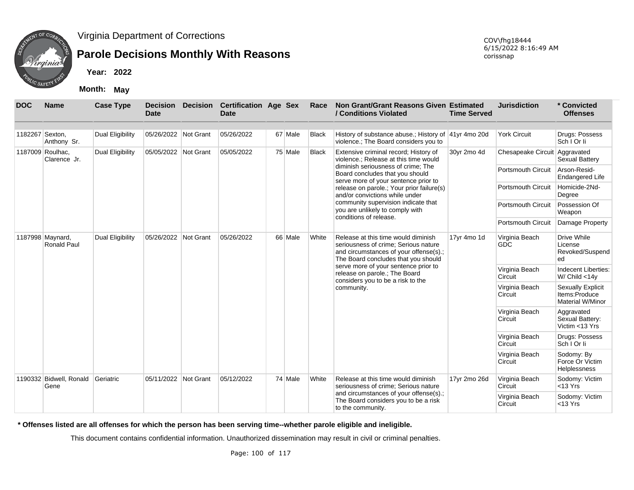

### **Parole Decisions Monthly With Reasons**

**Year: 2022**

**Month: May**

| <b>DOC</b>       | <b>Name</b>                      | <b>Case Type</b>        | <b>Decision</b><br><b>Date</b> | <b>Decision</b> | <b>Certification Age Sex</b><br><b>Date</b> |         | Race         | Non Grant/Grant Reasons Given Estimated<br>/ Conditions Violated                                                                                             | <b>Time Served</b> | <b>Jurisdiction</b>           | * Convicted<br><b>Offenses</b>                                |
|------------------|----------------------------------|-------------------------|--------------------------------|-----------------|---------------------------------------------|---------|--------------|--------------------------------------------------------------------------------------------------------------------------------------------------------------|--------------------|-------------------------------|---------------------------------------------------------------|
| 1182267 Sexton,  | Anthony Sr.                      | <b>Dual Eligibility</b> | 05/26/2022                     | Not Grant       | 05/26/2022                                  | 67 Male | <b>Black</b> | History of substance abuse.; History of 41yr 4mo 20d<br>violence.; The Board considers you to                                                                |                    | <b>York Circuit</b>           | Drugs: Possess<br>Sch   Or li                                 |
|                  | 1187009 Roulhac,<br>Clarence Jr. | Dual Eligibility        | 05/05/2022 Not Grant           |                 | 05/05/2022                                  | 75 Male | Black        | Extensive criminal record; History of<br>violence.; Release at this time would                                                                               | 30yr 2mo 4d        | Chesapeake Circuit Aggravated | <b>Sexual Battery</b>                                         |
|                  |                                  |                         |                                |                 |                                             |         |              | diminish seriousness of crime; The<br>Board concludes that you should<br>serve more of your sentence prior to                                                |                    | <b>Portsmouth Circuit</b>     | Arson-Resid-<br><b>Endangered Life</b>                        |
|                  |                                  |                         |                                |                 |                                             |         |              | release on parole.; Your prior failure(s)<br>and/or convictions while under                                                                                  |                    | <b>Portsmouth Circuit</b>     | Homicide-2Nd-<br>Degree                                       |
|                  |                                  |                         |                                |                 |                                             |         |              | community supervision indicate that<br>you are unlikely to comply with                                                                                       |                    | <b>Portsmouth Circuit</b>     | Possession Of<br>Weapon                                       |
|                  |                                  |                         |                                |                 |                                             |         |              | conditions of release.                                                                                                                                       |                    | <b>Portsmouth Circuit</b>     | Damage Property                                               |
| 1187998 Maynard, | <b>Ronald Paul</b>               | Dual Eligibility        | 05/26/2022 Not Grant           |                 | 05/26/2022                                  | 66 Male | White        | Release at this time would diminish<br>seriousness of crime; Serious nature<br>and circumstances of your offense(s).;<br>The Board concludes that you should | 17yr 4mo 1d        | Virginia Beach<br>GDC         | Drive While<br>License<br>Revoked/Suspend<br>ed               |
|                  |                                  |                         |                                |                 |                                             |         |              | serve more of your sentence prior to<br>release on parole.; The Board<br>considers you to be a risk to the                                                   |                    | Virginia Beach<br>Circuit     | Indecent Liberties:<br>W/ $Child < 14y$                       |
|                  |                                  |                         |                                |                 |                                             |         |              | community.                                                                                                                                                   |                    | Virginia Beach<br>Circuit     | <b>Sexually Explicit</b><br>Items:Produce<br>Material W/Minor |
|                  |                                  |                         |                                |                 |                                             |         |              |                                                                                                                                                              |                    | Virginia Beach<br>Circuit     | Aggravated<br>Sexual Battery:<br>Victim <13 Yrs               |
|                  |                                  |                         |                                |                 |                                             |         |              |                                                                                                                                                              |                    | Virginia Beach<br>Circuit     | Drugs: Possess<br>Sch   Or li                                 |
|                  |                                  |                         |                                |                 |                                             |         |              |                                                                                                                                                              |                    | Virginia Beach<br>Circuit     | Sodomy: By<br>Force Or Victim<br><b>Helplessness</b>          |
|                  | 1190332 Bidwell, Ronald<br>Gene  | Geriatric               | 05/11/2022 Not Grant           |                 | 05/12/2022                                  | 74 Male | White        | Release at this time would diminish<br>seriousness of crime; Serious nature                                                                                  | 17yr 2mo 26d       | Virginia Beach<br>Circuit     | Sodomy: Victim<br>$<$ 13 Yrs                                  |
|                  |                                  |                         |                                |                 |                                             |         |              | and circumstances of your offense(s).;<br>The Board considers you to be a risk<br>to the community.                                                          |                    | Virginia Beach<br>Circuit     | Sodomy: Victim<br>$<$ 13 Yrs                                  |

**\* Offenses listed are all offenses for which the person has been serving time--whether parole eligible and ineligible.**

This document contains confidential information. Unauthorized dissemination may result in civil or criminal penalties.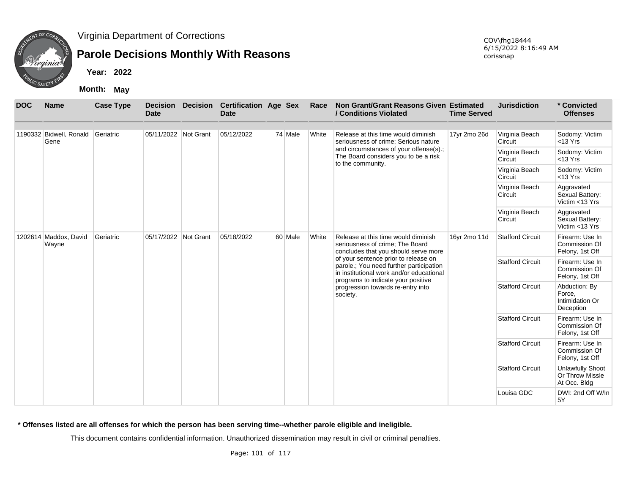

# **Parole Decisions Monthly With Reasons**

**Year: 2022**

**Month: May**

| <b>DOC</b> | <b>Name</b>                               | <b>Case Type</b> | <b>Decision</b><br><b>Date</b> | <b>Decision</b> | <b>Certification Age Sex</b><br><b>Date</b> |         | Race  | Non Grant/Grant Reasons Given Estimated<br>/ Conditions Violated                                                                                                  | <b>Time Served</b> | <b>Jurisdiction</b>       | * Convicted<br><b>Offenses</b>                             |
|------------|-------------------------------------------|------------------|--------------------------------|-----------------|---------------------------------------------|---------|-------|-------------------------------------------------------------------------------------------------------------------------------------------------------------------|--------------------|---------------------------|------------------------------------------------------------|
|            | 1190332 Bidwell, Ronald Geriatric<br>Gene |                  | 05/11/2022 Not Grant           |                 | 05/12/2022                                  | 74 Male | White | Release at this time would diminish<br>seriousness of crime; Serious nature                                                                                       | 17yr 2mo 26d       | Virginia Beach<br>Circuit | Sodomy: Victim<br>$<$ 13 Yrs                               |
|            |                                           |                  |                                |                 |                                             |         |       | and circumstances of your offense(s).;<br>The Board considers you to be a risk<br>to the community.                                                               |                    | Virginia Beach<br>Circuit | Sodomy: Victim<br>$<$ 13 Yrs                               |
|            |                                           |                  |                                |                 |                                             |         |       |                                                                                                                                                                   |                    | Virginia Beach<br>Circuit | Sodomy: Victim<br>$<$ 13 Yrs                               |
|            |                                           |                  |                                |                 |                                             |         |       |                                                                                                                                                                   |                    | Virginia Beach<br>Circuit | Aggravated<br>Sexual Battery:<br>Victim <13 Yrs            |
|            |                                           |                  |                                |                 | 05/18/2022                                  |         |       |                                                                                                                                                                   |                    | Virginia Beach<br>Circuit | Aggravated<br>Sexual Battery:<br>Victim <13 Yrs            |
|            | 1202614 Maddox, David<br>Wayne            | Geriatric        | 05/17/2022                     | Not Grant       |                                             | 60 Male | White | Release at this time would diminish<br>seriousness of crime; The Board<br>concludes that you should serve more                                                    | 16yr 2mo 11d       | <b>Stafford Circuit</b>   | Firearm: Use In<br>Commission Of<br>Felony, 1st Off        |
|            |                                           |                  |                                |                 |                                             |         |       | of your sentence prior to release on<br>parole.; You need further participation<br>in institutional work and/or educational<br>programs to indicate your positive |                    | <b>Stafford Circuit</b>   | Firearm: Use In<br>Commission Of<br>Felony, 1st Off        |
|            |                                           |                  |                                |                 |                                             |         |       | progression towards re-entry into<br>society.                                                                                                                     |                    | <b>Stafford Circuit</b>   | Abduction: By<br>Force,<br>Intimidation Or<br>Deception    |
|            |                                           |                  |                                |                 |                                             |         |       |                                                                                                                                                                   |                    | <b>Stafford Circuit</b>   | Firearm: Use In<br>Commission Of<br>Felony, 1st Off        |
|            |                                           |                  |                                |                 |                                             |         |       |                                                                                                                                                                   |                    | <b>Stafford Circuit</b>   | Firearm: Use In<br>Commission Of<br>Felony, 1st Off        |
|            |                                           |                  |                                |                 |                                             |         |       |                                                                                                                                                                   |                    | <b>Stafford Circuit</b>   | <b>Unlawfully Shoot</b><br>Or Throw Missle<br>At Occ. Bldg |
|            |                                           |                  |                                |                 |                                             |         |       |                                                                                                                                                                   |                    | Louisa GDC                | DWI: 2nd Off W/In<br>5Y                                    |

**\* Offenses listed are all offenses for which the person has been serving time--whether parole eligible and ineligible.**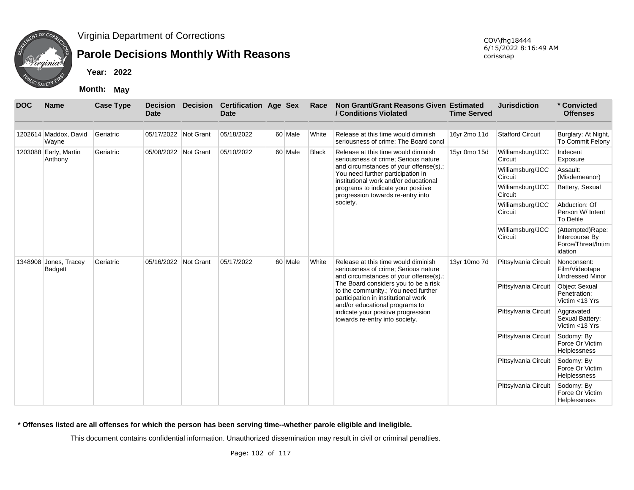

# **Parole Decisions Monthly With Reasons**

**Year: 2022**

**Month: May**

| <b>DOC</b> | <b>Name</b>                      | <b>Case Type</b> | <b>Decision</b><br><b>Date</b> | <b>Decision</b> | <b>Certification Age Sex</b><br><b>Date</b> |         | Race                 | Non Grant/Grant Reasons Given Estimated<br>/ Conditions Violated                                                                                     | <b>Time Served</b>          | <b>Jurisdiction</b>                                                 | * Convicted<br><b>Offenses</b>                          |
|------------|----------------------------------|------------------|--------------------------------|-----------------|---------------------------------------------|---------|----------------------|------------------------------------------------------------------------------------------------------------------------------------------------------|-----------------------------|---------------------------------------------------------------------|---------------------------------------------------------|
|            |                                  |                  |                                |                 |                                             |         |                      |                                                                                                                                                      |                             |                                                                     |                                                         |
|            | 1202614 Maddox, David<br>Wayne   | Geriatric        | 05/17/2022 Not Grant           |                 | 05/18/2022                                  | 60 Male | White                | Release at this time would diminish<br>seriousness of crime; The Board concl                                                                         | 16yr 2mo 11d                | <b>Stafford Circuit</b>                                             | Burglary: At Night,<br>To Commit Felony                 |
|            | 1203088 Early, Martin<br>Anthony | Geriatric        | 05/08/2022 Not Grant           |                 | 05/10/2022                                  | 60 Male | <b>Black</b>         | Release at this time would diminish<br>seriousness of crime; Serious nature                                                                          | 15yr 0mo 15d                | Williamsburg/JCC<br>Circuit                                         | Indecent<br>Exposure                                    |
|            |                                  |                  |                                |                 |                                             |         |                      | and circumstances of your offense(s).;<br>You need further participation in<br>institutional work and/or educational                                 |                             | Williamsburg/JCC<br>Circuit                                         | Assault:<br>(Misdemeanor)                               |
|            |                                  |                  |                                |                 |                                             |         |                      | programs to indicate your positive<br>progression towards re-entry into                                                                              |                             | Williamsburg/JCC<br>Circuit                                         | Battery, Sexual                                         |
|            |                                  |                  |                                |                 |                                             |         |                      | society.                                                                                                                                             |                             | Williamsburg/JCC<br>Circuit                                         | Abduction: Of<br>Person W/ Intent<br>To Defile          |
|            |                                  |                  |                                |                 |                                             |         |                      |                                                                                                                                                      | Williamsburg/JCC<br>Circuit | (Attempted)Rape:<br>Intercourse By<br>Force/Threat/Intim<br>idation |                                                         |
|            | 1348908 Jones, Tracey<br>Badgett | Geriatric        | 05/16/2022                     | Not Grant       | 05/17/2022                                  | 60 Male | White                | Release at this time would diminish<br>seriousness of crime; Serious nature<br>and circumstances of your offense(s).;                                | 13yr 10mo 7d                | Pittsylvania Circuit                                                | Nonconsent:<br>Film/Videotape<br><b>Undressed Minor</b> |
|            |                                  |                  |                                |                 |                                             |         |                      | The Board considers you to be a risk<br>to the community.; You need further<br>participation in institutional work<br>and/or educational programs to |                             | Pittsylvania Circuit                                                | <b>Object Sexual</b><br>Penetration:<br>Victim <13 Yrs  |
|            |                                  |                  |                                |                 |                                             |         |                      | indicate your positive progression<br>towards re-entry into society.                                                                                 |                             | Pittsylvania Circuit                                                | Aggravated<br>Sexual Battery:<br>Victim <13 Yrs         |
|            |                                  |                  |                                |                 |                                             |         | Pittsylvania Circuit | Sodomy: By<br>Force Or Victim<br>Helplessness                                                                                                        |                             |                                                                     |                                                         |
|            |                                  |                  |                                |                 |                                             |         |                      |                                                                                                                                                      |                             | Pittsylvania Circuit                                                | Sodomy: By<br>Force Or Victim<br>Helplessness           |
|            |                                  |                  |                                |                 |                                             |         |                      |                                                                                                                                                      |                             | Pittsylvania Circuit                                                | Sodomy: By<br>Force Or Victim<br><b>Helplessness</b>    |

**\* Offenses listed are all offenses for which the person has been serving time--whether parole eligible and ineligible.**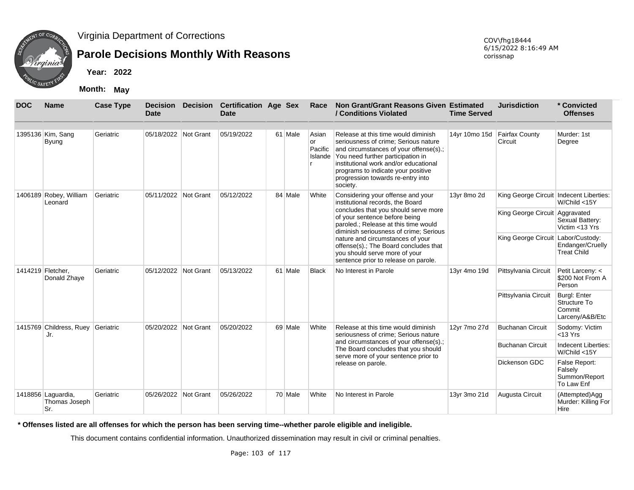

# **Parole Decisions Monthly With Reasons**

**Year: 2022**

**Month: May**

| <b>DOC</b> | <b>Name</b>                                | <b>Case Type</b> | <b>Decision</b><br><b>Date</b> | <b>Decision</b> | <b>Certification Age Sex</b><br><b>Date</b> |         | Race          | Non Grant/Grant Reasons Given Estimated<br>/ Conditions Violated                                                                                                                                                                                                                                           | <b>Time Served</b> | <b>Jurisdiction</b>                     | * Convicted<br><b>Offenses</b>                                   |
|------------|--------------------------------------------|------------------|--------------------------------|-----------------|---------------------------------------------|---------|---------------|------------------------------------------------------------------------------------------------------------------------------------------------------------------------------------------------------------------------------------------------------------------------------------------------------------|--------------------|-----------------------------------------|------------------------------------------------------------------|
|            |                                            |                  |                                |                 |                                             |         |               |                                                                                                                                                                                                                                                                                                            |                    |                                         |                                                                  |
|            | 1395136 Kim, Sang<br>Byung                 | Geriatric        | 05/18/2022 Not Grant           |                 | 05/19/2022                                  | 61 Male | Asian<br>l or | Release at this time would diminish<br>seriousness of crime; Serious nature<br>Pacific and circumstances of your offense(s).;<br>Islande You need further participation in<br>institutional work and/or educational<br>programs to indicate your positive<br>progression towards re-entry into<br>society. | 14yr 10mo 15d      | <b>Fairfax County</b><br>Circuit        | Murder: 1st<br>Degree                                            |
|            | 1406189 Robey, William<br>Leonard          | Geriatric        | 05/11/2022 Not Grant           |                 | 05/12/2022                                  | 84 Male | White         | Considering your offense and your<br>institutional records, the Board                                                                                                                                                                                                                                      | 13yr 8mo 2d        | King George Circuit Indecent Liberties: | W/Child <15Y                                                     |
|            |                                            |                  |                                |                 |                                             |         |               | concludes that you should serve more<br>of your sentence before being<br>paroled.; Release at this time would<br>diminish seriousness of crime: Serious                                                                                                                                                    |                    | King George Circuit Aggravated          | Sexual Battery:<br>Victim <13 Yrs                                |
|            |                                            |                  |                                |                 |                                             |         |               | nature and circumstances of your<br>offense(s).; The Board concludes that<br>you should serve more of your<br>sentence prior to release on parole.                                                                                                                                                         |                    | King George Circuit Labor/Custody:      | Endanger/Cruelly<br><b>Treat Child</b>                           |
|            | 1414219 Fletcher.<br>Donald Zhaye          | Geriatric        | 05/12/2022 Not Grant           |                 | 05/13/2022                                  | 61 Male | <b>Black</b>  | No Interest in Parole                                                                                                                                                                                                                                                                                      | 13yr 4mo 19d       | Pittsylvania Circuit                    | Petit Larceny: <<br>\$200 Not From A<br>Person                   |
|            |                                            |                  |                                |                 |                                             |         |               |                                                                                                                                                                                                                                                                                                            |                    | Pittsylvania Circuit                    | <b>Burgl: Enter</b><br>Structure To<br>Commit<br>Larceny/A&B/Etc |
|            | 1415769 Childress, Ruey<br>Jr.             | Geriatric        | 05/20/2022                     | Not Grant       | 05/20/2022                                  | 69 Male | White         | Release at this time would diminish<br>seriousness of crime; Serious nature                                                                                                                                                                                                                                | 12yr 7mo 27d       | <b>Buchanan Circuit</b>                 | Sodomy: Victim<br>$<$ 13 Yrs                                     |
|            |                                            |                  |                                |                 |                                             |         |               | and circumstances of your offense(s).;<br>The Board concludes that you should<br>serve more of your sentence prior to                                                                                                                                                                                      |                    | <b>Buchanan Circuit</b>                 | Indecent Liberties:<br>W/Child <15Y                              |
|            |                                            |                  |                                |                 |                                             |         |               | release on parole.                                                                                                                                                                                                                                                                                         |                    | Dickenson GDC                           | False Report:<br>Falsely<br>Summon/Report<br>To Law Enf          |
|            | 1418856 Laguardia,<br>Thomas Joseph<br>Sr. | Geriatric        | 05/26/2022                     | Not Grant       | 05/26/2022                                  | 70 Male | White         | No Interest in Parole                                                                                                                                                                                                                                                                                      | 13yr 3mo 21d       | Augusta Circuit                         | (Attempted)Agg<br>Murder: Killing For<br>Hire                    |

**\* Offenses listed are all offenses for which the person has been serving time--whether parole eligible and ineligible.**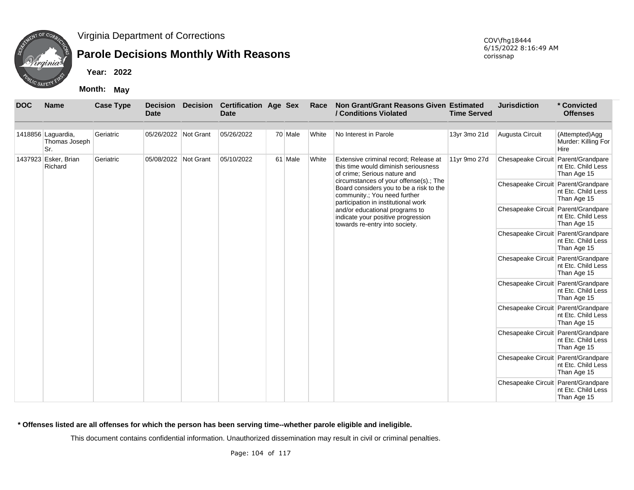

## **Parole Decisions Monthly With Reasons**

**Year: 2022**

**Month: May**

| <b>DOC</b> | <b>Name</b>                                | <b>Case Type</b> | Date                 | <b>Decision Decision</b> | <b>Certification Age Sex</b><br><b>Date</b> |         | Race  | Non Grant/Grant Reasons Given Estimated<br>/ Conditions Violated                                                                                         | <b>Time Served</b> | <b>Jurisdiction</b>                 | * Convicted<br><b>Offenses</b>                |
|------------|--------------------------------------------|------------------|----------------------|--------------------------|---------------------------------------------|---------|-------|----------------------------------------------------------------------------------------------------------------------------------------------------------|--------------------|-------------------------------------|-----------------------------------------------|
|            | 1418856 Laguardia,<br>Thomas Joseph<br>Sr. | Geriatric        | 05/26/2022 Not Grant |                          | 05/26/2022                                  | 70 Male | White | No Interest in Parole                                                                                                                                    | 13yr 3mo 21d       | Augusta Circuit                     | (Attempted)Agg<br>Murder: Killing For<br>Hire |
|            | 1437923 Esker, Brian<br>Richard            | Geriatric        | 05/08/2022           | Not Grant                | 05/10/2022                                  | 61 Male | White | Extensive criminal record; Release at<br>this time would diminish seriousness<br>of crime; Serious nature and                                            | 11yr 9mo 27d       | Chesapeake Circuit Parent/Grandpare | nt Etc. Child Less<br>Than Age 15             |
|            |                                            |                  |                      |                          |                                             |         |       | circumstances of your offense(s).; The<br>Board considers you to be a risk to the<br>community.; You need further<br>participation in institutional work |                    | Chesapeake Circuit Parent/Grandpare | nt Etc. Child Less<br>Than Age 15             |
|            |                                            |                  |                      |                          |                                             |         |       | and/or educational programs to<br>indicate your positive progression<br>towards re-entry into society.                                                   |                    | Chesapeake Circuit Parent/Grandpare | nt Etc. Child Less<br>Than Age 15             |
|            |                                            |                  |                      |                          |                                             |         |       |                                                                                                                                                          |                    | Chesapeake Circuit Parent/Grandpare | nt Etc. Child Less<br>Than Age 15             |
|            |                                            |                  |                      |                          |                                             |         |       |                                                                                                                                                          |                    | Chesapeake Circuit Parent/Grandpare | nt Etc. Child Less<br>Than Age 15             |
|            |                                            |                  |                      |                          |                                             |         |       |                                                                                                                                                          |                    | Chesapeake Circuit Parent/Grandpare | nt Etc. Child Less<br>Than Age 15             |
|            |                                            |                  |                      |                          |                                             |         |       |                                                                                                                                                          |                    | Chesapeake Circuit Parent/Grandpare | nt Etc. Child Less<br>Than Age 15             |
|            |                                            |                  |                      |                          |                                             |         |       |                                                                                                                                                          |                    | Chesapeake Circuit Parent/Grandpare | nt Etc. Child Less<br>Than Age 15             |
|            |                                            |                  |                      |                          |                                             |         |       |                                                                                                                                                          |                    | Chesapeake Circuit Parent/Grandpare | nt Etc. Child Less<br>Than Age 15             |
|            |                                            |                  |                      |                          |                                             |         |       |                                                                                                                                                          |                    | Chesapeake Circuit Parent/Grandpare | nt Etc. Child Less<br>Than Age 15             |

**\* Offenses listed are all offenses for which the person has been serving time--whether parole eligible and ineligible.**

This document contains confidential information. Unauthorized dissemination may result in civil or criminal penalties.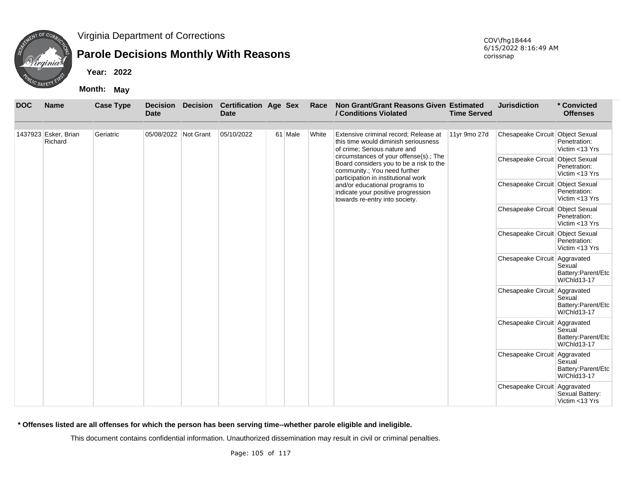

# **Parole Decisions Monthly With Reasons**

**Year: 2022**

**Month: May**

| <b>DOC</b> | <b>Name</b>                     | <b>Case Type</b> | <b>Decision</b><br><b>Date</b> | <b>Decision</b> | <b>Certification Age Sex</b><br><b>Date</b> |         | Race  | <b>Non Grant/Grant Reasons Given Estimated</b><br>/ Conditions Violated                                                                       | <b>Time Served</b> | <b>Jurisdiction</b>              | * Convicted<br><b>Offenses</b>                     |
|------------|---------------------------------|------------------|--------------------------------|-----------------|---------------------------------------------|---------|-------|-----------------------------------------------------------------------------------------------------------------------------------------------|--------------------|----------------------------------|----------------------------------------------------|
|            | 1437923 Esker, Brian<br>Richard | Geriatric        | 05/08/2022 Not Grant           |                 | 05/10/2022                                  | 61 Male | White | Extensive criminal record; Release at<br>this time would diminish seriousness<br>of crime; Serious nature and                                 | 11yr 9mo 27d       | Chesapeake Circuit Object Sexual | Penetration:<br>Victim <13 Yrs                     |
|            |                                 |                  |                                |                 |                                             |         |       | circumstances of your offense(s).; The<br>Board considers you to be a risk to the<br>community.; You need further                             |                    | Chesapeake Circuit Object Sexual | Penetration:<br>Victim <13 Yrs                     |
|            |                                 |                  |                                |                 |                                             |         |       | participation in institutional work<br>and/or educational programs to<br>indicate your positive progression<br>towards re-entry into society. |                    | Chesapeake Circuit Object Sexual | Penetration:<br>Victim <13 Yrs                     |
|            |                                 |                  |                                |                 |                                             |         |       |                                                                                                                                               |                    | Chesapeake Circuit Object Sexual | Penetration:<br>Victim <13 Yrs                     |
|            |                                 |                  |                                |                 |                                             |         |       |                                                                                                                                               |                    | Chesapeake Circuit Object Sexual | Penetration:<br>Victim <13 Yrs                     |
|            |                                 |                  |                                |                 |                                             |         |       |                                                                                                                                               |                    | Chesapeake Circuit Aggravated    | Sexual<br>Battery:Parent/Etc<br><b>W/Chld13-17</b> |
|            |                                 |                  |                                |                 |                                             |         |       |                                                                                                                                               |                    | Chesapeake Circuit Aggravated    | Sexual<br>Battery: Parent/Etc<br>W/Chld13-17       |
|            |                                 |                  |                                |                 |                                             |         |       |                                                                                                                                               |                    | Chesapeake Circuit Aggravated    | Sexual<br>Battery:Parent/Etc<br>W/Chld13-17        |
|            |                                 |                  |                                |                 |                                             |         |       |                                                                                                                                               |                    | Chesapeake Circuit Aggravated    | Sexual<br>Battery:Parent/Etc<br>W/Chld13-17        |
|            |                                 |                  |                                |                 |                                             |         |       |                                                                                                                                               |                    | Chesapeake Circuit Aggravated    | Sexual Battery:<br>Victim <13 Yrs                  |

**\* Offenses listed are all offenses for which the person has been serving time--whether parole eligible and ineligible.**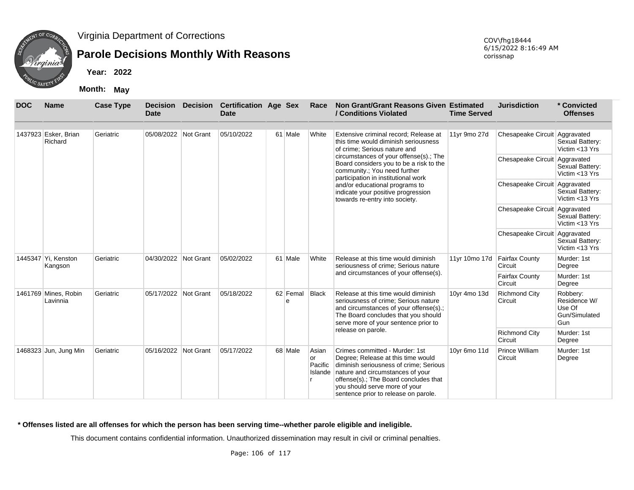

## **Parole Decisions Monthly With Reasons**

**Year: 2022**

**Month: May**

| <b>DOC</b> | <b>Name</b>                      | <b>Case Type</b> | <b>Decision</b><br><b>Date</b> | <b>Decision</b>  | <b>Certification Age Sex</b><br><b>Date</b> |               | Race                    | Non Grant/Grant Reasons Given Estimated<br>/ Conditions Violated                                                                                                                                                                                                             | <b>Time Served</b> | <b>Jurisdiction</b>              | * Convicted<br><b>Offenses</b>                             |
|------------|----------------------------------|------------------|--------------------------------|------------------|---------------------------------------------|---------------|-------------------------|------------------------------------------------------------------------------------------------------------------------------------------------------------------------------------------------------------------------------------------------------------------------------|--------------------|----------------------------------|------------------------------------------------------------|
|            |                                  |                  |                                |                  |                                             |               |                         |                                                                                                                                                                                                                                                                              |                    |                                  |                                                            |
|            | 1437923 Esker, Brian<br>Richard  | Geriatric        | 05/08/2022 Not Grant           |                  | 05/10/2022                                  | 61 Male       | White                   | Extensive criminal record; Release at<br>this time would diminish seriousness<br>of crime: Serious nature and                                                                                                                                                                | 11yr 9mo 27d       | Chesapeake Circuit Aggravated    | Sexual Battery:<br>Victim <13 Yrs                          |
|            |                                  |                  |                                |                  |                                             |               |                         | circumstances of your offense(s).; The<br>Board considers you to be a risk to the<br>community.; You need further<br>participation in institutional work                                                                                                                     |                    | Chesapeake Circuit Aggravated    | Sexual Battery:<br>Victim <13 Yrs                          |
|            |                                  |                  |                                |                  |                                             |               |                         | and/or educational programs to<br>indicate your positive progression<br>towards re-entry into society.                                                                                                                                                                       |                    | Chesapeake Circuit Aggravated    | Sexual Battery:<br>Victim <13 Yrs                          |
|            |                                  |                  |                                |                  |                                             |               |                         |                                                                                                                                                                                                                                                                              |                    | Chesapeake Circuit Aggravated    | Sexual Battery:<br>Victim <13 Yrs                          |
|            |                                  |                  |                                |                  |                                             |               |                         |                                                                                                                                                                                                                                                                              |                    | Chesapeake Circuit Aggravated    | Sexual Battery:<br>Victim <13 Yrs                          |
|            | 1445347 Yi. Kenston<br>Kangson   | Geriatric        | 04/30/2022                     | <b>Not Grant</b> | 05/02/2022                                  | 61 Male       | White                   | Release at this time would diminish<br>seriousness of crime; Serious nature                                                                                                                                                                                                  | 11yr 10mo 17d      | <b>Fairfax County</b><br>Circuit | Murder: 1st<br>Degree                                      |
|            |                                  |                  |                                |                  |                                             |               |                         | and circumstances of your offense(s).                                                                                                                                                                                                                                        |                    | Fairfax County<br>Circuit        | Murder: 1st<br>Degree                                      |
|            | 1461769 Mines, Robin<br>Lavinnia | Geriatric        | 05/17/2022 Not Grant           |                  | 05/18/2022                                  | 62 Femal<br>e | Black                   | Release at this time would diminish<br>seriousness of crime; Serious nature<br>and circumstances of your offense(s).;<br>The Board concludes that you should<br>serve more of your sentence prior to                                                                         | 10yr 4mo 13d       | <b>Richmond City</b><br>Circuit  | Robbery:<br>Residence W/<br>Use Of<br>Gun/Simulated<br>Gun |
|            |                                  |                  |                                |                  |                                             |               |                         | release on parole.                                                                                                                                                                                                                                                           |                    | <b>Richmond City</b><br>Circuit  | Murder: 1st<br>Degree                                      |
|            | 1468323 Jun, Jung Min            | Geriatric        | 05/16/2022 Not Grant           |                  | 05/17/2022                                  | 68 Male       | Asian<br>lor<br>Pacific | Crimes committed - Murder: 1st<br>Degree; Release at this time would<br>diminish seriousness of crime; Serious<br>Islande nature and circumstances of your<br>offense(s).; The Board concludes that<br>you should serve more of your<br>sentence prior to release on parole. | 10yr 6mo 11d       | Prince William<br>Circuit        | Murder: 1st<br>Degree                                      |

**\* Offenses listed are all offenses for which the person has been serving time--whether parole eligible and ineligible.**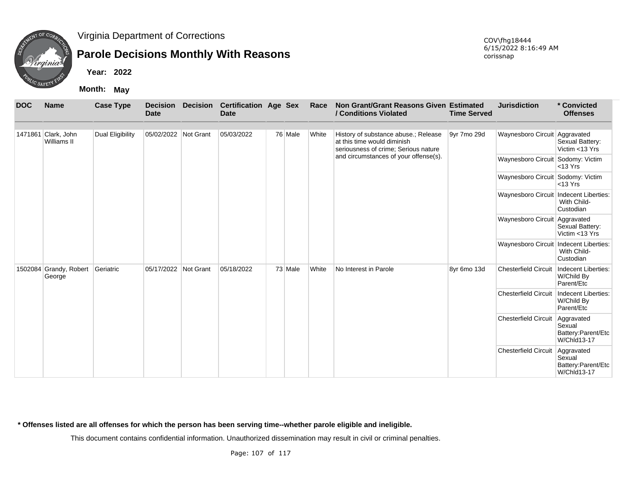

## **Parole Decisions Monthly With Reasons**

**Year: 2022**

**Month: May**

| <b>DOC</b> | <b>Name</b>                        | <b>Case Type</b> | <b>Decision</b><br><b>Date</b> | <b>Decision</b> | <b>Certification Age Sex</b><br><b>Date</b> |         | Race  | Non Grant/Grant Reasons Given Estimated<br>/ Conditions Violated                                            | <b>Time Served</b> | <b>Jurisdiction</b>                      | * Convicted<br><b>Offenses</b>                                   |
|------------|------------------------------------|------------------|--------------------------------|-----------------|---------------------------------------------|---------|-------|-------------------------------------------------------------------------------------------------------------|--------------------|------------------------------------------|------------------------------------------------------------------|
|            |                                    |                  |                                |                 |                                             |         |       |                                                                                                             |                    |                                          |                                                                  |
|            | 1471861 Clark, John<br>Williams II | Dual Eligibility | 05/02/2022 Not Grant           |                 | 05/03/2022                                  | 76 Male | White | History of substance abuse.; Release<br>at this time would diminish<br>seriousness of crime; Serious nature | 9yr 7mo 29d        | Waynesboro Circuit Aggravated            | Sexual Battery:<br>Victim <13 Yrs                                |
|            |                                    |                  |                                |                 |                                             |         |       | and circumstances of your offense(s).                                                                       |                    | Waynesboro Circuit Sodomy: Victim        | $<$ 13 Yrs                                                       |
|            |                                    |                  |                                |                 |                                             |         |       |                                                                                                             |                    | Waynesboro Circuit Sodomy: Victim        | $<$ 13 Yrs                                                       |
|            |                                    |                  |                                |                 |                                             |         |       |                                                                                                             |                    | Waynesboro Circuit   Indecent Liberties: | With Child-<br>Custodian                                         |
|            |                                    |                  |                                |                 |                                             |         |       |                                                                                                             |                    | Waynesboro Circuit Aggravated            | Sexual Battery:<br>Victim <13 Yrs                                |
|            |                                    |                  |                                |                 |                                             |         |       |                                                                                                             |                    | Waynesboro Circuit Indecent Liberties:   | With Child-<br>Custodian                                         |
|            | 1502084 Grandy, Robert<br>George   | Geriatric        | 05/17/2022                     | Not Grant       | 05/18/2022                                  | 73 Male | White | No Interest in Parole                                                                                       | 8yr 6mo 13d        | <b>Chesterfield Circuit</b>              | Indecent Liberties:<br>W/Child By<br>Parent/Etc                  |
|            |                                    |                  |                                |                 |                                             |         |       |                                                                                                             |                    | <b>Chesterfield Circuit</b>              | Indecent Liberties:<br>W/Child By<br>Parent/Etc                  |
|            |                                    |                  |                                |                 |                                             |         |       |                                                                                                             |                    | <b>Chesterfield Circuit</b>              | Aggravated<br>Sexual<br>Battery:Parent/Etc<br><b>W/Chld13-17</b> |
|            |                                    |                  |                                |                 |                                             |         |       |                                                                                                             |                    | <b>Chesterfield Circuit</b>              | Aggravated<br>Sexual<br>Battery:Parent/Etc<br>W/Chld13-17        |

**\* Offenses listed are all offenses for which the person has been serving time--whether parole eligible and ineligible.**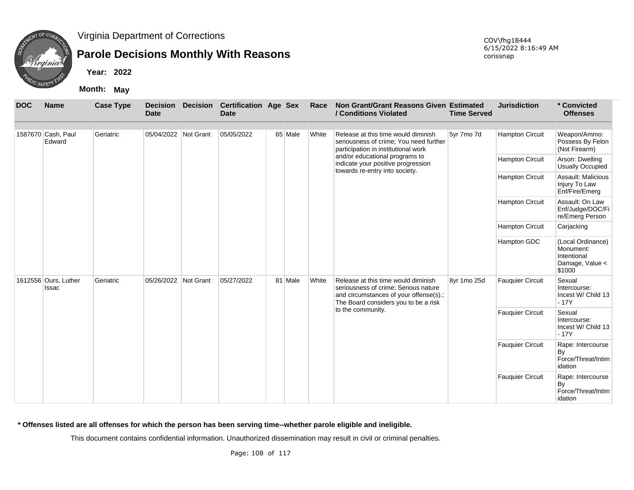

# **Parole Decisions Monthly With Reasons**

**Year: 2022**

**Month: May**

| <b>DOC</b> | <b>Name</b>                   | <b>Case Type</b> | <b>Decision</b><br><b>Date</b> | <b>Decision</b> | <b>Certification Age Sex</b><br><b>Date</b> |         | Race  | Non Grant/Grant Reasons Given Estimated<br>/ Conditions Violated                                                                                              | <b>Time Served</b> | <b>Jurisdiction</b>     | * Convicted<br><b>Offenses</b>                                             |
|------------|-------------------------------|------------------|--------------------------------|-----------------|---------------------------------------------|---------|-------|---------------------------------------------------------------------------------------------------------------------------------------------------------------|--------------------|-------------------------|----------------------------------------------------------------------------|
|            | 1587670 Cash, Paul            | Geriatric        | 05/04/2022 Not Grant           |                 | 05/05/2022                                  | 65 Male | White | Release at this time would diminish                                                                                                                           | 5yr 7mo 7d         | <b>Hampton Circuit</b>  | Weapon/Ammo:                                                               |
|            | Edward                        |                  |                                |                 |                                             |         |       | seriousness of crime; You need further<br>participation in institutional work                                                                                 |                    |                         | Possess By Felon<br>(Not Firearm)                                          |
|            |                               |                  |                                |                 |                                             |         |       | and/or educational programs to<br>indicate your positive progression<br>towards re-entry into society.                                                        |                    | <b>Hampton Circuit</b>  | Arson: Dwelling<br>Usually Occupied                                        |
|            |                               |                  |                                |                 |                                             |         |       |                                                                                                                                                               |                    | <b>Hampton Circuit</b>  | Assault: Malicious<br>Injury To Law<br>Enf/Fire/Emerg                      |
|            |                               |                  |                                |                 |                                             |         |       |                                                                                                                                                               |                    | <b>Hampton Circuit</b>  | Assault: On Law<br>Enf/Judge/DOC/Fi<br>re/Emerg Person                     |
|            |                               |                  |                                |                 |                                             |         |       |                                                                                                                                                               |                    | <b>Hampton Circuit</b>  | Carjacking                                                                 |
|            |                               |                  |                                |                 |                                             |         |       |                                                                                                                                                               |                    | Hampton GDC             | (Local Ordinance)<br>Monument:<br>Intentional<br>Damage, Value <<br>\$1000 |
|            | 1612556 Ours, Luther<br>Issac | Geriatric        | 05/26/2022 Not Grant           |                 | 05/27/2022                                  | 81 Male | White | Release at this time would diminish<br>seriousness of crime; Serious nature<br>and circumstances of your offense(s).;<br>The Board considers you to be a risk | 8yr 1mo 25d        | <b>Fauquier Circuit</b> | Sexual<br>Intercourse:<br>Incest W/ Child 13<br>$-17Y$                     |
|            |                               |                  |                                |                 |                                             |         |       | to the community.                                                                                                                                             |                    | <b>Fauquier Circuit</b> | Sexual<br>Intercourse:<br>Incest W/ Child 13<br>$-17Y$                     |
|            |                               |                  |                                |                 |                                             |         |       |                                                                                                                                                               |                    | <b>Fauquier Circuit</b> | Rape: Intercourse<br>By<br>Force/Threat/Intim<br>idation                   |
|            |                               |                  |                                |                 |                                             |         |       |                                                                                                                                                               |                    | <b>Fauquier Circuit</b> | Rape: Intercourse<br>By<br>Force/Threat/Intim<br>idation                   |

**\* Offenses listed are all offenses for which the person has been serving time--whether parole eligible and ineligible.**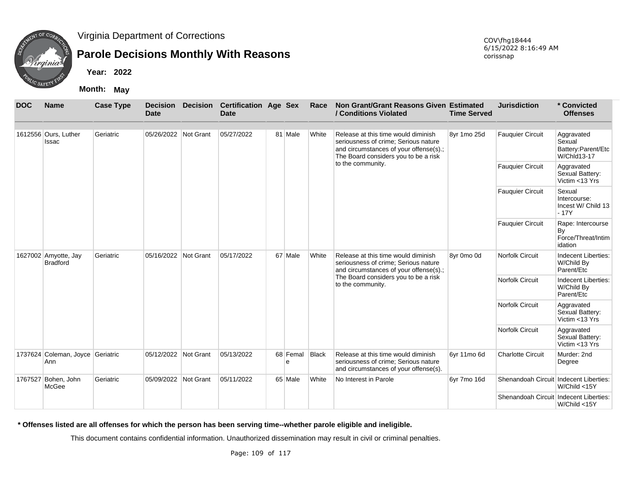

# **Parole Decisions Monthly With Reasons**

**Year: 2022**

**Month: May**

| <b>DOC</b> | <b>Name</b>                             | <b>Case Type</b> | <b>Decision</b><br><b>Date</b> | <b>Decision</b> | <b>Certification Age Sex</b><br><b>Date</b> |               | Race         | Non Grant/Grant Reasons Given Estimated<br>/ Conditions Violated                                                                                              | <b>Time Served</b> | <b>Jurisdiction</b>                    | * Convicted<br><b>Offenses</b>                            |
|------------|-----------------------------------------|------------------|--------------------------------|-----------------|---------------------------------------------|---------------|--------------|---------------------------------------------------------------------------------------------------------------------------------------------------------------|--------------------|----------------------------------------|-----------------------------------------------------------|
|            |                                         |                  |                                |                 |                                             |               |              |                                                                                                                                                               |                    |                                        |                                                           |
|            | 1612556 Ours, Luther<br>Issac           | Geriatric        | 05/26/2022 Not Grant           |                 | 05/27/2022                                  | 81 Male       | White        | Release at this time would diminish<br>seriousness of crime; Serious nature<br>and circumstances of your offense(s).;<br>The Board considers you to be a risk | 8yr 1mo 25d        | <b>Fauquier Circuit</b>                | Aggravated<br>Sexual<br>Battery:Parent/Etc<br>W/Chld13-17 |
|            |                                         |                  |                                |                 |                                             |               |              | to the community.                                                                                                                                             |                    | <b>Fauquier Circuit</b>                | Aggravated<br>Sexual Battery:<br>Victim <13 Yrs           |
|            |                                         |                  |                                |                 |                                             |               |              |                                                                                                                                                               |                    | <b>Fauquier Circuit</b>                | Sexual<br>Intercourse:<br>Incest W/ Child 13<br>$-17Y$    |
|            |                                         |                  |                                |                 |                                             |               |              |                                                                                                                                                               |                    | <b>Fauquier Circuit</b>                | Rape: Intercourse<br>By<br>Force/Threat/Intim<br>idation  |
|            | 1627002 Amyotte, Jay<br><b>Bradford</b> | Geriatric        | 05/16/2022                     | Not Grant       | 05/17/2022                                  | 67 Male       | White        | Release at this time would diminish<br>seriousness of crime; Serious nature<br>and circumstances of your offense(s).;                                         | 8vr 0mo 0d         | <b>Norfolk Circuit</b>                 | Indecent Liberties:<br>W/Child By<br>Parent/Etc           |
|            |                                         |                  |                                |                 |                                             |               |              | The Board considers you to be a risk<br>to the community.                                                                                                     |                    | Norfolk Circuit                        | Indecent Liberties:<br>W/Child By<br>Parent/Etc           |
|            |                                         |                  |                                |                 |                                             |               |              |                                                                                                                                                               |                    | Norfolk Circuit                        | Aggravated<br>Sexual Battery:<br>Victim <13 Yrs           |
|            |                                         |                  |                                |                 |                                             |               |              |                                                                                                                                                               |                    | Norfolk Circuit                        | Aggravated<br>Sexual Battery:<br>Victim <13 Yrs           |
|            | 1737624 Coleman, Joyce Geriatric<br>Ann |                  | 05/12/2022                     | Not Grant       | 05/13/2022                                  | 68 Femal<br>e | <b>Black</b> | Release at this time would diminish<br>seriousness of crime; Serious nature<br>and circumstances of your offense(s).                                          | 6yr 11mo 6d        | <b>Charlotte Circuit</b>               | Murder: 2nd<br>Degree                                     |
|            | 1767527 Bohen, John<br>McGee            | Geriatric        | 05/09/2022 Not Grant           |                 | 05/11/2022                                  | 65 Male       | White        | No Interest in Parole                                                                                                                                         | 6yr 7mo 16d        | Shenandoah Circuit Indecent Liberties: | W/Child <15Y                                              |
|            |                                         |                  |                                |                 |                                             |               |              |                                                                                                                                                               |                    | Shenandoah Circuit Indecent Liberties: | W/Child <15Y                                              |

**\* Offenses listed are all offenses for which the person has been serving time--whether parole eligible and ineligible.**

This document contains confidential information. Unauthorized dissemination may result in civil or criminal penalties.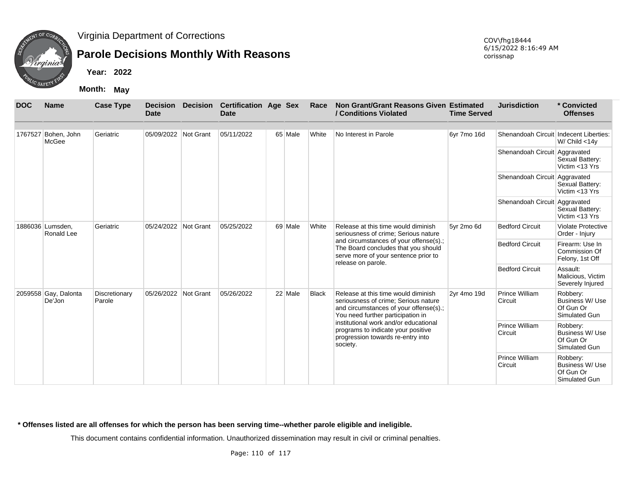

# **Parole Decisions Monthly With Reasons**

**Year: 2022**

**Month: May**

| <b>DOC</b> | <b>Name</b>                    | <b>Case Type</b>        | <b>Date</b>          | <b>Decision Decision</b> | <b>Certification Age Sex</b><br><b>Date</b> |         | Race         | Non Grant/Grant Reasons Given Estimated<br>/ Conditions Violated                                                                                           | <b>Time Served</b> | <b>Jurisdiction</b>                              | * Convicted<br><b>Offenses</b>                                   |
|------------|--------------------------------|-------------------------|----------------------|--------------------------|---------------------------------------------|---------|--------------|------------------------------------------------------------------------------------------------------------------------------------------------------------|--------------------|--------------------------------------------------|------------------------------------------------------------------|
|            | 1767527 Bohen, John<br>McGee   | Geriatric               | 05/09/2022 Not Grant |                          | 05/11/2022                                  | 65 Male | White        | No Interest in Parole                                                                                                                                      | 6yr 7mo 16d        | Shenandoah Circuit Indecent Liberties:           | W/ Child $<$ 14y                                                 |
|            |                                |                         |                      |                          |                                             |         |              |                                                                                                                                                            |                    | Shenandoah Circuit Aggravated                    | Sexual Battery:<br>Victim <13 Yrs                                |
|            |                                |                         |                      |                          |                                             |         |              |                                                                                                                                                            |                    | Shenandoah Circuit Aggravated                    | Sexual Battery:<br>Victim <13 Yrs                                |
|            |                                |                         |                      |                          |                                             |         |              |                                                                                                                                                            |                    | Shenandoah Circuit Aggravated                    | Sexual Battery:<br>Victim <13 Yrs                                |
|            | 1886036 Lumsden,<br>Ronald Lee | Geriatric               | 05/24/2022 Not Grant |                          | 05/25/2022                                  | 69 Male | White        | Release at this time would diminish<br>seriousness of crime; Serious nature                                                                                | 5yr 2mo 6d         | <b>Bedford Circuit</b>                           | <b>Violate Protective</b><br>Order - Injury                      |
|            |                                |                         |                      |                          |                                             |         |              | and circumstances of your offense(s).;<br>The Board concludes that you should<br>serve more of your sentence prior to<br>release on parole.                |                    | <b>Bedford Circuit</b><br><b>Bedford Circuit</b> | Firearm: Use In<br>Commission Of<br>Felony, 1st Off              |
|            |                                |                         |                      |                          |                                             |         |              |                                                                                                                                                            |                    |                                                  | Assault:<br>Malicious, Victim<br>Severely Injured                |
|            | 2059558 Gay, Dalonta<br>De'Jon | Discretionary<br>Parole | 05/26/2022 Not Grant |                          | 05/26/2022                                  | 22 Male | <b>Black</b> | Release at this time would diminish<br>seriousness of crime; Serious nature<br>and circumstances of your offense(s).;<br>You need further participation in | 2yr 4mo 19d        | Prince William<br>Circuit                        | Robbery:<br><b>Business W/ Use</b><br>Of Gun Or<br>Simulated Gun |
|            |                                |                         |                      |                          |                                             |         |              | institutional work and/or educational<br>programs to indicate your positive<br>progression towards re-entry into<br>society.                               |                    | Prince William<br>Circuit                        | Robbery:<br><b>Business W/ Use</b><br>Of Gun Or<br>Simulated Gun |
|            |                                |                         |                      |                          |                                             |         |              |                                                                                                                                                            |                    | Prince William<br>Circuit                        | Robbery:<br><b>Business W/ Use</b><br>Of Gun Or<br>Simulated Gun |

**\* Offenses listed are all offenses for which the person has been serving time--whether parole eligible and ineligible.**

This document contains confidential information. Unauthorized dissemination may result in civil or criminal penalties.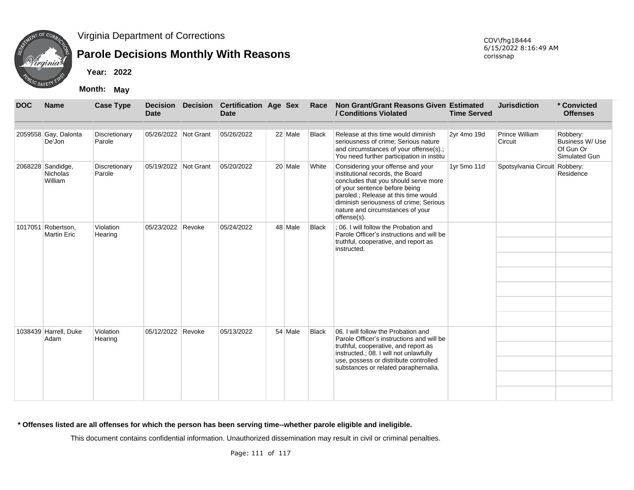

# **Parole Decisions Monthly With Reasons**

**Year: 2022**

**Month: May**

| <b>DOC</b> | <b>Name</b>                              | <b>Case Type</b>        | <b>Date</b>          |        | Decision Decision Certification Age Sex<br><b>Date</b> |         | Race         | Non Grant/Grant Reasons Given Estimated<br>/ Conditions Violated                                                                                                                                                                                                                    | <b>Time Served</b> | <b>Jurisdiction</b>           | * Convicted<br><b>Offenses</b>                            |
|------------|------------------------------------------|-------------------------|----------------------|--------|--------------------------------------------------------|---------|--------------|-------------------------------------------------------------------------------------------------------------------------------------------------------------------------------------------------------------------------------------------------------------------------------------|--------------------|-------------------------------|-----------------------------------------------------------|
|            | 2059558 Gay, Dalonta<br>De'Jon           | Discretionary<br>Parole | 05/26/2022 Not Grant |        | 05/26/2022                                             | 22 Male | <b>Black</b> | Release at this time would diminish<br>seriousness of crime; Serious nature<br>and circumstances of your offense(s).;<br>You need further participation in institu                                                                                                                  | 2yr 4mo 19d        | Prince William<br>Circuit     | Robbery:<br>Business W/ Use<br>Of Gun Or<br>Simulated Gun |
|            | 2068228 Sandidge,<br>Nicholas<br>William | Discretionary<br>Parole | 05/19/2022 Not Grant |        | 05/20/2022                                             | 20 Male | White        | Considering your offense and your<br>institutional records, the Board<br>concludes that you should serve more<br>of your sentence before being<br>paroled.; Release at this time would<br>diminish seriousness of crime; Serious<br>nature and circumstances of your<br>offense(s). | 1yr 5mo 11d        | Spotsylvania Circuit Robbery: | Residence                                                 |
|            | 1017051 Robertson,<br><b>Martin Eric</b> | Violation<br>Hearing    | 05/23/2022 Revoke    |        | 05/24/2022                                             | 48 Male | <b>Black</b> | : 06. I will follow the Probation and<br>Parole Officer's instructions and will be<br>truthful, cooperative, and report as<br>instructed.                                                                                                                                           |                    |                               |                                                           |
|            | 1038439 Harrell, Duke<br>Adam            | Violation<br>Hearing    | 05/12/2022           | Revoke | 05/13/2022                                             | 54 Male | <b>Black</b> | 06. I will follow the Probation and<br>Parole Officer's instructions and will be<br>truthful, cooperative, and report as<br>instructed.; 08. I will not unlawfully<br>use, possess or distribute controlled<br>substances or related paraphernalia.                                 |                    |                               |                                                           |

**\* Offenses listed are all offenses for which the person has been serving time--whether parole eligible and ineligible.**

This document contains confidential information. Unauthorized dissemination may result in civil or criminal penalties.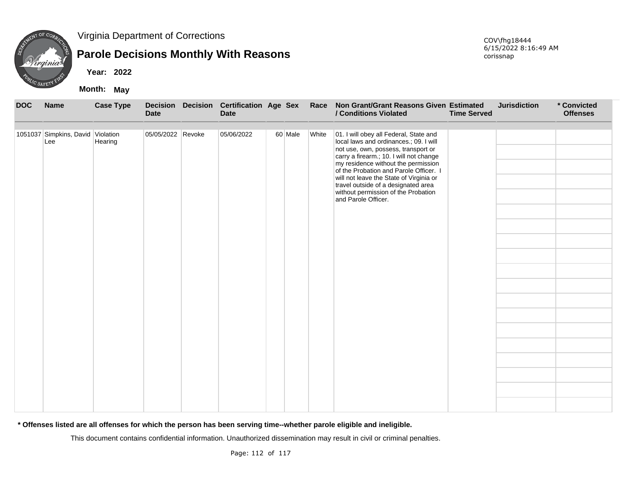

### **Parole Decisions Monthly With Reasons**

**Year: 2022**

**Month: May**

| <b>DOC</b> | <b>Name</b>                              | <b>Case Type</b> | <b>Decision</b><br><b>Date</b> | Decision Certification Age Sex<br><b>Date</b> |         | Race  | Non Grant/Grant Reasons Given Estimated<br>/ Conditions Violated                                                                                                                                                                                                                                                                                                                                    | <b>Time Served</b> | <b>Jurisdiction</b> | * Convicted<br><b>Offenses</b> |
|------------|------------------------------------------|------------------|--------------------------------|-----------------------------------------------|---------|-------|-----------------------------------------------------------------------------------------------------------------------------------------------------------------------------------------------------------------------------------------------------------------------------------------------------------------------------------------------------------------------------------------------------|--------------------|---------------------|--------------------------------|
|            | 1051037 Simpkins, David Violation<br>Lee | Hearing          | 05/05/2022 Revoke              | 05/06/2022                                    | 60 Male | White | 01. I will obey all Federal, State and<br>local laws and ordinances.; 09. I will<br>not use, own, possess, transport or<br>carry a firearm.; 10. I will not change<br>my residence without the permission<br>of the Probation and Parole Officer. I<br>will not leave the State of Virginia or<br>travel outside of a designated area<br>without permission of the Probation<br>and Parole Officer. |                    |                     |                                |

**\* Offenses listed are all offenses for which the person has been serving time--whether parole eligible and ineligible.**

This document contains confidential information. Unauthorized dissemination may result in civil or criminal penalties.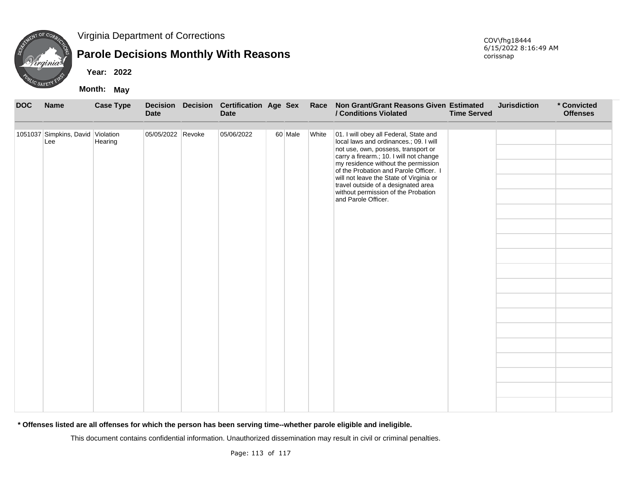

# **Parole Decisions Monthly With Reasons**

**Year: 2022**

**Month: May**

| <b>DOC</b> | <b>Name</b>                              | <b>Case Type</b> | <b>Decision</b><br><b>Date</b> | Decision Certification Age Sex<br><b>Date</b> |         | Race  | Non Grant/Grant Reasons Given Estimated<br>/ Conditions Violated                                                                                                                                                                                                                                                                                                                                    | <b>Time Served</b> | <b>Jurisdiction</b> | * Convicted<br><b>Offenses</b> |
|------------|------------------------------------------|------------------|--------------------------------|-----------------------------------------------|---------|-------|-----------------------------------------------------------------------------------------------------------------------------------------------------------------------------------------------------------------------------------------------------------------------------------------------------------------------------------------------------------------------------------------------------|--------------------|---------------------|--------------------------------|
|            | 1051037 Simpkins, David Violation<br>Lee | Hearing          | 05/05/2022 Revoke              | 05/06/2022                                    | 60 Male | White | 01. I will obey all Federal, State and<br>local laws and ordinances.; 09. I will<br>not use, own, possess, transport or<br>carry a firearm.; 10. I will not change<br>my residence without the permission<br>of the Probation and Parole Officer. I<br>will not leave the State of Virginia or<br>travel outside of a designated area<br>without permission of the Probation<br>and Parole Officer. |                    |                     |                                |

**\* Offenses listed are all offenses for which the person has been serving time--whether parole eligible and ineligible.**

This document contains confidential information. Unauthorized dissemination may result in civil or criminal penalties.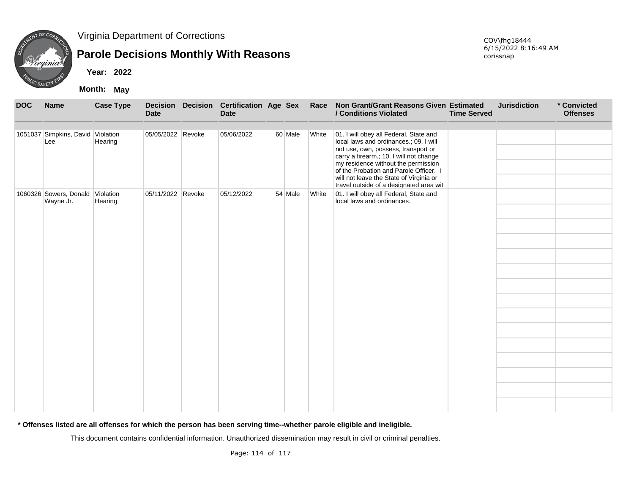

# **Parole Decisions Monthly With Reasons**

**Year: 2022**

**Month: May**

| <b>DOC</b> | <b>Name</b>                              | <b>Case Type</b>     | <b>Decision</b><br><b>Date</b> | Decision Certification Age Sex<br><b>Date</b> |         | Race  | Non Grant/Grant Reasons Given Estimated<br>/ Conditions Violated                                                                                                                                                                                                                                                                          | <b>Time Served</b> | <b>Jurisdiction</b> | * Convicted<br><b>Offenses</b> |
|------------|------------------------------------------|----------------------|--------------------------------|-----------------------------------------------|---------|-------|-------------------------------------------------------------------------------------------------------------------------------------------------------------------------------------------------------------------------------------------------------------------------------------------------------------------------------------------|--------------------|---------------------|--------------------------------|
|            | 1051037 Simpkins, David Violation<br>Lee | Hearing              | 05/05/2022 Revoke              | 05/06/2022                                    | 60 Male | White | 01. I will obey all Federal, State and<br>local laws and ordinances.; 09. I will<br>not use, own, possess, transport or<br>carry a firearm.; 10. I will not change<br>my residence without the permission<br>of the Probation and Parole Officer. I<br>will not leave the State of Virginia or<br>travel outside of a designated area wit |                    |                     |                                |
|            | 1060326 Sowers, Donald<br>Wayne Jr.      | Violation<br>Hearing | 05/11/2022 Revoke              | 05/12/2022                                    | 54 Male | White | 01. I will obey all Federal, State and<br>local laws and ordinances.                                                                                                                                                                                                                                                                      |                    |                     |                                |

**\* Offenses listed are all offenses for which the person has been serving time--whether parole eligible and ineligible.**

This document contains confidential information. Unauthorized dissemination may result in civil or criminal penalties.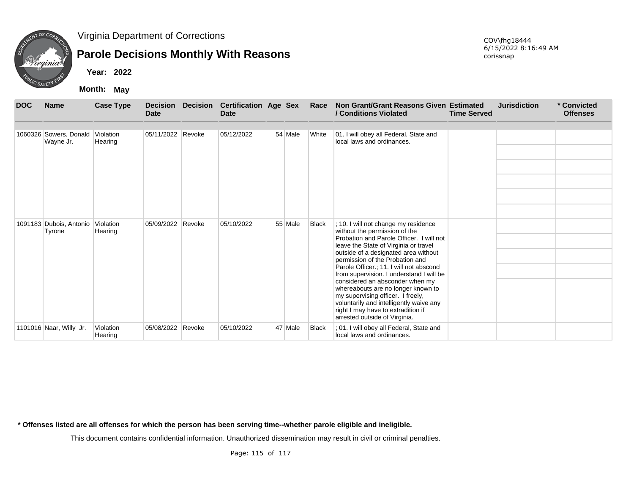

# **Parole Decisions Monthly With Reasons**

**Year: 2022**

**Month: May**

| <b>DOC</b> | <b>Name</b>                       | <b>Case Type</b>     | <b>Decision</b><br><b>Date</b> |        | Decision Certification Age Sex<br>Date |         | Race         | Non Grant/Grant Reasons Given Estimated<br>/ Conditions Violated                                                                                                                                                             | <b>Time Served</b> | <b>Jurisdiction</b> | * Convicted<br><b>Offenses</b> |
|------------|-----------------------------------|----------------------|--------------------------------|--------|----------------------------------------|---------|--------------|------------------------------------------------------------------------------------------------------------------------------------------------------------------------------------------------------------------------------|--------------------|---------------------|--------------------------------|
|            |                                   |                      |                                |        |                                        |         |              |                                                                                                                                                                                                                              |                    |                     |                                |
| 1060326    | Sowers, Donald<br>Wayne Jr.       | Violation<br>Hearing | 05/11/2022 Revoke              |        | 05/12/2022                             | 54 Male | White        | 01. I will obey all Federal, State and<br>local laws and ordinances.                                                                                                                                                         |                    |                     |                                |
|            |                                   |                      |                                |        |                                        |         |              |                                                                                                                                                                                                                              |                    |                     |                                |
|            |                                   |                      |                                |        |                                        |         |              |                                                                                                                                                                                                                              |                    |                     |                                |
|            |                                   |                      |                                |        |                                        |         |              |                                                                                                                                                                                                                              |                    |                     |                                |
|            |                                   |                      |                                |        |                                        |         |              |                                                                                                                                                                                                                              |                    |                     |                                |
|            |                                   |                      |                                |        |                                        |         |              |                                                                                                                                                                                                                              |                    |                     |                                |
|            | 1091183 Dubois, Antonio<br>Tyrone | Violation<br>Hearing | 05/09/2022 Revoke              |        | 05/10/2022                             | 55 Male | <b>Black</b> | ; 10. I will not change my residence<br>without the permission of the                                                                                                                                                        |                    |                     |                                |
|            |                                   |                      |                                |        |                                        |         |              | Probation and Parole Officer. I will not<br>leave the State of Virginia or travel                                                                                                                                            |                    |                     |                                |
|            |                                   |                      |                                |        |                                        |         |              | outside of a designated area without<br>permission of the Probation and                                                                                                                                                      |                    |                     |                                |
|            |                                   |                      |                                |        |                                        |         |              | Parole Officer.; 11. I will not abscond<br>from supervision. I understand I will be                                                                                                                                          |                    |                     |                                |
|            |                                   |                      |                                |        |                                        |         |              | considered an absconder when my<br>whereabouts are no longer known to<br>my supervising officer. I freely,<br>voluntarily and intelligently waive any<br>right I may have to extradition if<br>arrested outside of Virginia. |                    |                     |                                |
|            | 1101016 Naar, Willy Jr.           | Violation<br>Hearing | 05/08/2022                     | Revoke | 05/10/2022                             | 47 Male | <b>Black</b> | ; 01. I will obey all Federal, State and<br>local laws and ordinances.                                                                                                                                                       |                    |                     |                                |

**\* Offenses listed are all offenses for which the person has been serving time--whether parole eligible and ineligible.**

This document contains confidential information. Unauthorized dissemination may result in civil or criminal penalties.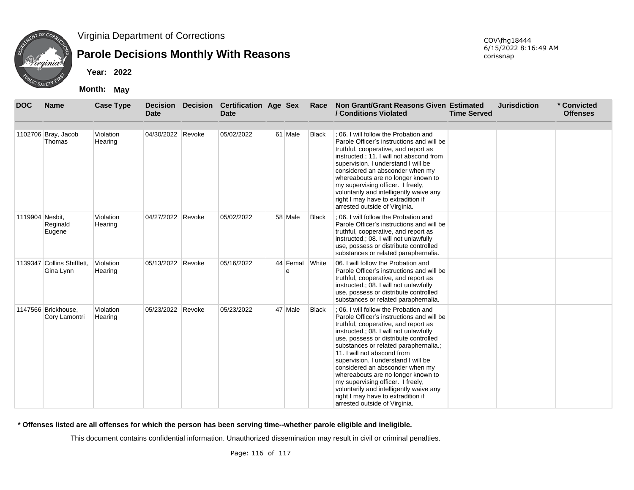

# **Parole Decisions Monthly With Reasons**

**Year: 2022**

**Month: May**

COV\fhg18444 6/15/2022 8:16:49 AM corissnap

| <b>DOC</b>      | <b>Name</b>                             | <b>Case Type</b>     | <b>Decision</b><br><b>Date</b> |        | Decision Certification Age Sex<br><b>Date</b> |               | Race         | Non Grant/Grant Reasons Given Estimated<br>/ Conditions Violated                                                                                                                                                                                                                                                                                                                                                                                                                                                                                             | <b>Time Served</b> | <b>Jurisdiction</b> | * Convicted<br><b>Offenses</b> |
|-----------------|-----------------------------------------|----------------------|--------------------------------|--------|-----------------------------------------------|---------------|--------------|--------------------------------------------------------------------------------------------------------------------------------------------------------------------------------------------------------------------------------------------------------------------------------------------------------------------------------------------------------------------------------------------------------------------------------------------------------------------------------------------------------------------------------------------------------------|--------------------|---------------------|--------------------------------|
|                 | 1102706 Bray, Jacob<br>Thomas           | Violation<br>Hearing | 04/30/2022                     | Revoke | 05/02/2022                                    | 61 Male       | Black        | : 06. I will follow the Probation and<br>Parole Officer's instructions and will be<br>truthful, cooperative, and report as<br>instructed.; 11. I will not abscond from<br>supervision. I understand I will be<br>considered an absconder when my<br>whereabouts are no longer known to<br>my supervising officer. I freely,<br>voluntarily and intelligently waive any<br>right I may have to extradition if<br>arrested outside of Virginia.                                                                                                                |                    |                     |                                |
| 1119904 Nesbit. | Reginald<br>Eugene                      | Violation<br>Hearing | 04/27/2022 Revoke              |        | 05/02/2022                                    | 58 Male       | <b>Black</b> | : 06. I will follow the Probation and<br>Parole Officer's instructions and will be<br>truthful, cooperative, and report as<br>instructed.; 08. I will not unlawfully<br>use, possess or distribute controlled<br>substances or related paraphernalia.                                                                                                                                                                                                                                                                                                        |                    |                     |                                |
|                 | 1139347 Collins Shifflett.<br>Gina Lynn | Violation<br>Hearing | 05/13/2022 Revoke              |        | 05/16/2022                                    | 44 Femal<br>e | <b>White</b> | 06. I will follow the Probation and<br>Parole Officer's instructions and will be<br>truthful, cooperative, and report as<br>instructed.; 08. I will not unlawfully<br>use, possess or distribute controlled<br>substances or related paraphernalia.                                                                                                                                                                                                                                                                                                          |                    |                     |                                |
|                 | 1147566 Brickhouse,<br>Cory Lamontri    | Violation<br>Hearing | 05/23/2022 Revoke              |        | 05/23/2022                                    | 47 Male       | <b>Black</b> | : 06. I will follow the Probation and<br>Parole Officer's instructions and will be<br>truthful, cooperative, and report as<br>instructed.; 08. I will not unlawfully<br>use, possess or distribute controlled<br>substances or related paraphernalia.;<br>11. I will not abscond from<br>supervision. I understand I will be<br>considered an absconder when my<br>whereabouts are no longer known to<br>my supervising officer. I freely,<br>voluntarily and intelligently waive any<br>right I may have to extradition if<br>arrested outside of Virginia. |                    |                     |                                |

**\* Offenses listed are all offenses for which the person has been serving time--whether parole eligible and ineligible.**

This document contains confidential information. Unauthorized dissemination may result in civil or criminal penalties.

Page: 116 of 117